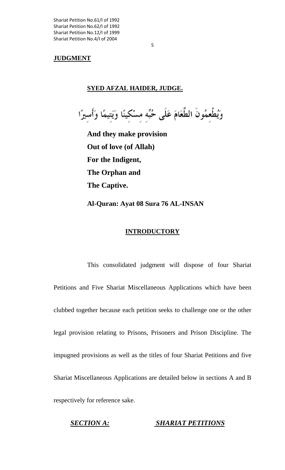**JUDGMENT**

#### **SYED AFZAL HAIDER, JUDGE.**

وَيُطْعِمُونَ الطَّعَامَ عَلَى حُبِّه مسْكينًا وَيَتِيمًا وَأَسِيرًا

5

 **And they make provision Out of love (of Allah) For the Indigent, The Orphan and The Captive.** 

 **Al-Quran: Ayat 08 Sura 76 AL-INSAN** 

#### **INTRODUCTORY**

 This consolidated judgment will dispose of four Shariat Petitions and Five Shariat Miscellaneous Applications which have been clubbed together because each petition seeks to challenge one or the other legal provision relating to Prisons, Prisoners and Prison Discipline. The impugned provisions as well as the titles of four Shariat Petitions and five Shariat Miscellaneous Applications are detailed below in sections A and B respectively for reference sake.

*SECTION A: SHARIAT PETITIONS*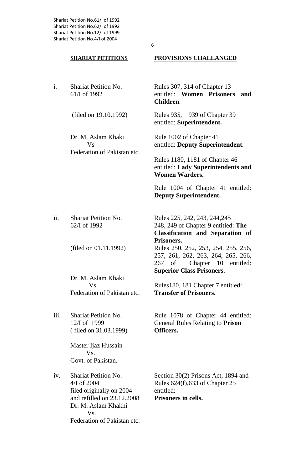#### **SHARIAT PETITIONS** PROVISIONS CHALLANGED

Dr. M. Aslam Khaki Rule 1002 of Chapter 41 Federation of Pakistan etc.

6

i. Shariat Petition No. Rules 307, 314 of Chapter 13 61/I of 1992 entitled: **Women Prisoners and Children**.

 (filed on 19.10.1992) Rules 935, 939 of Chapter 39 entitled: **Superintendent.**

Vs entitled: **Deputy Superintendent.** 

 Rules 1180, 1181 of Chapter 46 entitled: **Lady Superintendents and Women Warders.**

Rule 1004 of Chapter 41 entitled: **Deputy Superintendent.**

 Dr. M. Aslam Khaki Federation of Pakistan etc. **Transfer of Prisoners.** 

( filed on 31.03.1999) **Officers.**

 Master Ijaz Hussain Vs. Govt. of Pakistan.

filed originally on 2004 entitled: and refilled on 23.12.2008 **Prisoners in cells.**  Dr. M. Aslam Khakhi Vs. Federation of Pakistan etc.

ii. Shariat Petition No. Rules 225, 242, 243, 244, 245 62/I of 1992 248, 249 of Chapter 9 entitled: **The Classification and Separation of Prisoners.**  (filed on 01.11.1992) Rules 250, 252, 253, 254, 255, 256,

257, 261, 262, 263, 264, 265, 266, 267 of Chapter 10 entitled: **Superior Class Prisoners.**

Vs. Rules180, 181 Chapter 7 entitled:

iii. Shariat Petition No. Rule 1078 of Chapter 44 entitled: 12/I of 1999 General Rules Relating to **Prison** 

iv. Shariat Petition No. Section 30(2) Prisons Act, 1894 and 4/I of 2004 Rules 624(f),633 of Chapter 25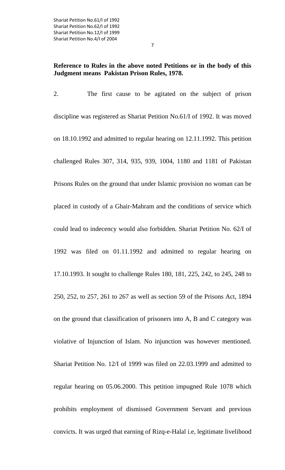## **Reference to Rules in the above noted Petitions or in the body of this Judgment means Pakistan Prison Rules, 1978.**

2. The first cause to be agitated on the subject of prison discipline was registered as Shariat Petition No.61/I of 1992. It was moved on 18.10.1992 and admitted to regular hearing on 12.11.1992. This petition challenged Rules 307, 314, 935, 939, 1004, 1180 and 1181 of Pakistan Prisons Rules on the ground that under Islamic provision no woman can be placed in custody of a Ghair-Mahram and the conditions of service which could lead to indecency would also forbidden. Shariat Petition No. 62/I of 1992 was filed on 01.11.1992 and admitted to regular hearing on 17.10.1993. It sought to challenge Rules 180, 181, 225, 242, to 245, 248 to 250, 252, to 257, 261 to 267 as well as section 59 of the Prisons Act, 1894 on the ground that classification of prisoners into A, B and C category was violative of Injunction of Islam. No injunction was however mentioned. Shariat Petition No. 12/I of 1999 was filed on 22.03.1999 and admitted to regular hearing on 05.06.2000. This petition impugned Rule 1078 which prohibits employment of dismissed Government Servant and previous convicts. It was urged that earning of Rizq-e-Halal i.e, legitimate livelihood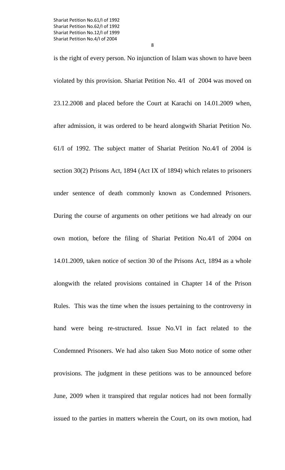is the right of every person. No injunction of Islam was shown to have been violated by this provision. Shariat Petition No. 4/I of 2004 was moved on 23.12.2008 and placed before the Court at Karachi on 14.01.2009 when, after admission, it was ordered to be heard alongwith Shariat Petition No. 61/I of 1992. The subject matter of Shariat Petition No.4/I of 2004 is section 30(2) Prisons Act, 1894 (Act IX of 1894) which relates to prisoners under sentence of death commonly known as Condemned Prisoners. During the course of arguments on other petitions we had already on our own motion, before the filing of Shariat Petition No.4/I of 2004 on 14.01.2009, taken notice of section 30 of the Prisons Act, 1894 as a whole alongwith the related provisions contained in Chapter 14 of the Prison Rules. This was the time when the issues pertaining to the controversy in hand were being re-structured. Issue No.VI in fact related to the Condemned Prisoners. We had also taken Suo Moto notice of some other provisions. The judgment in these petitions was to be announced before June, 2009 when it transpired that regular notices had not been formally issued to the parties in matters wherein the Court, on its own motion, had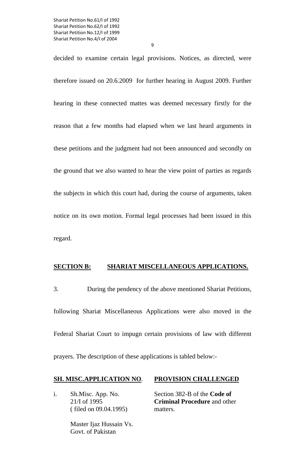decided to examine certain legal provisions. Notices, as directed, were therefore issued on 20.6.2009 for further hearing in August 2009. Further hearing in these connected mattes was deemed necessary firstly for the reason that a few months had elapsed when we last heard arguments in these petitions and the judgment had not been announced and secondly on the ground that we also wanted to hear the view point of parties as regards the subjects in which this court had, during the course of arguments, taken notice on its own motion. Formal legal processes had been issued in this regard.

## **SECTION B: SHARIAT MISCELLANEOUS APPLICATIONS.**

3. During the pendency of the above mentioned Shariat Petitions,

following Shariat Miscellaneous Applications were also moved in the Federal Shariat Court to impugn certain provisions of law with different

prayers. The description of these applications is tabled below:-

#### **SH. MISC.APPLICATION NO**. **PROVISION CHALLENGED**

( filed on 09.04.1995) matters.

i. Sh.Misc. App. No. Section 382-B of the **Code of**  21/I of 1995 **Criminal Procedure** and other

 Master Ijaz Hussain Vs. Govt. of Pakistan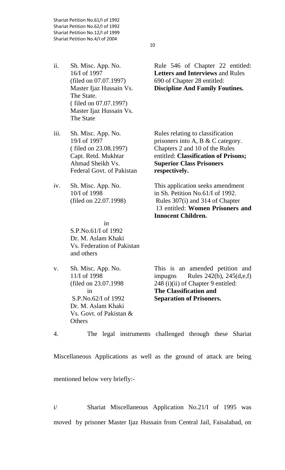The State. ( filed on 07.07.1997) Master Ijaz Hussain Vs. The State

iii. Sh. Misc. App. No. Rules relating to classification Federal Govt. of Pakistan **respectively.** 

 in S.P.No.61/I of 1992 Dr. M. Aslam Khaki Vs. Federation of Pakistan and others

 Dr. M. Aslam Khaki Vs. Govt. of Pakistan & **Others** 

ii. Sh. Misc. App. No. Rule 546 of Chapter 22 entitled: 16/I of 1997 **Letters and Interviews** and Rules (filed on 07.07.1997) 690 of Chapter 28 entitled: Master Ijaz Hussain Vs. **Discipline And Family Foutines.**

19/I of 1997 prisoners into A, B & C category. ( filed on 23.08.1997) Chapters 2 and 10 of the Rules Capt. Retd. Mukhtar entitled: **Classification of Prisons;** Ahmad Sheikh Vs. **Superior Class Prisoners**

iv. Sh. Misc. App. No. This application seeks amendment 10/I of 1998 in Sh. Petition No.61/I of 1992.  $(i$ iled on 22.07.1998) Rules 307 $(i)$  and 314 of Chapter 13 entitled: **Women Prisoners and Innocent Children.** 

v. Sh. Misc. App. No. This is an amended petition and 11/I of 1998 impugns Rules 242(b), 245(d,e,f) (filed on  $23.07.1998$  248 (i)(ii) of Chapter 9 entitled: in **The Classification and**  S.P.No.62/I of 1992 **Separation of Prisoners.** 

4. The legal instruments challenged through these Shariat

Miscellaneous Applications as well as the ground of attack are being

mentioned below very briefly:-

i/ Shariat Miscellaneous Application No.21/I of 1995 was moved by prisoner Master Ijaz Hussain from Central Jail, Faisalabad, on

10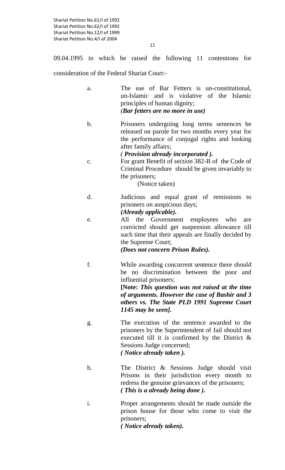11

09.04.1995 in which he raised the following 11 contentions for

consideration of the Federal Shariat Court:-

- a. The use of Bar Fetters is un-constitutional, un-Islamic and is violative of the Islamic principles of human dignity; *(Bar fetters are no more in use)*
- b. Prisoners undergoing long terms sentences be released on parole for two months every year for the performance of conjugal rights and looking after family affairs;
	- *( Provision already incorporated ).*
- c. For grant Benefit of section 382-B of the Code of Criminal Procedure should be given invariably to the prisoners;

(Notice taken)

- d. Judicious and equal grant of remissions to prisoners on auspicious days; *(Already applicable).*
- e. All the Government employees who are convicted should get suspension allowance till such time that their appeals are finally decided by the Supreme Court;

*(Does not concern Prison Rules).* 

f. While awarding concurrent sentence there should be no discrimination between the poor and influential prisoners;

**[Note:** *This question was not raised at the time of arguments. However the case of Bashir and 3 others vs. The State PLD 1991 Supreme Court 1145 may be seen].* 

- g. The execution of the sentence awarded to the prisoners by the Superintendent of Jail should not executed till it is confirmed by the District & Sessions Judge concerned; *( Notice already taken ).*
- h. The District & Sessions Judge should visit Prisons in their jurisdiction every month to redress the genuine grievances of the prisoners; *( This is a already being done ).*
- i. Proper arrangements should be made outside the prison house for those who come to visit the prisoners; *( Notice already taken).*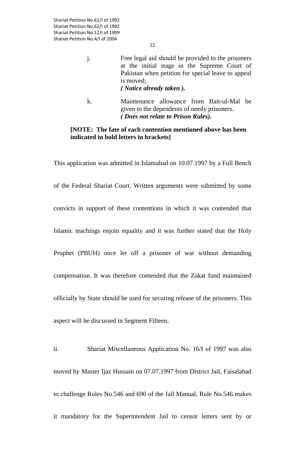- j. Free legal aid should be provided to the prisoners at the initial stage in the Supreme Court of Pakistan when petition for special leave to appeal is moved; *( Notice already taken ).*
- k. Maintenance allowance from Bait-ul-Mal be given to the dependents of needy prisoners. *( Does not relate to Prison Rules).*

#### **[NOTE: The fate of each contention mentioned above has been indicated in bold letters in brackets]**

This application was admitted in Islamabad on 10.07.1997 by a Full Bench of the Federal Shariat Court. Written arguments were submitted by some convicts in support of these contentions in which it was contended that Islamic teachings enjoin equality and it was further stated that the Holy Prophet (PBUH) once let off a prisoner of war without demanding compensation. It was therefore contended that the Zakat fund maintained officially by State should be used for securing release of the prisoners. This aspect will be discussed in Segment Fifteen.

ii. Shariat Miscellaneous Application No. 16/I of 1997 was also moved by Master Ijaz Hussain on 07.07.1997 from District Jail, Faisalabad to challenge Rules No.546 and 690 of the Jail Manual. Rule No.546 makes it mandatory for the Superintendent Jail to censor letters sent by or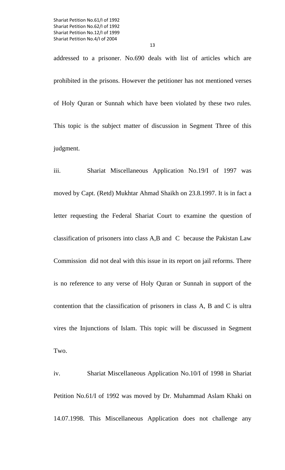addressed to a prisoner. No.690 deals with list of articles which are prohibited in the prisons. However the petitioner has not mentioned verses of Holy Quran or Sunnah which have been violated by these two rules. This topic is the subject matter of discussion in Segment Three of this judgment.

iii. Shariat Miscellaneous Application No.19/I of 1997 was moved by Capt. (Retd) Mukhtar Ahmad Shaikh on 23.8.1997. It is in fact a letter requesting the Federal Shariat Court to examine the question of classification of prisoners into class A,B and C because the Pakistan Law Commission did not deal with this issue in its report on jail reforms. There is no reference to any verse of Holy Quran or Sunnah in support of the contention that the classification of prisoners in class A, B and C is ultra vires the Injunctions of Islam. This topic will be discussed in Segment Two.

iv. Shariat Miscellaneous Application No.10/I of 1998 in Shariat Petition No.61/I of 1992 was moved by Dr. Muhammad Aslam Khaki on 14.07.1998. This Miscellaneous Application does not challenge any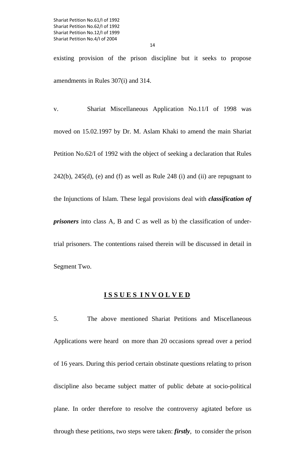existing provision of the prison discipline but it seeks to propose

amendments in Rules 307(i) and 314.

v. Shariat Miscellaneous Application No.11/I of 1998 was moved on 15.02.1997 by Dr. M. Aslam Khaki to amend the main Shariat Petition No.62/I of 1992 with the object of seeking a declaration that Rules  $242(b)$ ,  $245(d)$ , (e) and (f) as well as Rule  $248$  (i) and (ii) are repugnant to the Injunctions of Islam. These legal provisions deal with *classification of prisoners* into class A, B and C as well as b) the classification of undertrial prisoners. The contentions raised therein will be discussed in detail in Segment Two.

#### **I S S U E S I N V O L V E D**

5. The above mentioned Shariat Petitions and Miscellaneous Applications were heard on more than 20 occasions spread over a period of 16 years. During this period certain obstinate questions relating to prison discipline also became subject matter of public debate at socio-political plane. In order therefore to resolve the controversy agitated before us through these petitions, two steps were taken: *firstly,* to consider the prison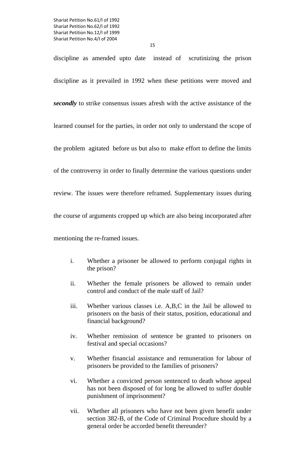discipline as amended upto date instead of scrutinizing the prison discipline as it prevailed in 1992 when these petitions were moved and *secondly* to strike consensus issues afresh with the active assistance of the learned counsel for the parties, in order not only to understand the scope of the problem agitated before us but also to make effort to define the limits of the controversy in order to finally determine the various questions under review. The issues were therefore reframed. Supplementary issues during the course of arguments cropped up which are also being incorporated after mentioning the re-framed issues.

- i. Whether a prisoner be allowed to perform conjugal rights in the prison?
- ii. Whether the female prisoners be allowed to remain under control and conduct of the male staff of Jail?
- iii. Whether various classes i.e. A,B,C in the Jail be allowed to prisoners on the basis of their status, position, educational and financial background?
- iv. Whether remission of sentence be granted to prisoners on festival and special occasions?
- v. Whether financial assistance and remuneration for labour of prisoners be provided to the families of prisoners?
- vi. Whether a convicted person sentenced to death whose appeal has not been disposed of for long be allowed to suffer double punishment of imprisonment?
- vii. Whether all prisoners who have not been given benefit under section 382-B, of the Code of Criminal Procedure should by a general order be accorded benefit thereunder?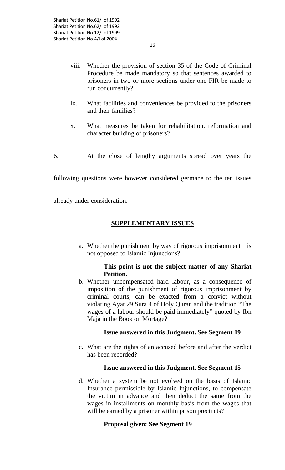- viii. Whether the provision of section 35 of the Code of Criminal Procedure be made mandatory so that sentences awarded to prisoners in two or more sections under one FIR be made to run concurrently?
- ix. What facilities and conveniences be provided to the prisoners and their families?
- x. What measures be taken for rehabilitation, reformation and character building of prisoners?
- 6. At the close of lengthy arguments spread over years the

following questions were however considered germane to the ten issues

already under consideration.

## **SUPPLEMENTARY ISSUES**

a. Whether the punishment by way of rigorous imprisonment is not opposed to Islamic Injunctions?

#### **This point is not the subject matter of any Shariat Petition.**

b. Whether uncompensated hard labour, as a consequence of imposition of the punishment of rigorous imprisonment by criminal courts, can be exacted from a convict without violating Ayat 29 Sura 4 of Holy Quran and the tradition "The wages of a labour should be paid immediately" quoted by Ibn Maja in the Book on Mortage?

## **Issue answered in this Judgment. See Segment 19**

c. What are the rights of an accused before and after the verdict has been recorded?

## **Issue answered in this Judgment. See Segment 15**

d. Whether a system be not evolved on the basis of Islamic Insurance permissible by Islamic Injunctions, to compensate the victim in advance and then deduct the same from the wages in installments on monthly basis from the wages that will be earned by a prisoner within prison precincts?

## **Proposal given: See Segment 19**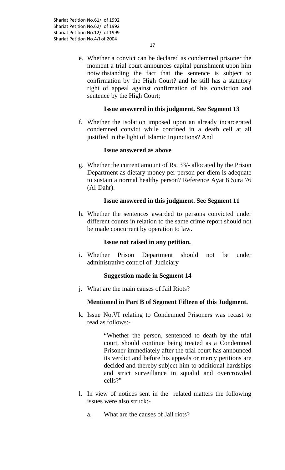e. Whether a convict can be declared as condemned prisoner the moment a trial court announces capital punishment upon him notwithstanding the fact that the sentence is subject to confirmation by the High Court? and he still has a statutory right of appeal against confirmation of his conviction and sentence by the High Court;

## **Issue answered in this judgment. See Segment 13**

f. Whether the isolation imposed upon an already incarcerated condemned convict while confined in a death cell at all justified in the light of Islamic Injunctions? And

## **Issue answered as above**

g. Whether the current amount of Rs. 33/- allocated by the Prison Department as dietary money per person per diem is adequate to sustain a normal healthy person? Reference Ayat 8 Sura 76 (Al-Dahr).

## **Issue answered in this judgment. See Segment 11**

h. Whether the sentences awarded to persons convicted under different counts in relation to the same crime report should not be made concurrent by operation to law.

## **Issue not raised in any petition.**

i. Whether Prison Department should not be under administrative control of Judiciary

## **Suggestion made in Segment 14**

j. What are the main causes of Jail Riots?

## **Mentioned in Part B of Segment Fifteen of this Judgment.**

k. Issue No.VI relating to Condemned Prisoners was recast to read as follows:-

> "Whether the person, sentenced to death by the trial court, should continue being treated as a Condemned Prisoner immediately after the trial court has announced its verdict and before his appeals or mercy petitions are decided and thereby subject him to additional hardships and strict surveillance in squalid and overcrowded cells?"

- l. In view of notices sent in the related matters the following issues were also struck:
	- a. What are the causes of Jail riots?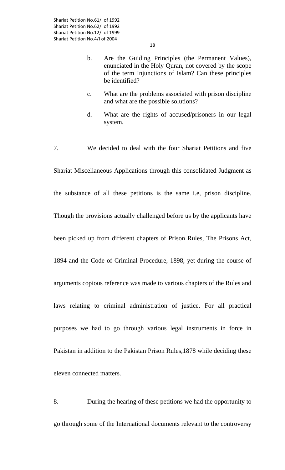- b. Are the Guiding Principles (the Permanent Values), enunciated in the Holy Quran, not covered by the scope of the term Injunctions of Islam? Can these principles be identified?
- c. What are the problems associated with prison discipline and what are the possible solutions?
- d. What are the rights of accused/prisoners in our legal system.

7. We decided to deal with the four Shariat Petitions and five Shariat Miscellaneous Applications through this consolidated Judgment as the substance of all these petitions is the same i.e, prison discipline. Though the provisions actually challenged before us by the applicants have been picked up from different chapters of Prison Rules, The Prisons Act, 1894 and the Code of Criminal Procedure, 1898, yet during the course of arguments copious reference was made to various chapters of the Rules and laws relating to criminal administration of justice. For all practical purposes we had to go through various legal instruments in force in Pakistan in addition to the Pakistan Prison Rules,1878 while deciding these eleven connected matters.

8. During the hearing of these petitions we had the opportunity to go through some of the International documents relevant to the controversy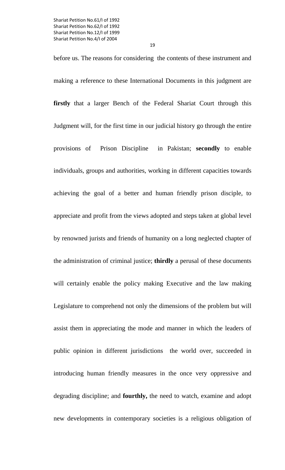before us. The reasons for considering the contents of these instrument and making a reference to these International Documents in this judgment are **firstly** that a larger Bench of the Federal Shariat Court through this Judgment will, for the first time in our judicial history go through the entire provisions of Prison Discipline in Pakistan; **secondly** to enable individuals, groups and authorities, working in different capacities towards achieving the goal of a better and human friendly prison disciple, to appreciate and profit from the views adopted and steps taken at global level by renowned jurists and friends of humanity on a long neglected chapter of the administration of criminal justice; **thirdly** a perusal of these documents will certainly enable the policy making Executive and the law making Legislature to comprehend not only the dimensions of the problem but will assist them in appreciating the mode and manner in which the leaders of public opinion in different jurisdictions the world over, succeeded in introducing human friendly measures in the once very oppressive and degrading discipline; and **fourthly,** the need to watch, examine and adopt new developments in contemporary societies is a religious obligation of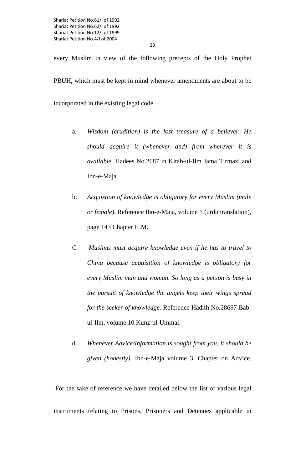every Muslim in view of the following precepts of the Holy Prophet PBUH, which must be kept in mind whenever amendments are about to be incorporated in the existing legal code.

- a. *Wisdom (erudition) is the lost treasure of a believer. He should acquire it (whenever and) from wherever it is available*. Hadees No.2687 in Kitab-ul-Ilm Jama Tirmazi and Ibn-e-Maja.
- b. *Acquistion of knowledge is obligatory for every Muslim (male or female).* Reference Ibn-e-Maja, volume 1 (urdu translation), page 143 Chapter ILM.
- C *Muslims must acquire knowledge even if he has to travel to China because acquisition of knowledge is obligatory for every Muslim man and woman. So long as a person is busy in the pursuit of knowledge the angels keep their wings spread for the seeker of knowledge.* Reference Hadith No.28697 Babul-Ilm, volume 10 Kunz-ul-Ummal.
- d. *Whenever Advice/Information is sought from you, it should be given (honestly)*. Ibn-e-Maja volume 3. Chapter on Advice.

 For the sake of reference we have detailed below the list of various legal instruments relating to Prisons, Prisoners and Detenues applicable in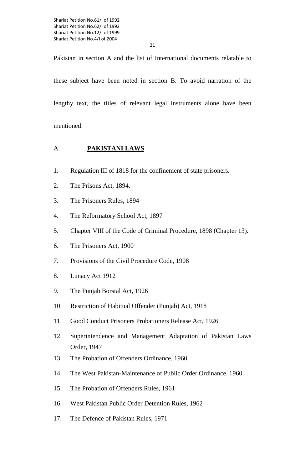21

Pakistan in section A and the list of International documents relatable to

these subject have been noted in section B. To avoid narration of the lengthy text, the titles of relevant legal instruments alone have been mentioned.

## A. **PAKISTANI LAWS**

- 1. Regulation III of 1818 for the confinement of state prisoners.
- 2. The Prisons Act, 1894.
- 3. The Prisoners Rules, 1894
- 4. The Reformatory School Act, 1897
- 5. Chapter VIII of the Code of Criminal Procedure, 1898 (Chapter 13).
- 6. The Prisoners Act, 1900
- 7. Provisions of the Civil Procedure Code, 1908
- 8. Lunacy Act 1912
- 9. The Punjab Borstal Act, 1926
- 10. Restriction of Habitual Offender (Punjab) Act, 1918
- 11. Good Conduct Prisoners Probationers Release Act, 1926
- 12. Superintendence and Management Adaptation of Pakistan Laws Order, 1947
- 13. The Probation of Offenders Ordinance, 1960
- 14. The West Pakistan-Maintenance of Public Order Ordinance, 1960.
- 15. The Probation of Offenders Rules, 1961
- 16. West Pakistan Public Order Detention Rules, 1962
- 17. The Defence of Pakistan Rules, 1971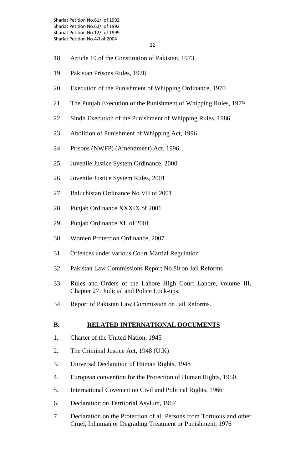- 18. Article 10 of the Constitution of Pakistan, 1973
- 19. Pakistan Prisons Rules, 1978
- 20. Execution of the Punishment of Whipping Ordinance, 1970
- 21. The Punjab Execution of the Punishment of Whipping Rules, 1979
- 22. Sindh Execution of the Punishment of Whipping Rules, 1986
- 23. Abolition of Punishment of Whipping Act, 1996
- 24. Prisons (NWFP) (Amendment) Act, 1996
- 25. Juvenile Justice System Ordinance, 2000
- 26. Juvenile Justice System Rules, 2001
- 27. Baluchistan Ordinance No.VII of 2001
- 28. Punjab Ordinance XXXIX of 2001
- 29. Punjab Ordinance XL of 2001
- 30. Women Protection Ordinance, 2007
- 31. Offences under various Court Martial Regulation
- 32. Pakistan Law Commissions Report No.80 on Jail Reforms
- 33. Rules and Orders of the Lahore High Court Lahore, volume III, Chapter 27: Judicial and Police Lock-ups.
- 34. Report of Pakistan Law Commission on Jail Reforms.

## **B. RELATED INTERNATIONAL DOCUMENTS**

- 1. Charter of the United Nation, 1945
- 2. The Criminal Justice Act, 1948 (U.K)
- 3. Universal Declaration of Human Rights, 1948
- 4. European convention for the Protection of Human Rights, 1950.
- 5. International Covenant on Civil and Political Rights, 1966
- 6. Declaration on Territorial Asylum, 1967
- 7. Declaration on the Protection of all Persons from Tortuous and other Cruel, Inhuman or Degrading Treatment or Punishment, 1976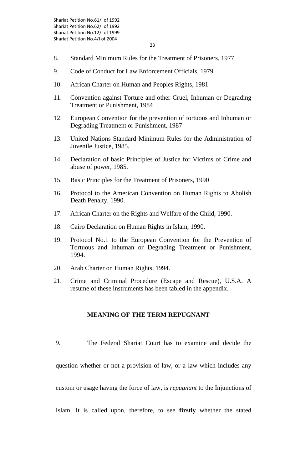- 8. Standard Minimum Rules for the Treatment of Prisoners, 1977
- 9. Code of Conduct for Law Enforcement Officials, 1979
- 10. African Charter on Human and Peoples Rights, 1981
- 11. Convention against Torture and other Cruel, Inhuman or Degrading Treatment or Punishment, 1984
- 12. European Convention for the prevention of tortuous and Inhuman or Degrading Treatment or Punishment, 1987
- 13. United Nations Standard Minimum Rules for the Administration of Juvenile Justice, 1985.
- 14. Declaration of basic Principles of Justice for Victims of Crime and abuse of power, 1985.
- 15. Basic Principles for the Treatment of Prisoners, 1990
- 16. Protocol to the American Convention on Human Rights to Abolish Death Penalty, 1990.
- 17. African Charter on the Rights and Welfare of the Child, 1990.
- 18. Cairo Declaration on Human Rights in Islam, 1990.
- 19. Protocol No.1 to the European Convention for the Prevention of Tortuous and Inhuman or Degrading Treatment or Punishment, 1994.
- 20. Arab Charter on Human Rights, 1994.
- 21. Crime and Criminal Procedure (Escape and Rescue), U.S.A. A resume of these instruments has been tabled in the appendix.

## **MEANING OF THE TERM REPUGNANT**

9. The Federal Shariat Court has to examine and decide the

question whether or not a provision of law, or a law which includes any

custom or usage having the force of law, is *repugnant* to the Injunctions of

Islam. It is called upon, therefore, to see **firstly** whether the stated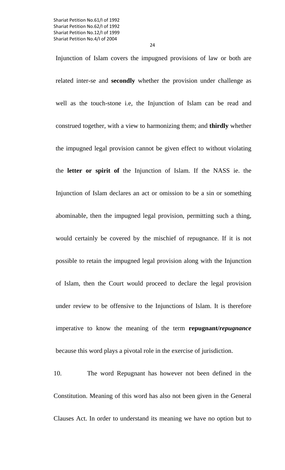Injunction of Islam covers the impugned provisions of law or both are related inter-se and **secondly** whether the provision under challenge as well as the touch-stone i.e, the Injunction of Islam can be read and construed together, with a view to harmonizing them; and **thirdly** whether the impugned legal provision cannot be given effect to without violating the **letter or spirit of** the Injunction of Islam. If the NASS ie. the Injunction of Islam declares an act or omission to be a sin or something abominable, then the impugned legal provision, permitting such a thing, would certainly be covered by the mischief of repugnance. If it is not possible to retain the impugned legal provision along with the Injunction of Islam, then the Court would proceed to declare the legal provision under review to be offensive to the Injunctions of Islam. It is therefore imperative to know the meaning of the term **repugnant/***repugnance* because this word plays a pivotal role in the exercise of jurisdiction.

10. The word Repugnant has however not been defined in the Constitution. Meaning of this word has also not been given in the General Clauses Act. In order to understand its meaning we have no option but to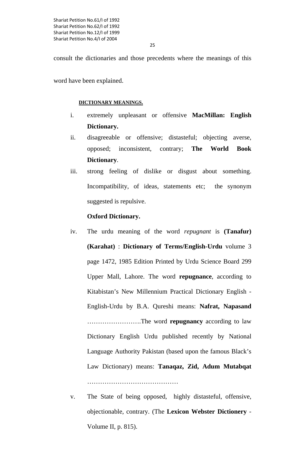consult the dictionaries and those precedents where the meanings of this

word have been explained.

#### **DICTIONARY MEANINGS.**

- i. extremely unpleasant or offensive **MacMillan: English Dictionary.**
- ii. disagreeable or offensive; distasteful; objecting averse, opposed; inconsistent, contrary; **The World Book Dictionary**.
- iii. strong feeling of dislike or disgust about something. Incompatibility, of ideas, statements etc; the synonym suggested is repulsive.

#### **Oxford Dictionary.**

- iv. The urdu meaning of the word *repugnant* is **(Tanafur) (Karahat)** : **Dictionary of Terms/English-Urdu** volume 3 page 1472, 1985 Edition Printed by Urdu Science Board 299 Upper Mall, Lahore. The word **repugnance**, according to Kitabistan's New Millennium Practical Dictionary English - English-Urdu by B.A. Qureshi means: **Nafrat, Napasand** …………………….The word **repugnancy** according to law Dictionary English Urdu published recently by National Language Authority Pakistan (based upon the famous Black's Law Dictionary) means: **Tanaqaz, Zid, Adum Mutabqat** ……………………………………
- v. The State of being opposed, highly distasteful, offensive, objectionable, contrary. (The **Lexicon Webster Dictionery** - Volume II, p. 815).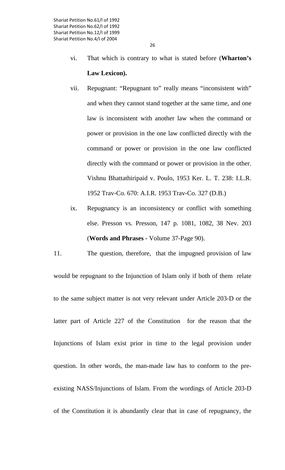- vi. That which is contrary to what is stated before (**Wharton's Law Lexicon).**
- vii. Repugnant: "Repugnant to" really means "inconsistent with" and when they cannot stand together at the same time, and one law is inconsistent with another law when the command or power or provision in the one law conflicted directly with the command or power or provision in the one law conflicted directly with the command or power or provision in the other. Vishnu Bhattathiripaid v. Poulo, 1953 Ker. L. T. 238: I.L.R. 1952 Trav-Co. 670: A.I.R. 1953 Trav-Co. 327 (D.B.)
- ix. Repugnancy is an inconsistency or conflict with something else. Presson vs. Presson, 147 p. 1081, 1082, 38 Nev. 203 (**Words and Phrases** - Volume 37-Page 90).

11. The question, therefore, that the impugned provision of law would be repugnant to the Injunction of Islam only if both of them relate to the same subject matter is not very relevant under Article 203-D or the latter part of Article 227 of the Constitution for the reason that the Injunctions of Islam exist prior in time to the legal provision under question. In other words, the man-made law has to conform to the preexisting NASS/Injunctions of Islam. From the wordings of Article 203-D of the Constitution it is abundantly clear that in case of repugnancy, the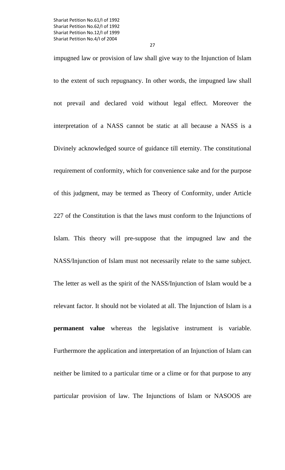27

impugned law or provision of law shall give way to the Injunction of Islam to the extent of such repugnancy. In other words, the impugned law shall not prevail and declared void without legal effect. Moreover the interpretation of a NASS cannot be static at all because a NASS is a Divinely acknowledged source of guidance till eternity. The constitutional requirement of conformity, which for convenience sake and for the purpose of this judgment, may be termed as Theory of Conformity, under Article 227 of the Constitution is that the laws must conform to the Injunctions of Islam. This theory will pre-suppose that the impugned law and the NASS/Injunction of Islam must not necessarily relate to the same subject. The letter as well as the spirit of the NASS/Injunction of Islam would be a relevant factor. It should not be violated at all. The Injunction of Islam is a **permanent value** whereas the legislative instrument is variable. Furthermore the application and interpretation of an Injunction of Islam can neither be limited to a particular time or a clime or for that purpose to any particular provision of law. The Injunctions of Islam or NASOOS are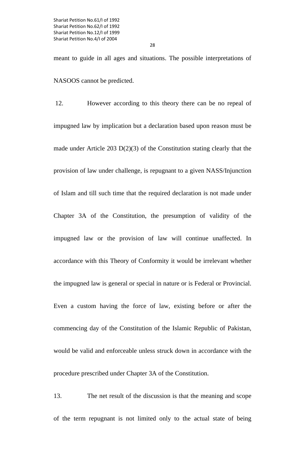meant to guide in all ages and situations. The possible interpretations of NASOOS cannot be predicted.

 12. However according to this theory there can be no repeal of impugned law by implication but a declaration based upon reason must be made under Article 203 D(2)(3) of the Constitution stating clearly that the provision of law under challenge, is repugnant to a given NASS/Injunction of Islam and till such time that the required declaration is not made under Chapter 3A of the Constitution, the presumption of validity of the impugned law or the provision of law will continue unaffected. In accordance with this Theory of Conformity it would be irrelevant whether the impugned law is general or special in nature or is Federal or Provincial. Even a custom having the force of law, existing before or after the commencing day of the Constitution of the Islamic Republic of Pakistan, would be valid and enforceable unless struck down in accordance with the procedure prescribed under Chapter 3A of the Constitution.

13. The net result of the discussion is that the meaning and scope of the term repugnant is not limited only to the actual state of being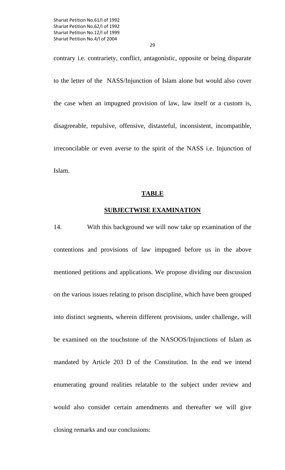29

contrary i.e. contrariety, conflict, antagonistic, opposite or being disparate to the letter of the NASS/Injunction of Islam alone but would also cover the case when an impugned provision of law, law itself or a custom is, disagreeable, repulsive, offensive, distasteful, inconsistent, incompatible, irreconcilable or even averse to the spirit of the NASS i.e. Injunction of Islam.

#### **TABLE**

#### **SUBJECTWISE EXAMINATION**

14. With this background we will now take up examination of the contentions and provisions of law impugned before us in the above mentioned petitions and applications. We propose dividing our discussion on the various issues relating to prison discipline, which have been grouped into distinct segments, wherein different provisions, under challenge, will be examined on the touchstone of the NASOOS/Injunctions of Islam as mandated by Article 203 D of the Constitution. In the end we intend enumerating ground realities relatable to the subject under review and would also consider certain amendments and thereafter we will give closing remarks and our conclusions: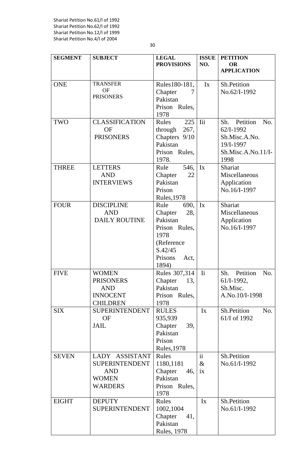| <b>SEGMENT</b> | <b>SUBJECT</b>                           | <b>LEGAL</b><br><b>PROVISIONS</b> | <b>ISSUE</b><br>NO. | <b>PETITION</b><br><b>OR</b> |
|----------------|------------------------------------------|-----------------------------------|---------------------|------------------------------|
|                |                                          |                                   |                     | <b>APPLICATION</b>           |
|                | <b>TRANSFER</b>                          |                                   |                     |                              |
| <b>ONE</b>     | <b>OF</b>                                | Rules180-181,<br>Chapter          | Ix                  | Sh.Petition<br>No.62/I-1992  |
|                | <b>PRISONERS</b>                         | Pakistan                          |                     |                              |
|                |                                          | Prison Rules,                     |                     |                              |
|                |                                          | 1978                              |                     |                              |
| TWO            | <b>CLASSIFICATION</b>                    | 225<br>Rules                      | <b>Iii</b>          | Petition<br>No.<br>Sh.       |
|                | OF                                       | through<br>267,                   |                     | $62$ /I-1992                 |
|                | <b>PRISONERS</b>                         | Chapters 9/10<br>Pakistan         |                     | Sh.Misc.A.No.<br>19/I-1997   |
|                |                                          | Prison Rules,                     |                     | Sh.Misc.A.No.11/I-           |
|                |                                          | 1978.                             |                     | 1998                         |
| <b>THREE</b>   | <b>LETTERS</b>                           | Rule<br>546,                      | $\mathbf{I}$ x      | Shariat                      |
|                | <b>AND</b>                               | 22<br>Chapter                     |                     | Miscellaneous                |
|                | <b>INTERVIEWS</b>                        | Pakistan                          |                     | Application                  |
|                |                                          | Prison<br><b>Rules, 1978</b>      |                     | No.16/I-1997                 |
| <b>FOUR</b>    | <b>DISCIPLINE</b>                        | 690,<br>Rule                      | $\mathbf{I}$        | Shariat                      |
|                | <b>AND</b>                               | 28,<br>Chapter                    |                     | Miscellaneous                |
|                | <b>DAILY ROUTINE</b>                     | Pakistan                          |                     | Application                  |
|                |                                          | Prison Rules,                     |                     | No.16/I-1997                 |
|                |                                          | 1978                              |                     |                              |
|                |                                          | (Reference                        |                     |                              |
|                |                                          | S.42/45<br>Prisons<br>Act,        |                     |                              |
|                |                                          | 1894)                             |                     |                              |
| <b>FIVE</b>    | <b>WOMEN</b>                             | Rules 307,314                     | $I$ i               | Sh. Petition<br>No.          |
|                | <b>PRISONERS</b>                         | Chapter<br>13,                    |                     | $61/I-1992,$                 |
|                | <b>AND</b>                               | Pakistan                          |                     | Sh.Misc.                     |
|                | <b>INNOCENT</b>                          | Prison Rules,                     |                     | A.No.10/I-1998               |
| <b>SIX</b>     | <b>CHILDREN</b><br><b>SUPERINTENDENT</b> | 1978<br><b>RULES</b>              | Ix                  | Sh.Petition<br>No.           |
|                | <b>OF</b>                                | 935,939                           |                     | 61/I of 1992                 |
|                | <b>JAIL</b>                              | Chapter<br>39,                    |                     |                              |
|                |                                          | Pakistan                          |                     |                              |
|                |                                          | Prison                            |                     |                              |
|                |                                          | <b>Rules, 1978</b>                |                     |                              |
| <b>SEVEN</b>   | LADY ASSISTANT                           | Rules                             | $\ddot{\mathbf{i}}$ | Sh.Petition                  |
|                | <b>SUPERINTENDENT</b>                    | 1180,1181                         | $\&$                | No.61/I-1992                 |
|                | <b>AND</b><br><b>WOMEN</b>               | Chapter<br>46,<br>Pakistan        | ix                  |                              |
|                | <b>WARDERS</b>                           | Prison Rules,                     |                     |                              |
|                |                                          | 1978                              |                     |                              |
| <b>EIGHT</b>   | <b>DEPUTY</b>                            | Rules                             | Ix                  | Sh.Petition                  |
|                | <b>SUPERINTENDENT</b>                    | 1002,1004                         |                     | No.61/I-1992                 |
|                |                                          | Chapter<br>41,                    |                     |                              |
|                |                                          | Pakistan                          |                     |                              |
|                |                                          | <b>Rules</b> , 1978               |                     |                              |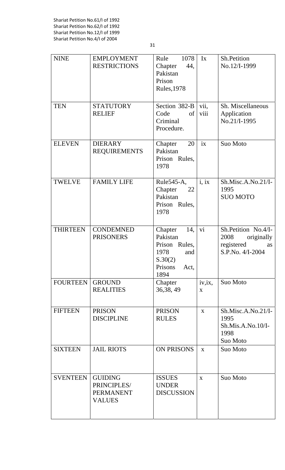| <b>NINE</b>     | <b>EMPLOYMENT</b><br><b>RESTRICTIONS</b>                           | 1078<br>Rule<br>Chapter<br>44,<br>Pakistan<br>Prison<br><b>Rules, 1978</b>                       | Ix           | Sh.Petition<br>No.12/I-1999                                                       |
|-----------------|--------------------------------------------------------------------|--------------------------------------------------------------------------------------------------|--------------|-----------------------------------------------------------------------------------|
| <b>TEN</b>      | <b>STATUTORY</b><br><b>RELIEF</b>                                  | Section 382-B<br>Code<br>of<br>Criminal<br>Procedure.                                            | vii,<br>viii | Sh. Miscellaneous<br>Application<br>No.21/I-1995                                  |
| <b>ELEVEN</b>   | <b>DIERARY</b><br><b>REQUIREMENTS</b>                              | 20<br>Chapter<br>Pakistan<br>Prison Rules,<br>1978                                               | ix           | Suo Moto                                                                          |
| <b>TWELVE</b>   | <b>FAMILY LIFE</b>                                                 | Rule <sub>545</sub> -A,<br>22<br>Chapter<br>Pakistan<br>Prison Rules,<br>1978                    | i, ix        | Sh.Misc.A.No.21/I-<br>1995<br><b>SUO MOTO</b>                                     |
| <b>THIRTEEN</b> | <b>CONDEMNED</b><br><b>PRISONERS</b>                               | 14,<br>Chapter<br>Pakistan<br>Prison Rules,<br>1978<br>and<br>S.30(2)<br>Prisons<br>Act,<br>1894 | vi           | Sh.Petition No.4/I-<br>2008<br>originally<br>registered<br>as<br>S.P.No. 4/I-2004 |
| <b>FOURTEEN</b> | <b>GROUND</b><br><b>REALITIES</b>                                  | Chapter<br>36, 38, 49                                                                            | iv, ix,<br>X | Suo Moto                                                                          |
| <b>FIFTEEN</b>  | <b>PRISON</b><br><b>DISCIPLINE</b>                                 | <b>PRISON</b><br><b>RULES</b>                                                                    | $\mathbf{X}$ | Sh.Misc.A.No.21/I-<br>1995<br>$Sh.Mis.A.No.10/I-$<br>1998<br>Suo Moto             |
| <b>SIXTEEN</b>  | <b>JAIL RIOTS</b>                                                  | <b>ON PRISONS</b>                                                                                | $\mathbf X$  | Suo Moto                                                                          |
| <b>SVENTEEN</b> | <b>GUIDING</b><br>PRINCIPLES/<br><b>PERMANENT</b><br><b>VALUES</b> | <b>ISSUES</b><br><b>UNDER</b><br><b>DISCUSSION</b>                                               | $\mathbf{X}$ | Suo Moto                                                                          |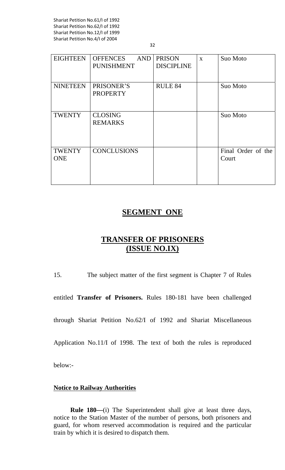| <b>EIGHTEEN</b>             | <b>OFFENCES</b><br><b>AND</b><br><b>PUNISHMENT</b> | <b>PRISON</b><br><b>DISCIPLINE</b> | X | Suo Moto                    |
|-----------------------------|----------------------------------------------------|------------------------------------|---|-----------------------------|
| <b>NINETEEN</b>             | PRISONER'S<br><b>PROPERTY</b>                      | RULE 84                            |   | Suo Moto                    |
| <b>TWENTY</b>               | <b>CLOSING</b><br><b>REMARKS</b>                   |                                    |   | Suo Moto                    |
| <b>TWENTY</b><br><b>ONE</b> | <b>CONCLUSIONS</b>                                 |                                    |   | Final Order of the<br>Court |

## **SEGMENT ONE**

# **TRANSFER OF PRISONERS (ISSUE NO.IX)**

15. The subject matter of the first segment is Chapter 7 of Rules

entitled **Transfer of Prisoners.** Rules 180-181 have been challenged

through Shariat Petition No.62/I of 1992 and Shariat Miscellaneous

Application No.11/I of 1998. The text of both the rules is reproduced

below:-

#### **Notice to Railway Authorities**

**Rule 180—**(i) The Superintendent shall give at least three days, notice to the Station Master of the number of persons, both prisoners and guard, for whom reserved accommodation is required and the particular train by which it is desired to dispatch them.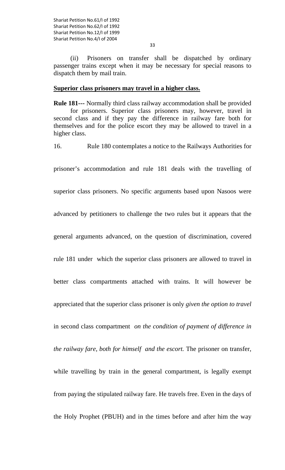33

(ii) Prisoners on transfer shall be dispatched by ordinary passenger trains except when it may be necessary for special reasons to dispatch them by mail train.

#### **Superior class prisoners may travel in a higher class.**

**Rule 181---** Normally third class railway accommodation shall be provided for prisoners. Superior class prisoners may, however, travel in second class and if they pay the difference in railway fare both for themselves and for the police escort they may be allowed to travel in a higher class.

16. Rule 180 contemplates a notice to the Railways Authorities for

prisoner's accommodation and rule 181 deals with the travelling of

superior class prisoners. No specific arguments based upon Nasoos were

advanced by petitioners to challenge the two rules but it appears that the

general arguments advanced, on the question of discrimination, covered

rule 181 under which the superior class prisoners are allowed to travel in

better class compartments attached with trains. It will however be

appreciated that the superior class prisoner is only *given the option to travel*

in second class compartment *on the condition of payment of difference in* 

*the railway fare, both for himself and the escort.* The prisoner on transfer,

while travelling by train in the general compartment, is legally exempt

from paying the stipulated railway fare. He travels free. Even in the days of

the Holy Prophet (PBUH) and in the times before and after him the way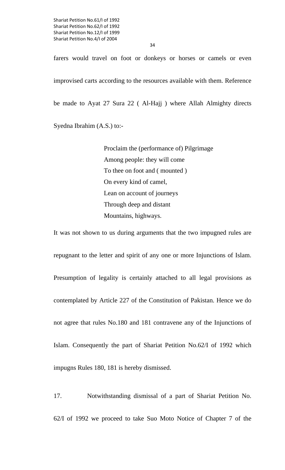farers would travel on foot or donkeys or horses or camels or even improvised carts according to the resources available with them. Reference be made to Ayat 27 Sura 22 ( Al-Hajj ) where Allah Almighty directs

Syedna Ibrahim (A.S.) to:-

 Proclaim the (performance of) Pilgrimage Among people: they will come To thee on foot and ( mounted ) On every kind of camel, Lean on account of journeys Through deep and distant Mountains, highways.

It was not shown to us during arguments that the two impugned rules are repugnant to the letter and spirit of any one or more Injunctions of Islam. Presumption of legality is certainly attached to all legal provisions as contemplated by Article 227 of the Constitution of Pakistan. Hence we do not agree that rules No.180 and 181 contravene any of the Injunctions of Islam. Consequently the part of Shariat Petition No.62/I of 1992 which impugns Rules 180, 181 is hereby dismissed.

17. Notwithstanding dismissal of a part of Shariat Petition No. 62/I of 1992 we proceed to take Suo Moto Notice of Chapter 7 of the

34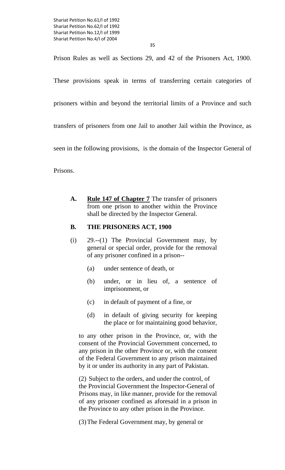Prison Rules as well as Sections 29, and 42 of the Prisoners Act, 1900.

These provisions speak in terms of transferring certain categories of

prisoners within and beyond the territorial limits of a Province and such

transfers of prisoners from one Jail to another Jail within the Province, as

seen in the following provisions, is the domain of the Inspector General of

Prisons.

**A. Rule 147 of Chapter 7** The transfer of prisoners from one prison to another within the Province shall be directed by the Inspector General.

#### **B. THE PRISONERS ACT, 1900**

- (i) 29.--(1) The Provincial Government may, by general or special order, provide for the removal of any prisoner confined in a prison--
	- (a) under sentence of death, or
	- (b) under, or in lieu of, a sentence of imprisonment, or
	- (c) in default of payment of a fine, or
	- (d) in default of giving security for keeping the place or for maintaining good behavior,

to any other prison in the Province, or, with the consent of the Provincial Government concerned, to any prison in the other Province or, with the consent of the Federal Government to any prison maintained by it or under its authority in any part of Pakistan.

(2) Subject to the orders, and under the control, of the Provincial Government the Inspector-General of Prisons may, in like manner, provide for the removal of any prisoner confined as aforesaid in a prison in the Province to any other prison in the Province.

(3) The Federal Government may, by general or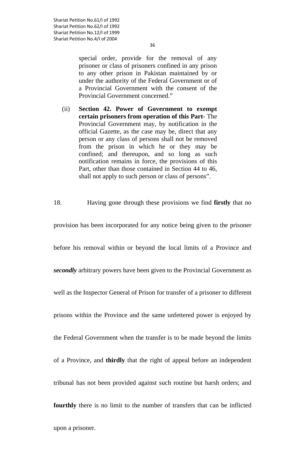special order, provide for the removal of any prisoner or class of prisoners confined in any prison to any other prison in Pakistan maintained by or under the authority of the Federal Government or of a Provincial Government with the consent of the Provincial Government concerned."

- (ii) **Section 42. Power of Government to exempt certain prisoners from operation of this Part-** The Provincial Government may, by notification in the official Gazette, as the case may be, direct that any person or any class of persons shall not be removed from the prison in which he or they may be confined; and thereupon, and so long as such notification remains in force, the provisions of this Part, other than those contained in Section 44 to 46, shall not apply to such person or class of persons".
- 18. Having gone through these provisions we find **firstly** that no

provision has been incorporated for any notice being given to the prisoner before his removal within or beyond the local limits of a Province and *secondly* arbitrary powers have been given to the Provincial Government as well as the Inspector General of Prison for transfer of a prisoner to different prisons within the Province and the same unfettered power is enjoyed by the Federal Government when the transfer is to be made beyond the limits of a Province, and **thirdly** that the right of appeal before an independent tribunal has not been provided against such routine but harsh orders; and **fourthly** there is no limit to the number of transfers that can be inflicted upon a prisoner.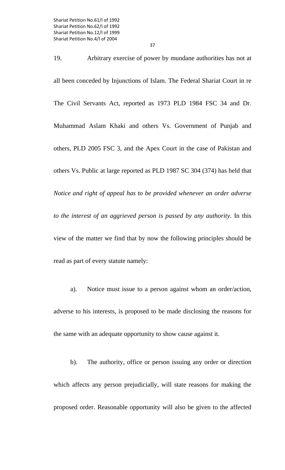37

19. Arbitrary exercise of power by mundane authorities has not at all been conceded by Injunctions of Islam. The Federal Shariat Court in re The Civil Servants Act, reported as 1973 PLD 1984 FSC 34 and Dr. Muhammad Aslam Khaki and others Vs. Government of Punjab and others, PLD 2005 FSC 3, and the Apex Court in the case of Pakistan and others Vs. Public at large reported as PLD 1987 SC 304 (374) has held that *Notice and right of appeal has to be provided whenever an order adverse to the interest of an aggrieved person is passed by any authority.* In this view of the matter we find that by now the following principles should be read as part of every statute namely:

 a). Notice must issue to a person against whom an order/action, adverse to his interests, is proposed to be made disclosing the reasons for the same with an adequate opportunity to show cause against it.

b). The authority, office or person issuing any order or direction which affects any person prejudicially, will state reasons for making the proposed order. Reasonable opportunity will also be given to the affected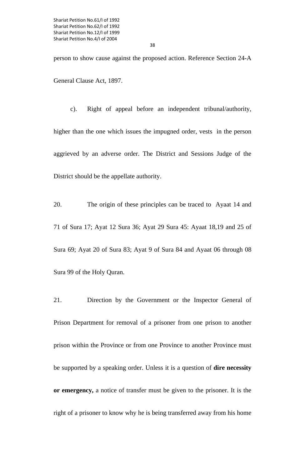person to show cause against the proposed action. Reference Section 24-A General Clause Act, 1897.

 c). Right of appeal before an independent tribunal/authority, higher than the one which issues the impugned order, vests in the person aggrieved by an adverse order. The District and Sessions Judge of the District should be the appellate authority.

20. The origin of these principles can be traced to Ayaat 14 and 71 of Sura 17; Ayat 12 Sura 36; Ayat 29 Sura 45: Ayaat 18,19 and 25 of Sura 69; Ayat 20 of Sura 83; Ayat 9 of Sura 84 and Ayaat 06 through 08 Sura 99 of the Holy Quran.

21. Direction by the Government or the Inspector General of Prison Department for removal of a prisoner from one prison to another prison within the Province or from one Province to another Province must be supported by a speaking order. Unless it is a question of **dire necessity or emergency,** a notice of transfer must be given to the prisoner. It is the right of a prisoner to know why he is being transferred away from his home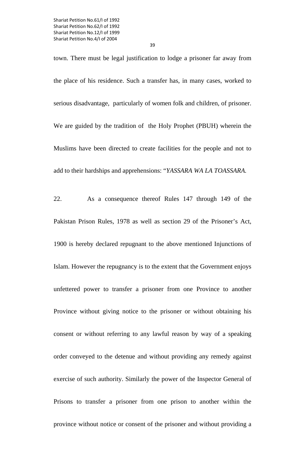town. There must be legal justification to lodge a prisoner far away from the place of his residence. Such a transfer has, in many cases, worked to serious disadvantage, particularly of women folk and children, of prisoner. We are guided by the tradition of the Holy Prophet (PBUH) wherein the Muslims have been directed to create facilities for the people and not to add to their hardships and apprehensions: "*YASSARA WA LA TOASSARA.* 

22. As a consequence thereof Rules 147 through 149 of the Pakistan Prison Rules, 1978 as well as section 29 of the Prisoner's Act, 1900 is hereby declared repugnant to the above mentioned Injunctions of Islam. However the repugnancy is to the extent that the Government enjoys unfettered power to transfer a prisoner from one Province to another Province without giving notice to the prisoner or without obtaining his consent or without referring to any lawful reason by way of a speaking order conveyed to the detenue and without providing any remedy against exercise of such authority. Similarly the power of the Inspector General of Prisons to transfer a prisoner from one prison to another within the province without notice or consent of the prisoner and without providing a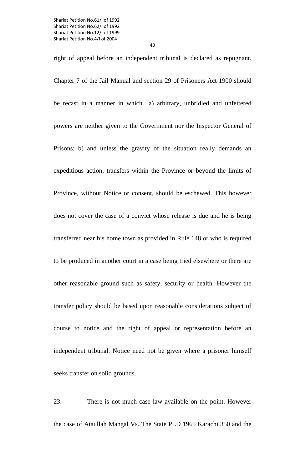right of appeal before an independent tribunal is declared as repugnant. Chapter 7 of the Jail Manual and section 29 of Prisoners Act 1900 should be recast in a manner in which a) arbitrary, unbridled and unfettered powers are neither given to the Government nor the Inspector General of Prisons; b) and unless the gravity of the situation really demands an expeditious action, transfers within the Province or beyond the limits of Province, without Notice or consent, should be eschewed. This however does not cover the case of a convict whose release is due and he is being transferred near his home town as provided in Rule 148 or who is required to be produced in another court in a case being tried elsewhere or there are other reasonable ground such as safety, security or health. However the transfer policy should be based upon reasonable considerations subject of course to notice and the right of appeal or representation before an independent tribunal. Notice need not be given where a prisoner himself seeks transfer on solid grounds.

23. There is not much case law available on the point. However the case of Ataullah Mangal Vs. The State PLD 1965 Karachi 350 and the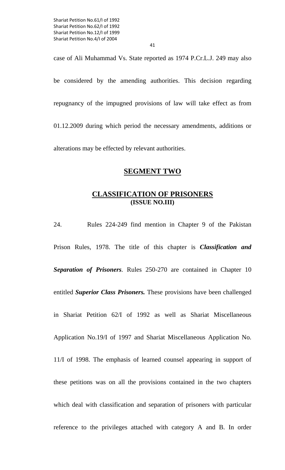case of Ali Muhammad Vs. State reported as 1974 P.Cr.L.J. 249 may also

be considered by the amending authorities. This decision regarding repugnancy of the impugned provisions of law will take effect as from 01.12.2009 during which period the necessary amendments, additions or alterations may be effected by relevant authorities.

#### **SEGMENT TWO**

# **CLASSIFICATION OF PRISONERS (ISSUE NO.III)**

24. Rules 224-249 find mention in Chapter 9 of the Pakistan Prison Rules, 1978. The title of this chapter is *Classification and Separation of Prisoners.* Rules 250-270 are contained in Chapter 10 entitled *Superior Class Prisoners.* These provisions have been challenged in Shariat Petition 62/I of 1992 as well as Shariat Miscellaneous Application No.19/I of 1997 and Shariat Miscellaneous Application No. 11/I of 1998. The emphasis of learned counsel appearing in support of these petitions was on all the provisions contained in the two chapters which deal with classification and separation of prisoners with particular reference to the privileges attached with category A and B. In order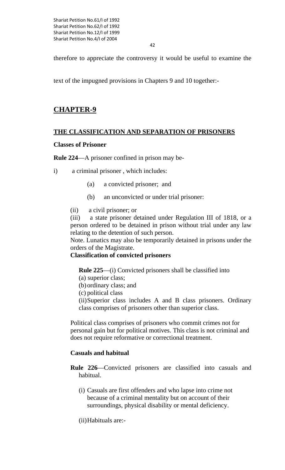42

therefore to appreciate the controversy it would be useful to examine the

text of the impugned provisions in Chapters 9 and 10 together:-

# **CHAPTER-9**

# **THE CLASSIFICATION AND SEPARATION OF PRISONERS**

#### **Classes of Prisoner**

**Rule 224**—A prisoner confined in prison may be-

i) a criminal prisoner , which includes:

- (a) a convicted prisoner; and
- (b) an unconvicted or under trial prisoner:
- (ii) a civil prisoner; or

 (iii) a state prisoner detained under Regulation III of 1818, or a person ordered to be detained in prison without trial under any law relating to the detention of such person.

 Note. Lunatics may also be temporarily detained in prisons under the orders of the Magistrate.

## **Classification of convicted prisoners**

**Rule 225**—(i) Convicted prisoners shall be classified into

- (a) superior class;
- (b) ordinary class; and
- (c) political class

 (ii) Superior class includes A and B class prisoners. Ordinary class comprises of prisoners other than superior class.

Political class comprises of prisoners who commit crimes not for personal gain but for political motives. This class is not criminal and does not require reformative or correctional treatment.

## **Casuals and habitual**

**Rule 226**—Convicted prisoners are classified into casuals and habitual.

- (i) Casuals are first offenders and who lapse into crime not because of a criminal mentality but on account of their surroundings, physical disability or mental deficiency.
- (ii) Habituals are:-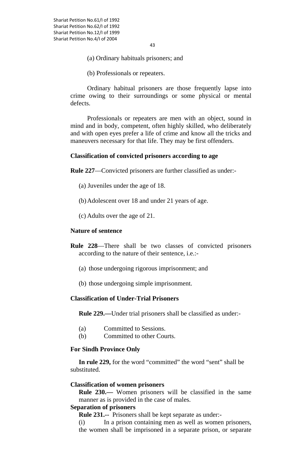(a) Ordinary habituals prisoners; and

(b) Professionals or repeaters.

 Ordinary habitual prisoners are those frequently lapse into crime owing to their surroundings or some physical or mental defects.

 Professionals or repeaters are men with an object, sound in mind and in body, competent, often highly skilled, who deliberately and with open eyes prefer a life of crime and know all the tricks and maneuvers necessary for that life. They may be first offenders.

#### **Classification of convicted prisoners according to age**

**Rule 227**—Convicted prisoners are further classified as under:-

- (a) Juveniles under the age of 18.
- (b) Adolescent over 18 and under 21 years of age.
- (c) Adults over the age of 21.

#### **Nature of sentence**

- **Rule 228**—There shall be two classes of convicted prisoners according to the nature of their sentence, i.e.:-
	- (a) those undergoing rigorous imprisonment; and
	- (b) those undergoing simple imprisonment.

#### **Classification of Under-Trial Prisoners**

 **Rule 229.—**Under trial prisoners shall be classified as under:-

- (a) Committed to Sessions.
- (b) Committed to other Courts.

#### **For Sindh Province Only**

**In rule 229,** for the word "committed" the word "sent" shall be substituted.

#### **Classification of women prisoners**

 **Rule 230.—** Women prisoners will be classified in the same manner as is provided in the case of males.

#### **Separation of prisoners**

**Rule 231.--** Prisoners shall be kept separate as under:-

(i) In a prison containing men as well as women prisoners, the women shall be imprisoned in a separate prison, or separate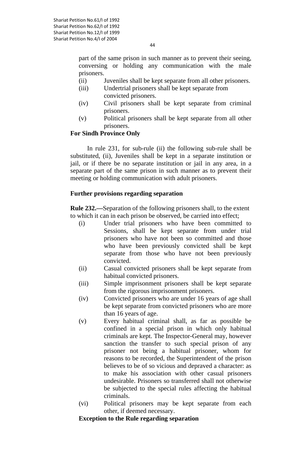44

part of the same prison in such manner as to prevent their seeing, conversing or holding any communication with the male prisoners.

- (ii) Juveniles shall be kept separate from all other prisoners.
- (iii) Undertrial prisoners shall be kept separate from convicted prisoners.
- (iv) Civil prisoners shall be kept separate from criminal prisoners.
- (v) Political prisoners shall be kept separate from all other prisoners.

# **For Sindh Province Only**

In rule 231, for sub-rule (ii) the following sub-rule shall be substituted, (ii), Juveniles shall be kept in a separate institution or jail, or if there be no separate institution or jail in any area, in a separate part of the same prison in such manner as to prevent their meeting or holding communication with adult prisoners.

# **Further provisions regarding separation**

**Rule 232.—**Separation of the following prisoners shall, to the extent to which it can in each prison be observed, be carried into effect;

- (i) Under trial prisoners who have been committed to Sessions, shall be kept separate from under trial prisoners who have not been so committed and those who have been previously convicted shall be kept separate from those who have not been previously convicted.
- (ii) Casual convicted prisoners shall be kept separate from habitual convicted prisoners.
- (iii) Simple imprisonment prisoners shall be kept separate from the rigorous imprisonment prisoners.
- (iv) Convicted prisoners who are under 16 years of age shall be kept separate from convicted prisoners who are more than 16 years of age.
- (v) Every habitual criminal shall, as far as possible be confined in a special prison in which only habitual criminals are kept. The Inspector-General may, however sanction the transfer to such special prison of any prisoner not being a habitual prisoner, whom for reasons to be recorded, the Superintendent of the prison believes to be of so vicious and depraved a character: as to make his association with other casual prisoners undesirable. Prisoners so transferred shall not otherwise be subjected to the special rules affecting the habitual criminals.
- (vi) Political prisoners may be kept separate from each other, if deemed necessary.

## **Exception to the Rule regarding separation**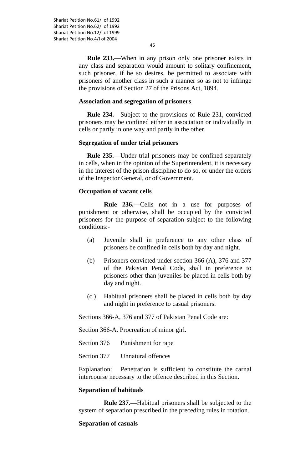45

**Rule 233.—**When in any prison only one prisoner exists in any class and separation would amount to solitary confinement, such prisoner, if he so desires, be permitted to associate with prisoners of another class in such a manner so as not to infringe the provisions of Section 27 of the Prisons Act, 1894.

#### **Association and segregation of prisoners**

 **Rule 234.—**Subject to the provisions of Rule 231, convicted prisoners may be confined either in association or individually in cells or partly in one way and partly in the other.

## **Segregation of under trial prisoners**

 **Rule 235.—**Under trial prisoners may be confined separately in cells, when in the opinion of the Superintendent, it is necessary in the interest of the prison discipline to do so, or under the orders of the Inspector General, or of Government.

#### **Occupation of vacant cells**

 **Rule 236.—**Cells not in a use for purposes of punishment or otherwise, shall be occupied by the convicted prisoners for the purpose of separation subject to the following conditions:-

- (a) Juvenile shall in preference to any other class of prisoners be confined in cells both by day and night.
- (b) Prisoners convicted under section 366 (A), 376 and 377 of the Pakistan Penal Code, shall in preference to prisoners other than juveniles be placed in cells both by day and night.
- (c ) Habitual prisoners shall be placed in cells both by day and night in preference to casual prisoners.

Sections 366-A, 376 and 377 of Pakistan Penal Code are:

Section 366-A. Procreation of minor girl.

Section 376 Punishment for rape

Section 377 Unnatural offences

 Explanation: Penetration is sufficient to constitute the carnal intercourse necessary to the offence described in this Section.

## **Separation of habituals**

 **Rule 237.—**Habitual prisoners shall be subjected to the system of separation prescribed in the preceding rules in rotation.

## **Separation of casuals**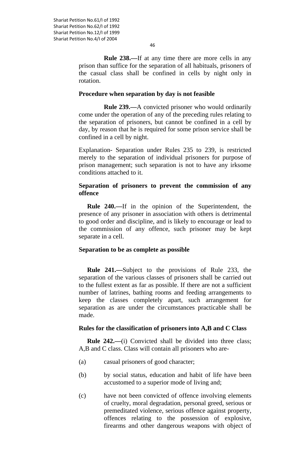**Rule 238.—**If at any time there are more cells in any prison than suffice for the separation of all habituals, prisoners of the casual class shall be confined in cells by night only in rotation.

#### **Procedure when separation by day is not feasible**

 **Rule 239.—**A convicted prisoner who would ordinarily come under the operation of any of the preceding rules relating to the separation of prisoners, but cannot be confined in a cell by day, by reason that he is required for some prison service shall be confined in a cell by night.

Explanation- Separation under Rules 235 to 239, is restricted merely to the separation of individual prisoners for purpose of prison management; such separation is not to have any irksome conditions attached to it.

#### **Separation of prisoners to prevent the commission of any offence**

 **Rule 240.—**If in the opinion of the Superintendent, the presence of any prisoner in association with others is detrimental to good order and discipline, and is likely to encourage or lead to the commission of any offence, such prisoner may be kept separate in a cell.

#### **Separation to be as complete as possible**

 **Rule 241.—**Subject to the provisions of Rule 233, the separation of the various classes of prisoners shall be carried out to the fullest extent as far as possible. If there are not a sufficient number of latrines, bathing rooms and feeding arrangements to keep the classes completely apart, such arrangement for separation as are under the circumstances practicable shall be made.

#### **Rules for the classification of prisoners into A,B and C Class**

**Rule 242.**—(i) Convicted shall be divided into three class; A,B and C class. Class will contain all prisoners who are-

- (a) casual prisoners of good character;
- (b) by social status, education and habit of life have been accustomed to a superior mode of living and;
- (c) have not been convicted of offence involving elements of cruelty, moral degradation, personal greed, serious or premeditated violence, serious offence against property, offences relating to the possession of explosive, firearms and other dangerous weapons with object of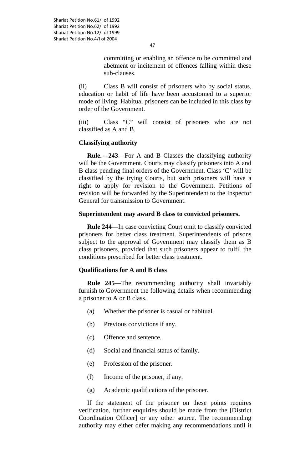47

committing or enabling an offence to be committed and abetment or incitement of offences falling within these sub-clauses.

(ii) Class B will consist of prisoners who by social status, education or habit of life have been accustomed to a superior mode of living. Habitual prisoners can be included in this class by order of the Government.

(iii) Class "C" will consist of prisoners who are not classified as A and B.

#### **Classifying authority**

**Rule.---243—**For A and B Classes the classifying authority will be the Government. Courts may classify prisoners into A and B class pending final orders of the Government. Class 'C' will be classified by the trying Courts, but such prisoners will have a right to apply for revision to the Government. Petitions of revision will be forwarded by the Superintendent to the Inspector General for transmission to Government.

#### **Superintendent may award B class to convicted prisoners.**

 **Rule 244—**In case convicting Court omit to classify convicted prisoners for better class treatment. Superintendents of prisons subject to the approval of Government may classify them as B class prisoners, provided that such prisoners appear to fulfil the conditions prescribed for better class treatment.

#### **Qualifications for A and B class**

 **Rule 245—**The recommending authority shall invariably furnish to Government the following details when recommending a prisoner to A or B class.

- (a) Whether the prisoner is casual or habitual.
- (b) Previous convictions if any.
- (c) Offence and sentence.
- (d) Social and financial status of family.
- (e) Profession of the prisoner.
- (f) Income of the prisoner, if any.
- (g) Academic qualifications of the prisoner.

 If the statement of the prisoner on these points requires verification, further enquiries should be made from the [District Coordination Officer] or any other source. The recommending authority may either defer making any recommendations until it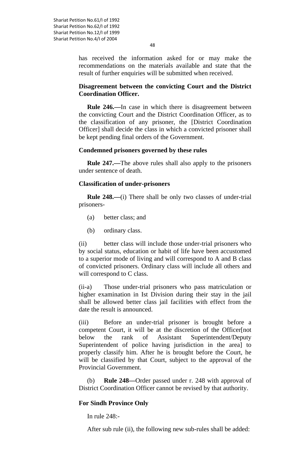has received the information asked for or may make the recommendations on the materials available and state that the result of further enquiries will be submitted when received.

## **Disagreement between the convicting Court and the District Coordination Officer.**

 **Rule 246.—**In case in which there is disagreement between the convicting Court and the District Coordination Officer, as to the classification of any prisoner, the [District Coordination Officer] shall decide the class in which a convicted prisoner shall be kept pending final orders of the Government.

#### **Condemned prisoners governed by these rules**

 **Rule 247.—**The above rules shall also apply to the prisoners under sentence of death.

#### **Classification of under-prisoners**

 **Rule 248.—**(i) There shall be only two classes of under-trial prisoners-

- (a) better class; and
- (b) ordinary class.

(ii) better class will include those under-trial prisoners who by social status, education or habit of life have been accustomed to a superior mode of living and will correspond to A and B class of convicted prisoners. Ordinary class will include all others and will correspond to C class.

(ii-a) Those under-trial prisoners who pass matriculation or higher examination in Ist Division during their stay in the jail shall be allowed better class jail facilities with effect from the date the result is announced.

(iii) Before an under-trial prisoner is brought before a competent Court, it will be at the discretion of the Officer[not below the rank of Assistant Superintendent/Deputy Superintendent of police having jurisdiction in the area] to properly classify him. After he is brought before the Court, he will be classified by that Court, subject to the approval of the Provincial Government.

(b) **Rule 248—**Order passed under r. 248 with approval of District Coordination Officer cannot be revised by that authority.

## **For Sindh Province Only**

In rule 248:-

After sub rule (ii), the following new sub-rules shall be added: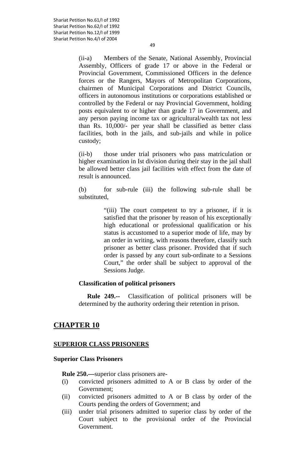(ii-a) Members of the Senate, National Assembly, Provincial Assembly, Officers of grade 17 or above in the Federal or Provincial Government, Commissioned Officers in the defence forces or the Rangers, Mayors of Metropolitan Corporations, chairmen of Municipal Corporations and District Councils, officers in autonomous institutions or corporations established or controlled by the Federal or nay Provincial Government, holding posts equivalent to or higher than grade 17 in Government, and any person paying income tax or agricultural/wealth tax not less than Rs. 10,000/- per year shall be classified as better class facilities, both in the jails, and sub-jails and while in police custody;

(ii-b) those under trial prisoners who pass matriculation or higher examination in Ist division during their stay in the jail shall be allowed better class jail facilities with effect from the date of result is announced.

(b) for sub-rule (iii) the following sub-rule shall be substituted,

> "(iii) The court competent to try a prisoner, if it is satisfied that the prisoner by reason of his exceptionally high educational or professional qualification or his status is accustomed to a superior mode of life, may by an order in writing, with reasons therefore, classify such prisoner as better class prisoner. Provided that if such order is passed by any court sub-ordinate to a Sessions Court," the order shall be subject to approval of the Sessions Judge.

## **Classification of political prisoners**

 **Rule 249.--** Classification of political prisoners will be determined by the authority ordering their retention in prison.

# **CHAPTER 10**

## **SUPERIOR CLASS PRISONERS**

#### **Superior Class Prisoners**

**Rule 250.—**superior class prisoners are-

- (i) convicted prisoners admitted to A or B class by order of the Government;
- (ii) convicted prisoners admitted to A or B class by order of the Courts pending the orders of Government; and
- (iii) under trial prisoners admitted to superior class by order of the Court subject to the provisional order of the Provincial Government.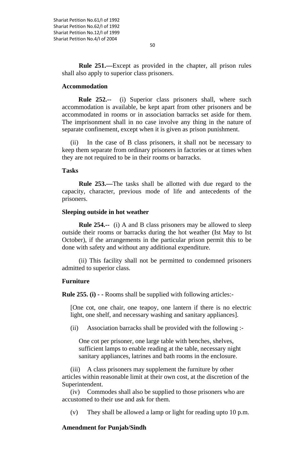**Rule 251.—**Except as provided in the chapter, all prison rules shall also apply to superior class prisoners.

#### **Accommodation**

 **Rule 252.--** (i) Superior class prisoners shall, where such accommodation is available, be kept apart from other prisoners and be accommodated in rooms or in association barracks set aside for them. The imprisonment shall in no case involve any thing in the nature of separate confinement, except when it is given as prison punishment.

(ii) In the case of B class prisoners, it shall not be necessary to keep them separate from ordinary prisoners in factories or at times when they are not required to be in their rooms or barracks.

#### **Tasks**

**Rule 253.—**The tasks shall be allotted with due regard to the capacity, character, previous mode of life and antecedents of the prisoners.

#### **Sleeping outside in hot weather**

**Rule 254.--** (i) A and B class prisoners may be allowed to sleep outside their rooms or barracks during the hot weather (Ist May to Ist October), if the arrangements in the particular prison permit this to be done with safety and without any additional expenditure.

(ii) This facility shall not be permitted to condemned prisoners admitted to superior class.

## **Furniture**

**Rule 255. (i) - -** Rooms shall be supplied with following articles:-

[One cot, one chair, one teapoy, one lantern if there is no electric light, one shelf, and necessary washing and sanitary appliances].

(ii) Association barracks shall be provided with the following :-

One cot per prisoner, one large table with benches, shelves, sufficient lamps to enable reading at the table, necessary night sanitary appliances, latrines and bath rooms in the enclosure.

(iii) A class prisoners may supplement the furniture by other articles within reasonable limit at their own cost, at the discretion of the Superintendent.

(iv) Commodes shall also be supplied to those prisoners who are accustomed to their use and ask for them.

(v) They shall be allowed a lamp or light for reading upto 10 p.m.

## **Amendment for Punjab/Sindh**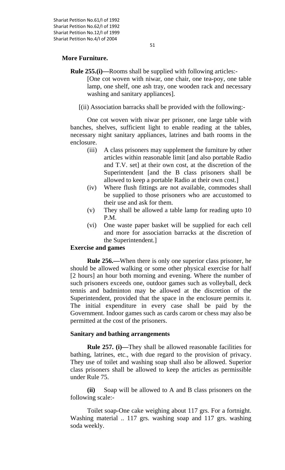#### **More Furniture.**

**Rule 255.(i)—Rooms shall be supplied with following articles:-**

[One cot woven with niwar, one chair, one tea-poy, one table lamp, one shelf, one ash tray, one wooden rack and necessary washing and sanitary appliances].

[(ii) Association barracks shall be provided with the following:-

One cot woven with niwar per prisoner, one large table with banches, shelves, sufficient light to enable reading at the tables, necessary night sanitary appliances, latrines and bath rooms in the enclosure.

- (iii) A class prisoners may supplement the furniture by other articles within reasonable limit [and also portable Radio and T.V. set] at their own cost, at the discretion of the Superintendent [and the B class prisoners shall be allowed to keep a portable Radio at their own cost.]
- (iv) Where flush fittings are not available, commodes shall be supplied to those prisoners who are accustomed to their use and ask for them.
- (v) They shall be allowed a table lamp for reading upto 10 P.M.
- (vi) One waste paper basket will be supplied for each cell and more for association barracks at the discretion of the Superintendent.]

#### **Exercise and games**

**Rule 256.—**When there is only one superior class prisoner, he should be allowed walking or some other physical exercise for half [2 hours] an hour both morning and evening. Where the number of such prisoners exceeds one, outdoor games such as volleyball, deck tennis and badminton may be allowed at the discretion of the Superintendent, provided that the space in the enclosure permits it. The initial expenditure in every case shall be paid by the Government. Indoor games such as cards carom or chess may also be permitted at the cost of the prisoners.

#### **Sanitary and bathing arrangements**

**Rule 257. (i)—**They shall be allowed reasonable facilities for bathing, latrines, etc., with due regard to the provision of privacy. They use of toilet and washing soap shall also be allowed. Superior class prisoners shall be allowed to keep the articles as permissible under Rule 75.

**(ii)** Soap will be allowed to A and B class prisoners on the following scale:-

Toilet soap-One cake weighing about 117 grs. For a fortnight. Washing material .. 117 grs. washing soap and 117 grs. washing soda weekly.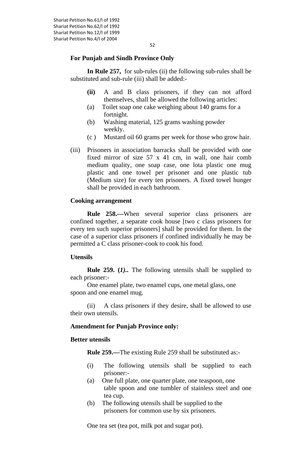## **For Punjab and Sindh Province Only**

**In Rule 257,** for sub-rules (ii) the following sub-rules shall be substituted and sub-rule (iii) shall be added:-

- **(ii)** A and B class prisoners, if they can not afford themselves, shall be allowed the following articles:
- (a) Toilet soap one cake weighing about 140 grams for a fortnight.
- (b) Washing material, 125 grams washing powder weekly.
- (c ) Mustard oil 60 grams per week for those who grow hair.
- (iii) Prisoners in association barracks shall be provided with one fixed mirror of size 57 x 41 cm, in wall, one hair comb medium quality, one soap case, one lota plastic one mug plastic and one towel per prisoner and one plastic tub (Medium size) for every ten prisoners. A fixed towel hunger shall be provided in each bathroom.

#### **Cooking arrangement**

**Rule 258.—**When several superior class prisoners are confined together, a separate cook house [two c class prisoners for every ten such superior prisoners] shall be provided for them. In the case of a superior class prisoners if confined individually he may be permitted a C class prisoner-cook to cook his food.

#### **Utensils**

**Rule 259. (***1)..* The following utensils shall be supplied to each prisoner:-

One enamel plate, two enamel cups, one metal glass, one spoon and one enamel mug.

(ii) A class prisoners if they desire, shall be allowed to use their own utensils.

#### **Amendment for Punjab Province only:**

#### **Better utensils**

 **Rule 259.—**The existing Rule 259 shall be substituted as:-

- (i) The following utensils shall be supplied to each prisoner:-
- (a) One full plate, one quarter plate, one teaspoon, one table spoon and one tumbler of stainless steel and one tea cup.
- (b) The following utensils shall be supplied to the prisoners for common use by six prisoners.

One tea set (tea pot, milk pot and sugar pot).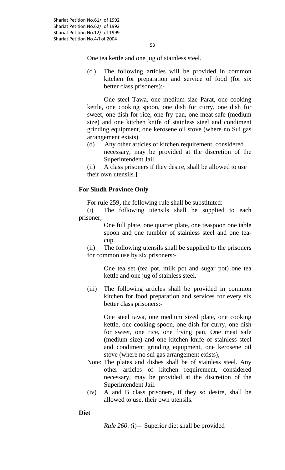53

One tea kettle and one jug of stainless steel.

(c ) The following articles will be provided in common kitchen for preparation and service of food (for six better class prisoners):-

 One steel Tawa, one medium size Parat, one cooking kettle, one cooking spoon, one dish for curry, one dish for sweet, one dish for rice, one fry pan, one meat safe (medium size) and one kitchen knife of stainless steel and condiment grinding equipment, one kerosene oil stove (where no Sui gas arrangement exists)

- (d) Any other articles of kitchen requirement, considered necessary, may be provided at the discretion of the Superintendent Jail.
- (ii) A class prisoners if they desire, shall be allowed to use their own utensils.]

# **For Sindh Province Only**

For rule 259**,** the following rule shall be substituted:

 (i) The following utensils shall be supplied to each prisoner;

> One full plate, one quarter plate, one teaspoon one table spoon and one tumbler of stainless steel and one teacup.

(ii) The following utensils shall be supplied to the prisoners for common use by six prisoners:-

> One tea set (tea pot, milk pot and sugar pot) one tea kettle and one jug of stainless steel.

(iii) The following articles shall be provided in common kitchen for food preparation and services for every six better class prisoners:-

One steel tawa, one medium sized plate, one cooking kettle, one cooking spoon, one dish for curry, one dish for sweet, one rice, one frying pan. One meat safe (medium size) and one kitchen knife of stainless steel and condiment grinding equipment, one kerosene oil stove (where no sui gas arrangement exists),

- Note: The plates and dishes shall be of stainless steel. Any other articles of kitchen requirement, considered necessary, may be provided at the discretion of the Superintendent Jail.
- (iv) A and B class prisoners, if they so desire, shall be allowed to use, their own utensils.

## **Diet**

*Rule 260*. (i)-- Superior diet shall be provided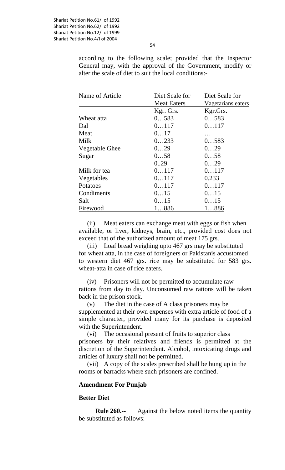according to the following scale; provided that the Inspector General may, with the approval of the Government, modify or alter the scale of diet to suit the local conditions:-

| Name of Article | Diet Scale for     | Diet Scale for     |
|-----------------|--------------------|--------------------|
|                 | <b>Meat Eaters</b> | Vagetarians eaters |
|                 | Kgr. Grs.          | Kgr.Grs.           |
| Wheat atta      | 0583               | 0583               |
| Dal             | 0117               | 0117               |
| Meat            | 017                | .                  |
| Milk            | 0233               | 0583               |
| Vegetable Ghee  | 029                | 029                |
| Sugar           | 058                | 058                |
|                 | 0.29               | 029                |
| Milk for tea    | 0117               | 0117               |
| Vegetables      | 0117               | 0.233              |
| Potatoes        | 0117               | 0117               |
| Condiments      | 015                | 015                |
| Salt            | 015                | 015                |
| Firewood        | 1886               | 1886               |

(ii) Meat eaters can exchange meat with eggs or fish when available, or liver, kidneys, brain, etc., provided cost does not exceed that of the authorized amount of meat 175 grs.

(iii) Loaf bread weighing upto 467 grs may be substituted for wheat atta, in the case of foreigners or Pakistanis accustomed to western diet 467 grs. rice may be substituted for 583 grs. wheat-atta in case of rice eaters.

(iv) Prisoners will not be permitted to accumulate raw rations from day to day. Unconsumed raw rations will be taken back in the prison stock.

(v) The diet in the case of A class prisoners may be supplemented at their own expenses with extra article of food of a simple character, provided many for its purchase is deposited with the Superintendent.

(vi) The occasional present of fruits to superior class prisoners by their relatives and friends is permitted at the discretion of the Superintendent. Alcohol, intoxicating drugs and articles of luxury shall not be permitted.

(vii) A copy of the scales prescribed shall be hung up in the rooms or barracks where such prisoners are confined.

#### **Amendment For Punjab**

#### **Better Diet**

**Rule 260.--** Against the below noted items the quantity be substituted as follows: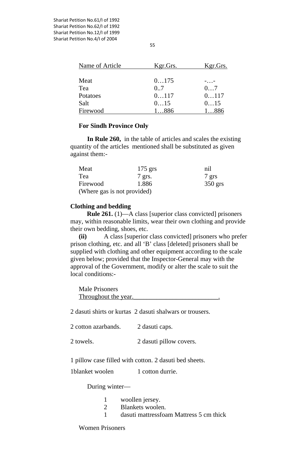| Name of Article | Kgr.Grs. | Kgr.Grs. |
|-----------------|----------|----------|
| Meat            | 0175     | $-0.000$ |
| Tea             | 0.7      | 07       |
| Potatoes        | 0117     | 0117     |
| Salt            | 015      | 015      |
| Firewood        | 1886     | 1886     |

#### **For Sindh Province Only**

**In Rule 260,** in the table of articles and scales the existing quantity of the articles mentioned shall be substituted as given against them:-

| Meat                        | $175$ grs | nil       |
|-----------------------------|-----------|-----------|
| Tea                         | 7 grs.    | 7 grs     |
| Firewood                    | 1.886     | $350$ grs |
| (Where gas is not provided) |           |           |

#### **Clothing and bedding**

**Rule 261.** (1)—A class [superior class convicted] prisoners may, within reasonable limits, wear their own clothing and provide their own bedding, shoes, etc.

**(ii)** A class [superior class convicted] prisoners who prefer prison clothing, etc. and all 'B' class [deleted] prisoners shall be supplied with clothing and other equipment according to the scale given below; provided that the Inspector-General may with the approval of the Government, modify or alter the scale to suit the local conditions:-

Male Prisoners Throughout the year.

2 dasuti shirts or kurtas 2 dasuti shalwars or trousers.

2 cotton azarbands. 2 dasuti caps.

2 towels. 2 dasuti pillow covers.

1 pillow case filled with cotton. 2 dasuti bed sheets.

1 blanket woolen 1 cotton durrie.

During winter—

- 1 woollen jersey.
- 2 Blankets woolen.
- 1 dasuti mattressfoam Mattress 5 cm thick

Women Prisoners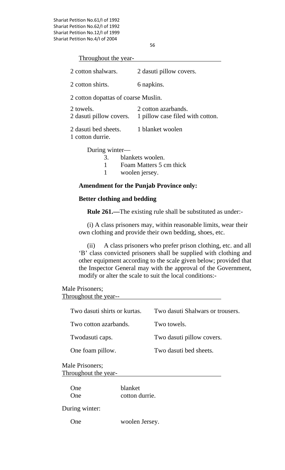56

|  | Throughout the year- |  |
|--|----------------------|--|
|  |                      |  |

| 2 cotton shalwars.                       | 2 dasuti pillow covers.                                                         |
|------------------------------------------|---------------------------------------------------------------------------------|
| 2 cotton shirts.                         | 6 napkins.                                                                      |
| 2 cotton dopattas of coarse Muslin.      |                                                                                 |
| 2 towels.                                | 2 cotton azarbands.<br>2 dasuti pillow covers. 1 pillow case filed with cotton. |
| 2 dasuti bed sheets.<br>1 cotton durrie. | 1 blanket woolen                                                                |

During winter—

- 3. blankets woolen. 1 Foam Matters 5 cm thick
- 1 woolen jersey.

# **Amendment for the Punjab Province only:**

## **Better clothing and bedding**

 **Rule 261.—**The existing rule shall be substituted as under:-

 (i) A class prisoners may, within reasonable limits, wear their own clothing and provide their own bedding, shoes, etc.

(ii) A class prisoners who prefer prison clothing, etc. and all 'B' class convicted prisoners shall be supplied with clothing and other equipment according to the scale given below; provided that the Inspector General may with the approval of the Government, modify or alter the scale to suit the local conditions:-

Male Prisoners; Throughout the year--

| Two dasuti shirts or kurtas. | Two dasuti Shalwars or trousers. |
|------------------------------|----------------------------------|
| Two cotton azarbands.        | Two towels.                      |
| Twodasuti caps.              | Two dasuti pillow covers.        |
| One foam pillow.             | Two dasuti bed sheets.           |
| Male Prisoners:              |                                  |

| TATAIL I LIPOITETO!  |  |
|----------------------|--|
| Throughout the year- |  |
|                      |  |

| <b>One</b> | blanket        |
|------------|----------------|
| One        | cotton durrie. |

During winter:

One woolen Jersey.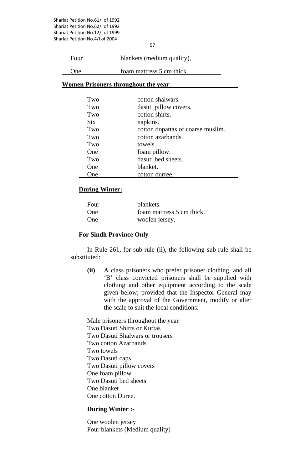57

Four blankets (medium quality),

# One foam mattress 5 cm thick.

## **Women Prisoners throughout the year**:

| Two        | cotton shalwars.                  |
|------------|-----------------------------------|
| Two        | dasuti pillow covers.             |
| Two        | cotton shirts.                    |
| <b>Six</b> | napkins.                          |
| Two        | cotton dopattas of coarse muslim. |
| Two        | cotton azarbands.                 |
| Two        | towels.                           |
| One        | foam pillow.                      |
| Two        | dasuti bed sheets.                |
| One        | blanket.                          |
| One        | cotton durree.                    |

# **During Winter:**

| Four | blankets.                 |
|------|---------------------------|
| One  | foam mattress 5 cm thick. |
| One  | woolen jersey.            |

## **For Sindh Province Only**

In Rule 261**,** for sub-rule (ii), the following sub-rule shall be substituted:

**(ii)** A class prisoners who prefer prisoner clothing, and all 'B' class convicted prisoners shall be supplied with clothing and other equipment according to the scale given below; provided that the Inspector General may with the approval of the Government, modify or alter the scale to suit the local conditions:-

Male prisoners throughout the year Two Dasuti Shirts or Kurtas Two Dasuti Shalwars or trousers Two cotton Azarbands Two towels Two Dasuti caps Two Dasuti pillow covers One foam pillow Two Dasuti bed sheets One blanket One cotton Duree.

## **During Winter :-**

 One woolen jersey Four blankets (Medium quality)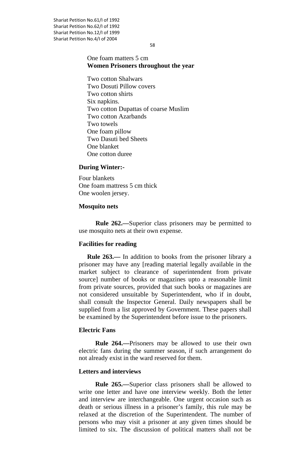58

#### One foam matters 5 cm **Women Prisoners throughout the year**

 Two cotton Shalwars Two Dosuti Pillow covers Two cotton shirts Six napkins. Two cotton Dupattas of coarse Muslim Two cotton Azarbands Two towels One foam pillow Two Dasuti bed Sheets One blanket One cotton duree

#### **During Winter:-**

Four blankets One foam mattress 5 cm thick One woolen jersey.

#### **Mosquito nets**

**Rule 262.—**Superior class prisoners may be permitted to use mosquito nets at their own expense.

#### **Facilities for reading**

**Rule 263.—** In addition to books from the prisoner library a prisoner may have any [reading material legally available in the market subject to clearance of superintendent from private source] number of books or magazines upto a reasonable limit from private sources, provided that such books or magazines are not considered unsuitable by Superintendent, who if in doubt, shall consult the Inspector General. Daily newspapers shall be supplied from a list approved by Government. These papers shall be examined by the Superintendent before issue to the prisoners.

## **Electric Fans**

 **Rule 264.—**Prisoners may be allowed to use their own electric fans during the summer season, if such arrangement do not already exist in the ward reserved for them.

#### **Letters and interviews**

 **Rule 265.—**Superior class prisoners shall be allowed to write one letter and have one interview weekly. Both the letter and interview are interchangeable. One urgent occasion such as death or serious illness in a prisoner's family, this rule may be relaxed at the discretion of the Superintendent. The number of persons who may visit a prisoner at any given times should be limited to six. The discussion of political matters shall not be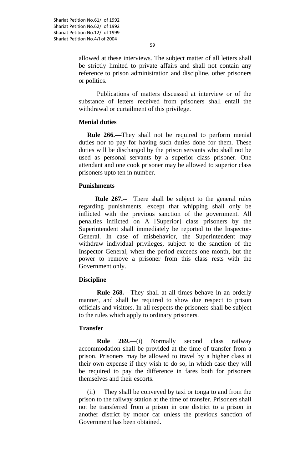allowed at these interviews. The subject matter of all letters shall be strictly limited to private affairs and shall not contain any reference to prison administration and discipline, other prisoners or politics.

 Publications of matters discussed at interview or of the substance of letters received from prisoners shall entail the withdrawal or curtailment of this privilege.

#### **Menial duties**

**Rule 266.—**They shall not be required to perform menial duties nor to pay for having such duties done for them. These duties will be discharged by the prison servants who shall not be used as personal servants by a superior class prisoner. One attendant and one cook prisoner may be allowed to superior class prisoners upto ten in number.

#### **Punishments**

 **Rule 267.--** There shall be subject to the general rules regarding punishments, except that whipping shall only be inflicted with the previous sanction of the government. All penalties inflicted on A [Superior] class prisoners by the Superintendent shall immediately be reported to the Inspector-General. In case of misbehavior, the Superintendent may withdraw individual privileges, subject to the sanction of the Inspector General, when the period exceeds one month, but the power to remove a prisoner from this class rests with the Government only.

## **Discipline**

 **Rule 268.—**They shall at all times behave in an orderly manner, and shall be required to show due respect to prison officials and visitors. In all respects the prisoners shall be subject to the rules which apply to ordinary prisoners.

#### **Transfer**

 **Rule 269.—**(i) Normally second class railway accommodation shall be provided at the time of transfer from a prison. Prisoners may be allowed to travel by a higher class at their own expense if they wish to do so, in which case they will be required to pay the difference in fares both for prisoners themselves and their escorts.

(ii) They shall be conveyed by taxi or tonga to and from the prison to the railway station at the time of transfer. Prisoners shall not be transferred from a prison in one district to a prison in another district by motor car unless the previous sanction of Government has been obtained.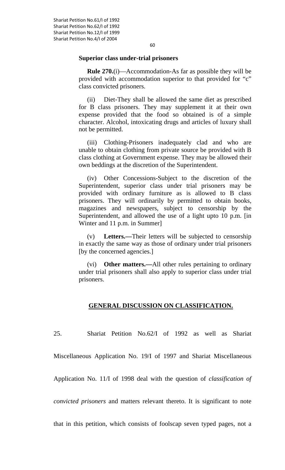60

#### **Superior class under-trial prisoners**

**Rule 270.**(i)—Accommodation-As far as possible they will be provided with accommodation superior to that provided for "c" class convicted prisoners.

(ii) Diet-They shall be allowed the same diet as prescribed for B class prisoners. They may supplement it at their own expense provided that the food so obtained is of a simple character. Alcohol, intoxicating drugs and articles of luxury shall not be permitted.

(iii) Clothing-Prisoners inadequately clad and who are unable to obtain clothing from private source be provided with B class clothing at Government expense. They may be allowed their own beddings at the discretion of the Superintendent.

(iv) Other Concessions-Subject to the discretion of the Superintendent, superior class under trial prisoners may be provided with ordinary furniture as is allowed to B class prisoners. They will ordinarily by permitted to obtain books, magazines and newspapers, subject to censorship by the Superintendent, and allowed the use of a light upto 10 p.m. [in Winter and 11 p.m. in Summer]

(v) **Letters.—**Their letters will be subjected to censorship in exactly the same way as those of ordinary under trial prisoners [by the concerned agencies.]

(vi) **Other matters.—**All other rules pertaining to ordinary under trial prisoners shall also apply to superior class under trial prisoners.

#### **GENERAL DISCUSSION ON CLASSIFICATION.**

25. Shariat Petition No.62/I of 1992 as well as Shariat

Miscellaneous Application No. 19/I of 1997 and Shariat Miscellaneous

Application No. 11/I of 1998 deal with the question of *classification of* 

*convicted prisoners* and matters relevant thereto. It is significant to note

that in this petition, which consists of foolscap seven typed pages, not a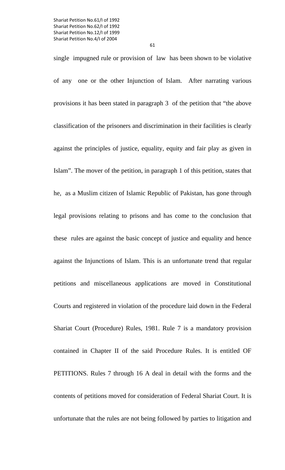single impugned rule or provision of law has been shown to be violative of any one or the other Injunction of Islam. After narrating various provisions it has been stated in paragraph 3 of the petition that "the above classification of the prisoners and discrimination in their facilities is clearly against the principles of justice, equality, equity and fair play as given in Islam". The mover of the petition, in paragraph 1 of this petition, states that he, as a Muslim citizen of Islamic Republic of Pakistan, has gone through legal provisions relating to prisons and has come to the conclusion that these rules are against the basic concept of justice and equality and hence against the Injunctions of Islam. This is an unfortunate trend that regular petitions and miscellaneous applications are moved in Constitutional Courts and registered in violation of the procedure laid down in the Federal Shariat Court (Procedure) Rules, 1981. Rule 7 is a mandatory provision contained in Chapter II of the said Procedure Rules. It is entitled OF PETITIONS. Rules 7 through 16 A deal in detail with the forms and the contents of petitions moved for consideration of Federal Shariat Court. It is unfortunate that the rules are not being followed by parties to litigation and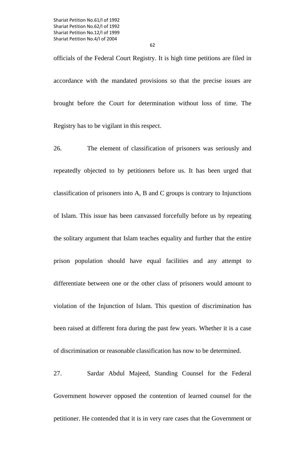62

officials of the Federal Court Registry. It is high time petitions are filed in accordance with the mandated provisions so that the precise issues are brought before the Court for determination without loss of time. The Registry has to be vigilant in this respect.

26. The element of classification of prisoners was seriously and repeatedly objected to by petitioners before us. It has been urged that classification of prisoners into A, B and C groups is contrary to Injunctions of Islam. This issue has been canvassed forcefully before us by repeating the solitary argument that Islam teaches equality and further that the entire prison population should have equal facilities and any attempt to differentiate between one or the other class of prisoners would amount to violation of the Injunction of Islam. This question of discrimination has been raised at different fora during the past few years. Whether it is a case of discrimination or reasonable classification has now to be determined.

27. Sardar Abdul Majeed, Standing Counsel for the Federal Government however opposed the contention of learned counsel for the petitioner. He contended that it is in very rare cases that the Government or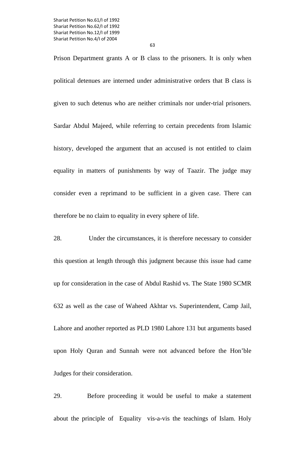Prison Department grants A or B class to the prisoners. It is only when political detenues are interned under administrative orders that B class is given to such detenus who are neither criminals nor under-trial prisoners. Sardar Abdul Majeed, while referring to certain precedents from Islamic history, developed the argument that an accused is not entitled to claim equality in matters of punishments by way of Taazir. The judge may consider even a reprimand to be sufficient in a given case. There can

therefore be no claim to equality in every sphere of life.

28. Under the circumstances, it is therefore necessary to consider this question at length through this judgment because this issue had came up for consideration in the case of Abdul Rashid vs. The State 1980 SCMR 632 as well as the case of Waheed Akhtar vs. Superintendent, Camp Jail, Lahore and another reported as PLD 1980 Lahore 131 but arguments based upon Holy Quran and Sunnah were not advanced before the Hon'ble Judges for their consideration.

29. Before proceeding it would be useful to make a statement about the principle of Equality vis-a-vis the teachings of Islam. Holy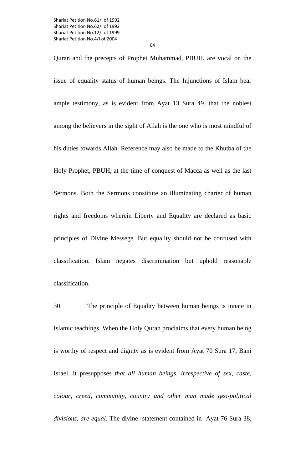Quran and the precepts of Prophet Muhammad, PBUH, are vocal on the issue of equality status of human beings. The Injunctions of Islam bear ample testimony, as is evident from Ayat 13 Sura 49, that the noblest among the believers in the sight of Allah is the one who is most mindful of his duties towards Allah. Reference may also be made to the Khutba of the Holy Prophet, PBUH, at the time of conquest of Macca as well as the last Sermons. Both the Sermons constitute an illuminating charter of human rights and freedoms wherein Liberty and Equality are declared as basic principles of Divine Messege. But equality should not be confused with classification. Islam negates discrimination but uphold reasonable classification.

30. The principle of Equality between human beings is innate in Islamic teachings. When the Holy Quran proclaims that every human being is worthy of respect and dignity as is evident from Ayat 70 Sura 17, Bani Israel, it presupposes *that all human beings, irrespective of sex, caste, colour, creed, community, country and other man made geo-political divisions, are equal.* The divine statement contained in Ayat 76 Sura 38,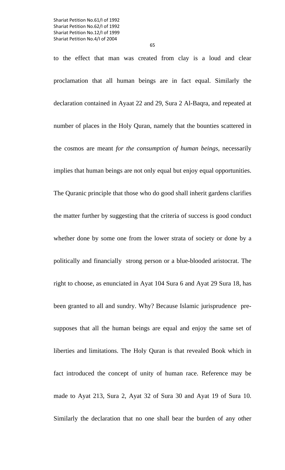to the effect that man was created from clay is a loud and clear proclamation that all human beings are in fact equal. Similarly the declaration contained in Ayaat 22 and 29, Sura 2 Al-Baqra, and repeated at number of places in the Holy Quran, namely that the bounties scattered in the cosmos are meant *for the consumption of human beings,* necessarily implies that human beings are not only equal but enjoy equal opportunities. The Quranic principle that those who do good shall inherit gardens clarifies the matter further by suggesting that the criteria of success is good conduct whether done by some one from the lower strata of society or done by a politically and financially strong person or a blue-blooded aristocrat. The right to choose, as enunciated in Ayat 104 Sura 6 and Ayat 29 Sura 18, has been granted to all and sundry. Why? Because Islamic jurisprudence presupposes that all the human beings are equal and enjoy the same set of liberties and limitations. The Holy Quran is that revealed Book which in fact introduced the concept of unity of human race. Reference may be made to Ayat 213, Sura 2, Ayat 32 of Sura 30 and Ayat 19 of Sura 10. Similarly the declaration that no one shall bear the burden of any other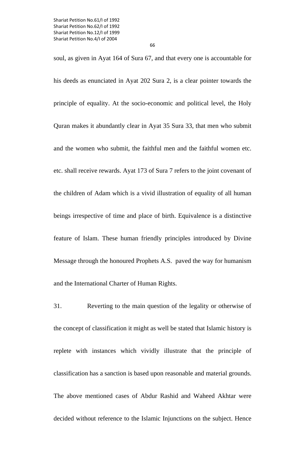soul, as given in Ayat 164 of Sura 67, and that every one is accountable for his deeds as enunciated in Ayat 202 Sura 2, is a clear pointer towards the principle of equality. At the socio-economic and political level, the Holy Quran makes it abundantly clear in Ayat 35 Sura 33, that men who submit and the women who submit, the faithful men and the faithful women etc. etc. shall receive rewards. Ayat 173 of Sura 7 refers to the joint covenant of the children of Adam which is a vivid illustration of equality of all human beings irrespective of time and place of birth. Equivalence is a distinctive feature of Islam. These human friendly principles introduced by Divine Message through the honoured Prophets A.S. paved the way for humanism and the International Charter of Human Rights.

31. Reverting to the main question of the legality or otherwise of the concept of classification it might as well be stated that Islamic history is replete with instances which vividly illustrate that the principle of classification has a sanction is based upon reasonable and material grounds. The above mentioned cases of Abdur Rashid and Waheed Akhtar were decided without reference to the Islamic Injunctions on the subject. Hence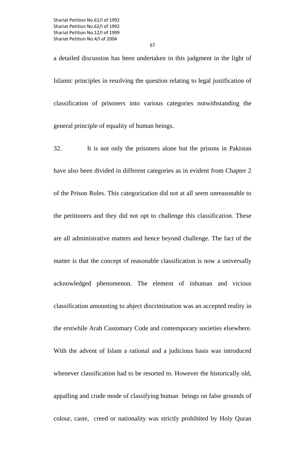67

a detailed discussion has been undertaken in this judgment in the light of Islamic principles in resolving the question relating to legal justification of classification of prisoners into various categories notwithstanding the general principle of equality of human beings.

32. It is not only the prisoners alone but the prisons in Pakistan have also been divided in different categories as in evident from Chapter 2 of the Prison Rules. This categorization did not at all seem unreasonable to the petitioners and they did not opt to challenge this classification. These are all administrative matters and hence beyond challenge. The fact of the matter is that the concept of reasonable classification is now a universally acknowledged phenomenon. The element of inhuman and vicious classification amounting to abject discrimination was an accepted reality in the erstwhile Arab Customary Code and contemporary societies elsewhere. With the advent of Islam a rational and a judicious basis was introduced whenever classification had to be resorted to. However the historically old, appalling and crude mode of classifying human beings on false grounds of colour, caste, creed or nationality was strictly prohibited by Holy Quran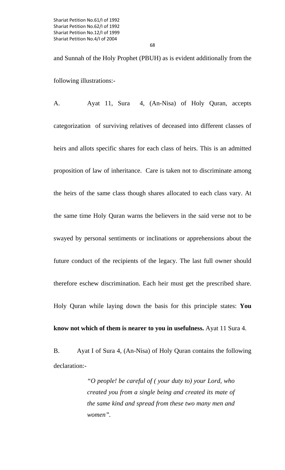68

and Sunnah of the Holy Prophet (PBUH) as is evident additionally from the following illustrations:-

A. Ayat 11, Sura 4, (An-Nisa) of Holy Quran, accepts categorization of surviving relatives of deceased into different classes of heirs and allots specific shares for each class of heirs. This is an admitted proposition of law of inheritance. Care is taken not to discriminate among the heirs of the same class though shares allocated to each class vary. At the same time Holy Quran warns the believers in the said verse not to be swayed by personal sentiments or inclinations or apprehensions about the future conduct of the recipients of the legacy. The last full owner should therefore eschew discrimination. Each heir must get the prescribed share. Holy Quran while laying down the basis for this principle states: **You know not which of them is nearer to you in usefulness.** Ayat 11 Sura 4.

B. Ayat I of Sura 4, (An-Nisa) of Holy Quran contains the following declaration:-

> *"O people! be careful of ( your duty to) your Lord, who created you from a single being and created its mate of the same kind and spread from these two many men and women".*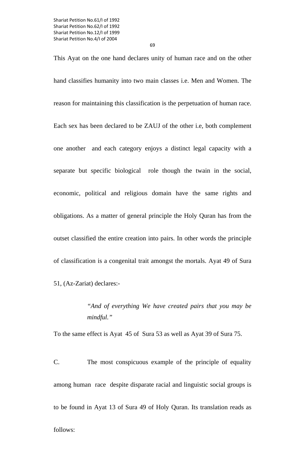This Ayat on the one hand declares unity of human race and on the other hand classifies humanity into two main classes i.e. Men and Women. The reason for maintaining this classification is the perpetuation of human race. Each sex has been declared to be ZAUJ of the other i.e, both complement one another and each category enjoys a distinct legal capacity with a separate but specific biological role though the twain in the social, economic, political and religious domain have the same rights and obligations. As a matter of general principle the Holy Quran has from the outset classified the entire creation into pairs. In other words the principle of classification is a congenital trait amongst the mortals. Ayat 49 of Sura 51, (Az-Zariat) declares:-

# *"And of everything We have created pairs that you may be mindful."*

To the same effect is Ayat 45 of Sura 53 as well as Ayat 39 of Sura 75.

C. The most conspicuous example of the principle of equality among human race despite disparate racial and linguistic social groups is to be found in Ayat 13 of Sura 49 of Holy Quran. Its translation reads as follows: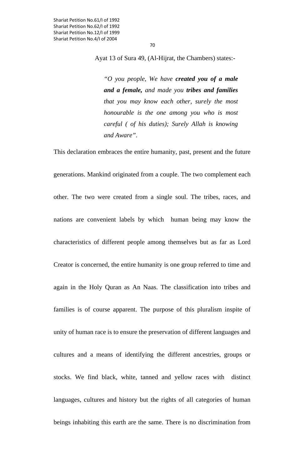Ayat 13 of Sura 49, (Al-Hijrat, the Chambers) states:-

*"O you people, We have created you of a male and a female, and made you tribes and families that you may know each other, surely the most honourable is the one among you who is most careful ( of his duties); Surely Allah is knowing and Aware".* 

This declaration embraces the entire humanity, past, present and the future generations. Mankind originated from a couple. The two complement each other. The two were created from a single soul. The tribes, races, and nations are convenient labels by which human being may know the characteristics of different people among themselves but as far as Lord Creator is concerned, the entire humanity is one group referred to time and again in the Holy Quran as An Naas. The classification into tribes and families is of course apparent. The purpose of this pluralism inspite of unity of human race is to ensure the preservation of different languages and cultures and a means of identifying the different ancestries, groups or stocks. We find black, white, tanned and yellow races with distinct languages, cultures and history but the rights of all categories of human beings inhabiting this earth are the same. There is no discrimination from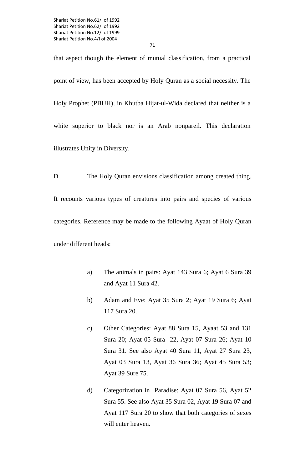that aspect though the element of mutual classification, from a practical point of view, has been accepted by Holy Quran as a social necessity. The Holy Prophet (PBUH), in Khutba Hijat-ul-Wida declared that neither is a white superior to black nor is an Arab nonpareil. This declaration illustrates Unity in Diversity.

D. The Holy Quran envisions classification among created thing. It recounts various types of creatures into pairs and species of various categories. Reference may be made to the following Ayaat of Holy Quran under different heads:

- a) The animals in pairs: Ayat 143 Sura 6; Ayat 6 Sura 39 and Ayat 11 Sura 42.
- b) Adam and Eve: Ayat 35 Sura 2; Ayat 19 Sura 6; Ayat 117 Sura 20.
- c) Other Categories: Ayat 88 Sura 15, Ayaat 53 and 131 Sura 20; Ayat 05 Sura 22, Ayat 07 Sura 26; Ayat 10 Sura 31. See also Ayat 40 Sura 11, Ayat 27 Sura 23, Ayat 03 Sura 13, Ayat 36 Sura 36; Ayat 45 Sura 53; Ayat 39 Sure 75.
- d) Categorization in Paradise: Ayat 07 Sura 56, Ayat 52 Sura 55. See also Ayat 35 Sura 02, Ayat 19 Sura 07 and Ayat 117 Sura 20 to show that both categories of sexes will enter heaven.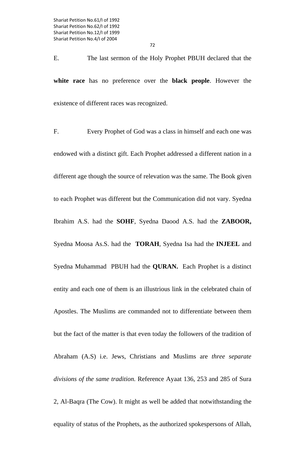E. The last sermon of the Holy Prophet PBUH declared that the **white race** has no preference over the **black people**. However the existence of different races was recognized.

F. Every Prophet of God was a class in himself and each one was endowed with a distinct gift. Each Prophet addressed a different nation in a different age though the source of relevation was the same. The Book given to each Prophet was different but the Communication did not vary. Syedna Ibrahim A.S. had the **SOHF**, Syedna Daood A.S. had the **ZABOOR,** Syedna Moosa As.S. had the **TORAH**, Syedna Isa had the **INJEEL** and Syedna Muhammad PBUH had the **QURAN.** Each Prophet is a distinct entity and each one of them is an illustrious link in the celebrated chain of Apostles. The Muslims are commanded not to differentiate between them but the fact of the matter is that even today the followers of the tradition of Abraham (A.S) i.e. Jews, Christians and Muslims are *three separate divisions of the same tradition.* Reference Ayaat 136, 253 and 285 of Sura 2, Al-Baqra (The Cow). It might as well be added that notwithstanding the equality of status of the Prophets, as the authorized spokespersons of Allah,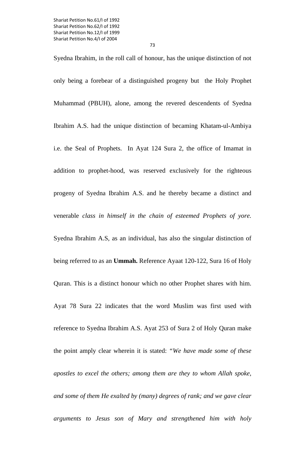Syedna Ibrahim, in the roll call of honour, has the unique distinction of not only being a forebear of a distinguished progeny but the Holy Prophet Muhammad (PBUH), alone, among the revered descendents of Syedna Ibrahim A.S. had the unique distinction of becaming Khatam-ul-Ambiya i.e. the Seal of Prophets. In Ayat 124 Sura 2, the office of Imamat in addition to prophet-hood, was reserved exclusively for the righteous progeny of Syedna Ibrahim A.S. and he thereby became a distinct and venerable *class in himself in the chain of esteemed Prophets of yore.* Syedna Ibrahim A.S, as an individual, has also the singular distinction of being referred to as an **Ummah.** Reference Ayaat 120-122, Sura 16 of Holy Quran. This is a distinct honour which no other Prophet shares with him. Ayat 78 Sura 22 indicates that the word Muslim was first used with reference to Syedna Ibrahim A.S. Ayat 253 of Sura 2 of Holy Quran make the point amply clear wherein it is stated: *"We have made some of these apostles to excel the others; among them are they to whom Allah spoke, and some of them He exalted by (many) degrees of rank; and we gave clear arguments to Jesus son of Mary and strengthened him with holy*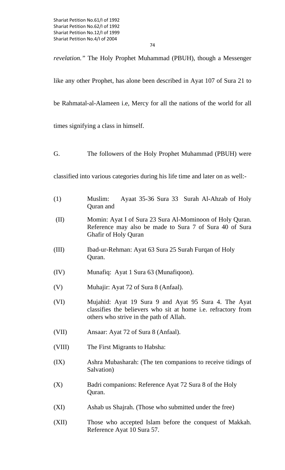*revelation."* The Holy Prophet Muhammad (PBUH), though a Messenger

like any other Prophet, has alone been described in Ayat 107 of Sura 21 to

be Rahmatal-al-Alameen i.e, Mercy for all the nations of the world for all

times signifying a class in himself.

G. The followers of the Holy Prophet Muhammad (PBUH) were

classified into various categories during his life time and later on as well:-

| (1)    | Ayaat 35-36 Sura 33 Surah Al-Ahzab of Holy<br>Muslim:<br>Quran and                                                                                               |
|--------|------------------------------------------------------------------------------------------------------------------------------------------------------------------|
| (II)   | Momin: Ayat I of Sura 23 Sura Al-Mominoon of Holy Quran.<br>Reference may also be made to Sura 7 of Sura 40 of Sura<br><b>Ghafir of Holy Quran</b>               |
| (III)  | Ibad-ur-Rehman: Ayat 63 Sura 25 Surah Furqan of Holy<br>Quran.                                                                                                   |
| (IV)   | Munafiq: Ayat 1 Sura 63 (Munafiqoon).                                                                                                                            |
| (V)    | Muhajir: Ayat 72 of Sura 8 (Anfaal).                                                                                                                             |
| (VI)   | Mujahid: Ayat 19 Sura 9 and Ayat 95 Sura 4. The Ayat<br>classifies the believers who sit at home i.e. refractory from<br>others who strive in the path of Allah. |
| (VII)  | Ansaar: Ayat 72 of Sura 8 (Anfaal).                                                                                                                              |
| (VIII) | The First Migrants to Habsha:                                                                                                                                    |
| (IX)   | Ashra Mubasharah: (The ten companions to receive tidings of<br>Salvation)                                                                                        |
| (X)    | Badri companions: Reference Ayat 72 Sura 8 of the Holy<br>Quran.                                                                                                 |
| (XI)   | Ashab us Shajrah. (Those who submitted under the free)                                                                                                           |
| (XII)  | Those who accepted Islam before the conquest of Makkah.<br>Reference Ayat 10 Sura 57.                                                                            |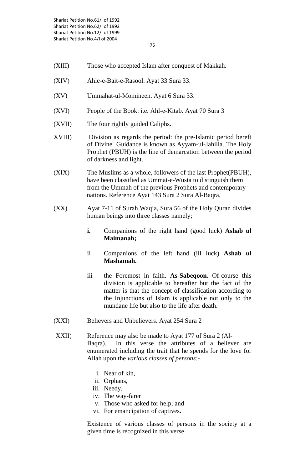- (XIII) Those who accepted Islam after conquest of Makkah.
- (XIV) Ahle-e-Bait-e-Rasool. Ayat 33 Sura 33.
- (XV) Ummahat-ul-Momineen. Ayat 6 Sura 33.
- (XVI) People of the Book: i.e. Ahl-e-Kitab. Ayat 70 Sura 3
- (XVII) The four rightly guided Caliphs.
- XVIII) Division as regards the period: the pre-Islamic period bereft of Divine Guidance is known as Ayyam-ul-Jahilia. The Holy Prophet (PBUH) is the line of demarcation between the period of darkness and light.
- (XIX) The Muslims as a whole, followers of the last Prophet(PBUH), have been classified as Ummat-e-Wusta to distinguish them from the Ummah of the previous Prophets and contemporary nations. Reference Ayat 143 Sura 2 Sura Al-Baqra,
- (XX) Ayat 7-11 of Surah Waqia, Sura 56 of the Holy Quran divides human beings into three classes namely;
	- **i.** Companions of the right hand (good luck) **Ashab ul Maimanah;**
	- ii Companions of the left hand (ill luck) **Ashab ul Mashamah.**
	- iii the Foremost in faith. **As-Sabeqoon.** Of-course this division is applicable to hereafter but the fact of the matter is that the concept of classification according to the Injunctions of Islam is applicable not only to the mundane life but also to the life after death.
- (XXI) Believers and Unbelievers. Ayat 254 Sura 2
- XXII) Reference may also be made to Ayat 177 of Sura 2 (Al-Baqra). In this verse the attributes of a believer are enumerated including the trait that he spends for the love for Allah upon the *various classes of persons:*
	- i. Near of kin,
	- ii. Orphans,
	- iii. Needy,
	- iv. The way-farer
	- v. Those who asked for help; and
	- vi. For emancipation of captives.

Existence of various classes of persons in the society at a given time is recognized in this verse.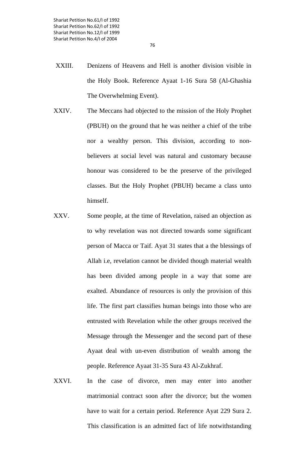- XXIII. Denizens of Heavens and Hell is another division visible in the Holy Book. Reference Ayaat 1-16 Sura 58 (Al-Ghashia The Overwhelming Event).
- XXIV. The Meccans had objected to the mission of the Holy Prophet (PBUH) on the ground that he was neither a chief of the tribe nor a wealthy person. This division, according to nonbelievers at social level was natural and customary because honour was considered to be the preserve of the privileged classes. But the Holy Prophet (PBUH) became a class unto himself.
- XXV. Some people, at the time of Revelation, raised an objection as to why revelation was not directed towards some significant person of Macca or Taif. Ayat 31 states that a the blessings of Allah i.e, revelation cannot be divided though material wealth has been divided among people in a way that some are exalted. Abundance of resources is only the provision of this life. The first part classifies human beings into those who are entrusted with Revelation while the other groups received the Message through the Messenger and the second part of these Ayaat deal with un-even distribution of wealth among the people. Reference Ayaat 31-35 Sura 43 Al-Zukhraf.
- XXVI. In the case of divorce, men may enter into another matrimonial contract soon after the divorce; but the women have to wait for a certain period. Reference Ayat 229 Sura 2. This classification is an admitted fact of life notwithstanding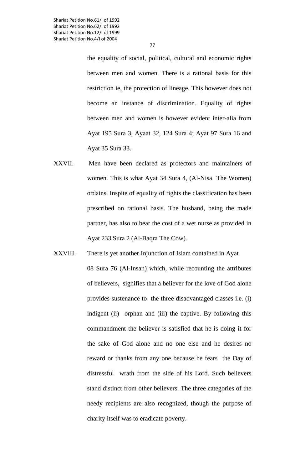the equality of social, political, cultural and economic rights between men and women. There is a rational basis for this restriction ie, the protection of lineage. This however does not become an instance of discrimination. Equality of rights between men and women is however evident inter-alia from Ayat 195 Sura 3, Ayaat 32, 124 Sura 4; Ayat 97 Sura 16 and Ayat 35 Sura 33.

- XXVII. Men have been declared as protectors and maintainers of women. This is what Ayat 34 Sura 4, (Al-Nisa The Women) ordains. Inspite of equality of rights the classification has been prescribed on rational basis. The husband, being the made partner, has also to bear the cost of a wet nurse as provided in Ayat 233 Sura 2 (Al-Baqra The Cow).
- XXVIII. There is yet another Injunction of Islam contained in Ayat 08 Sura 76 (Al-Insan) which, while recounting the attributes of believers, signifies that a believer for the love of God alone provides sustenance to the three disadvantaged classes i.e. (i) indigent (ii) orphan and (iii) the captive. By following this commandment the believer is satisfied that he is doing it for the sake of God alone and no one else and he desires no reward or thanks from any one because he fears the Day of distressful wrath from the side of his Lord. Such believers stand distinct from other believers. The three categories of the needy recipients are also recognized, though the purpose of charity itself was to eradicate poverty.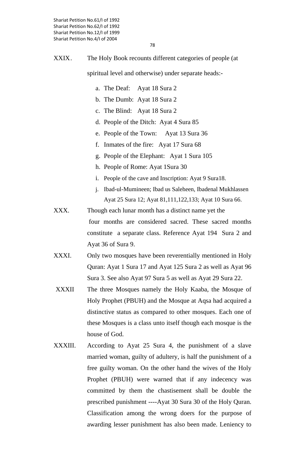78

## XXIX. The Holy Book recounts different categories of people (at

spiritual level and otherwise) under separate heads:-

- a. The Deaf: Ayat 18 Sura 2
- b. The Dumb: Ayat 18 Sura 2
- c. The Blind: Ayat 18 Sura 2
- d. People of the Ditch: Ayat 4 Sura 85
- e. People of the Town: Ayat 13 Sura 36
- f. Inmates of the fire: Ayat 17 Sura 68
- g. People of the Elephant: Ayat 1 Sura 105
- h. People of Rome: Ayat 1Sura 30
- i. People of the cave and Inscription: Ayat 9 Sura18.
- j. Ibad-ul-Mumineen; Ibad us Saleheen, Ibadenal Mukhlassen Ayat 25 Sura 12; Ayat 81,111,122,133; Ayat 10 Sura 66.
- XXX. Though each lunar month has a distinct name yet the four months are considered sacred. These sacred months constitute a separate class. Reference Ayat 194 Sura 2 and Ayat 36 of Sura 9.
- XXXI. Only two mosques have been reverentially mentioned in Holy Quran: Ayat 1 Sura 17 and Ayat 125 Sura 2 as well as Ayat 96 Sura 3. See also Ayat 97 Sura 5 as well as Ayat 29 Sura 22.
- XXXII The three Mosques namely the Holy Kaaba, the Mosque of Holy Prophet (PBUH) and the Mosque at Aqsa had acquired a distinctive status as compared to other mosques. Each one of these Mosques is a class unto itself though each mosque is the house of God.
- XXXIII. According to Ayat 25 Sura 4, the punishment of a slave married woman, guilty of adultery, is half the punishment of a free guilty woman. On the other hand the wives of the Holy Prophet (PBUH) were warned that if any indecency was committed by them the chastisement shall be double the prescribed punishment ----Ayat 30 Sura 30 of the Holy Quran. Classification among the wrong doers for the purpose of awarding lesser punishment has also been made. Leniency to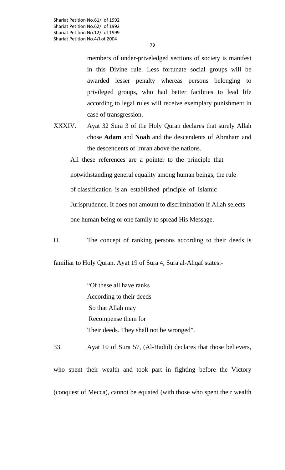79

members of under-priveledged sections of society is manifest in this Divine rule. Less fortunate social groups will be awarded lesser penalty whereas persons belonging to privileged groups, who had better facilities to lead life according to legal rules will receive exemplary punishment in case of transgression.

XXXIV. Ayat 32 Sura 3 of the Holy Quran declares that surely Allah chose **Adam** and **Noah** and the descendents of Abraham and the descendents of Imran above the nations.

All these references are a pointer to the principle that notwithstanding general equality among human beings, the rule of classification is an established principle of Islamic Jurisprudence. It does not amount to discrimination if Allah selects one human being or one family to spread His Message.

H. The concept of ranking persons according to their deeds is

familiar to Holy Quran. Ayat 19 of Sura 4, Sura al-Ahqaf states:-

"Of these all have ranks According to their deeds So that Allah may Recompense them for Their deeds. They shall not be wronged".

33. Ayat 10 of Sura 57, (Al-Hadid) declares that those believers,

who spent their wealth and took part in fighting before the Victory (conquest of Mecca), cannot be equated (with those who spent their wealth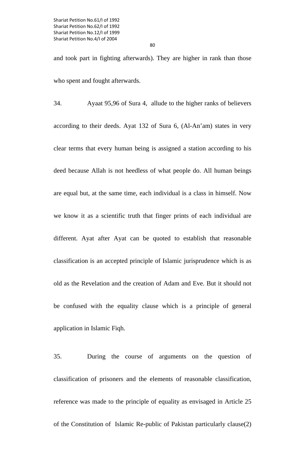and took part in fighting afterwards). They are higher in rank than those who spent and fought afterwards.

34. Ayaat 95,96 of Sura 4, allude to the higher ranks of believers according to their deeds. Ayat 132 of Sura 6, (Al-An'am) states in very clear terms that every human being is assigned a station according to his deed because Allah is not heedless of what people do. All human beings are equal but, at the same time, each individual is a class in himself. Now we know it as a scientific truth that finger prints of each individual are different. Ayat after Ayat can be quoted to establish that reasonable classification is an accepted principle of Islamic jurisprudence which is as old as the Revelation and the creation of Adam and Eve. But it should not be confused with the equality clause which is a principle of general application in Islamic Fiqh.

35. During the course of arguments on the question of classification of prisoners and the elements of reasonable classification, reference was made to the principle of equality as envisaged in Article 25 of the Constitution of Islamic Re-public of Pakistan particularly clause(2)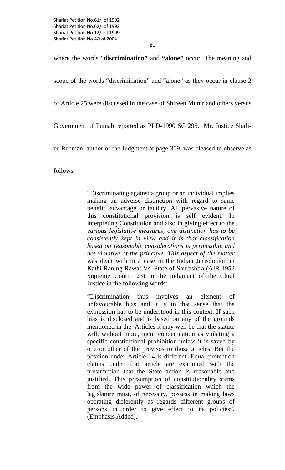## where the words "**discrimination**" and "**alone**" occur. The meaning and

scope of the words "discrimination" and "alone" as they occur in clause 2

of Article 25 were discussed in the case of Shireen Munir and others versus

Government of Punjab reported as PLD-1990 SC 295. Mr. Justice Shafi-

ur-Rehman, author of the Judgment at page 309, was pleased to observe as

follows:

"Discriminating against a group or an individual implies making an adverse distinction with regard to same benefit, advantage or facility. All pervasive nature of this constitutional provision is self evident. In interpreting Constitution and also in giving effect to the *various legislative measures, one distinction has to be consistently kept in view and it is that classification based on reasonable considerations is permissible and not violative of the principle. This aspect of the matter*  was dealt with in a case in the Indian Jurisdiction in Kathi Raning Rawat Vs. State of Saurashtra (AIR 1952 Supreme Court 123) in the judgment of the Chief Justice in the following words:-

"Discrimination thus involves an element of unfavourable bias and it is in that sense that the expression has to be understood in this context. If such bias is disclosed and is based on any of the grounds mentioned in the Articles it may well be that the statute will, without more, incur condemnation as violating a specific constitutional prohibition unless it is saved by one or other of the provisos to those articles. But the position under Article 14 is different. Equal protection claims under that article are examined with the presumption that the State action is reasonable and justified. This presumption of constitutionality stems from the wide power of classification which the legislature must, of necessity, possess in making laws operating differently as regards different groups of persons in order to give effect to its policies". (Emphasis Added).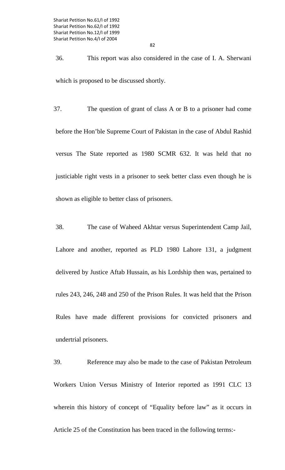36. This report was also considered in the case of I. A. Sherwani which is proposed to be discussed shortly.

37. The question of grant of class A or B to a prisoner had come before the Hon'ble Supreme Court of Pakistan in the case of Abdul Rashid versus The State reported as 1980 SCMR 632. It was held that no justiciable right vests in a prisoner to seek better class even though he is shown as eligible to better class of prisoners.

 38. The case of Waheed Akhtar versus Superintendent Camp Jail, Lahore and another, reported as PLD 1980 Lahore 131, a judgment delivered by Justice Aftab Hussain, as his Lordship then was, pertained to rules 243, 246, 248 and 250 of the Prison Rules. It was held that the Prison Rules have made different provisions for convicted prisoners and undertrial prisoners.

39. Reference may also be made to the case of Pakistan Petroleum Workers Union Versus Ministry of Interior reported as 1991 CLC 13 wherein this history of concept of "Equality before law" as it occurs in Article 25 of the Constitution has been traced in the following terms:-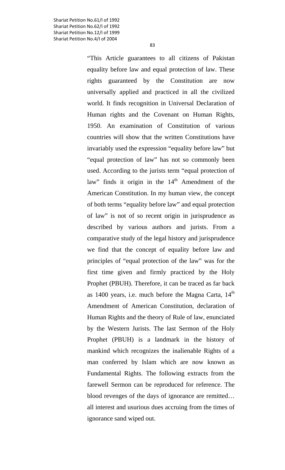"This Article guarantees to all citizens of Pakistan equality before law and equal protection of law. These rights guaranteed by the Constitution are now universally applied and practiced in all the civilized world. It finds recognition in Universal Declaration of Human rights and the Covenant on Human Rights, 1950. An examination of Constitution of various countries will show that the written Constitutions have invariably used the expression "equality before law" but "equal protection of law" has not so commonly been used. According to the jurists term "equal protection of law" finds it origin in the  $14<sup>th</sup>$  Amendment of the American Constitution. In my human view, the concept of both terms "equality before law" and equal protection of law" is not of so recent origin in jurisprudence as described by various authors and jurists. From a comparative study of the legal history and jurisprudence we find that the concept of equality before law and principles of "equal protection of the law" was for the first time given and firmly practiced by the Holy Prophet (PBUH). Therefore, it can be traced as far back as 1400 years, i.e. much before the Magna Carta,  $14<sup>th</sup>$ Amendment of American Constitution, declaration of Human Rights and the theory of Rule of law, enunciated by the Western Jurists. The last Sermon of the Holy Prophet (PBUH) is a landmark in the history of mankind which recognizes the inalienable Rights of a man conferred by Islam which are now known as Fundamental Rights. The following extracts from the farewell Sermon can be reproduced for reference. The blood revenges of the days of ignorance are remitted… all interest and usurious dues accruing from the times of ignorance sand wiped out.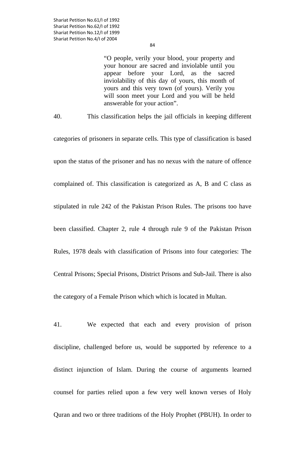"O people, verily your blood, your property and your honour are sacred and inviolable until you appear before your Lord, as the sacred inviolability of this day of yours, this month of yours and this very town (of yours). Verily you will soon meet your Lord and you will be held answerable for your action".

categories of prisoners in separate cells. This type of classification is based upon the status of the prisoner and has no nexus with the nature of offence complained of. This classification is categorized as A, B and C class as stipulated in rule 242 of the Pakistan Prison Rules. The prisons too have been classified. Chapter 2, rule 4 through rule 9 of the Pakistan Prison Rules, 1978 deals with classification of Prisons into four categories: The Central Prisons; Special Prisons, District Prisons and Sub-Jail. There is also

the category of a Female Prison which which is located in Multan.

41. We expected that each and every provision of prison discipline, challenged before us, would be supported by reference to a distinct injunction of Islam. During the course of arguments learned counsel for parties relied upon a few very well known verses of Holy Quran and two or three traditions of the Holy Prophet (PBUH). In order to

84

40. This classification helps the jail officials in keeping different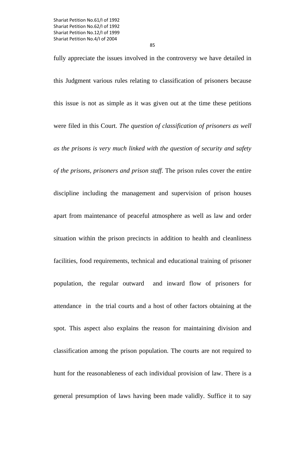fully appreciate the issues involved in the controversy we have detailed in this Judgment various rules relating to classification of prisoners because this issue is not as simple as it was given out at the time these petitions were filed in this Court. *The question of classification of prisoners as well as the prisons is very much linked with the question of security and safety of the prisons, prisoners and prison staff.* The prison rules cover the entire discipline including the management and supervision of prison houses apart from maintenance of peaceful atmosphere as well as law and order situation within the prison precincts in addition to health and cleanliness facilities, food requirements, technical and educational training of prisoner population, the regular outward and inward flow of prisoners for attendance in the trial courts and a host of other factors obtaining at the spot. This aspect also explains the reason for maintaining division and classification among the prison population. The courts are not required to hunt for the reasonableness of each individual provision of law. There is a general presumption of laws having been made validly. Suffice it to say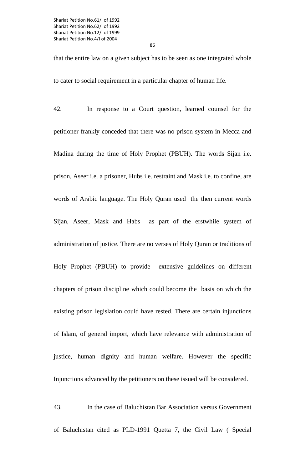86

that the entire law on a given subject has to be seen as one integrated whole to cater to social requirement in a particular chapter of human life.

42. In response to a Court question, learned counsel for the petitioner frankly conceded that there was no prison system in Mecca and Madina during the time of Holy Prophet (PBUH). The words Sijan i.e. prison, Aseer i.e. a prisoner, Hubs i.e. restraint and Mask i.e. to confine, are words of Arabic language. The Holy Quran used the then current words Sijan, Aseer, Mask and Habs as part of the erstwhile system of administration of justice. There are no verses of Holy Quran or traditions of Holy Prophet (PBUH) to provide extensive guidelines on different chapters of prison discipline which could become the basis on which the existing prison legislation could have rested. There are certain injunctions of Islam, of general import, which have relevance with administration of justice, human dignity and human welfare. However the specific Injunctions advanced by the petitioners on these issued will be considered.

43. In the case of Baluchistan Bar Association versus Government of Baluchistan cited as PLD-1991 Quetta 7, the Civil Law ( Special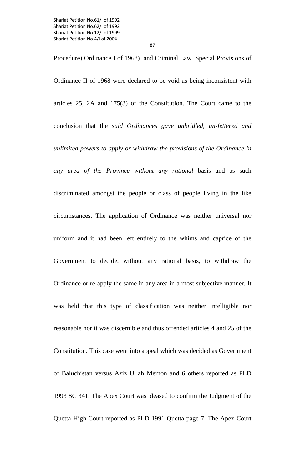Procedure) Ordinance I of 1968) and Criminal Law Special Provisions of Ordinance II of 1968 were declared to be void as being inconsistent with articles 25, 2A and 175(3) of the Constitution. The Court came to the conclusion that the *said Ordinances gave unbridled, un-fettered and unlimited powers to apply or withdraw the provisions of the Ordinance in any area of the Province without any rational* basis and as such discriminated amongst the people or class of people living in the like circumstances. The application of Ordinance was neither universal nor uniform and it had been left entirely to the whims and caprice of the Government to decide, without any rational basis, to withdraw the Ordinance or re-apply the same in any area in a most subjective manner. It was held that this type of classification was neither intelligible nor reasonable nor it was discernible and thus offended articles 4 and 25 of the Constitution. This case went into appeal which was decided as Government of Baluchistan versus Aziz Ullah Memon and 6 others reported as PLD 1993 SC 341. The Apex Court was pleased to confirm the Judgment of the Quetta High Court reported as PLD 1991 Quetta page 7. The Apex Court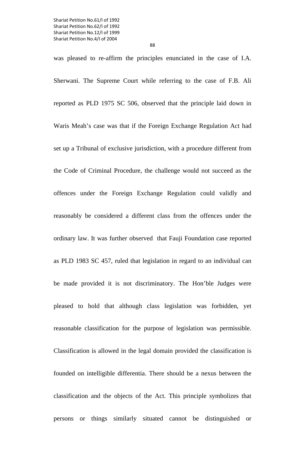was pleased to re-affirm the principles enunciated in the case of I.A. Sherwani. The Supreme Court while referring to the case of F.B. Ali reported as PLD 1975 SC 506, observed that the principle laid down in Waris Meah's case was that if the Foreign Exchange Regulation Act had set up a Tribunal of exclusive jurisdiction, with a procedure different from the Code of Criminal Procedure, the challenge would not succeed as the offences under the Foreign Exchange Regulation could validly and reasonably be considered a different class from the offences under the ordinary law. It was further observed that Fauji Foundation case reported as PLD 1983 SC 457, ruled that legislation in regard to an individual can be made provided it is not discriminatory. The Hon'ble Judges were pleased to hold that although class legislation was forbidden, yet reasonable classification for the purpose of legislation was permissible. Classification is allowed in the legal domain provided the classification is founded on intelligible differentia. There should be a nexus between the classification and the objects of the Act. This principle symbolizes that persons or things similarly situated cannot be distinguished or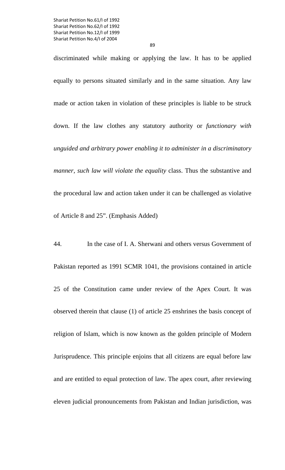discriminated while making or applying the law. It has to be applied equally to persons situated similarly and in the same situation. Any law made or action taken in violation of these principles is liable to be struck down. If the law clothes any statutory authority or *functionary with unguided and arbitrary power enabling it to administer in a discriminatory manner, such law will violate the equality* class. Thus the substantive and the procedural law and action taken under it can be challenged as violative of Article 8 and 25". (Emphasis Added)

44. In the case of I. A. Sherwani and others versus Government of Pakistan reported as 1991 SCMR 1041, the provisions contained in article 25 of the Constitution came under review of the Apex Court. It was observed therein that clause (1) of article 25 enshrines the basis concept of religion of Islam, which is now known as the golden principle of Modern Jurisprudence. This principle enjoins that all citizens are equal before law and are entitled to equal protection of law. The apex court, after reviewing eleven judicial pronouncements from Pakistan and Indian jurisdiction, was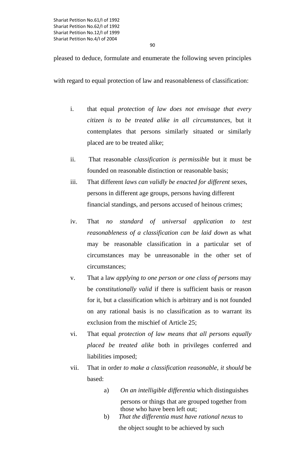pleased to deduce, formulate and enumerate the following seven principles

with regard to equal protection of law and reasonableness of classification:

- i. that equal *protection of law does not envisage that every citizen is to be treated alike in all circumstances,* but it contemplates that persons similarly situated or similarly placed are to be treated alike;
- ii. That reasonable *classification is permissible* but it must be founded on reasonable distinction or reasonable basis;
- iii. That different *laws can validly be enacted for different* sexes, persons in different age groups, persons having different financial standings, and persons accused of heinous crimes;
- iv. That *no standard of universal application to test reasonableness of a classification can be laid down* as what may be reasonable classification in a particular set of circumstances may be unreasonable in the other set of circumstances;
- v. That a law *applying to one person or one class of persons* may be *constitutionally valid* if there is sufficient basis or reason for it, but a classification which is arbitrary and is not founded on any rational basis is no classification as to warrant its exclusion from the mischief of Article 25;
- vi. That equal *protection of law means that all persons equally placed be treated alike* both in privileges conferred and liabilities imposed;
- vii. That in order *to make a classification reasonable, it should* be based:
	- a) *On an intelligible differentia* which distinguishes persons or things that are grouped together from those who have been left out;
	- b) *That the differentia must have rational nexus* to the object sought to be achieved by such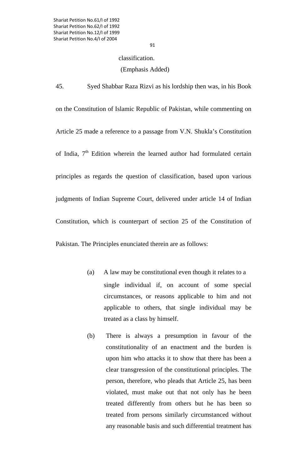classification.

## (Emphasis Added)

45. Syed Shabbar Raza Rizvi as his lordship then was, in his Book on the Constitution of Islamic Republic of Pakistan, while commenting on Article 25 made a reference to a passage from V.N. Shukla's Constitution of India, 7<sup>th</sup> Edition wherein the learned author had formulated certain principles as regards the question of classification, based upon various judgments of Indian Supreme Court, delivered under article 14 of Indian Constitution, which is counterpart of section 25 of the Constitution of Pakistan. The Principles enunciated therein are as follows:

- (a) A law may be constitutional even though it relates to a single individual if, on account of some special circumstances, or reasons applicable to him and not applicable to others, that single individual may be treated as a class by himself.
- (b) There is always a presumption in favour of the constitutionality of an enactment and the burden is upon him who attacks it to show that there has been a clear transgression of the constitutional principles. The person, therefore, who pleads that Article 25, has been violated, must make out that not only has he been treated differently from others but he has been so treated from persons similarly circumstanced without any reasonable basis and such differential treatment has

91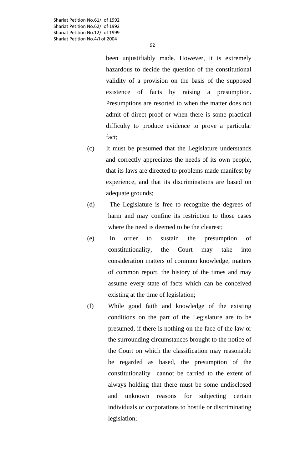been unjustifiably made. However, it is extremely hazardous to decide the question of the constitutional validity of a provision on the basis of the supposed existence of facts by raising a presumption. Presumptions are resorted to when the matter does not admit of direct proof or when there is some practical difficulty to produce evidence to prove a particular fact;

- (c) It must be presumed that the Legislature understands and correctly appreciates the needs of its own people, that its laws are directed to problems made manifest by experience, and that its discriminations are based on adequate grounds;
- (d) The Legislature is free to recognize the degrees of harm and may confine its restriction to those cases where the need is deemed to be the clearest;
- (e) In order to sustain the presumption of constitutionality, the Court may take into consideration matters of common knowledge, matters of common report, the history of the times and may assume every state of facts which can be conceived existing at the time of legislation;
- (f) While good faith and knowledge of the existing conditions on the part of the Legislature are to be presumed, if there is nothing on the face of the law or the surrounding circumstances brought to the notice of the Court on which the classification may reasonable be regarded as based, the presumption of the constitutionality cannot be carried to the extent of always holding that there must be some undisclosed and unknown reasons for subjecting certain individuals or corporations to hostile or discriminating legislation;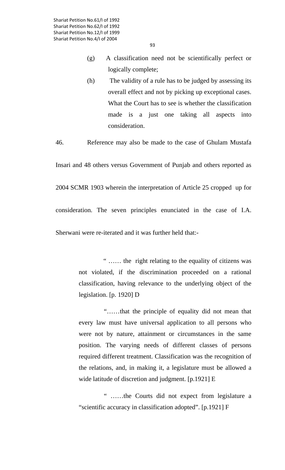- (g) A classification need not be scientifically perfect or logically complete;
- (h) The validity of a rule has to be judged by assessing its overall effect and not by picking up exceptional cases. What the Court has to see is whether the classification made is a just one taking all aspects into consideration.

Insari and 48 others versus Government of Punjab and others reported as 2004 SCMR 1903 wherein the interpretation of Article 25 cropped up for consideration. The seven principles enunciated in the case of I.A. Sherwani were re-iterated and it was further held that:-

46. Reference may also be made to the case of Ghulam Mustafa

 " …… the right relating to the equality of citizens was not violated, if the discrimination proceeded on a rational classification, having relevance to the underlying object of the legislation. [p. 1920] D

 "……that the principle of equality did not mean that every law must have universal application to all persons who were not by nature, attainment or circumstances in the same position. The varying needs of different classes of persons required different treatment. Classification was the recognition of the relations, and, in making it, a legislature must be allowed a wide latitude of discretion and judgment. [p.1921] E

 " ……the Courts did not expect from legislature a "scientific accuracy in classification adopted". [p.1921] F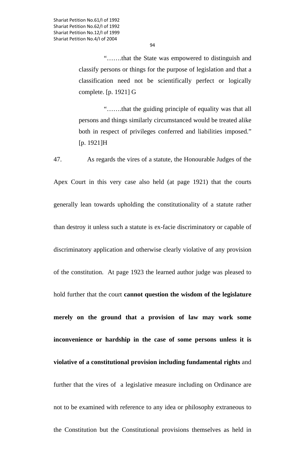"…….that the State was empowered to distinguish and classify persons or things for the purpose of legislation and that a classification need not be scientifically perfect or logically complete. [p. 1921] G

 "…….that the guiding principle of equality was that all persons and things similarly circumstanced would be treated alike both in respect of privileges conferred and liabilities imposed." [p. 1921]H

47. As regards the vires of a statute, the Honourable Judges of the

Apex Court in this very case also held (at page 1921) that the courts generally lean towards upholding the constitutionality of a statute rather than destroy it unless such a statute is ex-facie discriminatory or capable of discriminatory application and otherwise clearly violative of any provision of the constitution. At page 1923 the learned author judge was pleased to hold further that the court **cannot question the wisdom of the legislature merely on the ground that a provision of law may work some inconvenience or hardship in the case of some persons unless it is violative of a constitutional provision including fundamental rights** and further that the vires of a legislative measure including on Ordinance are not to be examined with reference to any idea or philosophy extraneous to the Constitution but the Constitutional provisions themselves as held in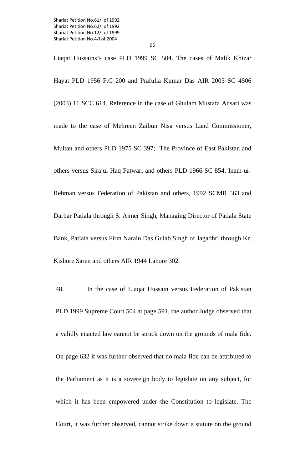Liaqat Hussains's case PLD 1999 SC 504. The cases of Malik Khizar Hayat PLD 1956 F.C 200 and Prafulla Kumar Das AIR 2003 SC 4506 (2003) 11 SCC 614. Reference in the case of Ghulam Mustafa Ansari was made to the case of Mehreen Zaibun Nisa versus Land Commissioner, Multan and others PLD 1975 SC 397; The Province of East Pakistan and others versus Sirajul Haq Patwari and others PLD 1966 SC 854, Inam-ur-Rehman versus Federation of Pakistan and others, 1992 SCMR 563 and Darbar Patiala through S. Ajmer Singh, Managing Director of Patiala State Bank, Patiala versus Firm Narain Das Gulab Singh of Jagadhri through Kr. Kishore Saren and others AIR 1944 Lahore 302.

48. In the case of Liaqat Hussain versus Federation of Pakistan PLD 1999 Supreme Court 504 at page 591, the author Judge observed that a validly enacted law cannot be struck down on the grounds of mala fide. On page 632 it was further observed that no mala fide can be attributed to the Parliament as it is a sovereign body to legislate on any subject, for which it has been empowered under the Constitution to legislate. The Court, it was further observed, cannot strike down a statute on the ground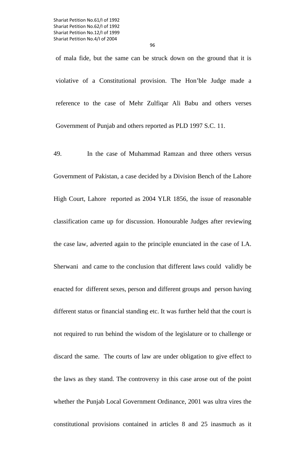of mala fide, but the same can be struck down on the ground that it is violative of a Constitutional provision. The Hon'ble Judge made a reference to the case of Mehr Zulfiqar Ali Babu and others verses Government of Punjab and others reported as PLD 1997 S.C. 11.

49. In the case of Muhammad Ramzan and three others versus Government of Pakistan, a case decided by a Division Bench of the Lahore High Court, Lahore reported as 2004 YLR 1856, the issue of reasonable classification came up for discussion. Honourable Judges after reviewing the case law, adverted again to the principle enunciated in the case of I.A. Sherwani and came to the conclusion that different laws could validly be enacted for different sexes, person and different groups and person having different status or financial standing etc. It was further held that the court is not required to run behind the wisdom of the legislature or to challenge or discard the same. The courts of law are under obligation to give effect to the laws as they stand. The controversy in this case arose out of the point whether the Punjab Local Government Ordinance, 2001 was ultra vires the constitutional provisions contained in articles 8 and 25 inasmuch as it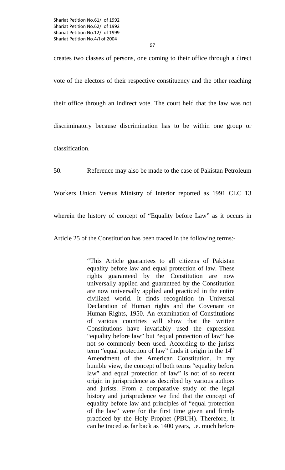creates two classes of persons, one coming to their office through a direct

vote of the electors of their respective constituency and the other reaching

their office through an indirect vote. The court held that the law was not

discriminatory because discrimination has to be within one group or

classification.

50. Reference may also be made to the case of Pakistan Petroleum

Workers Union Versus Ministry of Interior reported as 1991 CLC 13

wherein the history of concept of "Equality before Law" as it occurs in

Article 25 of the Constitution has been traced in the following terms:-

"This Article guarantees to all citizens of Pakistan equality before law and equal protection of law. These rights guaranteed by the Constitution are now universally applied and guaranteed by the Constitution are now universally applied and practiced in the entire civilized world. It finds recognition in Universal Declaration of Human rights and the Covenant on Human Rights, 1950. An examination of Constitutions of various countries will show that the written Constitutions have invariably used the expression "equality before law" but "equal protection of law" has not so commonly been used. According to the jurists term "equal protection of law" finds it origin in the  $14<sup>th</sup>$ Amendment of the American Constitution. In my humble view, the concept of both terms "equality before law" and equal protection of law" is not of so recent origin in jurisprudence as described by various authors and jurists. From a comparative study of the legal history and jurisprudence we find that the concept of equality before law and principles of "equal protection of the law" were for the first time given and firmly practiced by the Holy Prophet (PBUH). Therefore, it can be traced as far back as 1400 years, i.e. much before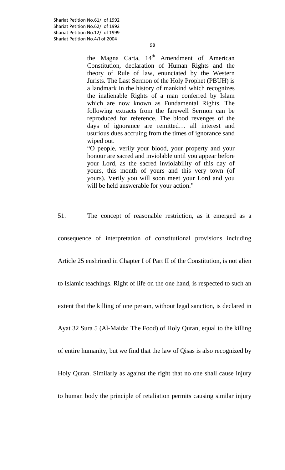98

the Magna Carta,  $14<sup>th</sup>$  Amendment of American Constitution, declaration of Human Rights and the theory of Rule of law, enunciated by the Western Jurists. The Last Sermon of the Holy Prophet (PBUH) is a landmark in the history of mankind which recognizes the inalienable Rights of a man conferred by Islam which are now known as Fundamental Rights. The following extracts from the farewell Sermon can be reproduced for reference. The blood revenges of the days of ignorance are remitted… all interest and usurious dues accruing from the times of ignorance sand wiped out.

 "O people, verily your blood, your property and your honour are sacred and inviolable until you appear before your Lord, as the sacred inviolability of this day of yours, this month of yours and this very town (of yours). Verily you will soon meet your Lord and you will be held answerable for your action."

51. The concept of reasonable restriction, as it emerged as a

consequence of interpretation of constitutional provisions including

Article 25 enshrined in Chapter I of Part II of the Constitution, is not alien

to Islamic teachings. Right of life on the one hand, is respected to such an

extent that the killing of one person, without legal sanction, is declared in

Ayat 32 Sura 5 (Al-Maida: The Food) of Holy Quran, equal to the killing

of entire humanity, but we find that the law of Qisas is also recognized by

Holy Quran. Similarly as against the right that no one shall cause injury

to human body the principle of retaliation permits causing similar injury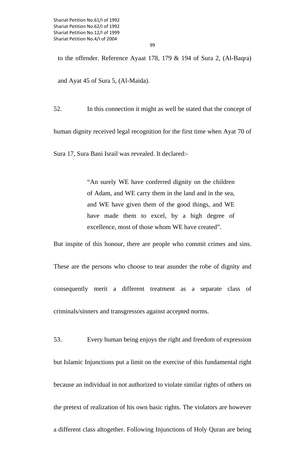to the offender. Reference Ayaat 178, 179 & 194 of Sura 2, (Al-Baqra) and Ayat 45 of Sura 5, (Al-Maida).

52. In this connection it might as well be stated that the concept of

human dignity received legal recognition for the first time when Ayat 70 of

Sura 17, Sura Bani Israil was revealed. It declared:-

"An surely WE have conferred dignity on the children of Adam, and WE carry them in the land and in the sea, and WE have given them of the good things, and WE have made them to excel, by a high degree of excellence, most of those whom WE have created".

But inspite of this honour, there are people who commit crimes and sins.

These are the persons who choose to tear asunder the robe of dignity and consequently merit a different treatment as a separate class of criminals/sinners and transgressors against accepted norms.

53. Every human being enjoys the right and freedom of expression but Islamic Injunctions put a limit on the exercise of this fundamental right because an individual in not authorized to violate similar rights of others on the pretext of realization of his own basic rights. The violators are however a different class altogether. Following Injunctions of Holy Quran are being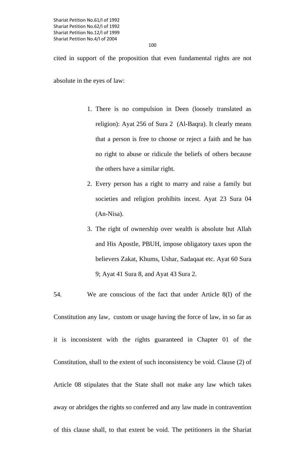cited in support of the proposition that even fundamental rights are not absolute in the eyes of law:

- 1. There is no compulsion in Deen (loosely translated as religion): Ayat 256 of Sura 2 (Al-Baqra). It clearly means that a person is free to choose or reject a faith and he has no right to abuse or ridicule the beliefs of others because the others have a similar right.
- 2. Every person has a right to marry and raise a family but societies and religion prohibits incest. Ayat 23 Sura 04 (An-Nisa).
- 3. The right of ownership over wealth is absolute but Allah and His Apostle, PBUH, impose obligatory taxes upon the believers Zakat, Khums, Ushar, Sadaqaat etc. Ayat 60 Sura 9; Ayat 41 Sura 8, and Ayat 43 Sura 2.

54. We are conscious of the fact that under Article 8(I) of the Constitution any law, custom or usage having the force of law, in so far as it is inconsistent with the rights guaranteed in Chapter 01 of the Constitution, shall to the extent of such inconsistency be void. Clause (2) of Article 08 stipulates that the State shall not make any law which takes away or abridges the rights so conferred and any law made in contravention of this clause shall, to that extent be void. The petitioners in the Shariat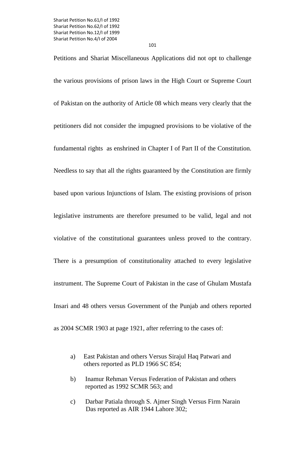101

Petitions and Shariat Miscellaneous Applications did not opt to challenge the various provisions of prison laws in the High Court or Supreme Court of Pakistan on the authority of Article 08 which means very clearly that the petitioners did not consider the impugned provisions to be violative of the fundamental rights as enshrined in Chapter I of Part II of the Constitution. Needless to say that all the rights guaranteed by the Constitution are firmly based upon various Injunctions of Islam. The existing provisions of prison legislative instruments are therefore presumed to be valid, legal and not violative of the constitutional guarantees unless proved to the contrary. There is a presumption of constitutionality attached to every legislative instrument. The Supreme Court of Pakistan in the case of Ghulam Mustafa Insari and 48 others versus Government of the Punjab and others reported as 2004 SCMR 1903 at page 1921, after referring to the cases of:

- a) East Pakistan and others Versus Sirajul Haq Patwari and others reported as PLD 1966 SC 854;
- b) Inamur Rehman Versus Federation of Pakistan and others reported as 1992 SCMR 563; and
- c) Darbar Patiala through S. Ajmer Singh Versus Firm Narain Das reported as AIR 1944 Lahore 302;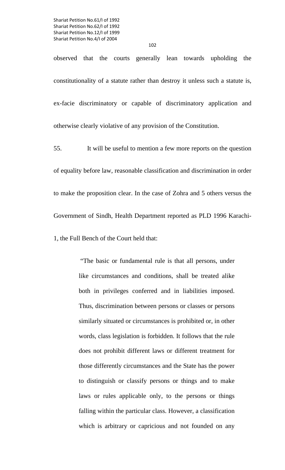observed that the courts generally lean towards upholding the constitutionality of a statute rather than destroy it unless such a statute is, ex-facie discriminatory or capable of discriminatory application and otherwise clearly violative of any provision of the Constitution.

55. It will be useful to mention a few more reports on the question of equality before law, reasonable classification and discrimination in order to make the proposition clear. In the case of Zohra and 5 others versus the Government of Sindh, Health Department reported as PLD 1996 Karachi-1, the Full Bench of the Court held that:

> "The basic or fundamental rule is that all persons, under like circumstances and conditions, shall be treated alike both in privileges conferred and in liabilities imposed. Thus, discrimination between persons or classes or persons similarly situated or circumstances is prohibited or, in other words, class legislation is forbidden. It follows that the rule does not prohibit different laws or different treatment for those differently circumstances and the State has the power to distinguish or classify persons or things and to make laws or rules applicable only, to the persons or things falling within the particular class. However, a classification which is arbitrary or capricious and not founded on any

102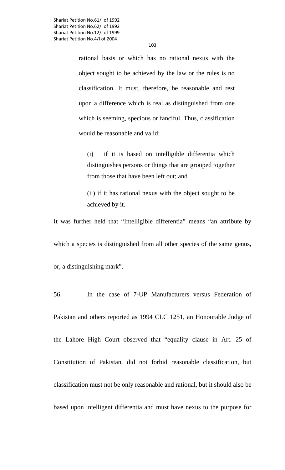rational basis or which has no rational nexus with the object sought to be achieved by the law or the rules is no classification. It must, therefore, be reasonable and rest upon a difference which is real as distinguished from one which is seeming, specious or fanciful. Thus, classification would be reasonable and valid:

(i) if it is based on intelligible differentia which distinguishes persons or things that are grouped together from those that have been left out; and

(ii) if it has rational nexus with the object sought to be achieved by it.

It was further held that "Intelligible differentia" means "an attribute by

which a species is distinguished from all other species of the same genus,

or, a distinguishing mark".

56. In the case of 7-UP Manufacturers versus Federation of Pakistan and others reported as 1994 CLC 1251, an Honourable Judge of the Lahore High Court observed that "equality clause in Art. 25 of Constitution of Pakistan, did not forbid reasonable classification, but classification must not be only reasonable and rational, but it should also be based upon intelligent differentia and must have nexus to the purpose for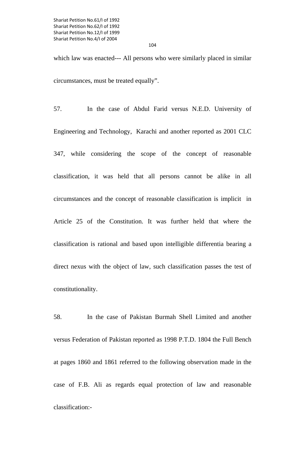which law was enacted--- All persons who were similarly placed in similar circumstances, must be treated equally".

57. In the case of Abdul Farid versus N.E.D. University of Engineering and Technology, Karachi and another reported as 2001 CLC 347, while considering the scope of the concept of reasonable classification, it was held that all persons cannot be alike in all circumstances and the concept of reasonable classification is implicit in Article 25 of the Constitution. It was further held that where the classification is rational and based upon intelligible differentia bearing a direct nexus with the object of law, such classification passes the test of constitutionality.

58. In the case of Pakistan Burmah Shell Limited and another versus Federation of Pakistan reported as 1998 P.T.D. 1804 the Full Bench at pages 1860 and 1861 referred to the following observation made in the case of F.B. Ali as regards equal protection of law and reasonable classification:-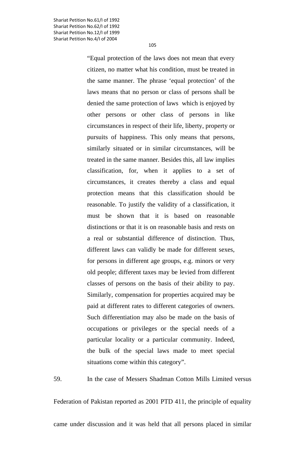"Equal protection of the laws does not mean that every citizen, no matter what his condition, must be treated in the same manner. The phrase 'equal protection' of the laws means that no person or class of persons shall be denied the same protection of laws which is enjoyed by other persons or other class of persons in like circumstances in respect of their life, liberty, property or pursuits of happiness. This only means that persons, similarly situated or in similar circumstances, will be treated in the same manner. Besides this, all law implies classification, for, when it applies to a set of circumstances, it creates thereby a class and equal protection means that this classification should be reasonable. To justify the validity of a classification, it must be shown that it is based on reasonable distinctions or that it is on reasonable basis and rests on a real or substantial difference of distinction. Thus, different laws can validly be made for different sexes, for persons in different age groups, e.g. minors or very old people; different taxes may be levied from different classes of persons on the basis of their ability to pay. Similarly, compensation for properties acquired may be paid at different rates to different categories of owners. Such differentiation may also be made on the basis of occupations or privileges or the special needs of a particular locality or a particular community. Indeed, the bulk of the special laws made to meet special situations come within this category".

59. In the case of Messers Shadman Cotton Mills Limited versus

Federation of Pakistan reported as 2001 PTD 411, the principle of equality

came under discussion and it was held that all persons placed in similar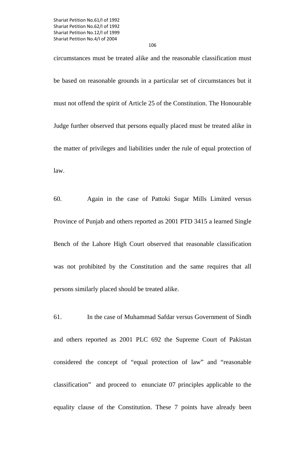106

circumstances must be treated alike and the reasonable classification must be based on reasonable grounds in a particular set of circumstances but it must not offend the spirit of Article 25 of the Constitution. The Honourable Judge further observed that persons equally placed must be treated alike in the matter of privileges and liabilities under the rule of equal protection of law.

60. Again in the case of Pattoki Sugar Mills Limited versus Province of Punjab and others reported as 2001 PTD 3415 a learned Single Bench of the Lahore High Court observed that reasonable classification was not prohibited by the Constitution and the same requires that all persons similarly placed should be treated alike.

61. In the case of Muhammad Safdar versus Government of Sindh and others reported as 2001 PLC 692 the Supreme Court of Pakistan considered the concept of "equal protection of law" and "reasonable classification" and proceed to enunciate 07 principles applicable to the equality clause of the Constitution. These 7 points have already been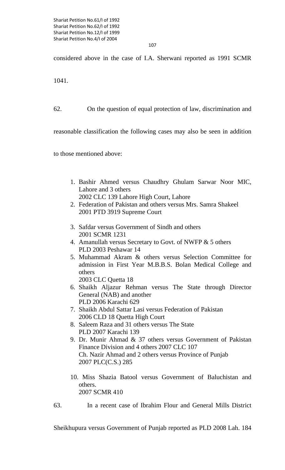considered above in the case of I.A. Sherwani reported as 1991 SCMR

1041.

62. On the question of equal protection of law, discrimination and

reasonable classification the following cases may also be seen in addition

to those mentioned above:

- 1. Bashir Ahmed versus Chaudhry Ghulam Sarwar Noor MIC, Lahore and 3 others
	- 2002 CLC 139 Lahore High Court, Lahore
- 2. Federation of Pakistan and others versus Mrs. Samra Shakeel 2001 PTD 3919 Supreme Court
- 3. Safdar versus Government of Sindh and others 2001 SCMR 1231
- 4. Amanullah versus Secretary to Govt. of NWFP & 5 others PLD 2003 Peshawar 14
- 5. Muhammad Akram & others versus Selection Committee for admission in First Year M.B.B.S. Bolan Medical College and others

2003 CLC Quetta 18

- 6. Shaikh Aljazur Rehman versus The State through Director General (NAB) and another PLD 2006 Karachi 629
- 7. Shaikh Abdul Sattar Lasi versus Federation of Pakistan 2006 CLD 18 Quetta High Court
- 8. Saleem Raza and 31 others versus The State PLD 2007 Karachi 139
- 9. Dr. Munir Ahmad & 37 others versus Government of Pakistan Finance Division and 4 others 2007 CLC 107 Ch. Nazir Ahmad and 2 others versus Province of Punjab 2007 PLC(C.S.) 285
- 10. Miss Shazia Batool versus Government of Baluchistan and others. 2007 SCMR 410
- 63. In a recent case of Ibrahim Flour and General Mills District

Sheikhupura versus Government of Punjab reported as PLD 2008 Lah. 184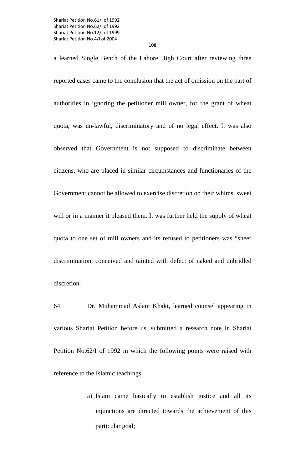108

a learned Single Bench of the Lahore High Court after reviewing three reported cases came to the conclusion that the act of omission on the part of authorities in ignoring the petitioner mill owner, for the grant of wheat quota, was un-lawful, discriminatory and of no legal effect. It was also observed that Government is not supposed to discriminate between citizens, who are placed in similar circumstances and functionaries of the Government cannot be allowed to exercise discretion on their whims, sweet will or in a manner it pleased them. It was further held the supply of wheat quota to one set of mill owners and its refused to petitioners was "sheer discrimination, conceived and tainted with defect of naked and unbridled discretion.

64. Dr. Muhammad Aslam Khaki, learned counsel appearing in various Shariat Petition before us, submitted a research note in Shariat Petition No.62/I of 1992 in which the following points were raised with reference to the Islamic teachings:

> a) Islam came basically to establish justice and all its injunctions are directed towards the achievement of this particular goal;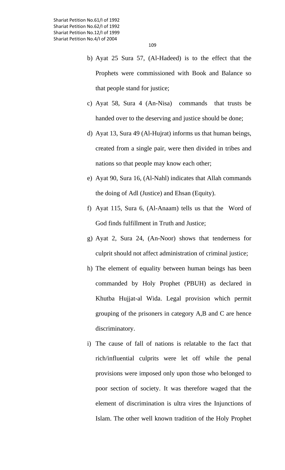- b) Ayat 25 Sura 57, (Al-Hadeed) is to the effect that the Prophets were commissioned with Book and Balance so that people stand for justice;
- c) Ayat 58, Sura 4 (An-Nisa) commands that trusts be handed over to the deserving and justice should be done;
- d) Ayat 13, Sura 49 (Al-Hujrat) informs us that human beings, created from a single pair, were then divided in tribes and nations so that people may know each other;
- e) Ayat 90, Sura 16, (Al-Nahl) indicates that Allah commands the doing of Adl (Justice) and Ehsan (Equity).
- f) Ayat 115, Sura 6, (Al-Anaam) tells us that the Word of God finds fulfillment in Truth and Justice;
- g) Ayat 2, Sura 24, (An-Noor) shows that tenderness for culprit should not affect administration of criminal justice;
- h) The element of equality between human beings has been commanded by Holy Prophet (PBUH) as declared in Khutba Hujjat-al Wida. Legal provision which permit grouping of the prisoners in category A,B and C are hence discriminatory.
- i) The cause of fall of nations is relatable to the fact that rich/influential culprits were let off while the penal provisions were imposed only upon those who belonged to poor section of society. It was therefore waged that the element of discrimination is ultra vires the Injunctions of Islam. The other well known tradition of the Holy Prophet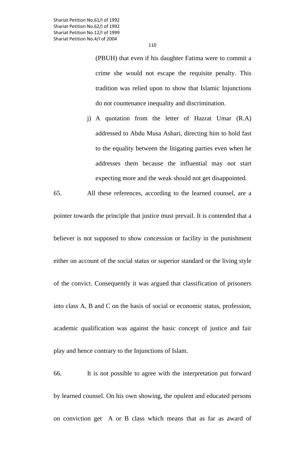(PBUH) that even if his daughter Fatima were to commit a crime she would not escape the requisite penalty. This tradition was relied upon to show that Islamic Injunctions do not countenance inequality and discrimination.

j) A quotation from the letter of Hazrat Umar (R.A) addressed to Abdu Musa Ashari, directing him to hold fast to the equality between the litigating parties even when he addresses them because the influential may not start expecting more and the weak should not get disappointed.

65. All these references, according to the learned counsel, are a

pointer towards the principle that justice must prevail. It is contended that a believer is not supposed to show concession or facility in the punishment either on account of the social status or superior standard or the living style of the convict. Consequently it was argued that classification of prisoners into class A, B and C on the basis of social or economic status, profession, academic qualification was against the basic concept of justice and fair play and hence contrary to the Injunctions of Islam.

66. It is not possible to agree with the interpretation put forward by learned counsel. On his own showing, the opulent and educated persons on conviction get A or B class which means that as far as award of

110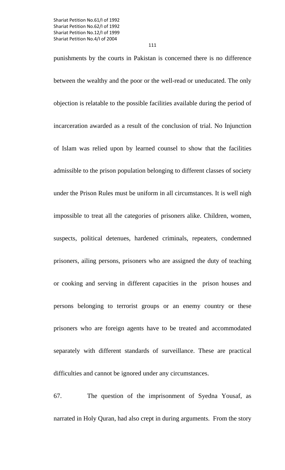punishments by the courts in Pakistan is concerned there is no difference between the wealthy and the poor or the well-read or uneducated. The only objection is relatable to the possible facilities available during the period of incarceration awarded as a result of the conclusion of trial. No Injunction of Islam was relied upon by learned counsel to show that the facilities admissible to the prison population belonging to different classes of society under the Prison Rules must be uniform in all circumstances. It is well nigh impossible to treat all the categories of prisoners alike. Children, women, suspects, political detenues, hardened criminals, repeaters, condemned prisoners, ailing persons, prisoners who are assigned the duty of teaching or cooking and serving in different capacities in the prison houses and persons belonging to terrorist groups or an enemy country or these prisoners who are foreign agents have to be treated and accommodated separately with different standards of surveillance. These are practical difficulties and cannot be ignored under any circumstances.

67. The question of the imprisonment of Syedna Yousaf, as narrated in Holy Quran, had also crept in during arguments. From the story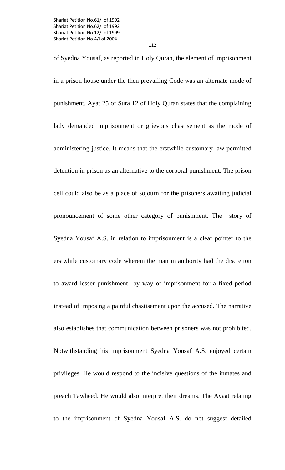of Syedna Yousaf, as reported in Holy Quran, the element of imprisonment in a prison house under the then prevailing Code was an alternate mode of punishment. Ayat 25 of Sura 12 of Holy Quran states that the complaining lady demanded imprisonment or grievous chastisement as the mode of administering justice. It means that the erstwhile customary law permitted detention in prison as an alternative to the corporal punishment. The prison cell could also be as a place of sojourn for the prisoners awaiting judicial pronouncement of some other category of punishment. The story of Syedna Yousaf A.S. in relation to imprisonment is a clear pointer to the erstwhile customary code wherein the man in authority had the discretion to award lesser punishment by way of imprisonment for a fixed period instead of imposing a painful chastisement upon the accused. The narrative also establishes that communication between prisoners was not prohibited. Notwithstanding his imprisonment Syedna Yousaf A.S. enjoyed certain privileges. He would respond to the incisive questions of the inmates and preach Tawheed. He would also interpret their dreams. The Ayaat relating to the imprisonment of Syedna Yousaf A.S. do not suggest detailed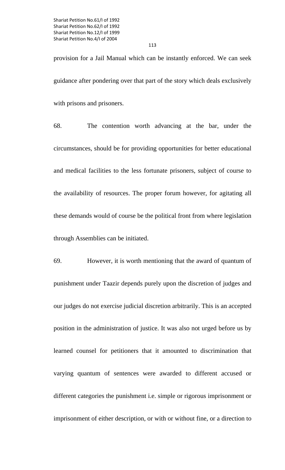provision for a Jail Manual which can be instantly enforced. We can seek guidance after pondering over that part of the story which deals exclusively with prisons and prisoners.

68. The contention worth advancing at the bar, under the circumstances, should be for providing opportunities for better educational and medical facilities to the less fortunate prisoners, subject of course to the availability of resources. The proper forum however, for agitating all these demands would of course be the political front from where legislation through Assemblies can be initiated.

69. However, it is worth mentioning that the award of quantum of punishment under Taazir depends purely upon the discretion of judges and our judges do not exercise judicial discretion arbitrarily. This is an accepted position in the administration of justice. It was also not urged before us by learned counsel for petitioners that it amounted to discrimination that varying quantum of sentences were awarded to different accused or different categories the punishment i.e. simple or rigorous imprisonment or imprisonment of either description, or with or without fine, or a direction to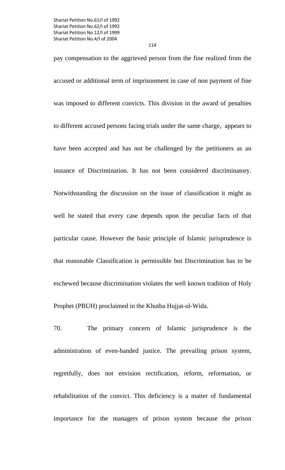114

pay compensation to the aggrieved person from the fine realized from the accused or additional term of imprisonment in case of non payment of fine was imposed to different convicts. This division in the award of penalties to different accused persons facing trials under the same charge, appears to have been accepted and has not be challenged by the petitioners as an instance of Discrimination. It has not been considered discriminatory. Notwithstanding the discussion on the issue of classification it might as well be stated that every case depends upon the peculiar facts of that particular cause. However the basic principle of Islamic jurisprudence is that reasonable Classification is permissible but Discrimination has to be eschewed because discrimination violates the well known tradition of Holy Prophet (PBUH) proclaimed in the Khutba Hujjat-ul-Wida.

70. The primary concern of Islamic jurisprudence is the administration of even-handed justice. The prevailing prison system, regretfully, does not envision rectification, reform, reformation, or rehabilitation of the convict. This deficiency is a matter of fundamental importance for the managers of prison system because the prison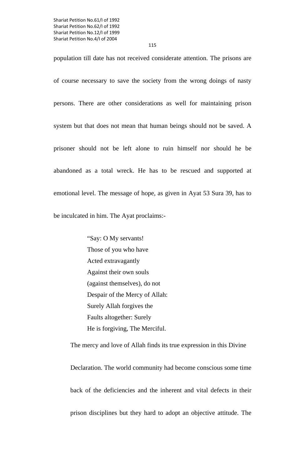115

population till date has not received considerate attention. The prisons are of course necessary to save the society from the wrong doings of nasty persons. There are other considerations as well for maintaining prison system but that does not mean that human beings should not be saved. A prisoner should not be left alone to ruin himself nor should he be abandoned as a total wreck. He has to be rescued and supported at emotional level. The message of hope, as given in Ayat 53 Sura 39, has to be inculcated in him. The Ayat proclaims:-

> "Say: O My servants! Those of you who have Acted extravagantly Against their own souls (against themselves), do not Despair of the Mercy of Allah: Surely Allah forgives the Faults altogether: Surely He is forgiving, The Merciful.

The mercy and love of Allah finds its true expression in this Divine Declaration. The world community had become conscious some time back of the deficiencies and the inherent and vital defects in their prison disciplines but they hard to adopt an objective attitude. The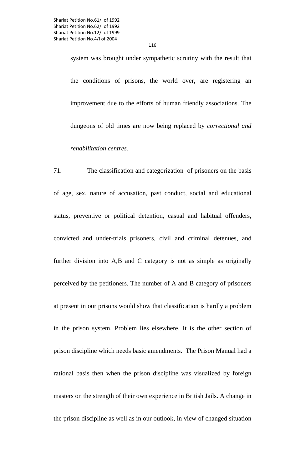system was brought under sympathetic scrutiny with the result that the conditions of prisons, the world over, are registering an improvement due to the efforts of human friendly associations. The dungeons of old times are now being replaced by *correctional and rehabilitation centres.* 

71. The classification and categorization of prisoners on the basis of age, sex, nature of accusation, past conduct, social and educational status, preventive or political detention, casual and habitual offenders, convicted and under-trials prisoners, civil and criminal detenues, and further division into A,B and C category is not as simple as originally perceived by the petitioners. The number of A and B category of prisoners at present in our prisons would show that classification is hardly a problem in the prison system. Problem lies elsewhere. It is the other section of prison discipline which needs basic amendments. The Prison Manual had a rational basis then when the prison discipline was visualized by foreign masters on the strength of their own experience in British Jails. A change in the prison discipline as well as in our outlook, in view of changed situation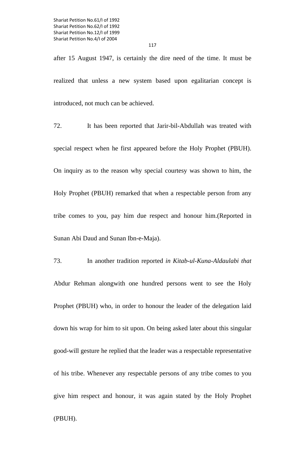after 15 August 1947, is certainly the dire need of the time. It must be realized that unless a new system based upon egalitarian concept is introduced, not much can be achieved.

72. It has been reported that Jarir-bil-Abdullah was treated with special respect when he first appeared before the Holy Prophet (PBUH). On inquiry as to the reason why special courtesy was shown to him, the Holy Prophet (PBUH) remarked that when a respectable person from any tribe comes to you, pay him due respect and honour him.(Reported in Sunan Abi Daud and Sunan Ibn-e-Maja).

73. In another tradition reported *in Kitab-ul-Kuna-Aldaulabi that* Abdur Rehman alongwith one hundred persons went to see the Holy Prophet (PBUH) who, in order to honour the leader of the delegation laid down his wrap for him to sit upon. On being asked later about this singular good-will gesture he replied that the leader was a respectable representative of his tribe. Whenever any respectable persons of any tribe comes to you give him respect and honour, it was again stated by the Holy Prophet (PBUH).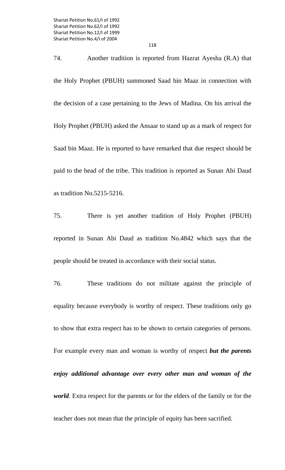74. Another tradition is reported from Hazrat Ayesha (R.A) that the Holy Prophet (PBUH) summoned Saad bin Maaz in connection with the decision of a case pertaining to the Jews of Madina. On his arrival the Holy Prophet (PBUH) asked the Ansaar to stand up as a mark of respect for Saad bin Maaz. He is reported to have remarked that due respect should be paid to the head of the tribe. This tradition is reported as Sunan Abi Daud as tradition No.5215-5216.

75. There is yet another tradition of Holy Prophet (PBUH) reported in Sunan Abi Daud as tradition No.4842 which says that the people should be treated in accordance with their social status.

76. These traditions do not militate against the principle of equality because everybody is worthy of respect. These traditions only go to show that extra respect has to be shown to certain categories of persons. For example every man and woman is worthy of respect *but the parents enjoy additional advantage over every other man and woman of the world.* Extra respect for the parents or for the elders of the family or for the teacher does not mean that the principle of equity has been sacrified.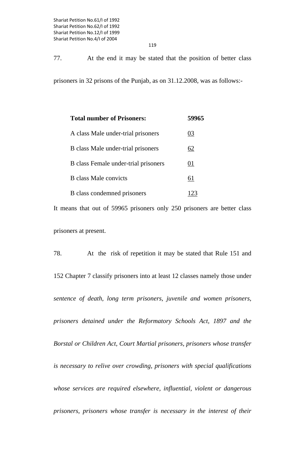119

77. At the end it may be stated that the position of better class

prisoners in 32 prisons of the Punjab, as on 31.12.2008, was as follows:-

| <b>Total number of Prisoners:</b>    | 5991 |
|--------------------------------------|------|
| A class Male under-trial prisoners   | 03   |
| B class Male under-trial prisoners   | 62   |
| B class Female under-trial prisoners | 01   |
| <b>B</b> class Male convicts         | 61   |
| <b>B</b> class condemned prisoners   |      |

It means that out of 59965 prisoners only 250 prisoners are better class prisoners at present.

78. At the risk of repetition it may be stated that Rule 151 and 152 Chapter 7 classify prisoners into at least 12 classes namely those under *sentence of death, long term prisoners, juvenile and women prisoners, prisoners detained under the Reformatory Schools Act, 1897 and the Borstal or Children Act, Court Martial prisoners, prisoners whose transfer is necessary to relive over crowding, prisoners with special qualifications whose services are required elsewhere, influential, violent or dangerous prisoners, prisoners whose transfer is necessary in the interest of their*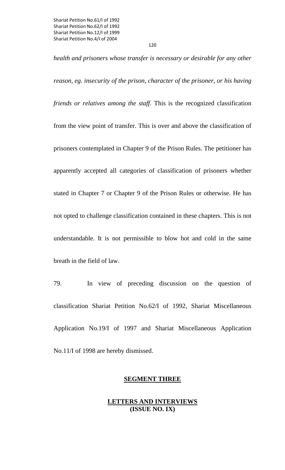*health and prisoners whose transfer is necessary or desirable for any other reason, eg. insecurity of the prison, character of the prisoner, or his having friends or relatives among the staff.* This is the recognized classification from the view point of transfer. This is over and above the classification of prisoners contemplated in Chapter 9 of the Prison Rules. The petitioner has apparently accepted all categories of classification of prisoners whether stated in Chapter 7 or Chapter 9 of the Prison Rules or otherwise. He has not opted to challenge classification contained in these chapters. This is not understandable. It is not permissible to blow hot and cold in the same breath in the field of law.

79. In view of preceding discussion on the question of classification Shariat Petition No.62/I of 1992, Shariat Miscellaneous Application No.19/I of 1997 and Shariat Miscellaneous Application No.11/I of 1998 are hereby dismissed.

#### **SEGMENT THREE**

### **LETTERS AND INTERVIEWS (ISSUE NO. IX)**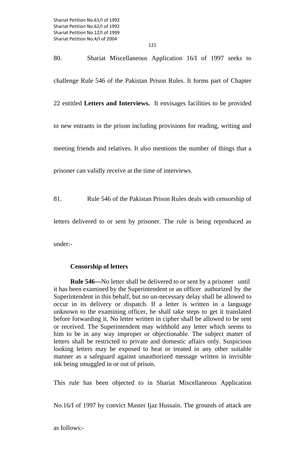121

80. Shariat Miscellaneous Application 16/I of 1997 seeks to challenge Rule 546 of the Pakistan Prison Rules. It forms part of Chapter 22 entitled **Letters and Interviews.** It envisages facilities to be provided to new entrants in the prison including provisions for reading, writing and meeting friends and relatives. It also mentions the number of things that a prisoner can validly receive at the time of interviews.

81. Rule 546 of the Pakistan Prison Rules deals with censorship of

letters delivered to or sent by prisoner. The rule is being reproduced as

under:-

# **Censorship of letters**

**Rule 546—**No letter shall be delivered to or sent by a prisoner until it has been examined by the Superintendent or an officer authorized by the Superintendent in this behalf, but no un-necessary delay shall be allowed to occur in its delivery or dispatch. If a letter is written in a language unknown to the examining officer, he shall take steps to get it translated before forwarding it. No letter written in cipher shall be allowed to be sent or received. The Superintendent may withhold any letter which seems to him to be in any way improper or objectionable. The subject matter of letters shall be restricted to private and domestic affairs only. Suspicious looking letters may be exposed to heat or treated in any other suitable manner as a safeguard against unauthorized message written in invisible ink being smuggled in or out of prison.

This rule has been objected to in Shariat Miscellaneous Application

No.16/I of 1997 by convict Master Ijaz Hussain. The grounds of attack are

as follows:-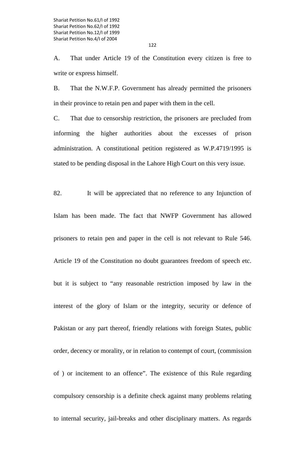A. That under Article 19 of the Constitution every citizen is free to write or express himself.

B. That the N.W.F.P. Government has already permitted the prisoners in their province to retain pen and paper with them in the cell.

C. That due to censorship restriction, the prisoners are precluded from informing the higher authorities about the excesses of prison administration. A constitutional petition registered as W.P.4719/1995 is stated to be pending disposal in the Lahore High Court on this very issue.

82. It will be appreciated that no reference to any Injunction of Islam has been made. The fact that NWFP Government has allowed prisoners to retain pen and paper in the cell is not relevant to Rule 546. Article 19 of the Constitution no doubt guarantees freedom of speech etc. but it is subject to "any reasonable restriction imposed by law in the interest of the glory of Islam or the integrity, security or defence of Pakistan or any part thereof, friendly relations with foreign States, public order, decency or morality, or in relation to contempt of court, (commission of ) or incitement to an offence". The existence of this Rule regarding compulsory censorship is a definite check against many problems relating to internal security, jail-breaks and other disciplinary matters. As regards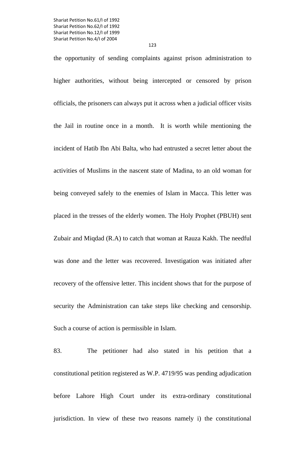123

the opportunity of sending complaints against prison administration to higher authorities, without being intercepted or censored by prison officials, the prisoners can always put it across when a judicial officer visits the Jail in routine once in a month. It is worth while mentioning the incident of Hatib Ibn Abi Balta, who had entrusted a secret letter about the activities of Muslims in the nascent state of Madina, to an old woman for being conveyed safely to the enemies of Islam in Macca. This letter was placed in the tresses of the elderly women. The Holy Prophet (PBUH) sent Zubair and Miqdad (R.A) to catch that woman at Rauza Kakh. The needful was done and the letter was recovered. Investigation was initiated after recovery of the offensive letter. This incident shows that for the purpose of security the Administration can take steps like checking and censorship. Such a course of action is permissible in Islam.

83. The petitioner had also stated in his petition that a constitutional petition registered as W.P. 4719/95 was pending adjudication before Lahore High Court under its extra-ordinary constitutional jurisdiction. In view of these two reasons namely i) the constitutional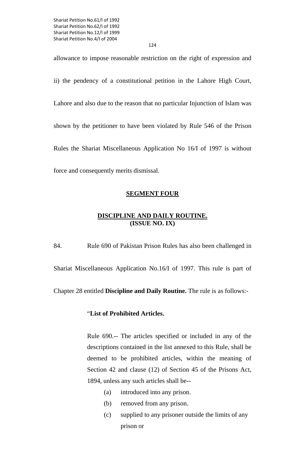124

allowance to impose reasonable restriction on the right of expression and

ii) the pendency of a constitutional petition in the Lahore High Court, Lahore and also due to the reason that no particular Injunction of Islam was shown by the petitioner to have been violated by Rule 546 of the Prison Rules the Shariat Miscellaneous Application No 16/I of 1997 is without force and consequently merits dismissal.

## **SEGMENT FOUR**

## **DISCIPLINE AND DAILY ROUTINE. (ISSUE NO. IX)**

84. Rule 690 of Pakistan Prison Rules has also been challenged in

Shariat Miscellaneous Application No.16/I of 1997. This rule is part of

Chapter 28 entitled **Discipline and Daily Routine.** The rule is as follows:-

### "**List of Prohibited Articles.**

Rule 690.-- The articles specified or included in any of the descriptions contained in the list annexed to this Rule, shall be deemed to be prohibited articles, within the meaning of Section 42 and clause (12) of Section 45 of the Prisons Act, 1894, unless any such articles shall be--

- (a) introduced into any prison.
- (b) removed from any prison.
- (c) supplied to any prisoner outside the limits of any prison or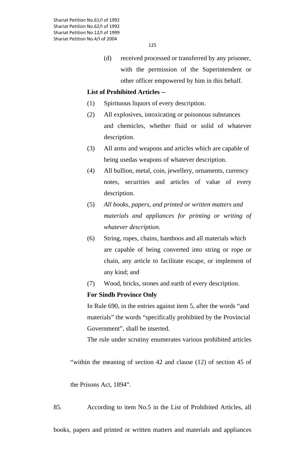125

 (d) received processed or transferred by any prisoner, with the permission of the Superintendent or other officer empowered by him in this behalf.

## **List of Prohibited Articles --**

- (1) Spirituous liquors of every description.
- (2) All explosives, intoxicating or poisonous substances and chemicles, whether fluid or solid of whatever description.
- (3) All arms and weapons and articles which are capable of being usedas weapons of whatever description.
- (4) All bullion, metal, coin, jewellery, ornaments, currency notes, securities and articles of value of every description.
- (5) *All books, papers, and printed or written matters and materials and appliances for printing or writing of whatever description.*
- (6) String, ropes, chains, bamboos and all materials which are capable of being converted into string or rope or chain, any article to facilitate escape, or implement of any kind; and
- (7) Wood, bricks, stones and earth of every description.

# **For Sindh Province Only**

In Rule 690, in the entries against item 5, after the words "and materials" the words "specifically prohibited by the Provincial Government", shall be inserted.

The rule under scrutiny enumerates various prohibited articles

"within the meaning of section 42 and clause (12) of section 45 of

the Prisons Act, 1894".

85. According to item No.5 in the List of Prohibited Articles, all

books, papers and printed or written matters and materials and appliances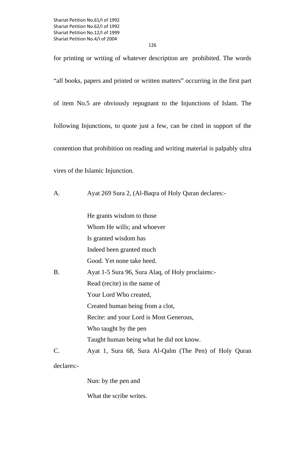126

for printing or writing of whatever description are prohibited. The words "all books, papers and printed or written matters" occurring in the first part of item No.5 are obviously repugnant to the Injunctions of Islam. The following Injunctions, to quote just a few, can be cited in support of the contention that prohibition on reading and writing material is palpably ultra vires of the Islamic Injunction.

A. Ayat 269 Sura 2, (Al-Baqra of Holy Quran declares:-

|                 | He grants wisdom to those                             |
|-----------------|-------------------------------------------------------|
|                 | Whom He wills; and whoever                            |
|                 | Is granted wisdom has                                 |
|                 | Indeed been granted much                              |
|                 | Good. Yet none take heed.                             |
| <b>B.</b>       | Ayat 1-5 Sura 96, Sura Alaq, of Holy proclaims:-      |
|                 | Read (recite) in the name of                          |
|                 | Your Lord Who created,                                |
|                 | Created human being from a clot,                      |
|                 | Recite: and your Lord is Most Generous,               |
|                 | Who taught by the pen                                 |
|                 | Taught human being what he did not know.              |
| $\mathcal{C}$ . | Ayat 1, Sura 68, Sura Al-Qalm (The Pen) of Holy Quran |
| declares:-      |                                                       |

Nun: by the pen and

What the scribe writes.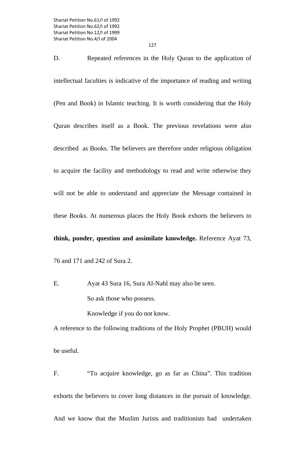D. Repeated references in the Holy Quran to the application of intellectual faculties is indicative of the importance of reading and writing (Pen and Book) in Islamic teaching. It is worth considering that the Holy Quran describes itself as a Book. The previous revelations were also described as Books. The believers are therefore under religious obligation to acquire the facility and methodology to read and write otherwise they will not be able to understand and appreciate the Message contained in these Books. At numerous places the Holy Book exhorts the believers to **think, ponder, question and assimilate knowledge.** Reference Ayat 73, 76 and 171 and 242 of Sura 2.

E. Ayat 43 Sura 16, Sura Al-Nahl may also be seen. So ask those who possess. Knowledge if you do not know.

A reference to the following traditions of the Holy Prophet (PBUH) would be useful.

F. "To acquire knowledge, go as far as China". This tradition exhorts the believers to cover long distances in the pursuit of knowledge. And we know that the Muslim Jurists and traditionists had undertaken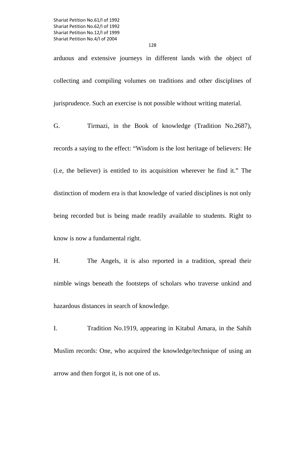128

arduous and extensive journeys in different lands with the object of collecting and compiling volumes on traditions and other disciplines of jurisprudence. Such an exercise is not possible without writing material.

G. Tirmazi, in the Book of knowledge (Tradition No.2687), records a saying to the effect: "Wisdom is the lost heritage of believers: He (i.e, the believer) is entitled to its acquisition wherever he find it." The distinction of modern era is that knowledge of varied disciplines is not only being recorded but is being made readily available to students. Right to know is now a fundamental right.

H. The Angels, it is also reported in a tradition, spread their nimble wings beneath the footsteps of scholars who traverse unkind and hazardous distances in search of knowledge.

I. Tradition No.1919, appearing in Kitabul Amara, in the Sahih Muslim records: One, who acquired the knowledge/technique of using an arrow and then forgot it, is not one of us.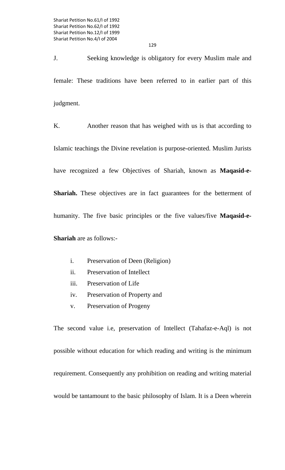J. Seeking knowledge is obligatory for every Muslim male and female: These traditions have been referred to in earlier part of this judgment.

K. Another reason that has weighed with us is that according to Islamic teachings the Divine revelation is purpose-oriented. Muslim Jurists have recognized a few Objectives of Shariah, known as **Maqasid-e-Shariah.** These objectives are in fact guarantees for the betterment of humanity. The five basic principles or the five values/five **Maqasid-e-Shariah** are as follows:-

- i. Preservation of Deen (Religion)
- ii. Preservation of Intellect
- iii. Preservation of Life
- iv. Preservation of Property and
- v. Preservation of Progeny

The second value i.e, preservation of Intellect (Tahafaz-e-Aql) is not possible without education for which reading and writing is the minimum requirement. Consequently any prohibition on reading and writing material would be tantamount to the basic philosophy of Islam. It is a Deen wherein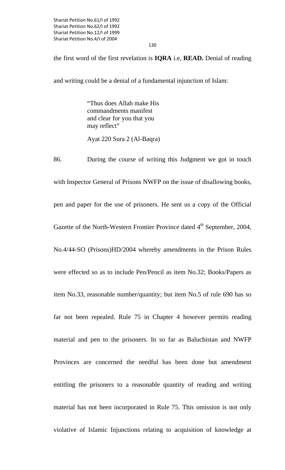130

the first word of the first revelation is **IQRA** i.e, **READ.** Denial of reading

and writing could be a denial of a fundamental injunction of Islam:

 "Thus does Allah make His commandments manifest and clear for you that you may reflect"

Ayat 220 Sura 2 (Al-Baqra)

86. During the course of writing this Judgment we got in touch with Inspector General of Prisons NWFP on the issue of disallowing books, pen and paper for the use of prisoners. He sent us a copy of the Official Gazette of the North-Western Frontier Province dated  $4<sup>th</sup>$  September, 2004, No.4/44-SO (Prisons)HD/2004 whereby amendments in the Prison Rules were effected so as to include Pen/Pencil as item No.32; Books/Papers as item No.33, reasonable number/quantity; but item No.5 of rule 690 has so far not been repealed. Rule 75 in Chapter 4 however permits reading material and pen to the prisoners. In so far as Baluchistan and NWFP Provinces are concerned the needful has been done but amendment entitling the prisoners to a reasonable quantity of reading and writing material has not been incorporated in Rule 75. This omission is not only violative of Islamic Injunctions relating to acquisition of knowledge at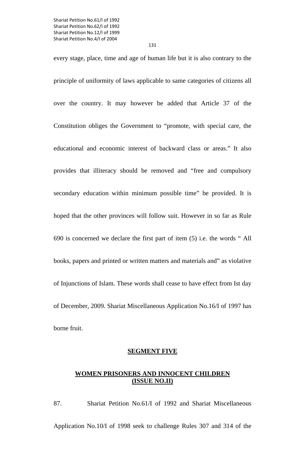131

every stage, place, time and age of human life but it is also contrary to the principle of uniformity of laws applicable to same categories of citizens all over the country. It may however be added that Article 37 of the Constitution obliges the Government to "promote, with special care, the educational and economic interest of backward class or areas." It also provides that illiteracy should be removed and "free and compulsory secondary education within minimum possible time" be provided. It is hoped that the other provinces will follow suit. However in so far as Rule 690 is concerned we declare the first part of item (5) i.e. the words " All books, papers and printed or written matters and materials and" as violative of Injunctions of Islam. These words shall cease to have effect from Ist day of December, 2009. Shariat Miscellaneous Application No.16/I of 1997 has borne fruit.

#### **SEGMENT FIVE**

## **WOMEN PRISONERS AND INNOCENT CHILDREN (ISSUE NO.II)**

87.Shariat Petition No.61/I of 1992 and Shariat Miscellaneous Application No.10/I of 1998 seek to challenge Rules 307 and 314 of the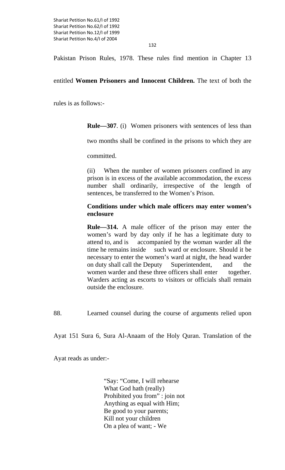132

Pakistan Prison Rules, 1978. These rules find mention in Chapter 13

### entitled **Women Prisoners and Innocent Children.** The text of both the

rules is as follows:-

**Rule—307**. (i) Women prisoners with sentences of less than

two months shall be confined in the prisons to which they are

committed.

(ii) When the number of women prisoners confined in any prison is in excess of the available accommodation, the excess number shall ordinarily, irrespective of the length of sentences, be transferred to the Women's Prison.

### **Conditions under which male officers may enter women's enclosure**

**Rule—314.** A male officer of the prison may enter the women's ward by day only if he has a legitimate duty to attend to, and is accompanied by the woman warder all the time he remains inside such ward or enclosure. Should it be necessary to enter the women's ward at night, the head warder on duty shall call the Deputy Superintendent, and the women warder and these three officers shall enter together. Warders acting as escorts to visitors or officials shall remain outside the enclosure.

88. Learned counsel during the course of arguments relied upon

Ayat 151 Sura 6, Sura Al-Anaam of the Holy Quran. Translation of the

Ayat reads as under:-

 "Say: "Come, I will rehearse What God hath (really) Prohibited you from" : join not Anything as equal with Him; Be good to your parents; Kill not your children On a plea of want; - We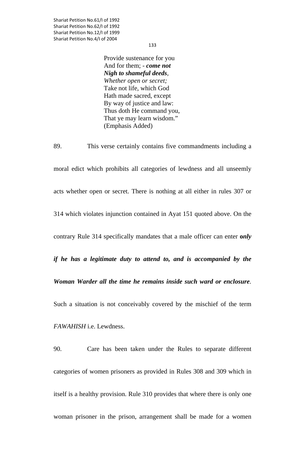133

Provide sustenance for you And for them; - *come not Nigh to shameful deeds, Whether open or secret;*  Take not life, which God Hath made sacred, except By way of justice and law: Thus doth He command you, That ye may learn wisdom." (Emphasis Added)

89. This verse certainly contains five commandments including a moral edict which prohibits all categories of lewdness and all unseemly acts whether open or secret. There is nothing at all either in rules 307 or 314 which violates injunction contained in Ayat 151 quoted above. On the contrary Rule 314 specifically mandates that a male officer can enter **o***nly if he has a legitimate duty to attend to, and is accompanied by the Woman Warder all the time he remains inside such ward or enclosure.* Such a situation is not conceivably covered by the mischief of the term *FAWAHISH* i.e. Lewdness.

90. Care has been taken under the Rules to separate different categories of women prisoners as provided in Rules 308 and 309 which in itself is a healthy provision. Rule 310 provides that where there is only one woman prisoner in the prison, arrangement shall be made for a women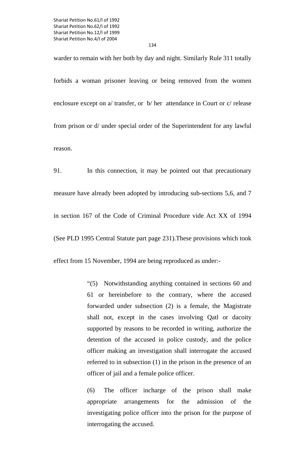warder to remain with her both by day and night. Similarly Rule 311 totally forbids a woman prisoner leaving or being removed from the women enclosure except on a/ transfer, or b/ her attendance in Court or c/ release from prison or d/ under special order of the Superintendent for any lawful reason.

91. In this connection, it may be pointed out that precautionary measure have already been adopted by introducing sub-sections 5,6, and 7 in section 167 of the Code of Criminal Procedure vide Act XX of 1994 (See PLD 1995 Central Statute part page 231).These provisions which took

effect from 15 November, 1994 are being reproduced as under:-

"(5) Notwithstanding anything contained in sections 60 and 61 or hereinbefore to the contrary, where the accused forwarded under subsection (2) is a female, the Magistrate shall not, except in the cases involving Qatl or dacoity supported by reasons to be recorded in writing, authorize the detention of the accused in police custody, and the police officer making an investigation shall interrogate the accused referred to in subsection (1) in the prison in the presence of an officer of jail and a female police officer.

(6) The officer incharge of the prison shall make appropriate arrangements for the admission of the investigating police officer into the prison for the purpose of interrogating the accused.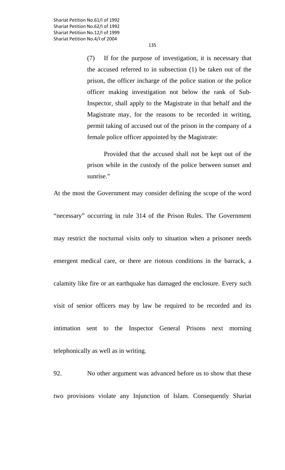(7) If for the purpose of investigation, it is necessary that the accused referred to in subsection (1) be taken out of the prison, the officer incharge of the police station or the police officer making investigation not below the rank of Sub-Inspector, shall apply to the Magistrate in that behalf and the Magistrate may, for the reasons to be recorded in writing, permit taking of accused out of the prison in the company of a female police officer appointed by the Magistrate:

 Provided that the accused shall not be kept out of the prison while in the custody of the police between sunset and sunrise."

At the most the Government may consider defining the scope of the word

"necessary" occurring in rule 314 of the Prison Rules. The Government

may restrict the nocturnal visits only to situation when a prisoner needs

emergent medical care, or there are riotous conditions in the barrack, a

calamity like fire or an earthquake has damaged the enclosure. Every such

visit of senior officers may by law be required to be recorded and its

intimation sent to the Inspector General Prisons next morning telephonically as well as in writing.

92. No other argument was advanced before us to show that these two provisions violate any Injunction of Islam. Consequently Shariat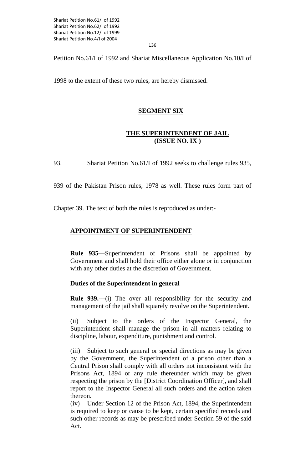136

Petition No.61/I of 1992 and Shariat Miscellaneous Application No.10/I of

1998 to the extent of these two rules, are hereby dismissed.

## **SEGMENT SIX**

## **THE SUPERINTENDENT OF JAIL (ISSUE NO. IX )**

93. Shariat Petition No.61/I of 1992 seeks to challenge rules 935,

939 of the Pakistan Prison rules, 1978 as well. These rules form part of

Chapter 39. The text of both the rules is reproduced as under:-

## **APPOINTMENT OF SUPERINTENDENT**

 **Rule 935—**Superintendent of Prisons shall be appointed by Government and shall hold their office either alone or in conjunction with any other duties at the discretion of Government.

### **Duties of the Superintendent in general**

 **Rule 939.---**(i) The over all responsibility for the security and management of the jail shall squarely revolve on the Superintendent.

 (ii) Subject to the orders of the Inspector General, the Superintendent shall manage the prison in all matters relating to discipline, labour, expenditure, punishment and control.

 (iii) Subject to such general or special directions as may be given by the Government, the Superintendent of a prison other than a Central Prison shall comply with all orders not inconsistent with the Prisons Act, 1894 or any rule thereunder which may be given respecting the prison by the [District Coordination Officer], and shall report to the Inspector General all such orders and the action taken thereon.

(iv) Under Section 12 of the Prison Act, 1894, the Superintendent is required to keep or cause to be kept, certain specified records and such other records as may be prescribed under Section 59 of the said Act.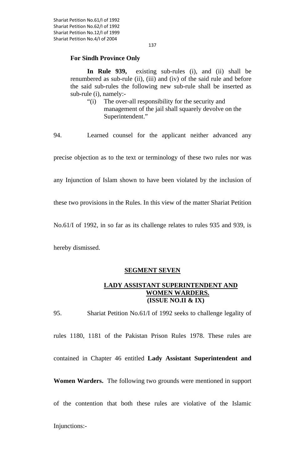#### 137

#### **For Sindh Province Only**

 **In Rule 939,** existing sub-rules (i), and (ii) shall be renumbered as sub-rule (ii), (iii) and (iv) of the said rule and before the said sub-rules the following new sub-rule shall be inserted as sub-rule (i), namely:-

- "(i) The over-all responsibility for the security and management of the jail shall squarely devolve on the Superintendent."
- 94. Learned counsel for the applicant neither advanced any

precise objection as to the text or terminology of these two rules nor was

any Injunction of Islam shown to have been violated by the inclusion of

these two provisions in the Rules. In this view of the matter Shariat Petition

No.61/I of 1992, in so far as its challenge relates to rules 935 and 939, is

hereby dismissed.

#### **SEGMENT SEVEN**

### **LADY ASSISTANT SUPERINTENDENT AND WOMEN WARDERS. (ISSUE NO.II & IX)**

95.Shariat Petition No.61/I of 1992 seeks to challenge legality of rules 1180, 1181 of the Pakistan Prison Rules 1978. These rules are contained in Chapter 46 entitled **Lady Assistant Superintendent and Women Warders.** The following two grounds were mentioned in support of the contention that both these rules are violative of the Islamic Injunctions:-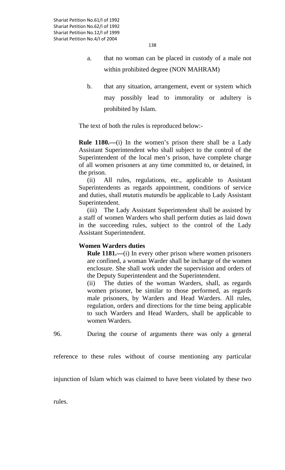- 138
- a. that no woman can be placed in custody of a male not within prohibited degree (NON MAHRAM)
- b. that any situation, arrangement, event or system which may possibly lead to immorality or adultery is prohibited by Islam.

The text of both the rules is reproduced below:-

 **Rule 1180.—**(i) In the women's prison there shall be a Lady Assistant Superintendent who shall subject to the control of the Superintendent of the local men's prison, have complete charge of all women prisoners at any time committed to, or detained, in the prison.

(ii) All rules, regulations, etc., applicable to Assistant Superintendents as regards appointment, conditions of service and duties, shall *mutatis mutandis* be applicable to Lady Assistant Superintendent.

(iii) The Lady Assistant Superintendent shall be assisted by a staff of women Warders who shall perform duties as laid down in the succeeding rules, subject to the control of the Lady Assistant Superintendent.

# **Women Warders duties**

**Rule 1181.—**(i) In every other prison where women prisoners are confined, a woman Warder shall be incharge of the women enclosure. She shall work under the supervision and orders of the Deputy Superintendent and the Superintendent.

(ii) The duties of the woman Warders, shall, as regards women prisoner, be similar to those performed, as regards male prisoners, by Warders and Head Warders. All rules, regulation, orders and directions for the time being applicable to such Warders and Head Warders, shall be applicable to women Warders.

96. During the course of arguments there was only a general

reference to these rules without of course mentioning any particular

injunction of Islam which was claimed to have been violated by these two

rules.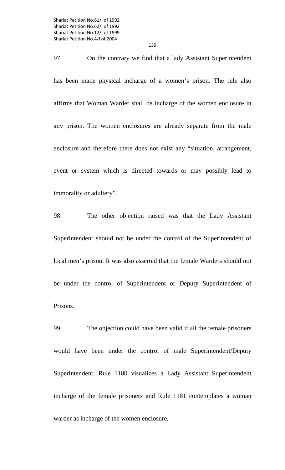97. On the contrary we find that a lady Assistant Superintendent has been made physical incharge of a women's prison. The rule also affirms that Woman Warder shall be incharge of the women enclosure in any prison. The women enclosures are already separate from the male enclosure and therefore there does not exist any "situation, arrangement, event or system which is directed towards or may possibly lead to immorality or adultery".

98. The other objection raised was that the Lady Assistant Superintendent should not be under the control of the Superintendent of local men's prison. It was also asserted that the female Warders should not be under the control of Superintendent or Deputy Superintendent of Prisons.

99. The objection could have been valid if all the female prisoners would have been under the control of male Superintendent/Deputy Superintendent. Rule 1180 visualizes a Lady Assistant Superintendent incharge of the female prisoners and Rule 1181 contemplates a woman warder as incharge of the women enclosure.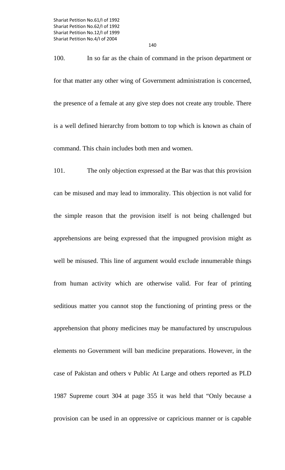100. In so far as the chain of command in the prison department or for that matter any other wing of Government administration is concerned, the presence of a female at any give step does not create any trouble. There is a well defined hierarchy from bottom to top which is known as chain of

command. This chain includes both men and women.

101. The only objection expressed at the Bar was that this provision can be misused and may lead to immorality. This objection is not valid for the simple reason that the provision itself is not being challenged but apprehensions are being expressed that the impugned provision might as well be misused. This line of argument would exclude innumerable things from human activity which are otherwise valid. For fear of printing seditious matter you cannot stop the functioning of printing press or the apprehension that phony medicines may be manufactured by unscrupulous elements no Government will ban medicine preparations. However, in the case of Pakistan and others v Public At Large and others reported as PLD 1987 Supreme court 304 at page 355 it was held that "Only because a provision can be used in an oppressive or capricious manner or is capable

140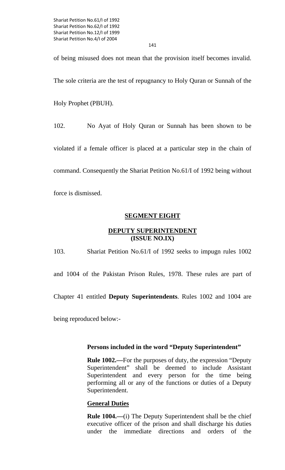141

of being misused does not mean that the provision itself becomes invalid.

The sole criteria are the test of repugnancy to Holy Quran or Sunnah of the

Holy Prophet (PBUH).

102. No Ayat of Holy Quran or Sunnah has been shown to be

violated if a female officer is placed at a particular step in the chain of

command. Consequently the Shariat Petition No.61/I of 1992 being without

force is dismissed.

## **SEGMENT EIGHT**

## **DEPUTY SUPERINTENDENT (ISSUE NO.IX)**

103. Shariat Petition No.61/I of 1992 seeks to impugn rules 1002

and 1004 of the Pakistan Prison Rules, 1978. These rules are part of

Chapter 41 entitled **Deputy Superintendents**. Rules 1002 and 1004 are

being reproduced below:-

## **Persons included in the word "Deputy Superintendent"**

**Rule 1002.—**For the purposes of duty, the expression "Deputy Superintendent" shall be deemed to include Assistant Superintendent and every person for the time being performing all or any of the functions or duties of a Deputy Superintendent.

## **General Duties**

**Rule 1004.—**(i) The Deputy Superintendent shall be the chief executive officer of the prison and shall discharge his duties under the immediate directions and orders of the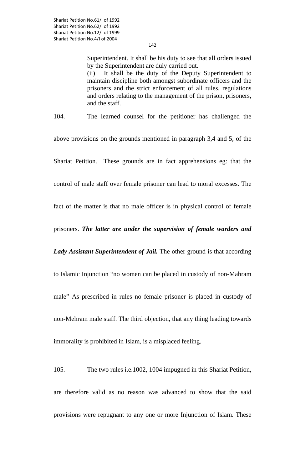Superintendent. It shall be his duty to see that all orders issued by the Superintendent are duly carried out. (ii) It shall be the duty of the Deputy Superintendent to maintain discipline both amongst subordinate officers and the prisoners and the strict enforcement of all rules, regulations and orders relating to the management of the prison, prisoners, and the staff.

104. The learned counsel for the petitioner has challenged the

above provisions on the grounds mentioned in paragraph 3,4 and 5, of the

Shariat Petition. These grounds are in fact apprehensions eg: that the

control of male staff over female prisoner can lead to moral excesses. The

fact of the matter is that no male officer is in physical control of female

prisoners. *The latter are under the supervision of female warders and* 

*Lady Assistant Superintendent of Jail.* The other ground is that according

to Islamic Injunction "no women can be placed in custody of non-Mahram male" As prescribed in rules no female prisoner is placed in custody of non-Mehram male staff. The third objection, that any thing leading towards immorality is prohibited in Islam, is a misplaced feeling.

105. The two rules i.e.1002, 1004 impugned in this Shariat Petition, are therefore valid as no reason was advanced to show that the said provisions were repugnant to any one or more Injunction of Islam. These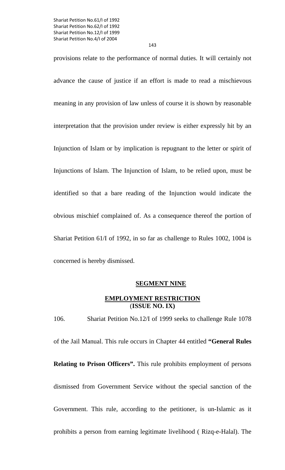143

provisions relate to the performance of normal duties. It will certainly not advance the cause of justice if an effort is made to read a mischievous meaning in any provision of law unless of course it is shown by reasonable interpretation that the provision under review is either expressly hit by an Injunction of Islam or by implication is repugnant to the letter or spirit of Injunctions of Islam. The Injunction of Islam, to be relied upon, must be identified so that a bare reading of the Injunction would indicate the obvious mischief complained of. As a consequence thereof the portion of Shariat Petition 61/I of 1992, in so far as challenge to Rules 1002, 1004 is concerned is hereby dismissed.

#### **SEGMENT NINE**

## **EMPLOYMENT RESTRICTION** (**ISSUE NO. IX)**

106. Shariat Petition No.12/I of 1999 seeks to challenge Rule 1078 of the Jail Manual. This rule occurs in Chapter 44 entitled **"General Rules Relating to Prison Officers".** This rule prohibits employment of persons dismissed from Government Service without the special sanction of the Government. This rule, according to the petitioner, is un-Islamic as it prohibits a person from earning legitimate livelihood ( Rizq-e-Halal). The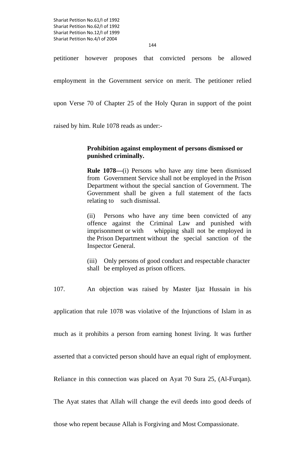144

petitioner however proposes that convicted persons be allowed

employment in the Government service on merit. The petitioner relied

upon Verse 70 of Chapter 25 of the Holy Quran in support of the point

raised by him. Rule 1078 reads as under:-

### **Prohibition against employment of persons dismissed or punished criminally.**

**Rule 1078—**(i) Persons who have any time been dismissed from Government Service shall not be employed in the Prison Department without the special sanction of Government. The Government shall be given a full statement of the facts relating to such dismissal.

(ii) Persons who have any time been convicted of any offence against the Criminal Law and punished with imprisonment or with whipping shall not be employed in the Prison Department without the special sanction of the Inspector General.

(iii) Only persons of good conduct and respectable character shall be employed as prison officers.

107. An objection was raised by Master Ijaz Hussain in his

application that rule 1078 was violative of the Injunctions of Islam in as

much as it prohibits a person from earning honest living. It was further

asserted that a convicted person should have an equal right of employment.

Reliance in this connection was placed on Ayat 70 Sura 25, (Al-Furqan).

The Ayat states that Allah will change the evil deeds into good deeds of

those who repent because Allah is Forgiving and Most Compassionate.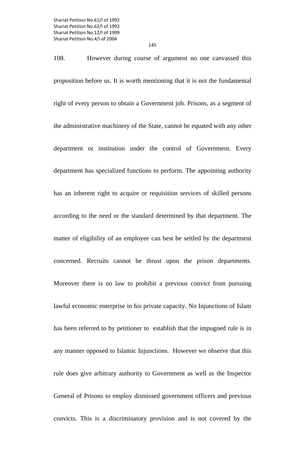108. However during course of argument no one canvassed this proposition before us. It is worth mentioning that it is not the fundamental right of every person to obtain a Government job. Prisons, as a segment of the administrative machinery of the State, cannot be equated with any other department or institution under the control of Government. Every department has specialized functions to perform. The appointing authority has an inherent right to acquire or requisition services of skilled persons according to the need or the standard determined by that department. The matter of eligibility of an employee can best be settled by the department concerned. Recruits cannot be thrust upon the prison departments. Moreover there is no law to prohibit a previous convict from pursuing lawful economic enterprise in his private capacity. No Injunctions of Islam has been referred to by petitioner to establish that the impugned rule is in any manner opposed to Islamic Injunctions. However we observe that this rule does give arbitrary authority to Government as well as the Inspector General of Prisons to employ dismissed government officers and previous convicts. This is a discriminatory provision and is not covered by the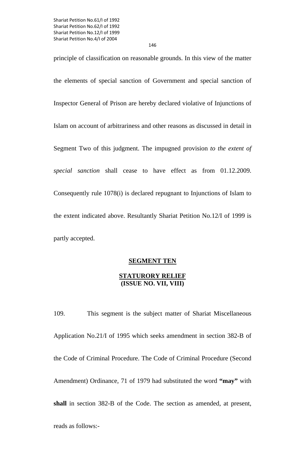146

principle of classification on reasonable grounds. In this view of the matter the elements of special sanction of Government and special sanction of Inspector General of Prison are hereby declared violative of Injunctions of Islam on account of arbitrariness and other reasons as discussed in detail in Segment Two of this judgment. The impugned provision *to the extent of special sanction* shall cease to have effect as from 01.12.2009. Consequently rule 1078(i) is declared repugnant to Injunctions of Islam to the extent indicated above. Resultantly Shariat Petition No.12/I of 1999 is partly accepted.

### **SEGMENT TEN**

## **STATURORY RELIEF (ISSUE NO. VII, VIII)**

109. This segment is the subject matter of Shariat Miscellaneous Application No.21/I of 1995 which seeks amendment in section 382-B of the Code of Criminal Procedure. The Code of Criminal Procedure (Second Amendment) Ordinance, 71 of 1979 had substituted the word **"may"** with **shall** in section 382-B of the Code. The section as amended, at present, reads as follows:-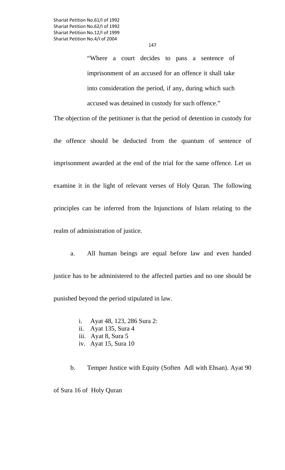147

"Where a court decides to pass a sentence of imprisonment of an accused for an offence it shall take into consideration the period, if any, during which such accused was detained in custody for such offence."

The objection of the petitioner is that the period of detention in custody for

the offence should be deducted from the quantum of sentence of imprisonment awarded at the end of the trial for the same offence. Let us examine it in the light of relevant verses of Holy Quran. The following principles can be inferred from the Injunctions of Islam relating to the realm of administration of justice.

 a. All human beings are equal before law and even handed justice has to be administered to the affected parties and no one should be punished beyond the period stipulated in law.

- i. Ayat 48, 123, 286 Sura 2:
- ii. Ayat 135, Sura 4
- iii. Ayat 8, Sura 5
- iv. Ayat 15, Sura 10

b. Temper Justice with Equity (Soften Adl with Ehsan). Ayat 90

of Sura 16 of Holy Quran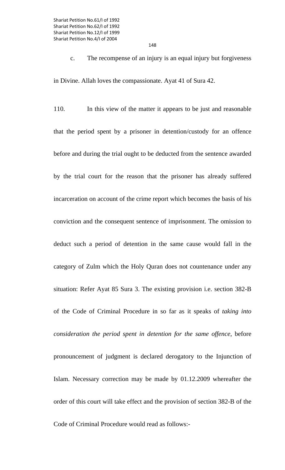148

c. The recompense of an injury is an equal injury but forgiveness

in Divine. Allah loves the compassionate. Ayat 41 of Sura 42.

110. In this view of the matter it appears to be just and reasonable that the period spent by a prisoner in detention/custody for an offence before and during the trial ought to be deducted from the sentence awarded by the trial court for the reason that the prisoner has already suffered incarceration on account of the crime report which becomes the basis of his conviction and the consequent sentence of imprisonment. The omission to deduct such a period of detention in the same cause would fall in the category of Zulm which the Holy Quran does not countenance under any situation: Refer Ayat 85 Sura 3. The existing provision i.e. section 382-B of the Code of Criminal Procedure in so far as it speaks of *taking into consideration the period spent in detention for the same offence,* before pronouncement of judgment is declared derogatory to the Injunction of Islam. Necessary correction may be made by 01.12.2009 whereafter the order of this court will take effect and the provision of section 382-B of the Code of Criminal Procedure would read as follows:-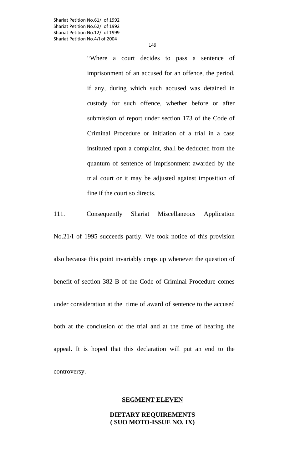> "Where a court decides to pass a sentence of imprisonment of an accused for an offence, the period, if any, during which such accused was detained in custody for such offence, whether before or after submission of report under section 173 of the Code of Criminal Procedure or initiation of a trial in a case instituted upon a complaint, shall be deducted from the quantum of sentence of imprisonment awarded by the trial court or it may be adjusted against imposition of fine if the court so directs.

111. Consequently Shariat Miscellaneous Application No.21/I of 1995 succeeds partly. We took notice of this provision also because this point invariably crops up whenever the question of benefit of section 382 B of the Code of Criminal Procedure comes under consideration at the time of award of sentence to the accused both at the conclusion of the trial and at the time of hearing the appeal. It is hoped that this declaration will put an end to the controversy.

#### **SEGMENT ELEVEN**

# **DIETARY REQUIREMENTS ( SUO MOTO-ISSUE NO. IX)**

149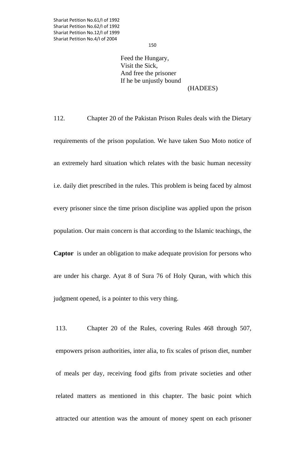Feed the Hungary, Visit the Sick, And free the prisoner If he be unjustly bound

### (HADEES)

112. Chapter 20 of the Pakistan Prison Rules deals with the Dietary requirements of the prison population. We have taken Suo Moto notice of an extremely hard situation which relates with the basic human necessity i.e. daily diet prescribed in the rules. This problem is being faced by almost every prisoner since the time prison discipline was applied upon the prison population. Our main concern is that according to the Islamic teachings, the **Captor** is under an obligation to make adequate provision for persons who are under his charge. Ayat 8 of Sura 76 of Holy Quran, with which this judgment opened, is a pointer to this very thing.

113. Chapter 20 of the Rules, covering Rules 468 through 507, empowers prison authorities, inter alia, to fix scales of prison diet, number of meals per day, receiving food gifts from private societies and other related matters as mentioned in this chapter. The basic point which attracted our attention was the amount of money spent on each prisoner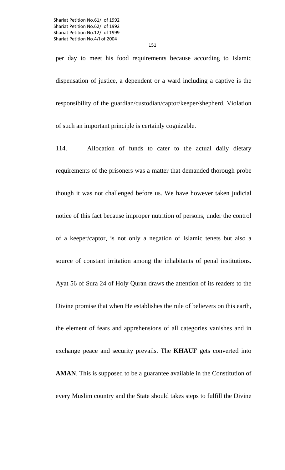per day to meet his food requirements because according to Islamic dispensation of justice, a dependent or a ward including a captive is the responsibility of the guardian/custodian/captor/keeper/shepherd. Violation of such an important principle is certainly cognizable.

114. Allocation of funds to cater to the actual daily dietary requirements of the prisoners was a matter that demanded thorough probe though it was not challenged before us. We have however taken judicial notice of this fact because improper nutrition of persons, under the control of a keeper/captor, is not only a negation of Islamic tenets but also a source of constant irritation among the inhabitants of penal institutions. Ayat 56 of Sura 24 of Holy Quran draws the attention of its readers to the Divine promise that when He establishes the rule of believers on this earth, the element of fears and apprehensions of all categories vanishes and in exchange peace and security prevails. The **KHAUF** gets converted into **AMAN**. This is supposed to be a guarantee available in the Constitution of every Muslim country and the State should takes steps to fulfill the Divine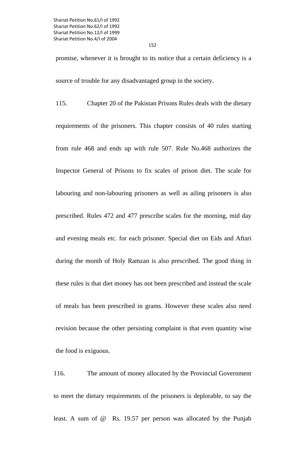promise, whenever it is brought to its notice that a certain deficiency is a source of trouble for any disadvantaged group in the society.

115. Chapter 20 of the Pakistan Prisons Rules deals with the dietary requirements of the prisoners. This chapter consists of 40 rules starting from rule 468 and ends up with rule 507. Rule No.468 authorizes the Inspector General of Prisons to fix scales of prison diet. The scale for labouring and non-labouring prisoners as well as ailing prisoners is also prescribed. Rules 472 and 477 prescribe scales for the morning, mid day and evening meals etc. for each prisoner. Special diet on Eids and Aftari during the month of Holy Ramzan is also prescribed. The good thing in these rules is that diet money has not been prescribed and instead the scale of meals has been prescribed in grams. However these scales also need revision because the other persisting complaint is that even quantity wise the food is exiguous.

116. The amount of money allocated by the Provincial Government to meet the dietary requirements of the prisoners is deplorable, to say the least. A sum of @ Rs. 19.57 per person was allocated by the Punjab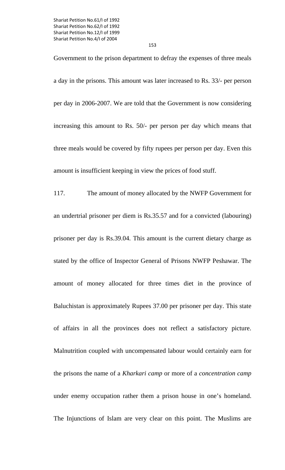153

Government to the prison department to defray the expenses of three meals a day in the prisons. This amount was later increased to Rs. 33/- per person per day in 2006-2007. We are told that the Government is now considering increasing this amount to Rs. 50/- per person per day which means that three meals would be covered by fifty rupees per person per day. Even this amount is insufficient keeping in view the prices of food stuff.

117. The amount of money allocated by the NWFP Government for an undertrial prisoner per diem is Rs.35.57 and for a convicted (labouring) prisoner per day is Rs.39.04. This amount is the current dietary charge as stated by the office of Inspector General of Prisons NWFP Peshawar. The amount of money allocated for three times diet in the province of Baluchistan is approximately Rupees 37.00 per prisoner per day. This state of affairs in all the provinces does not reflect a satisfactory picture. Malnutrition coupled with uncompensated labour would certainly earn for the prisons the name of a *Kharkari camp* or more of a *concentration camp* under enemy occupation rather them a prison house in one's homeland. The Injunctions of Islam are very clear on this point. The Muslims are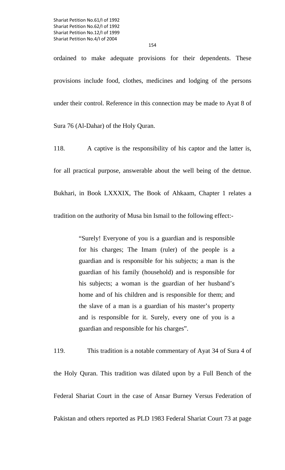ordained to make adequate provisions for their dependents. These provisions include food, clothes, medicines and lodging of the persons under their control. Reference in this connection may be made to Ayat 8 of Sura 76 (Al-Dahar) of the Holy Quran.

118. A captive is the responsibility of his captor and the latter is, for all practical purpose, answerable about the well being of the detnue. Bukhari, in Book LXXXIX, The Book of Ahkaam, Chapter 1 relates a tradition on the authority of Musa bin Ismail to the following effect:-

> "Surely! Everyone of you is a guardian and is responsible for his charges; The Imam (ruler) of the people is a guardian and is responsible for his subjects; a man is the guardian of his family (household) and is responsible for his subjects; a woman is the guardian of her husband's home and of his children and is responsible for them; and the slave of a man is a guardian of his master's property and is responsible for it. Surely, every one of you is a guardian and responsible for his charges".

119. This tradition is a notable commentary of Ayat 34 of Sura 4 of the Holy Quran. This tradition was dilated upon by a Full Bench of the Federal Shariat Court in the case of Ansar Burney Versus Federation of Pakistan and others reported as PLD 1983 Federal Shariat Court 73 at page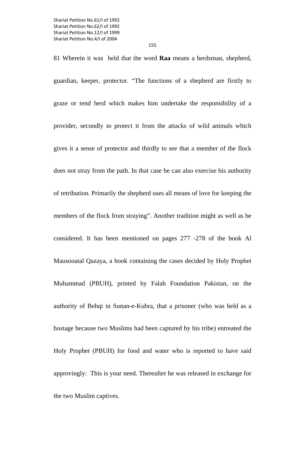155

81 Wherein it was held that the word **Raa** means a herdsman, shepherd, guardian, keeper, protector. "The functions of a shepherd are firstly to graze or tend herd which makes him undertake the responsibility of a provider, secondly to protect it from the attacks of wild animals which gives it a sense of protector and thirdly to see that a member of the flock does not stray from the path. In that case he can also exercise his authority of retribution. Primarily the shepherd uses all means of love for keeping the members of the flock from straying". Another tradition might as well as be considered. It has been mentioned on pages 277 -278 of the book Al Mausooatal Qazaya, a book containing the cases decided by Holy Prophet Muhammad (PBUH), printed by Falah Foundation Pakistan, on the authority of Behqi in Sunan-e-Kubra, that a prisoner (who was held as a hostage because two Muslims had been captured by his tribe) entreated the Holy Prophet (PBUH) for food and water who is reported to have said approvingly: This is your need. Thereafter he was released in exchange for the two Muslim captives.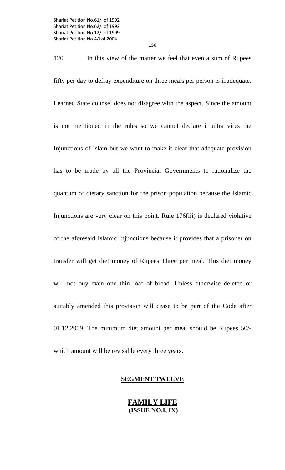120. In this view of the matter we feel that even a sum of Rupees fifty per day to defray expenditure on three meals per person is inadequate. Learned State counsel does not disagree with the aspect. Since the amount is not mentioned in the rules so we cannot declare it ultra vires the Injunctions of Islam but we want to make it clear that adequate provision has to be made by all the Provincial Governments to rationalize the quantum of dietary sanction for the prison population because the Islamic Injunctions are very clear on this point. Rule 176(iii) is declared violative of the aforesaid Islamic Injunctions because it provides that a prisoner on transfer will get diet money of Rupees Three per meal. This diet money will not buy even one thin loaf of bread. Unless otherwise deleted or suitably amended this provision will cease to be part of the Code after 01.12.2009. The minimum diet amount per meal should be Rupees 50/ which amount will be revisable every three years.

#### **SEGMENT TWELVE**

**FAMILY LIFE (ISSUE NO.I, IX)**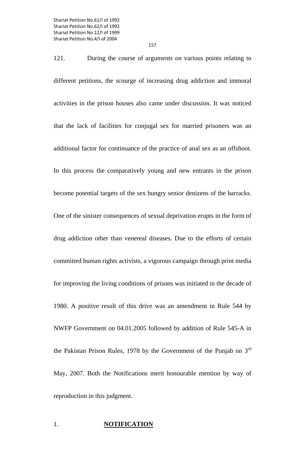121. During the course of arguments on various points relating to different petitions, the scourge of increasing drug addiction and immoral activities in the prison houses also came under discussion. It was noticed that the lack of facilities for conjugal sex for married prisoners was an additional factor for continuance of the practice of anal sex as an offshoot. In this process the comparatively young and new entrants in the prison become potential targets of the sex hungry senior denizens of the barracks. One of the sinister consequences of sexual deprivation erupts in the form of drug addiction other than venereal diseases. Due to the efforts of certain committed human rights activists, a vigorous campaign through print media for improving the living conditions of prisons was initiated in the decade of 1980. A positive result of this drive was an amendment in Rule 544 by NWFP Government on 04.01.2005 followed by addition of Rule 545-A in the Pakistan Prison Rules, 1978 by the Government of the Punjab on 3rd May, 2007. Both the Notifications merit honourable mention by way of reproduction in this judgment.

# 1. **NOTIFICATION**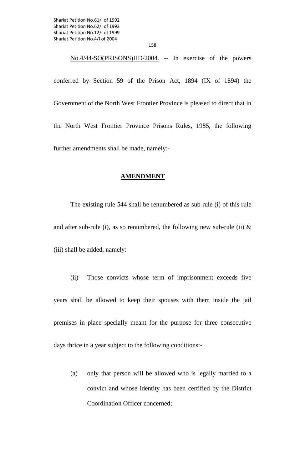158

#### No.4/44-SO(PRISONS)HD/2004. -- In exercise of the powers

conferred by Section 59 of the Prison Act, 1894 (IX of 1894) the Government of the North West Frontier Province is pleased to direct that in the North West Frontier Province Prisons Rules, 1985, the following further amendments shall be made, namely:-

#### **AMENDMENT**

 The existing rule 544 shall be renumbered as sub rule (i) of this rule and after sub-rule (i), as so renumbered, the following new sub-rule (ii)  $\&$ (iii) shall be added, namely:

 (ii) Those convicts whose term of imprisonment exceeds five years shall be allowed to keep their spouses with them inside the jail premises in place specially meant for the purpose for three consecutive days thrice in a year subject to the following conditions:-

(a) only that person will be allowed who is legally married to a convict and whose identity has been certified by the District Coordination Officer concerned;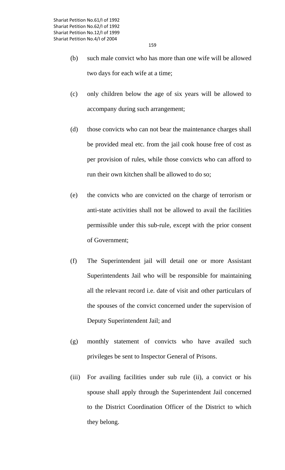- (b) such male convict who has more than one wife will be allowed two days for each wife at a time;
- (c) only children below the age of six years will be allowed to accompany during such arrangement;
- (d) those convicts who can not bear the maintenance charges shall be provided meal etc. from the jail cook house free of cost as per provision of rules, while those convicts who can afford to run their own kitchen shall be allowed to do so;
- (e) the convicts who are convicted on the charge of terrorism or anti-state activities shall not be allowed to avail the facilities permissible under this sub-rule, except with the prior consent of Government;
- (f) The Superintendent jail will detail one or more Assistant Superintendents Jail who will be responsible for maintaining all the relevant record i.e. date of visit and other particulars of the spouses of the convict concerned under the supervision of Deputy Superintendent Jail; and
- (g) monthly statement of convicts who have availed such privileges be sent to Inspector General of Prisons.
- (iii) For availing facilities under sub rule (ii), a convict or his spouse shall apply through the Superintendent Jail concerned to the District Coordination Officer of the District to which they belong.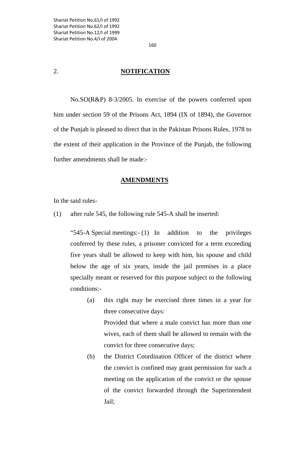# 2. **NOTIFICATION**

 No.SO(R&P) 8-3/2005. In exercise of the powers conferred upon him under section 59 of the Prisons Act, 1894 (IX of 1894), the Governor of the Punjab is pleased to direct that in the Pakistan Prisons Rules, 1978 to the extent of their application in the Province of the Punjab, the following further amendments shall be made:-

### **AMENDMENTS**

In the said rules-

(1) after rule 545, the following rule 545-A shall be inserted:

"545-A Special meetings:- (1) In addition to the privileges conferred by these rules, a prisoner convicted for a term exceeding five years shall be allowed to keep with him, his spouse and child below the age of six years, inside the jail premises in a place specially meant or reserved for this purpose subject to the following conditions:-

- (a) this right may be exercised three times in a year for three consecutive days: Provided that where a male convict has more than one wives, each of them shall be allowed to remain with the convict for three consecutive days;
- (b) the District Coordination Officer of the district where the convict is confined may grant permission for such a meeting on the application of the convict or the spouse of the convict forwarded through the Superintendent Jail;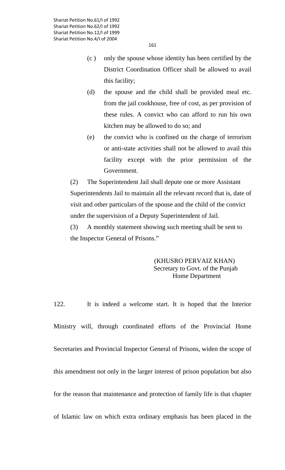- (c ) only the spouse whose identity has been certified by the District Coordination Officer shall be allowed to avail this facility;
- (d) the spouse and the child shall be provided meal etc. from the jail cookhouse, free of cost, as per provision of these rules. A convict who can afford to run his own kitchen may be allowed to do so; and
- (e) the convict who is confined on the charge of terrorism or anti-state activities shall not be allowed to avail this facility except with the prior permission of the Government.

(2) The Superintendent Jail shall depute one or more Assistant Superintendents Jail to maintain all the relevant record that is, date of visit and other particulars of the spouse and the child of the convict under the supervision of a Deputy Superintendent of Jail.

(3) A monthly statement showing such meeting shall be sent to the Inspector General of Prisons."

# (KHUSRO PERVAIZ KHAN) Secretary to Govt. of the Punjab Home Department

122. It is indeed a welcome start. It is hoped that the Interior Ministry will, through coordinated efforts of the Provincial Home Secretaries and Provincial Inspector General of Prisons, widen the scope of this amendment not only in the larger interest of prison population but also for the reason that maintenance and protection of family life is that chapter of Islamic law on which extra ordinary emphasis has been placed in the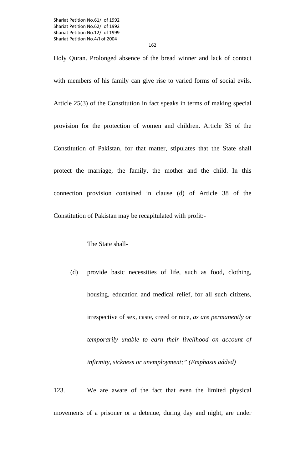Holy Quran. Prolonged absence of the bread winner and lack of contact with members of his family can give rise to varied forms of social evils. Article 25(3) of the Constitution in fact speaks in terms of making special provision for the protection of women and children. Article 35 of the Constitution of Pakistan, for that matter, stipulates that the State shall protect the marriage, the family, the mother and the child. In this connection provision contained in clause (d) of Article 38 of the Constitution of Pakistan may be recapitulated with profit:-

The State shall-

(d) provide basic necessities of life, such as food, clothing, housing, education and medical relief, for all such citizens, irrespective of sex, caste, creed or race, *as are permanently or temporarily unable to earn their livelihood on account of infirmity, sickness or unemployment;" (Emphasis added)* 

123. We are aware of the fact that even the limited physical movements of a prisoner or a detenue, during day and night, are under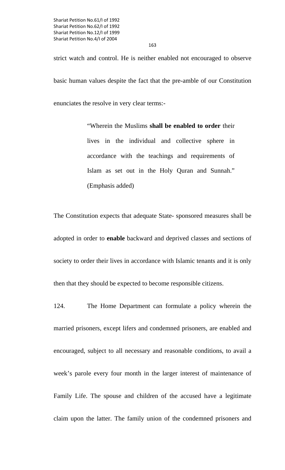strict watch and control. He is neither enabled not encouraged to observe basic human values despite the fact that the pre-amble of our Constitution enunciates the resolve in very clear terms:-

> "Wherein the Muslims **shall be enabled to order** their lives in the individual and collective sphere in accordance with the teachings and requirements of Islam as set out in the Holy Quran and Sunnah." (Emphasis added)

The Constitution expects that adequate State- sponsored measures shall be adopted in order to **enable** backward and deprived classes and sections of society to order their lives in accordance with Islamic tenants and it is only then that they should be expected to become responsible citizens.

124. The Home Department can formulate a policy wherein the married prisoners, except lifers and condemned prisoners, are enabled and encouraged, subject to all necessary and reasonable conditions, to avail a week's parole every four month in the larger interest of maintenance of Family Life. The spouse and children of the accused have a legitimate claim upon the latter. The family union of the condemned prisoners and

163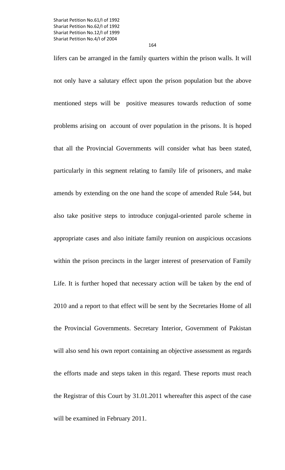164

lifers can be arranged in the family quarters within the prison walls. It will not only have a salutary effect upon the prison population but the above mentioned steps will be positive measures towards reduction of some problems arising on account of over population in the prisons. It is hoped that all the Provincial Governments will consider what has been stated, particularly in this segment relating to family life of prisoners, and make amends by extending on the one hand the scope of amended Rule 544, but also take positive steps to introduce conjugal-oriented parole scheme in appropriate cases and also initiate family reunion on auspicious occasions within the prison precincts in the larger interest of preservation of Family Life. It is further hoped that necessary action will be taken by the end of 2010 and a report to that effect will be sent by the Secretaries Home of all the Provincial Governments. Secretary Interior, Government of Pakistan will also send his own report containing an objective assessment as regards the efforts made and steps taken in this regard. These reports must reach the Registrar of this Court by 31.01.2011 whereafter this aspect of the case will be examined in February 2011.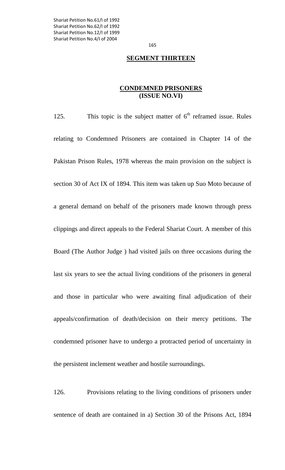#### **SEGMENT THIRTEEN**

### **CONDEMNED PRISONERS (ISSUE NO.VI)**

125. This topic is the subject matter of  $6<sup>th</sup>$  reframed issue. Rules relating to Condemned Prisoners are contained in Chapter 14 of the Pakistan Prison Rules, 1978 whereas the main provision on the subject is section 30 of Act IX of 1894. This item was taken up Suo Moto because of a general demand on behalf of the prisoners made known through press clippings and direct appeals to the Federal Shariat Court. A member of this Board (The Author Judge ) had visited jails on three occasions during the last six years to see the actual living conditions of the prisoners in general and those in particular who were awaiting final adjudication of their appeals/confirmation of death/decision on their mercy petitions. The condemned prisoner have to undergo a protracted period of uncertainty in the persistent inclement weather and hostile surroundings.

126. Provisions relating to the living conditions of prisoners under sentence of death are contained in a) Section 30 of the Prisons Act, 1894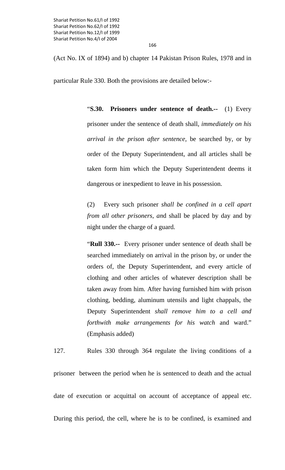(Act No. IX of 1894) and b) chapter 14 Pakistan Prison Rules, 1978 and in

particular Rule 330. Both the provisions are detailed below:-

"**S.30. Prisoners under sentence of death.--** (1) Every prisoner under the sentence of death shall, *immediately on his arrival in the prison after sentence,* be searched by, or by order of the Deputy Superintendent, and all articles shall be taken form him which the Deputy Superintendent deems it dangerous or inexpedient to leave in his possession.

(2) Every such prisoner *shall be confined in a cell apart from all other prisoners, an*d shall be placed by day and by night under the charge of a guard.

"**Rull 330.--** Every prisoner under sentence of death shall be searched immediately on arrival in the prison by, or under the orders of, the Deputy Superintendent, and every article of clothing and other articles of whatever description shall be taken away from him. After having furnished him with prison clothing, bedding, aluminum utensils and light chappals, the Deputy Superintendent *shall remove him to a cell and forthwith make arrangements for his watch* and ward." (Emphasis added)

127. Rules 330 through 364 regulate the living conditions of a

prisoner between the period when he is sentenced to death and the actual date of execution or acquittal on account of acceptance of appeal etc. During this period, the cell, where he is to be confined, is examined and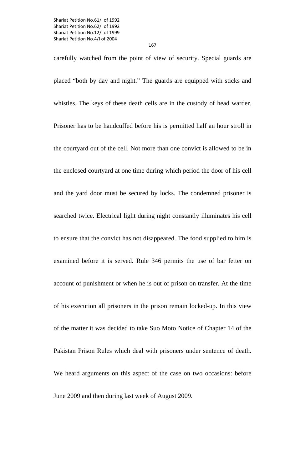carefully watched from the point of view of security. Special guards are placed "both by day and night." The guards are equipped with sticks and whistles. The keys of these death cells are in the custody of head warder. Prisoner has to be handcuffed before his is permitted half an hour stroll in the courtyard out of the cell. Not more than one convict is allowed to be in the enclosed courtyard at one time during which period the door of his cell and the yard door must be secured by locks. The condemned prisoner is searched twice. Electrical light during night constantly illuminates his cell to ensure that the convict has not disappeared. The food supplied to him is examined before it is served. Rule 346 permits the use of bar fetter on account of punishment or when he is out of prison on transfer. At the time of his execution all prisoners in the prison remain locked-up. In this view of the matter it was decided to take Suo Moto Notice of Chapter 14 of the Pakistan Prison Rules which deal with prisoners under sentence of death. We heard arguments on this aspect of the case on two occasions: before June 2009 and then during last week of August 2009.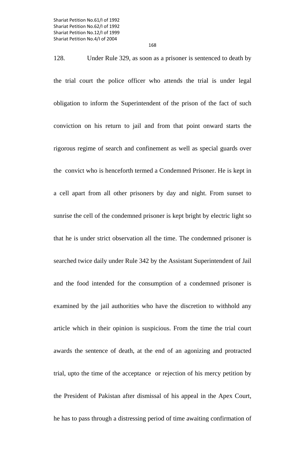168

128. Under Rule 329, as soon as a prisoner is sentenced to death by the trial court the police officer who attends the trial is under legal obligation to inform the Superintendent of the prison of the fact of such conviction on his return to jail and from that point onward starts the rigorous regime of search and confinement as well as special guards over the convict who is henceforth termed a Condemned Prisoner. He is kept in a cell apart from all other prisoners by day and night. From sunset to sunrise the cell of the condemned prisoner is kept bright by electric light so that he is under strict observation all the time. The condemned prisoner is searched twice daily under Rule 342 by the Assistant Superintendent of Jail and the food intended for the consumption of a condemned prisoner is examined by the jail authorities who have the discretion to withhold any article which in their opinion is suspicious. From the time the trial court awards the sentence of death, at the end of an agonizing and protracted trial, upto the time of the acceptance or rejection of his mercy petition by

the President of Pakistan after dismissal of his appeal in the Apex Court,

he has to pass through a distressing period of time awaiting confirmation of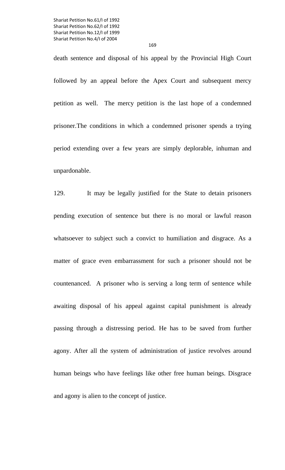death sentence and disposal of his appeal by the Provincial High Court followed by an appeal before the Apex Court and subsequent mercy petition as well. The mercy petition is the last hope of a condemned prisoner.The conditions in which a condemned prisoner spends a trying period extending over a few years are simply deplorable, inhuman and unpardonable.

129. It may be legally justified for the State to detain prisoners pending execution of sentence but there is no moral or lawful reason whatsoever to subject such a convict to humiliation and disgrace. As a matter of grace even embarrassment for such a prisoner should not be countenanced. A prisoner who is serving a long term of sentence while awaiting disposal of his appeal against capital punishment is already passing through a distressing period. He has to be saved from further agony. After all the system of administration of justice revolves around human beings who have feelings like other free human beings. Disgrace and agony is alien to the concept of justice.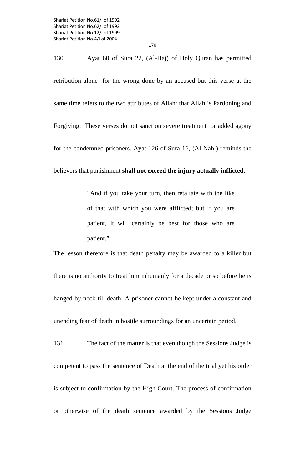130. Ayat 60 of Sura 22, (Al-Haj) of Holy Quran has permitted retribution alone for the wrong done by an accused but this verse at the same time refers to the two attributes of Allah: that Allah is Pardoning and Forgiving. These verses do not sanction severe treatment or added agony for the condemned prisoners. Ayat 126 of Sura 16, (Al-Nahl) reminds the believers that punishment **shall not exceed the injury actually inflicted.**

> "And if you take your turn, then retaliate with the like of that with which you were afflicted; but if you are patient, it will certainly be best for those who are patient."

The lesson therefore is that death penalty may be awarded to a killer but there is no authority to treat him inhumanly for a decade or so before he is hanged by neck till death. A prisoner cannot be kept under a constant and unending fear of death in hostile surroundings for an uncertain period.

131. The fact of the matter is that even though the Sessions Judge is competent to pass the sentence of Death at the end of the trial yet his order is subject to confirmation by the High Court. The process of confirmation or otherwise of the death sentence awarded by the Sessions Judge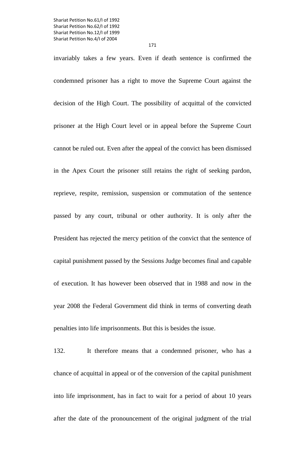171

invariably takes a few years. Even if death sentence is confirmed the condemned prisoner has a right to move the Supreme Court against the decision of the High Court. The possibility of acquittal of the convicted prisoner at the High Court level or in appeal before the Supreme Court cannot be ruled out. Even after the appeal of the convict has been dismissed in the Apex Court the prisoner still retains the right of seeking pardon, reprieve, respite, remission, suspension or commutation of the sentence passed by any court, tribunal or other authority. It is only after the President has rejected the mercy petition of the convict that the sentence of capital punishment passed by the Sessions Judge becomes final and capable of execution. It has however been observed that in 1988 and now in the year 2008 the Federal Government did think in terms of converting death penalties into life imprisonments. But this is besides the issue.

132. It therefore means that a condemned prisoner, who has a chance of acquittal in appeal or of the conversion of the capital punishment into life imprisonment, has in fact to wait for a period of about 10 years after the date of the pronouncement of the original judgment of the trial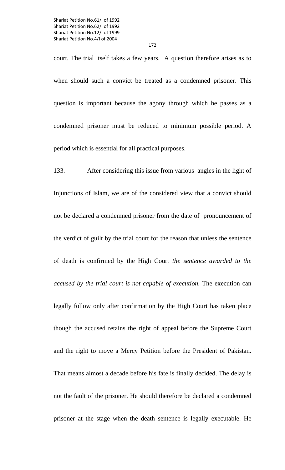court. The trial itself takes a few years. A question therefore arises as to when should such a convict be treated as a condemned prisoner. This question is important because the agony through which he passes as a condemned prisoner must be reduced to minimum possible period. A period which is essential for all practical purposes.

133. After considering this issue from various angles in the light of Injunctions of Islam, we are of the considered view that a convict should not be declared a condemned prisoner from the date of pronouncement of the verdict of guilt by the trial court for the reason that unless the sentence of death is confirmed by the High Court *the sentence awarded to the accused by the trial court is not capable of execution.* The execution can legally follow only after confirmation by the High Court has taken place though the accused retains the right of appeal before the Supreme Court and the right to move a Mercy Petition before the President of Pakistan. That means almost a decade before his fate is finally decided. The delay is not the fault of the prisoner. He should therefore be declared a condemned prisoner at the stage when the death sentence is legally executable. He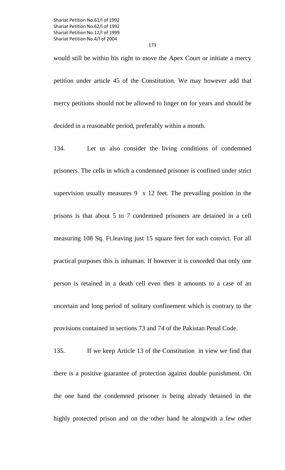would still be within his right to move the Apex Court or initiate a mercy petition under article 45 of the Constitution. We may however add that mercy petitions should not be allowed to linger on for years and should be decided in a reasonable period, preferably within a month.

134. Let us also consider the living conditions of condemned prisoners. The cells in which a condemned prisoner is confined under strict supervision usually measures 9 x 12 feet. The prevailing position in the prisons is that about 5 to 7 condemned prisoners are detained in a cell measuring 108 Sq. Ft.leaving just 15 square feet for each convict. For all practical purposes this is inhuman. If however it is conceded that only one person is retained in a death cell even then it amounts to a case of an uncertain and long period of solitary confinement which is contrary to the provisions contained in sections 73 and 74 of the Pakistan Penal Code.

135. If we keep Article 13 of the Constitution in view we find that there is a positive guarantee of protection against double punishment. On the one hand the condemned prisoner is being already detained in the highly protected prison and on the other hand he alongwith a few other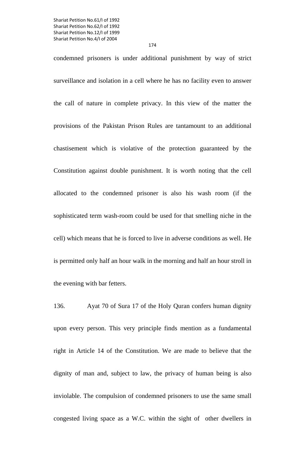condemned prisoners is under additional punishment by way of strict surveillance and isolation in a cell where he has no facility even to answer the call of nature in complete privacy. In this view of the matter the provisions of the Pakistan Prison Rules are tantamount to an additional chastisement which is violative of the protection guaranteed by the Constitution against double punishment. It is worth noting that the cell allocated to the condemned prisoner is also his wash room (if the sophisticated term wash-room could be used for that smelling niche in the cell) which means that he is forced to live in adverse conditions as well. He is permitted only half an hour walk in the morning and half an hour stroll in the evening with bar fetters.

136. Ayat 70 of Sura 17 of the Holy Quran confers human dignity upon every person. This very principle finds mention as a fundamental right in Article 14 of the Constitution. We are made to believe that the dignity of man and, subject to law, the privacy of human being is also inviolable. The compulsion of condemned prisoners to use the same small congested living space as a W.C. within the sight of other dwellers in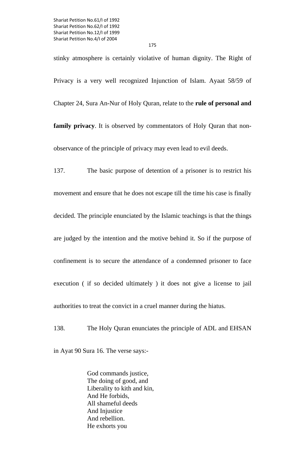stinky atmosphere is certainly violative of human dignity. The Right of Privacy is a very well recognized Injunction of Islam. Ayaat 58/59 of Chapter 24, Sura An-Nur of Holy Quran, relate to the **rule of personal and family privacy**. It is observed by commentators of Holy Quran that nonobservance of the principle of privacy may even lead to evil deeds.

137. The basic purpose of detention of a prisoner is to restrict his movement and ensure that he does not escape till the time his case is finally decided. The principle enunciated by the Islamic teachings is that the things are judged by the intention and the motive behind it. So if the purpose of confinement is to secure the attendance of a condemned prisoner to face execution ( if so decided ultimately ) it does not give a license to jail authorities to treat the convict in a cruel manner during the hiatus.

138. The Holy Quran enunciates the principle of ADL and EHSAN

in Ayat 90 Sura 16. The verse says:-

 God commands justice, The doing of good, and Liberality to kith and kin, And He forbids, All shameful deeds And Injustice And rebellion. He exhorts you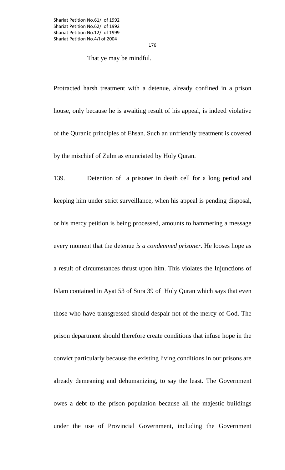### That ye may be mindful.

Protracted harsh treatment with a detenue, already confined in a prison house, only because he is awaiting result of his appeal, is indeed violative of the Quranic principles of Ehsan. Such an unfriendly treatment is covered by the mischief of Zulm as enunciated by Holy Quran.

139. Detention of a prisoner in death cell for a long period and keeping him under strict surveillance, when his appeal is pending disposal, or his mercy petition is being processed, amounts to hammering a message every moment that the detenue *is a condemned prisoner*. He looses hope as a result of circumstances thrust upon him. This violates the Injunctions of Islam contained in Ayat 53 of Sura 39 of Holy Quran which says that even those who have transgressed should despair not of the mercy of God. The prison department should therefore create conditions that infuse hope in the convict particularly because the existing living conditions in our prisons are already demeaning and dehumanizing, to say the least. The Government owes a debt to the prison population because all the majestic buildings under the use of Provincial Government, including the Government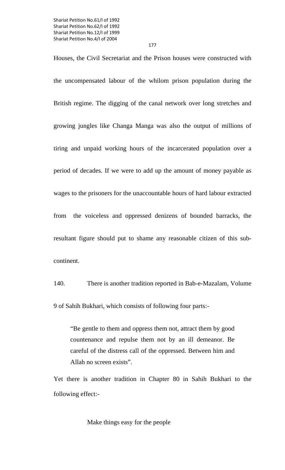177

Houses, the Civil Secretariat and the Prison houses were constructed with the uncompensated labour of the whilom prison population during the British regime. The digging of the canal network over long stretches and growing jungles like Changa Manga was also the output of millions of tiring and unpaid working hours of the incarcerated population over a period of decades. If we were to add up the amount of money payable as wages to the prisoners for the unaccountable hours of hard labour extracted from the voiceless and oppressed denizens of bounded barracks, the resultant figure should put to shame any reasonable citizen of this subcontinent.

140. There is another tradition reported in Bab-e-Mazalam, Volume 9 of Sahih Bukhari, which consists of following four parts:-

"Be gentle to them and oppress them not, attract them by good countenance and repulse them not by an ill demeanor. Be careful of the distress call of the oppressed. Between him and Allah no screen exists".

Yet there is another tradition in Chapter 80 in Sahih Bukhari to the following effect:-

Make things easy for the people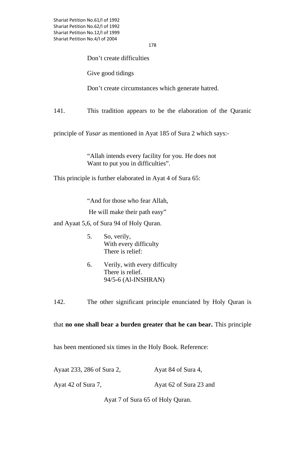178

Don't create difficulties

Give good tidings

Don't create circumstances which generate hatred.

141. This tradition appears to be the elaboration of the Quranic

principle of *Yusar* as mentioned in Ayat 185 of Sura 2 which says:-

"Allah intends every facility for you. He does not Want to put you in difficulties".

This principle is further elaborated in Ayat 4 of Sura 65:

"And for those who fear Allah,

He will make their path easy"

and Ayaat 5,6, of Sura 94 of Holy Quran.

- 5. So, verily, With every difficulty There is relief:
- 6. Verily, with every difficulty There is relief. 94/5-6 (Al-INSHRAN)
- 142. The other significant principle enunciated by Holy Quran is

that **no one shall bear a burden greater that he can bear.** This principle

has been mentioned six times in the Holy Book. Reference:

| Ayaat 233, 286 of Sura 2, | Ayat 84 of Sura 4,     |
|---------------------------|------------------------|
| Ayat 42 of Sura 7,        | Ayat 62 of Sura 23 and |

Ayat 7 of Sura 65 of Holy Quran.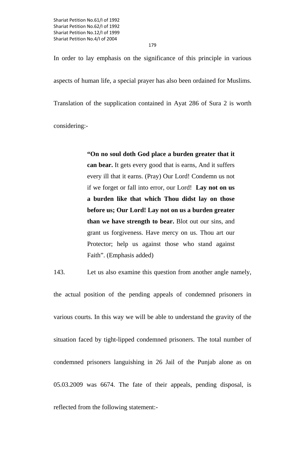In order to lay emphasis on the significance of this principle in various aspects of human life, a special prayer has also been ordained for Muslims. Translation of the supplication contained in Ayat 286 of Sura 2 is worth

considering:-

**"On no soul doth God place a burden greater that it can bear.** It gets every good that is earns, And it suffers every ill that it earns. (Pray) Our Lord! Condemn us not if we forget or fall into error, our Lord! **Lay not on us a burden like that which Thou didst lay on those before us; Our Lord! Lay not on us a burden greater than we have strength to bear.** Blot out our sins, and grant us forgiveness. Have mercy on us. Thou art our Protector; help us against those who stand against Faith". (Emphasis added)

143. Let us also examine this question from another angle namely,

the actual position of the pending appeals of condemned prisoners in various courts. In this way we will be able to understand the gravity of the situation faced by tight-lipped condemned prisoners. The total number of condemned prisoners languishing in 26 Jail of the Punjab alone as on 05.03.2009 was 6674. The fate of their appeals, pending disposal, is reflected from the following statement:-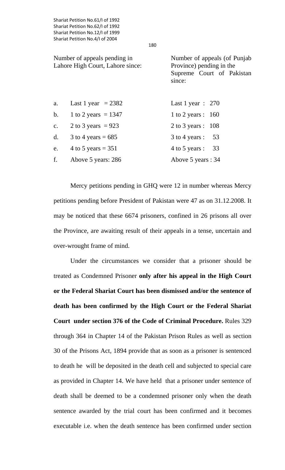|                | Shariat Petition No.61/I of 1992<br>Shariat Petition No.62/I of 1992<br>Shariat Petition No.12/I of 1999<br>Shariat Petition No.4/I of 2004 |     |                                                                                                 |
|----------------|---------------------------------------------------------------------------------------------------------------------------------------------|-----|-------------------------------------------------------------------------------------------------|
|                |                                                                                                                                             | 180 |                                                                                                 |
|                | Number of appeals pending in<br>Lahore High Court, Lahore since:                                                                            |     | Number of appeals (of Punjab<br>Province) pending in the<br>Supreme Court of Pakistan<br>since: |
| a.             | Last 1 year $= 2382$                                                                                                                        |     | Last 1 year $: 270$                                                                             |
| $\mathbf{b}$ . | 1 to 2 years = $1347$                                                                                                                       |     | 1 to 2 years : 160                                                                              |
| c.             | 2 to 3 years = $923$                                                                                                                        |     | 2 to 3 years : $108$                                                                            |
| $\mathbf{d}$ . | 3 to 4 years = $685$                                                                                                                        |     | $3$ to 4 years :<br>53                                                                          |
| e.             | 4 to 5 years = $351$                                                                                                                        |     | 4 to 5 years :<br>33                                                                            |
| f.             | Above 5 years: 286                                                                                                                          |     | Above 5 years : 34                                                                              |

Mercy petitions pending in GHQ were 12 in number whereas Mercy petitions pending before President of Pakistan were 47 as on 31.12.2008. It may be noticed that these 6674 prisoners, confined in 26 prisons all over the Province, are awaiting result of their appeals in a tense, uncertain and over-wrought frame of mind.

 Under the circumstances we consider that a prisoner should be treated as Condemned Prisoner **only after his appeal in the High Court or the Federal Shariat Court has been dismissed and/or the sentence of death has been confirmed by the High Court or the Federal Shariat Court under section 376 of the Code of Criminal Procedure.** Rules 329 through 364 in Chapter 14 of the Pakistan Prison Rules as well as section 30 of the Prisons Act, 1894 provide that as soon as a prisoner is sentenced to death he will be deposited in the death cell and subjected to special care as provided in Chapter 14. We have held that a prisoner under sentence of death shall be deemed to be a condemned prisoner only when the death sentence awarded by the trial court has been confirmed and it becomes executable i.e. when the death sentence has been confirmed under section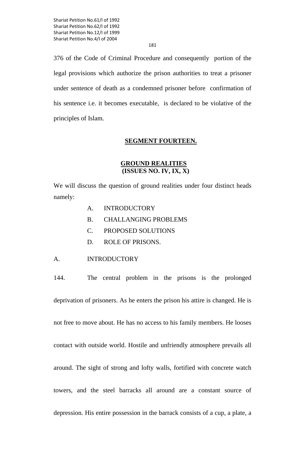181

376 of the Code of Criminal Procedure and consequently portion of the legal provisions which authorize the prison authorities to treat a prisoner under sentence of death as a condemned prisoner before confirmation of his sentence i.e. it becomes executable, is declared to be violative of the principles of Islam.

# **SEGMENT FOURTEEN.**

# **GROUND REALITIES (ISSUES NO. IV, IX, X)**

We will discuss the question of ground realities under four distinct heads namely:

- A. INTRODUCTORY
- B. CHALLANGING PROBLEMS
- C. PROPOSED SOLUTIONS
- D. ROLE OF PRISONS.

### A. INTRODUCTORY

144.The central problem in the prisons is the prolonged deprivation of prisoners. As he enters the prison his attire is changed. He is not free to move about. He has no access to his family members. He looses contact with outside world. Hostile and unfriendly atmosphere prevails all around. The sight of strong and lofty walls, fortified with concrete watch towers, and the steel barracks all around are a constant source of depression. His entire possession in the barrack consists of a cup, a plate, a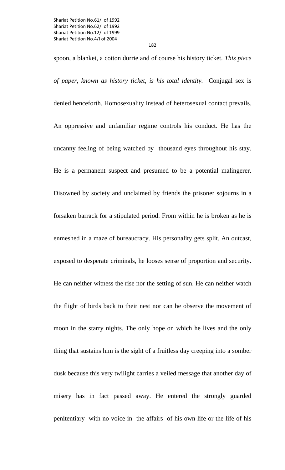spoon, a blanket, a cotton durrie and of course his history ticket. *This piece of paper, known as history ticket, is his total identity.* Conjugal sex is denied henceforth. Homosexuality instead of heterosexual contact prevails. An oppressive and unfamiliar regime controls his conduct. He has the uncanny feeling of being watched by thousand eyes throughout his stay. He is a permanent suspect and presumed to be a potential malingerer. Disowned by society and unclaimed by friends the prisoner sojourns in a forsaken barrack for a stipulated period. From within he is broken as he is enmeshed in a maze of bureaucracy. His personality gets split. An outcast, exposed to desperate criminals, he looses sense of proportion and security. He can neither witness the rise nor the setting of sun. He can neither watch the flight of birds back to their nest nor can he observe the movement of moon in the starry nights. The only hope on which he lives and the only thing that sustains him is the sight of a fruitless day creeping into a somber dusk because this very twilight carries a veiled message that another day of misery has in fact passed away. He entered the strongly guarded penitentiary with no voice in the affairs of his own life or the life of his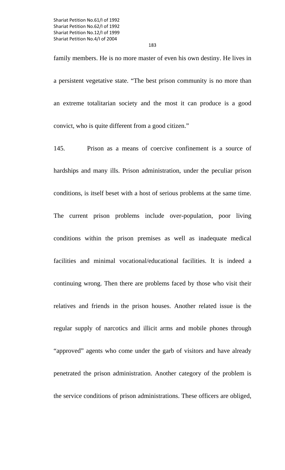family members. He is no more master of even his own destiny. He lives in a persistent vegetative state. "The best prison community is no more than

an extreme totalitarian society and the most it can produce is a good

convict, who is quite different from a good citizen."

145. Prison as a means of coercive confinement is a source of hardships and many ills. Prison administration, under the peculiar prison conditions, is itself beset with a host of serious problems at the same time. The current prison problems include over-population, poor living conditions within the prison premises as well as inadequate medical facilities and minimal vocational/educational facilities. It is indeed a continuing wrong. Then there are problems faced by those who visit their relatives and friends in the prison houses. Another related issue is the regular supply of narcotics and illicit arms and mobile phones through "approved" agents who come under the garb of visitors and have already penetrated the prison administration. Another category of the problem is the service conditions of prison administrations. These officers are obliged,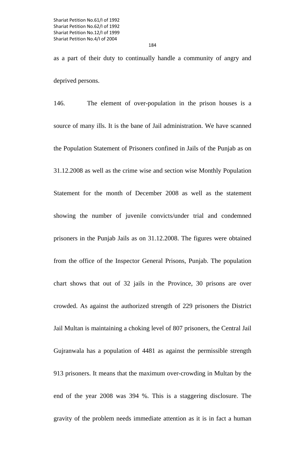as a part of their duty to continually handle a community of angry and deprived persons.

146. The element of over-population in the prison houses is a source of many ills. It is the bane of Jail administration. We have scanned the Population Statement of Prisoners confined in Jails of the Punjab as on 31.12.2008 as well as the crime wise and section wise Monthly Population Statement for the month of December 2008 as well as the statement showing the number of juvenile convicts/under trial and condemned prisoners in the Punjab Jails as on 31.12.2008. The figures were obtained from the office of the Inspector General Prisons, Punjab. The population chart shows that out of 32 jails in the Province, 30 prisons are over crowded. As against the authorized strength of 229 prisoners the District Jail Multan is maintaining a choking level of 807 prisoners, the Central Jail Gujranwala has a population of 4481 as against the permissible strength 913 prisoners. It means that the maximum over-crowding in Multan by the end of the year 2008 was 394 %. This is a staggering disclosure. The gravity of the problem needs immediate attention as it is in fact a human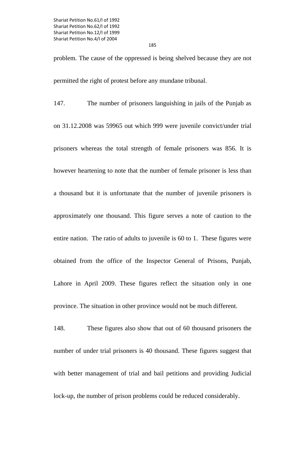problem. The cause of the oppressed is being shelved because they are not permitted the right of protest before any mundane tribunal.

147. The number of prisoners languishing in jails of the Punjab as on 31.12.2008 was 59965 out which 999 were juvenile convict/under trial prisoners whereas the total strength of female prisoners was 856. It is however heartening to note that the number of female prisoner is less than a thousand but it is unfortunate that the number of juvenile prisoners is approximately one thousand. This figure serves a note of caution to the entire nation. The ratio of adults to juvenile is 60 to 1. These figures were obtained from the office of the Inspector General of Prisons, Punjab, Lahore in April 2009. These figures reflect the situation only in one province. The situation in other province would not be much different.

148. These figures also show that out of 60 thousand prisoners the number of under trial prisoners is 40 thousand. These figures suggest that with better management of trial and bail petitions and providing Judicial lock-up, the number of prison problems could be reduced considerably.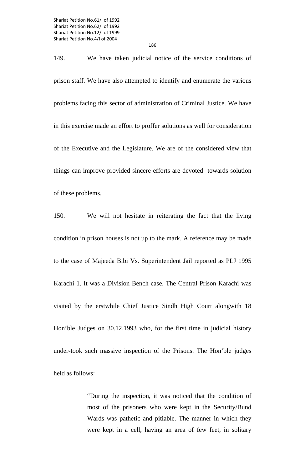149. We have taken judicial notice of the service conditions of prison staff. We have also attempted to identify and enumerate the various problems facing this sector of administration of Criminal Justice. We have in this exercise made an effort to proffer solutions as well for consideration of the Executive and the Legislature. We are of the considered view that things can improve provided sincere efforts are devoted towards solution of these problems.

150. We will not hesitate in reiterating the fact that the living condition in prison houses is not up to the mark. A reference may be made to the case of Majeeda Bibi Vs. Superintendent Jail reported as PLJ 1995 Karachi 1. It was a Division Bench case. The Central Prison Karachi was visited by the erstwhile Chief Justice Sindh High Court alongwith 18 Hon'ble Judges on 30.12.1993 who, for the first time in judicial history under-took such massive inspection of the Prisons. The Hon'ble judges held as follows:

> "During the inspection, it was noticed that the condition of most of the prisoners who were kept in the Security/Bund Wards was pathetic and pitiable. The manner in which they were kept in a cell, having an area of few feet, in solitary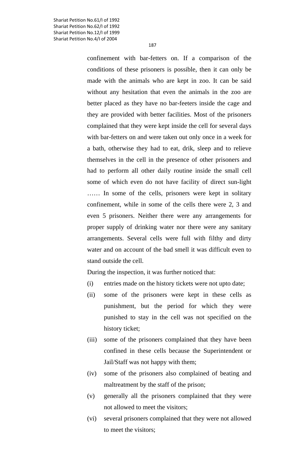> confinement with bar-fetters on. If a comparison of the conditions of these prisoners is possible, then it can only be made with the animals who are kept in zoo. It can be said without any hesitation that even the animals in the zoo are better placed as they have no bar-feeters inside the cage and they are provided with better facilities. Most of the prisoners complained that they were kept inside the cell for several days with bar-fetters on and were taken out only once in a week for a bath, otherwise they had to eat, drik, sleep and to relieve themselves in the cell in the presence of other prisoners and had to perform all other daily routine inside the small cell some of which even do not have facility of direct sun-light …… In some of the cells, prisoners were kept in solitary confinement, while in some of the cells there were 2, 3 and even 5 prisoners. Neither there were any arrangements for proper supply of drinking water nor there were any sanitary arrangements. Several cells were full with filthy and dirty water and on account of the bad smell it was difficult even to stand outside the cell.

During the inspection, it was further noticed that:

- (i) entries made on the history tickets were not upto date;
- (ii) some of the prisoners were kept in these cells as punishment, but the period for which they were punished to stay in the cell was not specified on the history ticket;
- (iii) some of the prisoners complained that they have been confined in these cells because the Superintendent or Jail/Staff was not happy with them;
- (iv) some of the prisoners also complained of beating and maltreatment by the staff of the prison;
- (v) generally all the prisoners complained that they were not allowed to meet the visitors;
- (vi) several prisoners complained that they were not allowed to meet the visitors;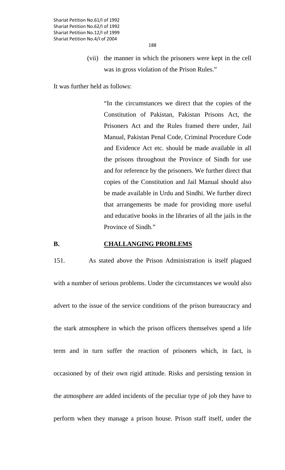188

(vii) the manner in which the prisoners were kept in the cell was in gross violation of the Prison Rules."

It was further held as follows:

"In the circumstances we direct that the copies of the Constitution of Pakistan, Pakistan Prisons Act, the Prisoners Act and the Rules framed there under, Jail Manual, Pakistan Penal Code, Criminal Procedure Code and Evidence Act etc. should be made available in all the prisons throughout the Province of Sindh for use and for reference by the prisoners. We further direct that copies of the Constitution and Jail Manual should also be made available in Urdu and Sindhi. We further direct that arrangements be made for providing more useful and educative books in the libraries of all the jails in the Province of Sindh."

### **B.** CHALLANGING PROBLEMS

151. As stated above the Prison Administration is itself plagued with a number of serious problems. Under the circumstances we would also advert to the issue of the service conditions of the prison bureaucracy and the stark atmosphere in which the prison officers themselves spend a life term and in turn suffer the reaction of prisoners which, in fact, is occasioned by of their own rigid attitude. Risks and persisting tension in the atmosphere are added incidents of the peculiar type of job they have to perform when they manage a prison house. Prison staff itself, under the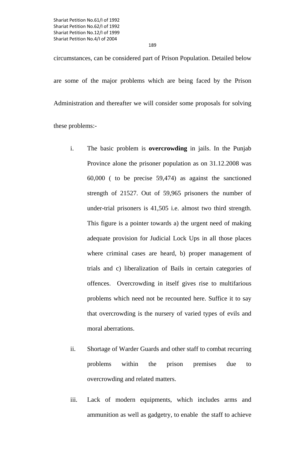circumstances, can be considered part of Prison Population. Detailed below are some of the major problems which are being faced by the Prison Administration and thereafter we will consider some proposals for solving

these problems:-

- i. The basic problem is **overcrowding** in jails. In the Punjab Province alone the prisoner population as on 31.12.2008 was 60,000 ( to be precise 59,474) as against the sanctioned strength of 21527. Out of 59,965 prisoners the number of under-trial prisoners is 41,505 i.e. almost two third strength. This figure is a pointer towards a) the urgent need of making adequate provision for Judicial Lock Ups in all those places where criminal cases are heard, b) proper management of trials and c) liberalization of Bails in certain categories of offences. Overcrowding in itself gives rise to multifarious problems which need not be recounted here. Suffice it to say that overcrowding is the nursery of varied types of evils and moral aberrations.
- ii. Shortage of Warder Guards and other staff to combat recurring problems within the prison premises due to overcrowding and related matters.
- iii. Lack of modern equipments, which includes arms and ammunition as well as gadgetry, to enable the staff to achieve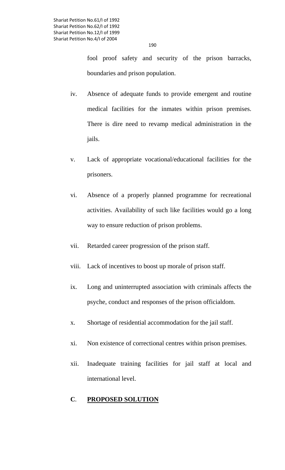190

fool proof safety and security of the prison barracks, boundaries and prison population.

- iv. Absence of adequate funds to provide emergent and routine medical facilities for the inmates within prison premises. There is dire need to revamp medical administration in the jails.
- v. Lack of appropriate vocational/educational facilities for the prisoners.
- vi. Absence of a properly planned programme for recreational activities. Availability of such like facilities would go a long way to ensure reduction of prison problems.
- vii. Retarded career progression of the prison staff.
- viii. Lack of incentives to boost up morale of prison staff.
- ix. Long and uninterrupted association with criminals affects the psyche, conduct and responses of the prison officialdom.
- x. Shortage of residential accommodation for the jail staff.
- xi. Non existence of correctional centres within prison premises.
- xii. Inadequate training facilities for jail staff at local and international level.

# **C**. **PROPOSED SOLUTION**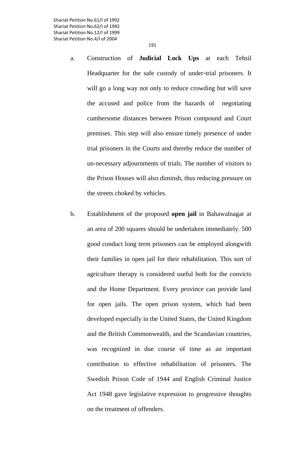- a. Construction of **Judicial Lock Ups** at each Tehsil Headquarter for the safe custody of under-trial prisoners. It will go a long way not only to reduce crowding but will save the accused and police from the hazards of negotiating cumbersome distances between Prison compound and Court premises. This step will also ensure timely presence of under trial prisoners in the Courts and thereby reduce the number of un-necessary adjournments of trials. The number of visitors to the Prison Houses will also diminsh, thus reducing pressure on the streets choked by vehicles.
- b. Establishment of the proposed **open jail** in Bahawalnagar at an area of 200 squares should be undertaken immediately. 500 good conduct long term prisoners can be employed alongwith their families in open jail for their rehabilitation. This sort of agriculture therapy is considered useful both for the convicts and the Home Department. Every province can provide land for open jails. The open prison system, which had been developed especially in the United States, the United Kingdom and the British Commonwealth, and the Scandavian countries, was recognized in due course of time as an important contribution to effective rehabilitation of prisoners. The Swedish Prison Code of 1944 and English Criminal Justice Act 1948 gave legislative expression to progressive thoughts on the treatment of offenders.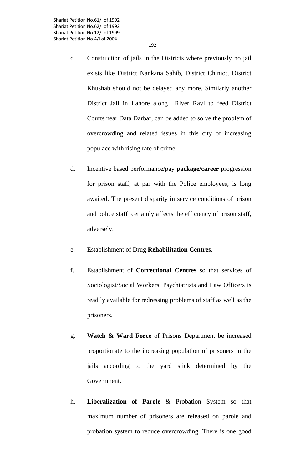- c. Construction of jails in the Districts where previously no jail exists like District Nankana Sahib, District Chiniot, District Khushab should not be delayed any more. Similarly another District Jail in Lahore along River Ravi to feed District Courts near Data Darbar, can be added to solve the problem of overcrowding and related issues in this city of increasing populace with rising rate of crime.
- d. Incentive based performance/pay **package/career** progression for prison staff, at par with the Police employees, is long awaited. The present disparity in service conditions of prison and police staff certainly affects the efficiency of prison staff, adversely.
- e. Establishment of Drug **Rehabilitation Centres.**
- f. Establishment of **Correctional Centres** so that services of Sociologist/Social Workers, Psychiatrists and Law Officers is readily available for redressing problems of staff as well as the prisoners.
- g. **Watch & Ward Force** of Prisons Department be increased proportionate to the increasing population of prisoners in the jails according to the yard stick determined by the Government.
- h. **Liberalization of Parole** & Probation System so that maximum number of prisoners are released on parole and probation system to reduce overcrowding. There is one good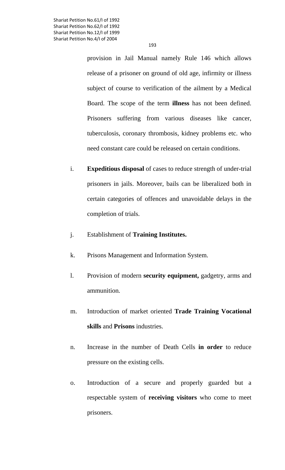provision in Jail Manual namely Rule 146 which allows release of a prisoner on ground of old age, infirmity or illness subject of course to verification of the ailment by a Medical Board. The scope of the term **illness** has not been defined. Prisoners suffering from various diseases like cancer, tuberculosis, coronary thrombosis, kidney problems etc. who need constant care could be released on certain conditions.

- i. **Expeditious disposal** of cases to reduce strength of under-trial prisoners in jails. Moreover, bails can be liberalized both in certain categories of offences and unavoidable delays in the completion of trials.
- j. Establishment of **Training Institutes.**
- k. Prisons Management and Information System.
- l. Provision of modern **security equipment,** gadgetry, arms and ammunition.
- m. Introduction of market oriented **Trade Training Vocational skills** and **Prisons** industries.
- n. Increase in the number of Death Cells **in order** to reduce pressure on the existing cells.
- o. Introduction of a secure and properly guarded but a respectable system of **receiving visitors** who come to meet prisoners.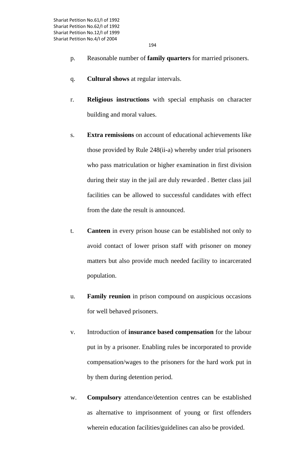- p. Reasonable number of **family quarters** for married prisoners.
- q. **Cultural shows** at regular intervals.
- r. **Religious instructions** with special emphasis on character building and moral values.
- s. **Extra remissions** on account of educational achievements like those provided by Rule 248(ii-a) whereby under trial prisoners who pass matriculation or higher examination in first division during their stay in the jail are duly rewarded . Better class jail facilities can be allowed to successful candidates with effect from the date the result is announced.
- t. **Canteen** in every prison house can be established not only to avoid contact of lower prison staff with prisoner on money matters but also provide much needed facility to incarcerated population.
- u. **Family reunion** in prison compound on auspicious occasions for well behaved prisoners.
- v. Introduction of **insurance based compensation** for the labour put in by a prisoner. Enabling rules be incorporated to provide compensation/wages to the prisoners for the hard work put in by them during detention period.
- w. **Compulsory** attendance/detention centres can be established as alternative to imprisonment of young or first offenders wherein education facilities/guidelines can also be provided.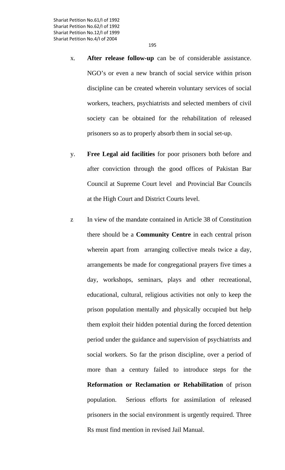x. **After release follow-up** can be of considerable assistance. NGO's or even a new branch of social service within prison discipline can be created wherein voluntary services of social workers, teachers, psychiatrists and selected members of civil society can be obtained for the rehabilitation of released prisoners so as to properly absorb them in social set-up.

- y. **Free Legal aid facilities** for poor prisoners both before and after conviction through the good offices of Pakistan Bar Council at Supreme Court level and Provincial Bar Councils at the High Court and District Courts level.
- z In view of the mandate contained in Article 38 of Constitution there should be a **Community Centre** in each central prison wherein apart from arranging collective meals twice a day, arrangements be made for congregational prayers five times a day, workshops, seminars, plays and other recreational, educational, cultural, religious activities not only to keep the prison population mentally and physically occupied but help them exploit their hidden potential during the forced detention period under the guidance and supervision of psychiatrists and social workers. So far the prison discipline, over a period of more than a century failed to introduce steps for the **Reformation or Reclamation or Rehabilitation** of prison population. Serious efforts for assimilation of released prisoners in the social environment is urgently required. Three Rs must find mention in revised Jail Manual.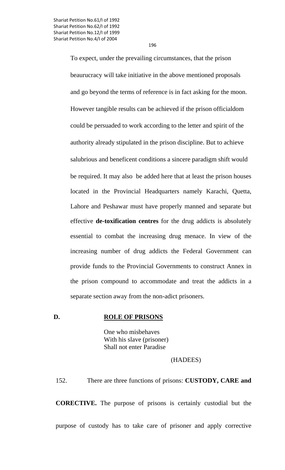> To expect, under the prevailing circumstances, that the prison beaurucracy will take initiative in the above mentioned proposals and go beyond the terms of reference is in fact asking for the moon. However tangible results can be achieved if the prison officialdom could be persuaded to work according to the letter and spirit of the authority already stipulated in the prison discipline. But to achieve salubrious and beneficent conditions a sincere paradigm shift would be required. It may also be added here that at least the prison houses located in the Provincial Headquarters namely Karachi, Quetta, Lahore and Peshawar must have properly manned and separate but effective **de-toxification centres** for the drug addicts is absolutely essential to combat the increasing drug menace. In view of the increasing number of drug addicts the Federal Government can provide funds to the Provincial Governments to construct Annex in the prison compound to accommodate and treat the addicts in a separate section away from the non-adict prisoners.

### **D. ROLE OF PRISONS**

 One who misbehaves With his slave (prisoner) Shall not enter Paradise

(HADEES)

**CORECTIVE.** The purpose of prisons is certainly custodial but the purpose of custody has to take care of prisoner and apply corrective

152. There are three functions of prisons: **CUSTODY, CARE and**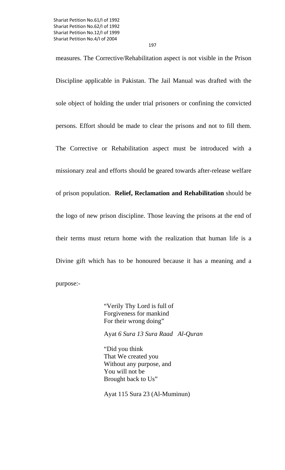197

measures. The Corrective/Rehabilitation aspect is not visible in the Prison Discipline applicable in Pakistan. The Jail Manual was drafted with the sole object of holding the under trial prisoners or confining the convicted persons. Effort should be made to clear the prisons and not to fill them. The Corrective or Rehabilitation aspect must be introduced with a missionary zeal and efforts should be geared towards after-release welfare of prison population. **Relief, Reclamation and Rehabilitation** should be the logo of new prison discipline. Those leaving the prisons at the end of their terms must return home with the realization that human life is a Divine gift which has to be honoured because it has a meaning and a purpose:-

> "Verily Thy Lord is full of Forgiveness for mankind For their wrong doing"

Ayat *6 Sura 13 Sura Raad Al-Quran* 

"Did you think That We created you Without any purpose, and You will not be Brought back to Us"

Ayat 115 Sura 23 (Al-Muminun)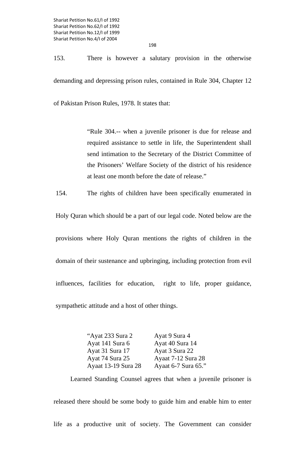198

153. There is however a salutary provision in the otherwise demanding and depressing prison rules, contained in Rule 304, Chapter 12 of Pakistan Prison Rules, 1978. It states that:

> "Rule 304.-- when a juvenile prisoner is due for release and required assistance to settle in life, the Superintendent shall send intimation to the Secretary of the District Committee of the Prisoners' Welfare Society of the district of his residence at least one month before the date of release."

154. The rights of children have been specifically enumerated in

Holy Quran which should be a part of our legal code. Noted below are the

provisions where Holy Quran mentions the rights of children in the domain of their sustenance and upbringing, including protection from evil influences, facilities for education, right to life, proper guidance, sympathetic attitude and a host of other things.

> "Ayat 233 Sura 2 Ayat 9 Sura 4 Ayat 141 Sura 6 Ayat 40 Sura 14 Ayat 31 Sura 17 Ayat 3 Sura 22 Ayat 74 Sura 25 Ayaat 7-12 Sura 28 Ayaat 13-19 Sura 28 Ayaat 6-7 Sura 65."

Learned Standing Counsel agrees that when a juvenile prisoner is

released there should be some body to guide him and enable him to enter life as a productive unit of society. The Government can consider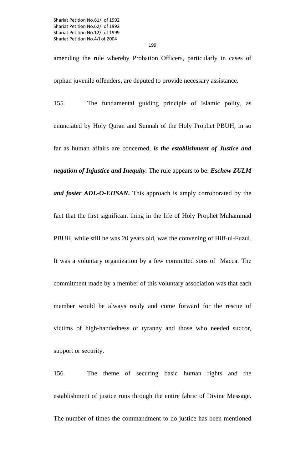orphan juvenile offenders, are deputed to provide necessary assistance. 155. The fundamental guiding principle of Islamic polity, as enunciated by Holy Quran and Sunnah of the Holy Prophet PBUH, in so far as human affairs are concerned, *is the establishment of Justice and negation of Injustice and Inequity.* The rule appears to be: *Eschew ZULM and foster ADL-O-EHSAN***.** This approach is amply corroborated by the fact that the first significant thing in the life of Holy Prophet Muhammad PBUH, while still he was 20 years old, was the convening of Hilf-ul-Fuzul. It was a voluntary organization by a few committed sons of Macca. The commitment made by a member of this voluntary association was that each member would be always ready and come forward for the rescue of victims of high-handedness or tyranny and those who needed succor, support or security.

156. The theme of securing basic human rights and the establishment of justice runs through the entire fabric of Divine Message. The number of times the commandment to do justice has been mentioned

amending the rule whereby Probation Officers, particularly in cases of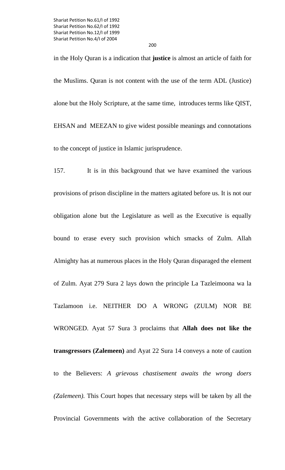in the Holy Quran is a indication that **justice** is almost an article of faith for the Muslims. Quran is not content with the use of the term ADL (Justice) alone but the Holy Scripture, at the same time, introduces terms like QIST, EHSAN and MEEZAN to give widest possible meanings and connotations to the concept of justice in Islamic jurisprudence.

157. It is in this background that we have examined the various provisions of prison discipline in the matters agitated before us. It is not our obligation alone but the Legislature as well as the Executive is equally bound to erase every such provision which smacks of Zulm. Allah Almighty has at numerous places in the Holy Quran disparaged the element of Zulm. Ayat 279 Sura 2 lays down the principle La Tazleimoona wa la Tazlamoon i.e. NEITHER DO A WRONG (ZULM) NOR BE WRONGED. Ayat 57 Sura 3 proclaims that **Allah does not like the transgressors (Zalemeen)** and Ayat 22 Sura 14 conveys a note of caution to the Believers: *A grievous chastisement awaits the wrong doers (Zalemeen).* This Court hopes that necessary steps will be taken by all the Provincial Governments with the active collaboration of the Secretary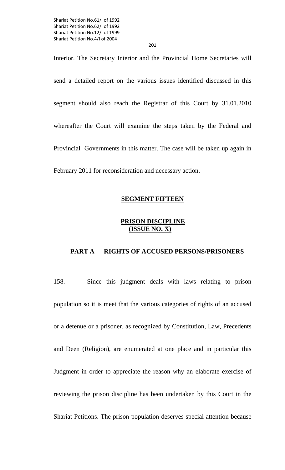201

Interior. The Secretary Interior and the Provincial Home Secretaries will send a detailed report on the various issues identified discussed in this segment should also reach the Registrar of this Court by 31.01.2010 whereafter the Court will examine the steps taken by the Federal and Provincial Governments in this matter. The case will be taken up again in February 2011 for reconsideration and necessary action.

### **SEGMENT FIFTEEN**

### **PRISON DISCIPLINE (ISSUE NO. X)**

### **PART A RIGHTS OF ACCUSED PERSONS/PRISONERS**

158. Since this judgment deals with laws relating to prison population so it is meet that the various categories of rights of an accused or a detenue or a prisoner, as recognized by Constitution, Law, Precedents and Deen (Religion), are enumerated at one place and in particular this Judgment in order to appreciate the reason why an elaborate exercise of reviewing the prison discipline has been undertaken by this Court in the Shariat Petitions. The prison population deserves special attention because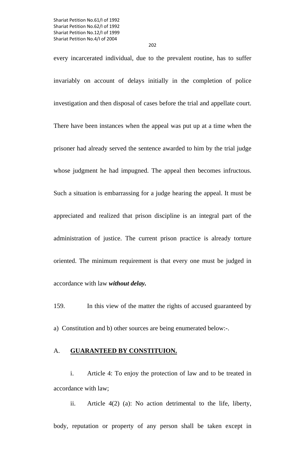202

every incarcerated individual, due to the prevalent routine, has to suffer invariably on account of delays initially in the completion of police investigation and then disposal of cases before the trial and appellate court. There have been instances when the appeal was put up at a time when the prisoner had already served the sentence awarded to him by the trial judge whose judgment he had impugned. The appeal then becomes infructous. Such a situation is embarrassing for a judge hearing the appeal. It must be appreciated and realized that prison discipline is an integral part of the administration of justice. The current prison practice is already torture oriented. The minimum requirement is that every one must be judged in accordance with law *without delay.* 

159. In this view of the matter the rights of accused guaranteed by a) Constitution and b) other sources are being enumerated below:-.

### A. **GUARANTEED BY CONSTITUION.**

 i. Article 4: To enjoy the protection of law and to be treated in accordance with law;

 ii. Article 4(2) (a): No action detrimental to the life, liberty, body, reputation or property of any person shall be taken except in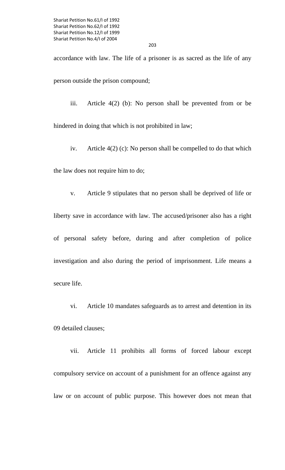accordance with law. The life of a prisoner is as sacred as the life of any person outside the prison compound;

iii. Article 4(2) (b): No person shall be prevented from or be

hindered in doing that which is not prohibited in law;

iv. Article 4(2) (c): No person shall be compelled to do that which

the law does not require him to do;

 v. Article 9 stipulates that no person shall be deprived of life or liberty save in accordance with law. The accused/prisoner also has a right of personal safety before, during and after completion of police investigation and also during the period of imprisonment. Life means a

secure life.

 vi. Article 10 mandates safeguards as to arrest and detention in its 09 detailed clauses;

 vii. Article 11 prohibits all forms of forced labour except compulsory service on account of a punishment for an offence against any law or on account of public purpose. This however does not mean that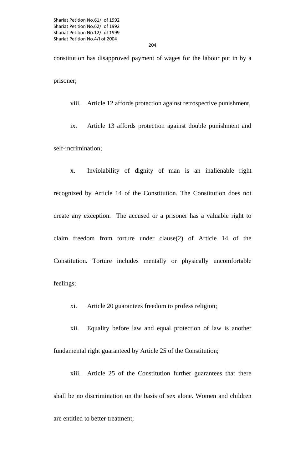constitution has disapproved payment of wages for the labour put in by a prisoner;

 viii. Article 12 affords protection against retrospective punishment, ix. Article 13 affords protection against double punishment and self-incrimination;

 x. Inviolability of dignity of man is an inalienable right recognized by Article 14 of the Constitution. The Constitution does not create any exception. The accused or a prisoner has a valuable right to claim freedom from torture under clause(2) of Article 14 of the Constitution. Torture includes mentally or physically uncomfortable feelings;

xi. Article 20 guarantees freedom to profess religion;

 xii. Equality before law and equal protection of law is another fundamental right guaranteed by Article 25 of the Constitution;

 xiii. Article 25 of the Constitution further guarantees that there shall be no discrimination on the basis of sex alone. Women and children are entitled to better treatment;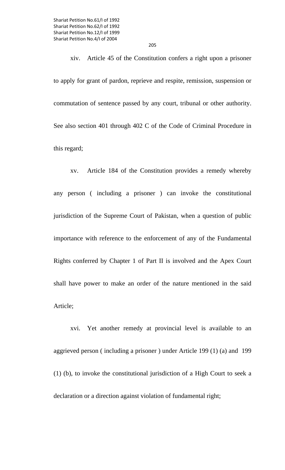xiv. Article 45 of the Constitution confers a right upon a prisoner to apply for grant of pardon, reprieve and respite, remission, suspension or commutation of sentence passed by any court, tribunal or other authority. See also section 401 through 402 C of the Code of Criminal Procedure in

this regard;

 xv. Article 184 of the Constitution provides a remedy whereby any person ( including a prisoner ) can invoke the constitutional jurisdiction of the Supreme Court of Pakistan, when a question of public importance with reference to the enforcement of any of the Fundamental Rights conferred by Chapter 1 of Part II is involved and the Apex Court shall have power to make an order of the nature mentioned in the said Article;

 xvi. Yet another remedy at provincial level is available to an aggrieved person ( including a prisoner ) under Article 199 (1) (a) and 199 (1) (b), to invoke the constitutional jurisdiction of a High Court to seek a declaration or a direction against violation of fundamental right;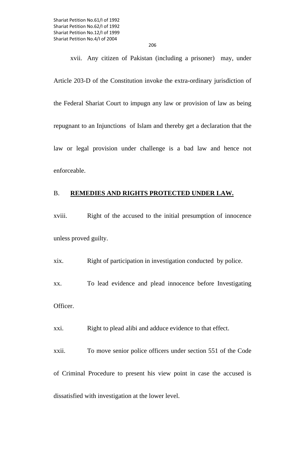xvii. Any citizen of Pakistan (including a prisoner) may, under Article 203-D of the Constitution invoke the extra-ordinary jurisdiction of the Federal Shariat Court to impugn any law or provision of law as being repugnant to an Injunctions of Islam and thereby get a declaration that the law or legal provision under challenge is a bad law and hence not enforceable.

### B. **REMEDIES AND RIGHTS PROTECTED UNDER LAW.**

xviii. Right of the accused to the initial presumption of innocence unless proved guilty.

xix. Right of participation in investigation conducted by police.

xx. To lead evidence and plead innocence before Investigating Officer.

xxi. Right to plead alibi and adduce evidence to that effect.

xxii. To move senior police officers under section 551 of the Code of Criminal Procedure to present his view point in case the accused is dissatisfied with investigation at the lower level.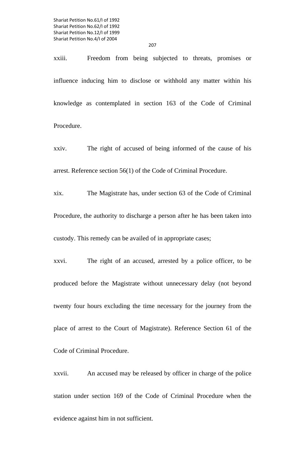xxiii. Freedom from being subjected to threats, promises or influence inducing him to disclose or withhold any matter within his knowledge as contemplated in section 163 of the Code of Criminal Procedure.

xxiv. The right of accused of being informed of the cause of his arrest. Reference section 56(1) of the Code of Criminal Procedure.

xix. The Magistrate has, under section 63 of the Code of Criminal Procedure, the authority to discharge a person after he has been taken into custody. This remedy can be availed of in appropriate cases;

xxvi. The right of an accused, arrested by a police officer, to be produced before the Magistrate without unnecessary delay (not beyond twenty four hours excluding the time necessary for the journey from the place of arrest to the Court of Magistrate). Reference Section 61 of the Code of Criminal Procedure.

xxvii. An accused may be released by officer in charge of the police station under section 169 of the Code of Criminal Procedure when the evidence against him in not sufficient.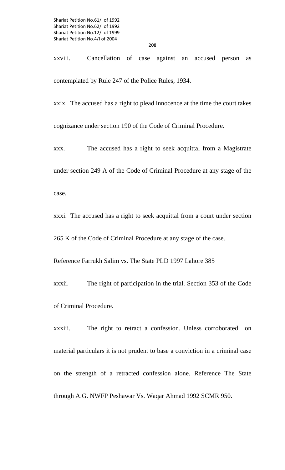xxviii. Cancellation of case against an accused person as contemplated by Rule 247 of the Police Rules, 1934.

xxix. The accused has a right to plead innocence at the time the court takes cognizance under section 190 of the Code of Criminal Procedure.

xxx. The accused has a right to seek acquittal from a Magistrate under section 249 A of the Code of Criminal Procedure at any stage of the case.

xxxi. The accused has a right to seek acquittal from a court under section

265 K of the Code of Criminal Procedure at any stage of the case.

Reference Farrukh Salim vs. The State PLD 1997 Lahore 385

xxxii. The right of participation in the trial. Section 353 of the Code of Criminal Procedure.

xxxiii. The right to retract a confession. Unless corroborated on material particulars it is not prudent to base a conviction in a criminal case on the strength of a retracted confession alone. Reference The State through A.G. NWFP Peshawar Vs. Waqar Ahmad 1992 SCMR 950.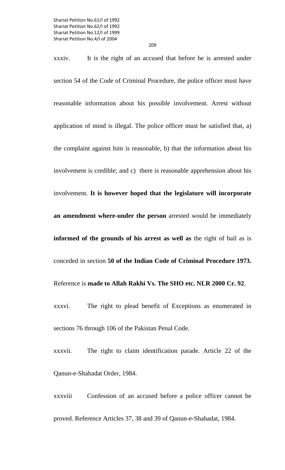xxxiv. It is the right of an accused that before he is arrested under section 54 of the Code of Criminal Procedure, the police officer must have reasonable information about his possible involvement. Arrest without application of mind is illegal. The police officer must be satisfied that, a) the complaint against him is reasonable, b) that the information about his involvement is credible; and c) there is reasonable apprehension about his involvement. **It is however hoped that the legislature will incorporate an amendment where-under the person** arrested would be immediately **informed of the grounds of his arrest as well as** the right of bail as is conceded in section **50 of the Indian Code of Criminal Procedure 1973.** Reference is **made to Allah Rakhi Vs. The SHO etc. NLR 2000 Cr. 92**.

xxxvi. The right to plead benefit of Exceptions as enumerated in sections 76 through 106 of the Pakistan Penal Code.

xxxvii. The right to claim identification parade. Article 22 of the Qanun-e-Shahadat Order, 1984.

xxxviii Confession of an accused before a police officer cannot be proved. Reference Articles 37, 38 and 39 of Qanun-e-Shahadat, 1984.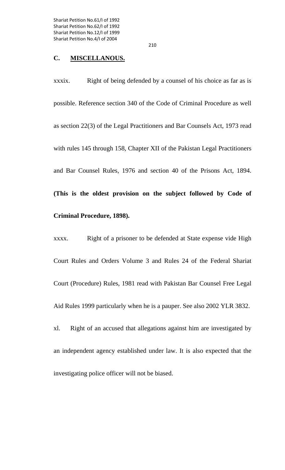210

## **C. MISCELLANOUS.**

xxxix. Right of being defended by a counsel of his choice as far as is possible. Reference section 340 of the Code of Criminal Procedure as well as section 22(3) of the Legal Practitioners and Bar Counsels Act, 1973 read with rules 145 through 158, Chapter XII of the Pakistan Legal Practitioners and Bar Counsel Rules, 1976 and section 40 of the Prisons Act, 1894. **(This is the oldest provision on the subject followed by Code of Criminal Procedure, 1898).** 

xxxx. Right of a prisoner to be defended at State expense vide High Court Rules and Orders Volume 3 and Rules 24 of the Federal Shariat Court (Procedure) Rules, 1981 read with Pakistan Bar Counsel Free Legal Aid Rules 1999 particularly when he is a pauper. See also 2002 YLR 3832.

xl. Right of an accused that allegations against him are investigated by an independent agency established under law. It is also expected that the investigating police officer will not be biased.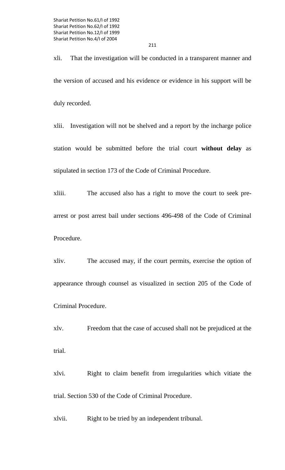xli. That the investigation will be conducted in a transparent manner and the version of accused and his evidence or evidence in his support will be duly recorded.

xlii. Investigation will not be shelved and a report by the incharge police station would be submitted before the trial court **without delay** as stipulated in section 173 of the Code of Criminal Procedure.

xliii. The accused also has a right to move the court to seek prearrest or post arrest bail under sections 496-498 of the Code of Criminal Procedure.

xliv. The accused may, if the court permits, exercise the option of appearance through counsel as visualized in section 205 of the Code of Criminal Procedure.

xlv. Freedom that the case of accused shall not be prejudiced at the trial.

xlvi. Right to claim benefit from irregularities which vitiate the trial. Section 530 of the Code of Criminal Procedure.

xlvii. Right to be tried by an independent tribunal.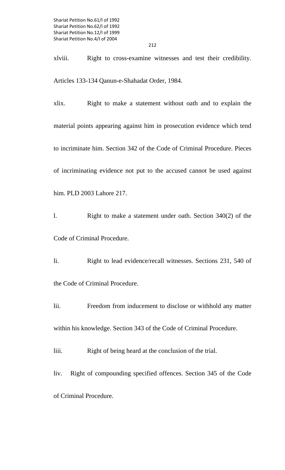xlviii. Right to cross-examine witnesses and test their credibility. Articles 133-134 Qanun-e-Shahadat Order, 1984.

xlix. Right to make a statement without oath and to explain the material points appearing against him in prosecution evidence which tend to incriminate him. Section 342 of the Code of Criminal Procedure. Pieces of incriminating evidence not put to the accused cannot be used against him. PLD 2003 Lahore 217.

l. Right to make a statement under oath. Section 340(2) of the Code of Criminal Procedure.

li. Right to lead evidence/recall witnesses. Sections 231, 540 of the Code of Criminal Procedure.

lii. Freedom from inducement to disclose or withhold any matter within his knowledge. Section 343 of the Code of Criminal Procedure.

liii. Right of being heard at the conclusion of the trial.

liv. Right of compounding specified offences. Section 345 of the Code of Criminal Procedure.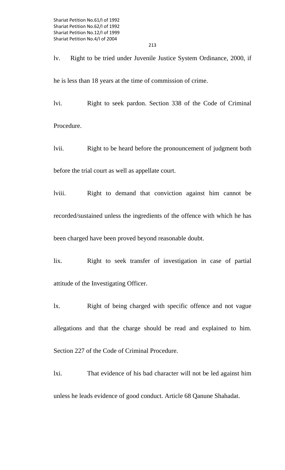213

lv. Right to be tried under Juvenile Justice System Ordinance, 2000, if

he is less than 18 years at the time of commission of crime.

lvi. Right to seek pardon. Section 338 of the Code of Criminal Procedure.

lvii. Right to be heard before the pronouncement of judgment both before the trial court as well as appellate court.

lviii. Right to demand that conviction against him cannot be recorded/sustained unless the ingredients of the offence with which he has been charged have been proved beyond reasonable doubt.

lix. Right to seek transfer of investigation in case of partial attitude of the Investigating Officer.

lx. Right of being charged with specific offence and not vague allegations and that the charge should be read and explained to him. Section 227 of the Code of Criminal Procedure.

lxi. That evidence of his bad character will not be led against him unless he leads evidence of good conduct. Article 68 Qanune Shahadat.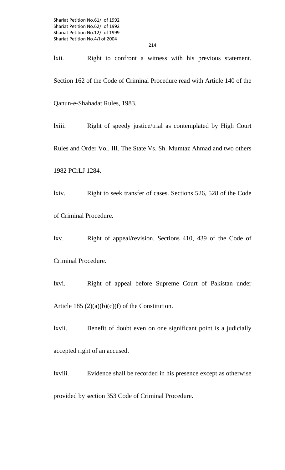lxii. Right to confront a witness with his previous statement. Section 162 of the Code of Criminal Procedure read with Article 140 of the Qanun-e-Shahadat Rules, 1983.

lxiii. Right of speedy justice/trial as contemplated by High Court Rules and Order Vol. III. The State Vs. Sh. Mumtaz Ahmad and two others 1982 PCrLJ 1284.

lxiv. Right to seek transfer of cases. Sections 526, 528 of the Code of Criminal Procedure.

lxv. Right of appeal/revision. Sections 410, 439 of the Code of

Criminal Procedure.

lxvi. Right of appeal before Supreme Court of Pakistan under Article 185  $(2)(a)(b)(c)(f)$  of the Constitution.

lxvii. Benefit of doubt even on one significant point is a judicially accepted right of an accused.

lxviii. Evidence shall be recorded in his presence except as otherwise provided by section 353 Code of Criminal Procedure.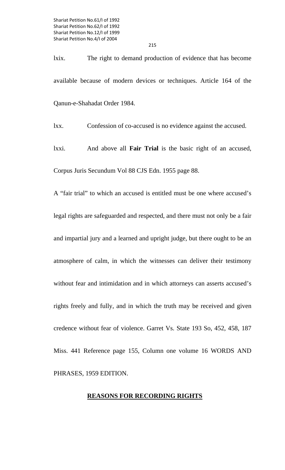lxix. The right to demand production of evidence that has become available because of modern devices or techniques. Article 164 of the Qanun-e-Shahadat Order 1984.

lxx. Confession of co-accused is no evidence against the accused.

lxxi. And above all **Fair Trial** is the basic right of an accused,

Corpus Juris Secundum Vol 88 CJS Edn. 1955 page 88.

A "fair trial" to which an accused is entitled must be one where accused's legal rights are safeguarded and respected, and there must not only be a fair and impartial jury and a learned and upright judge, but there ought to be an atmosphere of calm, in which the witnesses can deliver their testimony without fear and intimidation and in which attorneys can asserts accused's rights freely and fully, and in which the truth may be received and given credence without fear of violence. Garret Vs. State 193 So, 452, 458, 187 Miss. 441 Reference page 155, Column one volume 16 WORDS AND PHRASES, 1959 EDITION.

### **REASONS FOR RECORDING RIGHTS**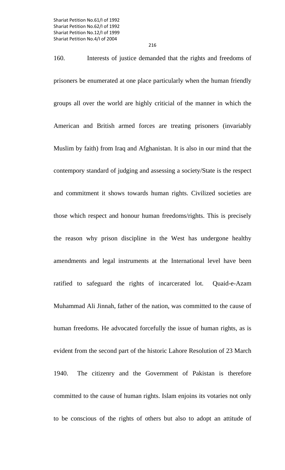160. Interests of justice demanded that the rights and freedoms of prisoners be enumerated at one place particularly when the human friendly groups all over the world are highly criticial of the manner in which the American and British armed forces are treating prisoners (invariably Muslim by faith) from Iraq and Afghanistan. It is also in our mind that the contempory standard of judging and assessing a society/State is the respect and commitment it shows towards human rights. Civilized societies are those which respect and honour human freedoms/rights. This is precisely the reason why prison discipline in the West has undergone healthy amendments and legal instruments at the International level have been ratified to safeguard the rights of incarcerated lot. Quaid-e-Azam Muhammad Ali Jinnah, father of the nation, was committed to the cause of human freedoms. He advocated forcefully the issue of human rights, as is

evident from the second part of the historic Lahore Resolution of 23 March 1940. The citizenry and the Government of Pakistan is therefore committed to the cause of human rights. Islam enjoins its votaries not only to be conscious of the rights of others but also to adopt an attitude of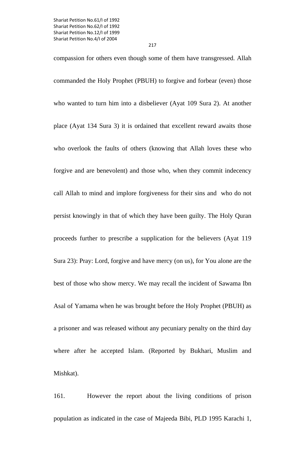compassion for others even though some of them have transgressed. Allah commanded the Holy Prophet (PBUH) to forgive and forbear (even) those who wanted to turn him into a disbeliever (Ayat 109 Sura 2). At another place (Ayat 134 Sura 3) it is ordained that excellent reward awaits those who overlook the faults of others (knowing that Allah loves these who forgive and are benevolent) and those who, when they commit indecency call Allah to mind and implore forgiveness for their sins and who do not persist knowingly in that of which they have been guilty. The Holy Quran proceeds further to prescribe a supplication for the believers (Ayat 119 Sura 23): Pray: Lord, forgive and have mercy (on us), for You alone are the best of those who show mercy. We may recall the incident of Sawama Ibn Asal of Yamama when he was brought before the Holy Prophet (PBUH) as a prisoner and was released without any pecuniary penalty on the third day where after he accepted Islam. (Reported by Bukhari, Muslim and Mishkat).

161. However the report about the living conditions of prison population as indicated in the case of Majeeda Bibi, PLD 1995 Karachi 1,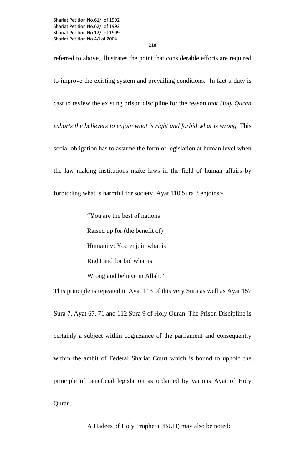218

referred to above, illustrates the point that considerable efforts are required to improve the existing system and prevailing conditions. In fact a duty is cast to review the existing prison discipline for the reason *that Holy Quran exhorts the believers to enjoin what is right and forbid what is wrong.* This social obligation has to assume the form of legislation at human level when the law making institutions make laws in the field of human affairs by forbidding what is harmful for society. Ayat 110 Sura 3 enjoins:-

> "You are the best of nations Raised up for (the benefit of) Humanity: You enjoin what is Right and for bid what is Wrong and believe in Allah."

This principle is repeated in Ayat 113 of this very Sura as well as Ayat 157 Sura 7, Ayat 67, 71 and 112 Sura 9 of Holy Quran. The Prison Discipline is certainly a subject within cognizance of the parliament and consequently within the ambit of Federal Shariat Court which is bound to uphold the principle of beneficial legislation as ordained by various Ayat of Holy Quran.

A Hadees of Holy Prophet (PBUH) may also be noted: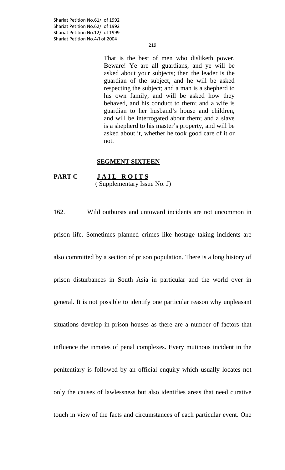> That is the best of men who disliketh power. Beware! Ye are all guardians; and ye will be asked about your subjects; then the leader is the guardian of the subject, and he will be asked respecting the subject; and a man is a shepherd to his own family, and will be asked how they behaved, and his conduct to them; and a wife is guardian to her husband's house and children, and will be interrogated about them; and a slave is a shepherd to his master's property, and will be asked about it, whether he took good care of it or not.

219

#### **SEGMENT SIXTEEN**

PART C JAIL ROITS ( Supplementary Issue No. J)

162. Wild outbursts and untoward incidents are not uncommon in

prison life. Sometimes planned crimes like hostage taking incidents are also committed by a section of prison population. There is a long history of prison disturbances in South Asia in particular and the world over in general. It is not possible to identify one particular reason why unpleasant situations develop in prison houses as there are a number of factors that influence the inmates of penal complexes. Every mutinous incident in the penitentiary is followed by an official enquiry which usually locates not only the causes of lawlessness but also identifies areas that need curative touch in view of the facts and circumstances of each particular event. One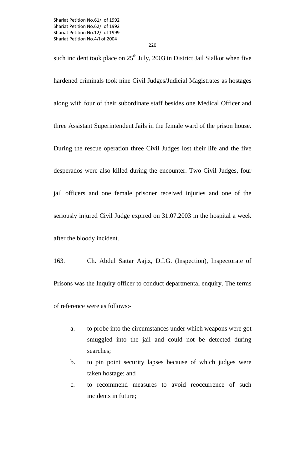such incident took place on  $25<sup>th</sup>$  July, 2003 in District Jail Sialkot when five hardened criminals took nine Civil Judges/Judicial Magistrates as hostages along with four of their subordinate staff besides one Medical Officer and three Assistant Superintendent Jails in the female ward of the prison house. During the rescue operation three Civil Judges lost their life and the five desperados were also killed during the encounter. Two Civil Judges, four jail officers and one female prisoner received injuries and one of the seriously injured Civil Judge expired on 31.07.2003 in the hospital a week after the bloody incident.

163. Ch. Abdul Sattar Aajiz, D.I.G. (Inspection), Inspectorate of Prisons was the Inquiry officer to conduct departmental enquiry. The terms of reference were as follows:-

- a. to probe into the circumstances under which weapons were got smuggled into the jail and could not be detected during searches;
- b. to pin point security lapses because of which judges were taken hostage; and
- c. to recommend measures to avoid reoccurrence of such incidents in future;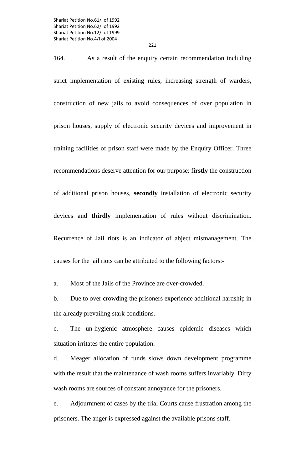221

164. As a result of the enquiry certain recommendation including strict implementation of existing rules, increasing strength of warders, construction of new jails to avoid consequences of over population in prison houses, supply of electronic security devices and improvement in training facilities of prison staff were made by the Enquiry Officer. Three recommendations deserve attention for our purpose: f**irstly** the construction of additional prison houses, **secondly** installation of electronic security devices and **thirdly** implementation of rules without discrimination. Recurrence of Jail riots is an indicator of abject mismanagement. The causes for the jail riots can be attributed to the following factors:-

a. Most of the Jails of the Province are over-crowded.

b. Due to over crowding the prisoners experience additional hardship in the already prevailing stark conditions.

c. The un-hygienic atmosphere causes epidemic diseases which situation irritates the entire population.

d. Meager allocation of funds slows down development programme with the result that the maintenance of wash rooms suffers invariably. Dirty wash rooms are sources of constant annoyance for the prisoners.

e. Adjournment of cases by the trial Courts cause frustration among the prisoners. The anger is expressed against the available prisons staff.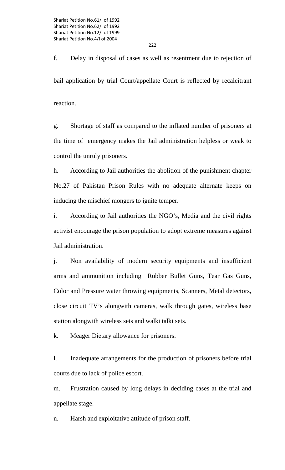f. Delay in disposal of cases as well as resentment due to rejection of bail application by trial Court/appellate Court is reflected by recalcitrant reaction.

g. Shortage of staff as compared to the inflated number of prisoners at the time of emergency makes the Jail administration helpless or weak to control the unruly prisoners.

h. According to Jail authorities the abolition of the punishment chapter No.27 of Pakistan Prison Rules with no adequate alternate keeps on inducing the mischief mongers to ignite temper.

i. According to Jail authorities the NGO's, Media and the civil rights activist encourage the prison population to adopt extreme measures against Jail administration.

j. Non availability of modern security equipments and insufficient arms and ammunition including Rubber Bullet Guns, Tear Gas Guns, Color and Pressure water throwing equipments, Scanners, Metal detectors, close circuit TV's alongwith cameras, walk through gates, wireless base station alongwith wireless sets and walki talki sets.

k. Meager Dietary allowance for prisoners.

l. Inadequate arrangements for the production of prisoners before trial courts due to lack of police escort.

m. Frustration caused by long delays in deciding cases at the trial and appellate stage.

n. Harsh and exploitative attitude of prison staff.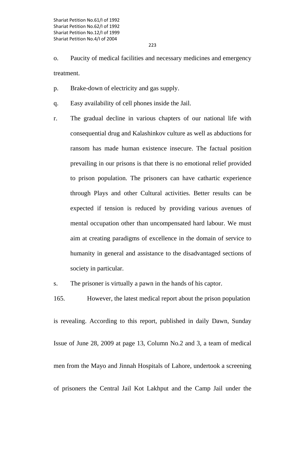- o. Paucity of medical facilities and necessary medicines and emergency treatment.
- p. Brake-down of electricity and gas supply.
- q. Easy availability of cell phones inside the Jail.
- r. The gradual decline in various chapters of our national life with consequential drug and Kalashinkov culture as well as abductions for ransom has made human existence insecure. The factual position prevailing in our prisons is that there is no emotional relief provided to prison population. The prisoners can have cathartic experience through Plays and other Cultural activities. Better results can be expected if tension is reduced by providing various avenues of mental occupation other than uncompensated hard labour. We must aim at creating paradigms of excellence in the domain of service to humanity in general and assistance to the disadvantaged sections of society in particular.

s. The prisoner is virtually a pawn in the hands of his captor.

is revealing. According to this report, published in daily Dawn, Sunday Issue of June 28, 2009 at page 13, Column No.2 and 3, a team of medical men from the Mayo and Jinnah Hospitals of Lahore, undertook a screening of prisoners the Central Jail Kot Lakhput and the Camp Jail under the

165. However, the latest medical report about the prison population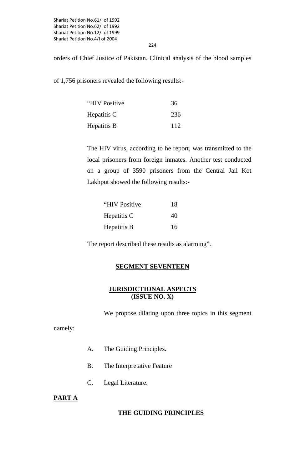224

orders of Chief Justice of Pakistan. Clinical analysis of the blood samples

of 1,756 prisoners revealed the following results:-

| "HIV Positive" | 36  |
|----------------|-----|
| Hepatitis C    | 236 |
| Hepatitis B    | 112 |

The HIV virus, according to he report, was transmitted to the local prisoners from foreign inmates. Another test conducted on a group of 3590 prisoners from the Central Jail Kot Lakhput showed the following results:-

| "HIV Positive | 18 |
|---------------|----|
| Hepatitis C   | 40 |
| Hepatitis B   | 16 |

The report described these results as alarming".

#### **SEGMENT SEVENTEEN**

#### **JURISDICTIONAL ASPECTS (ISSUE NO. X)**

We propose dilating upon three topics in this segment

namely:

- A. The Guiding Principles.
- B. The Interpretative Feature
- C. Legal Literature.

#### **PART A**

#### **THE GUIDING PRINCIPLES**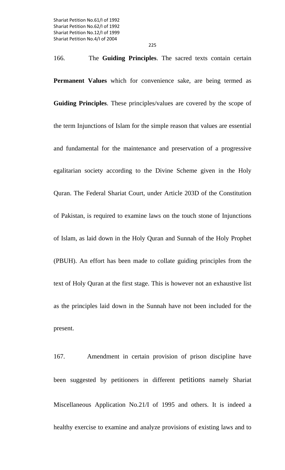166. The **Guiding Principles**. The sacred texts contain certain **Permanent Values** which for convenience sake, are being termed as **Guiding Principles**. These principles/values are covered by the scope of the term Injunctions of Islam for the simple reason that values are essential and fundamental for the maintenance and preservation of a progressive egalitarian society according to the Divine Scheme given in the Holy Quran. The Federal Shariat Court, under Article 203D of the Constitution of Pakistan, is required to examine laws on the touch stone of Injunctions of Islam, as laid down in the Holy Quran and Sunnah of the Holy Prophet (PBUH). An effort has been made to collate guiding principles from the text of Holy Quran at the first stage. This is however not an exhaustive list as the principles laid down in the Sunnah have not been included for the present.

167. Amendment in certain provision of prison discipline have been suggested by petitioners in different petitions namely Shariat Miscellaneous Application No.21/I of 1995 and others. It is indeed a healthy exercise to examine and analyze provisions of existing laws and to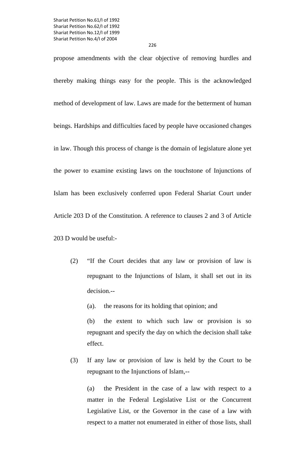226

propose amendments with the clear objective of removing hurdles and thereby making things easy for the people. This is the acknowledged method of development of law. Laws are made for the betterment of human beings. Hardships and difficulties faced by people have occasioned changes in law. Though this process of change is the domain of legislature alone yet the power to examine existing laws on the touchstone of Injunctions of Islam has been exclusively conferred upon Federal Shariat Court under Article 203 D of the Constitution. A reference to clauses 2 and 3 of Article 203 D would be useful:-

- (2) "If the Court decides that any law or provision of law is repugnant to the Injunctions of Islam, it shall set out in its decision.--
	- (a). the reasons for its holding that opinion; and

 (b) the extent to which such law or provision is so repugnant and specify the day on which the decision shall take effect.

(3) If any law or provision of law is held by the Court to be repugnant to the Injunctions of Islam,--

 (a) the President in the case of a law with respect to a matter in the Federal Legislative List or the Concurrent Legislative List, or the Governor in the case of a law with respect to a matter not enumerated in either of those lists, shall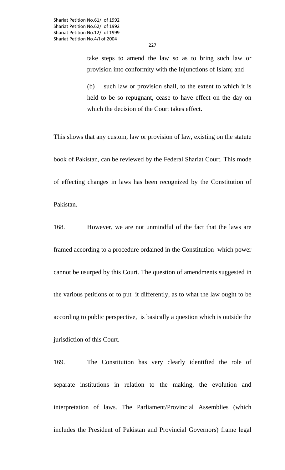227

take steps to amend the law so as to bring such law or provision into conformity with the Injunctions of Islam; and

 (b) such law or provision shall, to the extent to which it is held to be so repugnant, cease to have effect on the day on which the decision of the Court takes effect.

This shows that any custom, law or provision of law, existing on the statute book of Pakistan, can be reviewed by the Federal Shariat Court. This mode of effecting changes in laws has been recognized by the Constitution of Pakistan.

168. However, we are not unmindful of the fact that the laws are framed according to a procedure ordained in the Constitution which power cannot be usurped by this Court. The question of amendments suggested in the various petitions or to put it differently, as to what the law ought to be according to public perspective, is basically a question which is outside the jurisdiction of this Court.

169. The Constitution has very clearly identified the role of separate institutions in relation to the making, the evolution and interpretation of laws. The Parliament/Provincial Assemblies (which includes the President of Pakistan and Provincial Governors) frame legal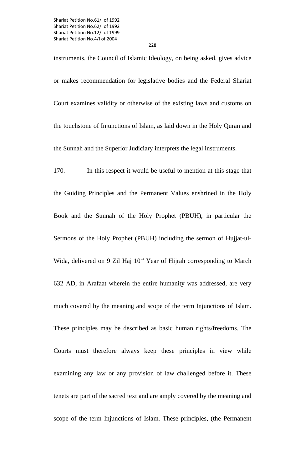instruments, the Council of Islamic Ideology, on being asked, gives advice or makes recommendation for legislative bodies and the Federal Shariat Court examines validity or otherwise of the existing laws and customs on the touchstone of Injunctions of Islam, as laid down in the Holy Quran and

the Sunnah and the Superior Judiciary interprets the legal instruments.

170. In this respect it would be useful to mention at this stage that the Guiding Principles and the Permanent Values enshrined in the Holy Book and the Sunnah of the Holy Prophet (PBUH), in particular the Sermons of the Holy Prophet (PBUH) including the sermon of Hujjat-ul-Wida, delivered on 9 Zil Haj  $10^{th}$  Year of Hijrah corresponding to March 632 AD, in Arafaat wherein the entire humanity was addressed, are very much covered by the meaning and scope of the term Injunctions of Islam. These principles may be described as basic human rights/freedoms. The Courts must therefore always keep these principles in view while examining any law or any provision of law challenged before it. These tenets are part of the sacred text and are amply covered by the meaning and scope of the term Injunctions of Islam. These principles, (the Permanent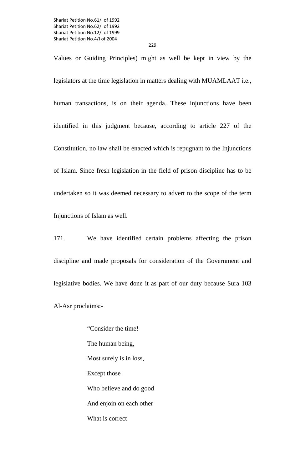229

Values or Guiding Principles) might as well be kept in view by the legislators at the time legislation in matters dealing with MUAMLAAT i.e., human transactions, is on their agenda. These injunctions have been identified in this judgment because, according to article 227 of the Constitution, no law shall be enacted which is repugnant to the Injunctions of Islam. Since fresh legislation in the field of prison discipline has to be undertaken so it was deemed necessary to advert to the scope of the term Injunctions of Islam as well.

171. We have identified certain problems affecting the prison discipline and made proposals for consideration of the Government and legislative bodies. We have done it as part of our duty because Sura 103 Al-Asr proclaims:-

> "Consider the time! The human being, Most surely is in loss, Except those Who believe and do good And enjoin on each other What is correct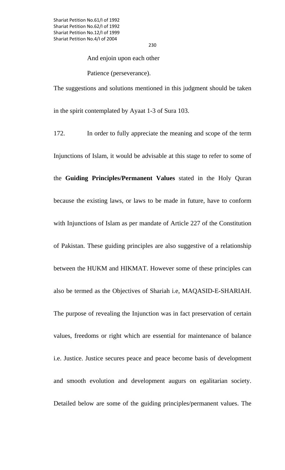230

And enjoin upon each other

Patience (perseverance).

The suggestions and solutions mentioned in this judgment should be taken in the spirit contemplated by Ayaat 1-3 of Sura 103.

172. In order to fully appreciate the meaning and scope of the term Injunctions of Islam, it would be advisable at this stage to refer to some of the **Guiding Principles/Permanent Values** stated in the Holy Quran because the existing laws, or laws to be made in future, have to conform with Injunctions of Islam as per mandate of Article 227 of the Constitution of Pakistan. These guiding principles are also suggestive of a relationship between the HUKM and HIKMAT. However some of these principles can also be termed as the Objectives of Shariah i.e, MAQASID-E-SHARIAH. The purpose of revealing the Injunction was in fact preservation of certain values, freedoms or right which are essential for maintenance of balance i.e. Justice. Justice secures peace and peace become basis of development and smooth evolution and development augurs on egalitarian society. Detailed below are some of the guiding principles/permanent values. The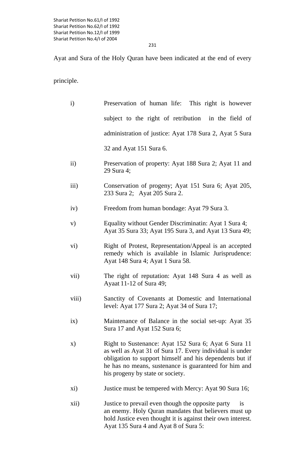Ayat and Sura of the Holy Quran have been indicated at the end of every

principle.

| $\mathbf{i}$  | Preservation of human life: This right is however                                                                                                                                                                                                                        |  |
|---------------|--------------------------------------------------------------------------------------------------------------------------------------------------------------------------------------------------------------------------------------------------------------------------|--|
|               | subject to the right of retribution in the field of                                                                                                                                                                                                                      |  |
|               | administration of justice: Ayat 178 Sura 2, Ayat 5 Sura                                                                                                                                                                                                                  |  |
|               | 32 and Ayat 151 Sura 6.                                                                                                                                                                                                                                                  |  |
| $\mathbf{ii}$ | Preservation of property: Ayat 188 Sura 2; Ayat 11 and<br>29 Sura 4;                                                                                                                                                                                                     |  |
| iii)          | Conservation of progeny; Ayat 151 Sura 6; Ayat 205,<br>233 Sura 2; Ayat 205 Sura 2.                                                                                                                                                                                      |  |
| iv)           | Freedom from human bondage: Ayat 79 Sura 3.                                                                                                                                                                                                                              |  |
| V)            | Equality without Gender Discriminatin: Ayat 1 Sura 4;<br>Ayat 35 Sura 33; Ayat 195 Sura 3, and Ayat 13 Sura 49;                                                                                                                                                          |  |
| vi)           | Right of Protest, Representation/Appeal is an accepted<br>remedy which is available in Islamic Jurisprudence:<br>Ayat 148 Sura 4; Ayat 1 Sura 58.                                                                                                                        |  |
| vii)          | The right of reputation: Ayat 148 Sura 4 as well as<br>Ayaat 11-12 of Sura 49;                                                                                                                                                                                           |  |
| viii)         | Sanctity of Covenants at Domestic and International<br>level: Ayat 177 Sura 2; Ayat 34 of Sura 17;                                                                                                                                                                       |  |
| ix)           | Maintenance of Balance in the social set-up: Ayat 35<br>Sura 17 and Ayat 152 Sura 6;                                                                                                                                                                                     |  |
| $\mathbf{x})$ | Right to Sustenance: Ayat 152 Sura 6; Ayat 6 Sura 11<br>as well as Ayat 31 of Sura 17. Every individual is under<br>obligation to support himself and his dependents but if<br>he has no means, sustenance is guaranteed for him and<br>his progeny by state or society. |  |
| xi)           | Justice must be tempered with Mercy: Ayat 90 Sura 16;                                                                                                                                                                                                                    |  |
| xii)          | Justice to prevail even though the opposite party<br>1S<br>an enemy. Holy Quran mandates that believers must up<br>hold Justice even thought it is against their own interest.<br>Ayat 135 Sura 4 and Ayat 8 of Sura 5:                                                  |  |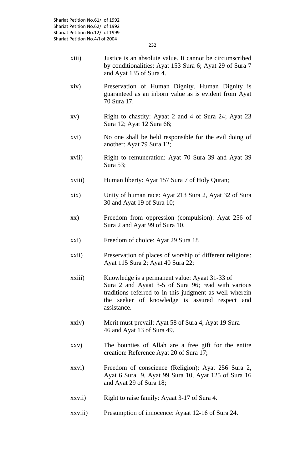- xiii) Justice is an absolute value. It cannot be circumscribed by conditionalities: Ayat 153 Sura 6; Ayat 29 of Sura 7 and Ayat 135 of Sura 4.
- xiv) Preservation of Human Dignity. Human Dignity is guaranteed as an inborn value as is evident from Ayat 70 Sura 17.
- xv) Right to chastity: Ayaat 2 and 4 of Sura 24; Ayat 23 Sura 12; Ayat 12 Sura 66;
- xvi) No one shall be held responsible for the evil doing of another: Ayat 79 Sura 12;
- xvii) Right to remuneration: Ayat 70 Sura 39 and Ayat 39 Sura 53;
- xviii) Human liberty: Ayat 157 Sura 7 of Holy Quran;
- xix) Unity of human race: Ayat 213 Sura 2, Ayat 32 of Sura 30 and Ayat 19 of Sura 10;
- xx) Freedom from oppression (compulsion): Ayat 256 of Sura 2 and Ayat 99 of Sura 10.
- xxi) Freedom of choice: Ayat 29 Sura 18
- xxii) Preservation of places of worship of different religions: Ayat 115 Sura 2; Ayat 40 Sura 22;
- xxiii) Knowledge is a permanent value: Ayaat 31-33 of Sura 2 and Ayaat 3-5 of Sura 96; read with various traditions referred to in this judgment as well wherein the seeker of knowledge is assured respect and assistance.
- xxiv) Merit must prevail: Ayat 58 of Sura 4, Ayat 19 Sura 46 and Ayat 13 of Sura 49.
- xxv) The bounties of Allah are a free gift for the entire creation: Reference Ayat 20 of Sura 17;
- xxvi) Freedom of conscience (Religion): Ayat 256 Sura 2, Ayat 6 Sura 9, Ayat 99 Sura 10, Ayat 125 of Sura 16 and Ayat 29 of Sura 18;
- xxvii) Right to raise family: Ayaat 3-17 of Sura 4.
- xxviii) Presumption of innocence: Ayaat 12-16 of Sura 24.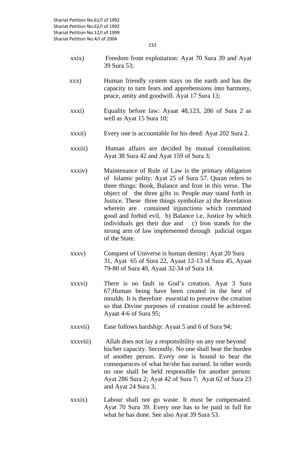- xxix) Freedom from exploitation: Ayat 70 Sura 39 and Ayat 39 Sura 53;
- xxx) Human friendly system stays on the earth and has the capacity to turn fears and apprehensions into harmony, peace, amity and goodwill. Ayat 17 Sura 13;
- xxxi) Equality before law: Ayaat 48,123, 286 of Sura 2 as well as Ayat 15 Sura 10;
- xxxii) Every one is accountable for his deed: Ayat 202 Sura 2.
- xxxiii) Human affairs are decided by mutual consultation: Ayat 38 Sura 42 and Ayat 159 of Sura 3;
- xxxiv) Maintenance of Rule of Law is the primary obligation of Islamic polity: Ayat 25 of Sura 57. Quran refers to three things: Book, Balance and Iron in this verse. The object of the three gifts is: People may stand forth in Justice. These three things symbolize a) the Revelation wherein are contained injunctions which command good and forbid evil, b) Balance i.e, Justice by which individuals get their due and c) Iron stands for the strong arm of law implemented through judicial organ of the State.
- xxxv) Conquest of Universe is human destiny: Ayat 20 Sura 31, Ayat 65 of Sura 22, Ayaat 12-13 of Sura 45, Ayaat 79-80 of Sura 40, Ayaat 32-34 of Sura 14.
- xxxvi) There is no fault in God's creation. Ayat 3 Sura 67;Human being have been created in the best of moulds. It is therefore essential to preserve the creation so that Divine purposes of creation could be achieved. Ayaat 4-6 of Sura 95;
- xxxvii) Ease follows hardship: Ayaat 5 and 6 of Sura 94;
- xxxviii) Allah does not lay a responsibility on any one beyond his/her capacity. Secondly. No one shall bear the burden of another person. Every one is bound to bear the consequences of what he/she has earned. In other words no one shall be held responsible for another person: Ayat 286 Sura 2; Ayat 42 of Sura 7; Ayat 62 of Sura 23 and Ayat 24 Sura 3;
- xxxix) Labour shall not go waste. It must be compensated. Ayat 70 Sura 39. Every one has to be paid in full for what he has done. See also Ayat 39 Sura 53.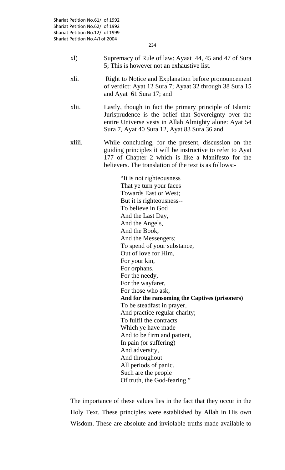- xl) Supremacy of Rule of law: Ayaat 44, 45 and 47 of Sura 5; This is however not an exhaustive list.
- xli. Right to Notice and Explanation before pronouncement of verdict: Ayat 12 Sura 7; Ayaat 32 through 38 Sura 15 and Ayat 61 Sura 17; and
- xlii. Lastly, though in fact the primary principle of Islamic Jurisprudence is the belief that Sovereignty over the entire Universe vests in Allah Almighty alone: Ayat 54 Sura 7, Ayat 40 Sura 12, Ayat 83 Sura 36 and
- xliii. While concluding, for the present, discussion on the guiding principles it will be instructive to refer to Ayat 177 of Chapter 2 which is like a Manifesto for the believers. The translation of the text is as follows:-

 "It is not righteousness That ye turn your faces Towards East or West; But it is righteousness-- To believe in God And the Last Day, And the Angels, And the Book, And the Messengers; To spend of your substance, Out of love for Him, For your kin, For orphans, For the needy, For the wayfarer, For those who ask, **And for the ransoming the Captives (prisoners)** To be steadfast in prayer, And practice regular charity; To fulfil the contracts Which ye have made And to be firm and patient, In pain (or suffering) And adversity, And throughout All periods of panic. Such are the people Of truth, the God-fearing."

The importance of these values lies in the fact that they occur in the Holy Text. These principles were established by Allah in His own Wisdom. These are absolute and inviolable truths made available to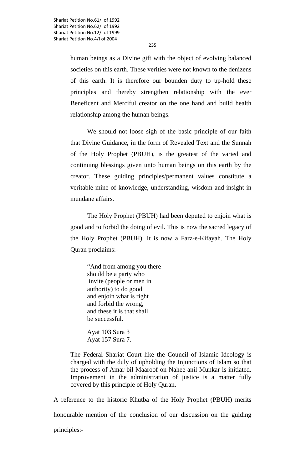human beings as a Divine gift with the object of evolving balanced societies on this earth. These verities were not known to the denizens of this earth. It is therefore our bounden duty to up-hold these principles and thereby strengthen relationship with the ever Beneficent and Merciful creator on the one hand and build health relationship among the human beings.

We should not loose sigh of the basic principle of our faith that Divine Guidance, in the form of Revealed Text and the Sunnah of the Holy Prophet (PBUH), is the greatest of the varied and continuing blessings given unto human beings on this earth by the creator. These guiding principles/permanent values constitute a veritable mine of knowledge, understanding, wisdom and insight in mundane affairs.

The Holy Prophet (PBUH) had been deputed to enjoin what is good and to forbid the doing of evil. This is now the sacred legacy of the Holy Prophet (PBUH). It is now a Farz-e-Kifayah. The Holy Quran proclaims:-

"And from among you there should be a party who invite (people or men in authority) to do good and enjoin what is right and forbid the wrong, and these it is that shall be successful.

Ayat 103 Sura 3 Ayat 157 Sura 7.

The Federal Shariat Court like the Council of Islamic Ideology is charged with the duly of upholding the Injunctions of Islam so that the process of Amar bil Maaroof on Nahee anil Munkar is initiated. Improvement in the administration of justice is a matter fully covered by this principle of Holy Quran.

A reference to the historic Khutba of the Holy Prophet (PBUH) merits honourable mention of the conclusion of our discussion on the guiding principles:-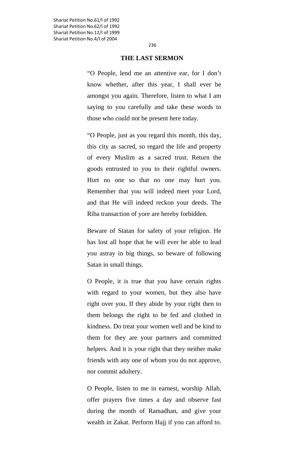#### **THE LAST SERMON**

"O People, lend me an attentive ear, for I don't know whether, after this year, I shall ever be amongst you again. Therefore, listen to what I am saying to you carefully and take these words to those who could not be present here today.

"O People, just as you regard this month, this day, this city as sacred, so regard the life and property of every Muslim as a sacred trust. Return the goods entrusted to you to their rightful owners. Hurt no one so that no one may hurt you. Remember that you will indeed meet your Lord, and that He will indeed reckon your deeds. The Riba transaction of yore are hereby forbidden.

Beware of Statan for safety of your religion. He has lost all hope that he will ever be able to lead you astray in big things, so beware of following Satan in small things.

O People, it is true that you have certain rights with regard to your women, but they also have right over you. If they abide by your right then to them belongs the right to be fed and clothed in kindness. Do treat your women well and be kind to them for they are your partners and committed helpers. And it is your right that they neither make friends with any one of whom you do not approve, nor commit adultery.

O People, listen to me in earnest, worship Allah, offer prayers five times a day and observe fast during the month of Ramadhan, and give your wealth in Zakat. Perform Hajj if you can afford to.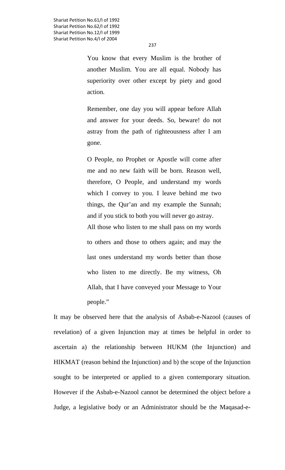You know that every Muslim is the brother of another Muslim. You are all equal. Nobody has superiority over other except by piety and good action.

Remember, one day you will appear before Allah and answer for your deeds. So, beware! do not astray from the path of righteousness after I am gone.

O People, no Prophet or Apostle will come after me and no new faith will be born. Reason well, therefore, O People, and understand my words which I convey to you. I leave behind me two things, the Qur'an and my example the Sunnah; and if you stick to both you will never go astray.

All those who listen to me shall pass on my words to others and those to others again; and may the last ones understand my words better than those who listen to me directly. Be my witness, Oh Allah, that I have conveyed your Message to Your people."

It may be observed here that the analysis of Asbab-e-Nazool (causes of revelation) of a given Injunction may at times be helpful in order to ascertain a) the relationship between HUKM (the Injunction) and HIKMAT (reason behind the Injunction) and b) the scope of the Injunction sought to be interpreted or applied to a given contemporary situation. However if the Asbab-e-Nazool cannot be determined the object before a Judge, a legislative body or an Administrator should be the Maqasad-e-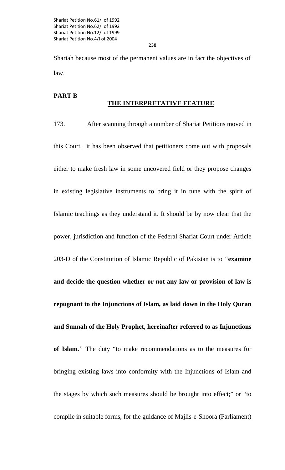238

Shariah because most of the permanent values are in fact the objectives of law.

#### **PART B**

#### **THE INTERPRETATIVE FEATURE**

173. After scanning through a number of Shariat Petitions moved in this Court, it has been observed that petitioners come out with proposals either to make fresh law in some uncovered field or they propose changes in existing legislative instruments to bring it in tune with the spirit of Islamic teachings as they understand it. It should be by now clear that the power, jurisdiction and function of the Federal Shariat Court under Article 203-D of the Constitution of Islamic Republic of Pakistan is to *"***examine and decide the question whether or not any law or provision of law is repugnant to the Injunctions of Islam, as laid down in the Holy Quran and Sunnah of the Holy Prophet, hereinafter referred to as Injunctions of Islam.***"* The duty "to make recommendations as to the measures for bringing existing laws into conformity with the Injunctions of Islam and the stages by which such measures should be brought into effect;" or "to compile in suitable forms, for the guidance of Majlis-e-Shoora (Parliament)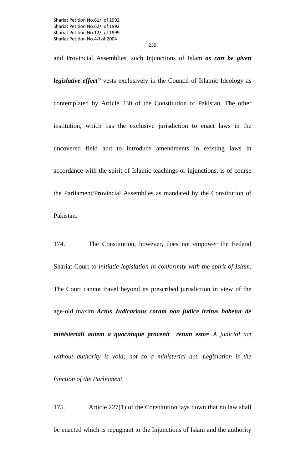239

and Provincial Assemblies, such Injunctions of Islam *as can be given legislative effect"* vests exclusively in the Council of Islamic Ideology as contemplated by Article 230 of the Constitution of Pakistan. The other institution, which has the exclusive jurisdiction to enact laws in the uncovered field and to introduce amendments in existing laws in accordance with the spirit of Islamic teachings or injunctions, is of course the Parliament/Provincial Assemblies as mandated by the Constitution of Pakistan.

174. The Constitution, however, does not empower the Federal Shariat Court to *initiatie legislation in conformity with the spirit of Islam*. The Court cannot travel beyond its prescribed jurisdiction in view of the age-old maxim *Actus Judicarious coram non judice irritus habetur de ministeriali autem a quocnnque provenit retum esto= A judicial act without authority is void; not so a ministerial act. Legislation is the function of the Parliament.* 

175. Article 227(1) of the Constitution lays down that no law shall be enacted which is repugnant to the Injunctions of Islam and the authority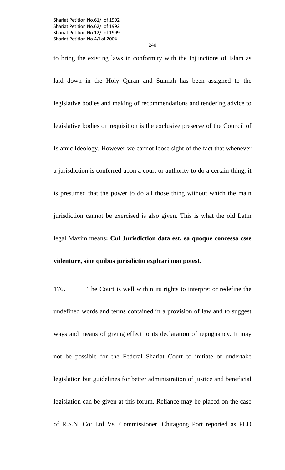to bring the existing laws in conformity with the Injunctions of Islam as laid down in the Holy Quran and Sunnah has been assigned to the legislative bodies and making of recommendations and tendering advice to legislative bodies on requisition is the exclusive preserve of the Council of Islamic Ideology. However we cannot loose sight of the fact that whenever a jurisdiction is conferred upon a court or authority to do a certain thing, it is presumed that the power to do all those thing without which the main jurisdiction cannot be exercised is also given. This is what the old Latin legal Maxim means**: Cul Jurisdiction data est, ea quoque concessa csse videnture, sine quibus jurisdictio explcari non potest.** 

176**.** The Court is well within its rights to interpret or redefine the undefined words and terms contained in a provision of law and to suggest ways and means of giving effect to its declaration of repugnancy. It may not be possible for the Federal Shariat Court to initiate or undertake legislation but guidelines for better administration of justice and beneficial legislation can be given at this forum. Reliance may be placed on the case of R.S.N. Co: Ltd Vs. Commissioner, Chitagong Port reported as PLD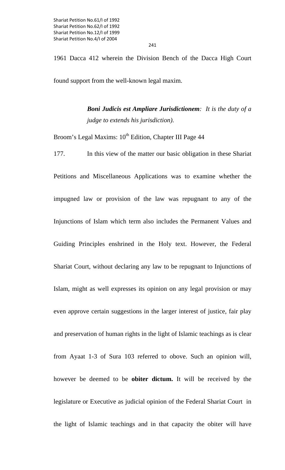1961 Dacca 412 wherein the Division Bench of the Dacca High Court found support from the well-known legal maxim.

241

*Boni Judicis est Ampliare Jurisdictionem: It is the duty of a judge to extends his jurisdiction).* 

Broom's Legal Maxims: 10<sup>th</sup> Edition, Chapter III Page 44

177. In this view of the matter our basic obligation in these Shariat Petitions and Miscellaneous Applications was to examine whether the impugned law or provision of the law was repugnant to any of the Injunctions of Islam which term also includes the Permanent Values and Guiding Principles enshrined in the Holy text. However, the Federal Shariat Court, without declaring any law to be repugnant to Injunctions of Islam, might as well expresses its opinion on any legal provision or may even approve certain suggestions in the larger interest of justice, fair play and preservation of human rights in the light of Islamic teachings as is clear from Ayaat 1-3 of Sura 103 referred to obove. Such an opinion will, however be deemed to be **obiter dictum.** It will be received by the legislature or Executive as judicial opinion of the Federal Shariat Court in the light of Islamic teachings and in that capacity the obiter will have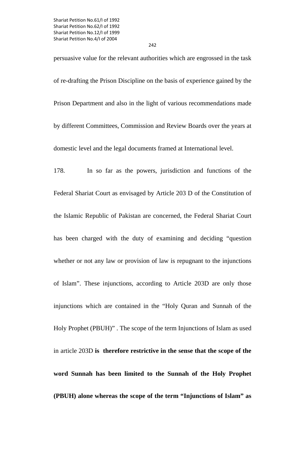persuasive value for the relevant authorities which are engrossed in the task of re-drafting the Prison Discipline on the basis of experience gained by the Prison Department and also in the light of various recommendations made by different Committees, Commission and Review Boards over the years at domestic level and the legal documents framed at International level.

178. In so far as the powers, jurisdiction and functions of the Federal Shariat Court as envisaged by Article 203 D of the Constitution of the Islamic Republic of Pakistan are concerned, the Federal Shariat Court has been charged with the duty of examining and deciding "question whether or not any law or provision of law is repugnant to the injunctions of Islam". These injunctions, according to Article 203D are only those injunctions which are contained in the "Holy Quran and Sunnah of the Holy Prophet (PBUH)" . The scope of the term Injunctions of Islam as used in article 203D **is therefore restrictive in the sense that the scope of the word Sunnah has been limited to the Sunnah of the Holy Prophet (PBUH) alone whereas the scope of the term "Injunctions of Islam" as**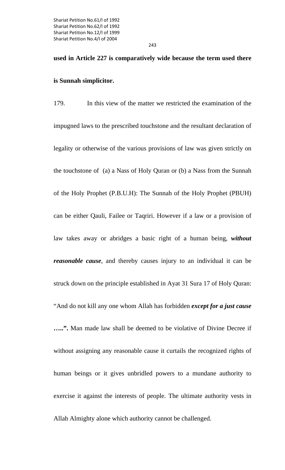## **used in Article 227 is comparatively wide because the term used there is Sunnah simplicitor.**

# 179. In this view of the matter we restricted the examination of the impugned laws to the prescribed touchstone and the resultant declaration of legality or otherwise of the various provisions of law was given strictly on the touchstone of (a) a Nass of Holy Quran or (b) a Nass from the Sunnah of the Holy Prophet (P.B.U.H): The Sunnah of the Holy Prophet (PBUH) can be either Qauli, Failee or Taqriri. However if a law or a provision of law takes away or abridges a basic right of a human being, *without reasonable cause*, and thereby causes injury to an individual it can be struck down on the principle established in Ayat 31 Sura 17 of Holy Quran: "And do not kill any one whom Allah has forbidden *except for a just cause* **…..".** Man made law shall be deemed to be violative of Divine Decree if without assigning any reasonable cause it curtails the recognized rights of human beings or it gives unbridled powers to a mundane authority to exercise it against the interests of people. The ultimate authority vests in

Allah Almighty alone which authority cannot be challenged.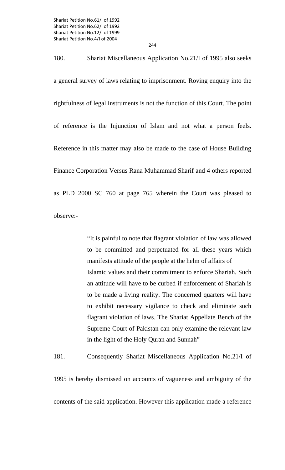180. Shariat Miscellaneous Application No.21/I of 1995 also seeks a general survey of laws relating to imprisonment. Roving enquiry into the rightfulness of legal instruments is not the function of this Court. The point of reference is the Injunction of Islam and not what a person feels. Reference in this matter may also be made to the case of House Building Finance Corporation Versus Rana Muhammad Sharif and 4 others reported as PLD 2000 SC 760 at page 765 wherein the Court was pleased to

observe:-

 "It is painful to note that flagrant violation of law was allowed to be committed and perpetuated for all these years which manifests attitude of the people at the helm of affairs of Islamic values and their commitment to enforce Shariah. Such an attitude will have to be curbed if enforcement of Shariah is to be made a living reality. The concerned quarters will have to exhibit necessary vigilance to check and eliminate such flagrant violation of laws. The Shariat Appellate Bench of the Supreme Court of Pakistan can only examine the relevant law in the light of the Holy Quran and Sunnah"

181. Consequently Shariat Miscellaneous Application No.21/I of

1995 is hereby dismissed on accounts of vagueness and ambiguity of the contents of the said application. However this application made a reference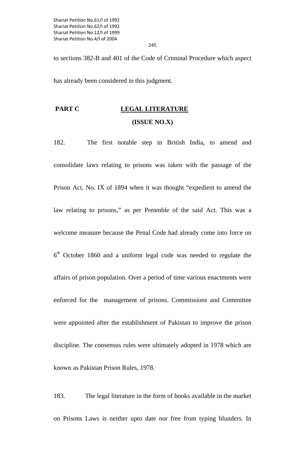to sections 382-B and 401 of the Code of Criminal Procedure which aspect

has already been considered in this judgment.

### **PART C** LEGAL LITERATURE **(ISSUE NO.X)**

182. The first notable step in British India, to amend and consolidate laws relating to prisons was taken with the passage of the Prison Act, No. IX of 1894 when it was thought "expedient to amend the law relating to prisons," as per Preamble of the said Act. This was a welcome measure because the Penal Code had already come into force on  $6<sup>th</sup>$  October 1860 and a uniform legal code was needed to regulate the affairs of prison population. Over a period of time various enactments were enforced for the management of prisons. Commissions and Committee were appointed after the establishment of Pakistan to improve the prison discipline. The consensus rules were ultimately adopted in 1978 which are known as Pakistan Prison Rules, 1978.

183. The legal literature in the form of books available in the market on Prisons Laws is neither upto date nor free from typing blunders. In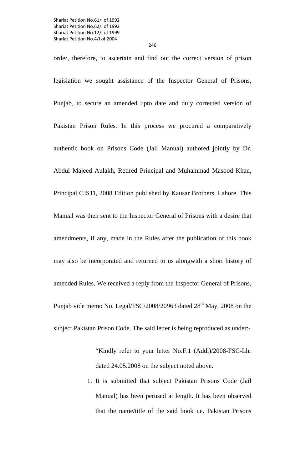246

order, therefore, to ascertain and find out the correct version of prison legislation we sought assistance of the Inspector General of Prisons, Punjab, to secure an amended upto date and duly corrected version of Pakistan Prison Rules. In this process we procured a comparatively authentic book on Prisons Code (Jail Manual) authored jointly by Dr. Abdul Majeed Aulakh, Retired Principal and Muhammad Masood Khan, Principal CJSTI, 2008 Edition published by Kausar Brothers, Lahore. This Manual was then sent to the Inspector General of Prisons with a desire that amendments, if any, made in the Rules after the publication of this book may also be incorporated and returned to us alongwith a short history of amended Rules. We received a reply from the Inspector General of Prisons, Punjab vide memo No. Legal/FSC/2008/20963 dated  $28<sup>th</sup>$  May, 2008 on the subject Pakistan Prison Code. The said letter is being reproduced as under:-

> "Kindly refer to your letter No.F.1 (Addl)/2008-FSC-Lhr dated 24.05.2008 on the subject noted above.

1. It is submitted that subject Pakistan Prisons Code (Jail Manual) has been perused at length. It has been observed that the name/title of the said book i.e. Pakistan Prisons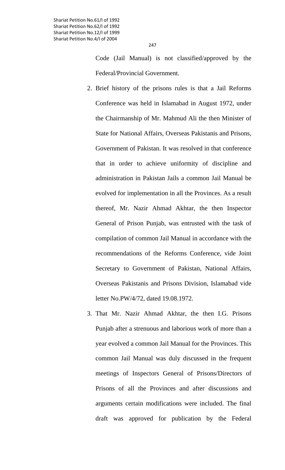Code (Jail Manual) is not classified/approved by the Federal/Provincial Government.

- 2. Brief history of the prisons rules is that a Jail Reforms Conference was held in Islamabad in August 1972, under the Chairmanship of Mr. Mahmud Ali the then Minister of State for National Affairs, Overseas Pakistanis and Prisons, Government of Pakistan. It was resolved in that conference that in order to achieve uniformity of discipline and administration in Pakistan Jails a common Jail Manual be evolved for implementation in all the Provinces. As a result thereof, Mr. Nazir Ahmad Akhtar, the then Inspector General of Prison Punjab, was entrusted with the task of compilation of common Jail Manual in accordance with the recommendations of the Reforms Conference, vide Joint Secretary to Government of Pakistan, National Affairs, Overseas Pakistanis and Prisons Division, Islamabad vide letter No.PW/4/72, dated 19.08.1972.
- 3. That Mr. Nazir Ahmad Akhtar, the then I.G. Prisons Punjab after a strenuous and laborious work of more than a year evolved a common Jail Manual for the Provinces. This common Jail Manual was duly discussed in the frequent meetings of Inspectors General of Prisons/Directors of Prisons of all the Provinces and after discussions and arguments certain modifications were included. The final draft was approved for publication by the Federal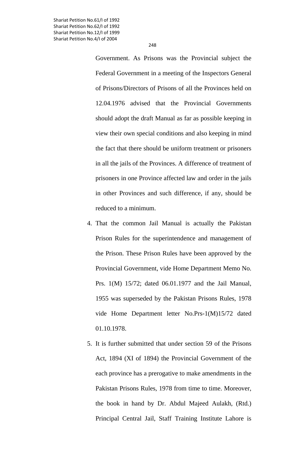> Government. As Prisons was the Provincial subject the Federal Government in a meeting of the Inspectors General of Prisons/Directors of Prisons of all the Provinces held on 12.04.1976 advised that the Provincial Governments should adopt the draft Manual as far as possible keeping in view their own special conditions and also keeping in mind the fact that there should be uniform treatment or prisoners in all the jails of the Provinces. A difference of treatment of prisoners in one Province affected law and order in the jails in other Provinces and such difference, if any, should be reduced to a minimum.

- 4. That the common Jail Manual is actually the Pakistan Prison Rules for the superintendence and management of the Prison. These Prison Rules have been approved by the Provincial Government, vide Home Department Memo No. Prs. 1(M) 15/72; dated 06.01.1977 and the Jail Manual, 1955 was superseded by the Pakistan Prisons Rules, 1978 vide Home Department letter No.Prs-1(M)15/72 dated 01.10.1978.
- 5. It is further submitted that under section 59 of the Prisons Act, 1894 (XI of 1894) the Provincial Government of the each province has a prerogative to make amendments in the Pakistan Prisons Rules, 1978 from time to time. Moreover, the book in hand by Dr. Abdul Majeed Aulakh, (Rtd.) Principal Central Jail, Staff Training Institute Lahore is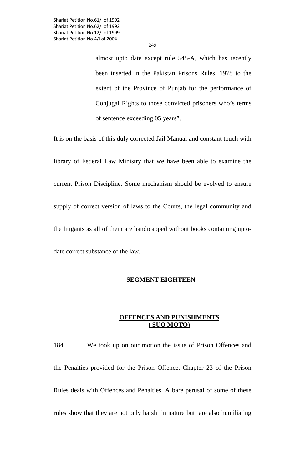almost upto date except rule 545-A, which has recently been inserted in the Pakistan Prisons Rules, 1978 to the extent of the Province of Punjab for the performance of Conjugal Rights to those convicted prisoners who's terms of sentence exceeding 05 years".

It is on the basis of this duly corrected Jail Manual and constant touch with library of Federal Law Ministry that we have been able to examine the current Prison Discipline. Some mechanism should be evolved to ensure supply of correct version of laws to the Courts, the legal community and the litigants as all of them are handicapped without books containing uptodate correct substance of the law.

#### **SEGMENT EIGHTEEN**

#### **OFFENCES AND PUNISHMENTS ( SUO MOTO)**

184. We took up on our motion the issue of Prison Offences and the Penalties provided for the Prison Offence. Chapter 23 of the Prison Rules deals with Offences and Penalties. A bare perusal of some of these rules show that they are not only harsh in nature but are also humiliating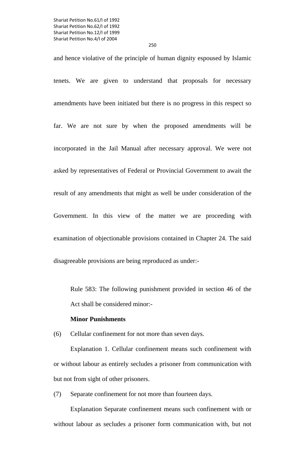250

and hence violative of the principle of human dignity espoused by Islamic tenets. We are given to understand that proposals for necessary amendments have been initiated but there is no progress in this respect so far. We are not sure by when the proposed amendments will be incorporated in the Jail Manual after necessary approval. We were not asked by representatives of Federal or Provincial Government to await the result of any amendments that might as well be under consideration of the Government. In this view of the matter we are proceeding with examination of objectionable provisions contained in Chapter 24. The said disagreeable provisions are being reproduced as under:-

Rule 583: The following punishment provided in section 46 of the Act shall be considered minor:-

#### **Minor Punishments**

(6) Cellular confinement for not more than seven days.

 Explanation 1. Cellular confinement means such confinement with or without labour as entirely secludes a prisoner from communication with but not from sight of other prisoners.

(7) Separate confinement for not more than fourteen days.

 Explanation Separate confinement means such confinement with or without labour as secludes a prisoner form communication with, but not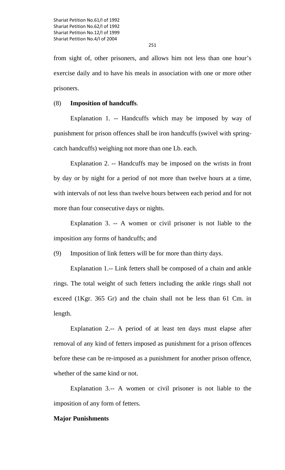from sight of, other prisoners, and allows him not less than one hour's exercise daily and to have his meals in association with one or more other prisoners.

#### (8) **Imposition of handcuffs**.

 Explanation 1. -- Handcuffs which may be imposed by way of punishment for prison offences shall be iron handcuffs (swivel with springcatch handcuffs) weighing not more than one Lb. each.

 Explanation 2. -- Handcuffs may be imposed on the wrists in front by day or by night for a period of not more than twelve hours at a time, with intervals of not less than twelve hours between each period and for not more than four consecutive days or nights.

 Explanation 3. -- A women or civil prisoner is not liable to the imposition any forms of handcuffs; and

(9) Imposition of link fetters will be for more than thirty days.

 Explanation 1.-- Link fetters shall be composed of a chain and ankle rings. The total weight of such fetters including the ankle rings shall not exceed (1Kgr. 365 Gr) and the chain shall not be less than 61 Cm. in length.

 Explanation 2.-- A period of at least ten days must elapse after removal of any kind of fetters imposed as punishment for a prison offences before these can be re-imposed as a punishment for another prison offence, whether of the same kind or not.

 Explanation 3.-- A women or civil prisoner is not liable to the imposition of any form of fetters.

#### **Major Punishments**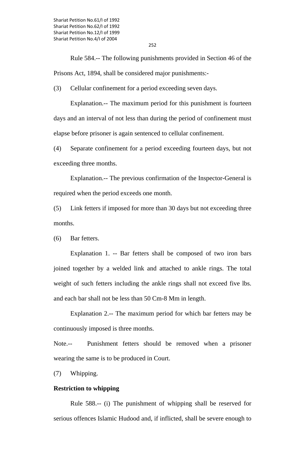Rule 584.-- The following punishments provided in Section 46 of the Prisons Act, 1894, shall be considered major punishments:-

(3) Cellular confinement for a period exceeding seven days.

 Explanation.-- The maximum period for this punishment is fourteen days and an interval of not less than during the period of confinement must elapse before prisoner is again sentenced to cellular confinement.

(4) Separate confinement for a period exceeding fourteen days, but not exceeding three months.

 Explanation.-- The previous confirmation of the Inspector-General is required when the period exceeds one month.

(5) Link fetters if imposed for more than 30 days but not exceeding three months.

(6) Bar fetters.

 Explanation 1. -- Bar fetters shall be composed of two iron bars joined together by a welded link and attached to ankle rings. The total weight of such fetters including the ankle rings shall not exceed five lbs. and each bar shall not be less than 50 Cm-8 Mm in length.

 Explanation 2.-- The maximum period for which bar fetters may be continuously imposed is three months.

Note.-- Punishment fetters should be removed when a prisoner wearing the same is to be produced in Court.

(7) Whipping.

#### **Restriction to whipping**

 Rule 588.-- (i) The punishment of whipping shall be reserved for serious offences Islamic Hudood and, if inflicted, shall be severe enough to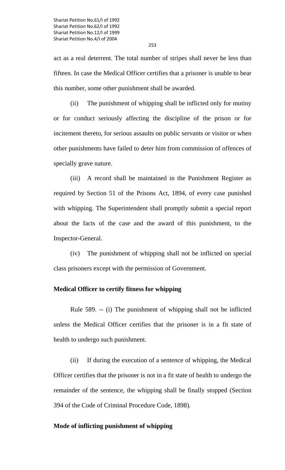act as a real deterrent. The total number of stripes shall never be less than fifteen. In case the Medical Officer certifies that a prisoner is unable to bear this number, some other punishment shall be awarded.

 (ii) The punishment of whipping shall be inflicted only for mutiny or for conduct seriously affecting the discipline of the prison or for incitement thereto, for serious assaults on public servants or visitor or when other punishments have failed to deter him from commission of offences of specially grave nature.

 (iii) A record shall be maintained in the Punishment Register as required by Section 51 of the Prisons Act, 1894, of every case punished with whipping. The Superintendent shall promptly submit a special report about the facts of the case and the award of this punishment, to the Inspector-General.

 (iv) The punishment of whipping shall not be inflicted on special class prisoners except with the permission of Government.

#### **Medical Officer to certify fitness for whipping**

 Rule 589. -- (i) The punishment of whipping shall not be inflicted unless the Medical Officer certifies that the prisoner is in a fit state of health to undergo such punishment.

 (ii) If during the execution of a sentence of whipping, the Medical Officer certifies that the prisoner is not in a fit state of health to undergo the remainder of the sentence, the whipping shall be finally stopped (Section 394 of the Code of Criminal Procedure Code, 1898).

#### **Mode of inflicting punishment of whipping**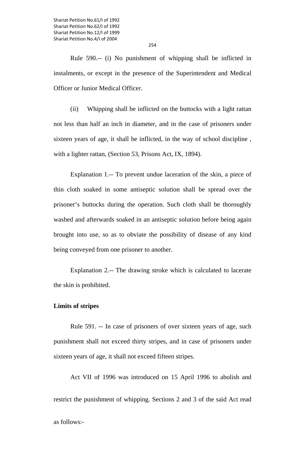Rule 590.-- (i) No punishment of whipping shall be inflicted in instalments, or except in the presence of the Superintendent and Medical

Officer or Junior Medical Officer.

 (ii) Whipping shall be inflicted on the buttocks with a light rattan not less than half an inch in diameter, and in the case of prisoners under sixteen years of age, it shall be inflicted, in the way of school discipline , with a lighter rattan, (Section 53, Prisons Act, IX, 1894).

 Explanation 1.-- To prevent undue laceration of the skin, a piece of thin cloth soaked in some antiseptic solution shall be spread over the prisoner's buttocks during the operation. Such cloth shall be thoroughly washed and afterwards soaked in an antiseptic solution before being again brought into use, so as to obviate the possibility of disease of any kind being conveyed from one prisoner to another.

 Explanation 2.-- The drawing stroke which is calculated to lacerate the skin is prohibited.

#### **Limits of stripes**

 Rule 591. -- In case of prisoners of over sixteen years of age, such punishment shall not exceed thirty stripes, and in case of prisoners under sixteen years of age, it shall not exceed fifteen stripes.

 Act VII of 1996 was introduced on 15 April 1996 to abolish and restrict the punishment of whipping. Sections 2 and 3 of the said Act read as follows:-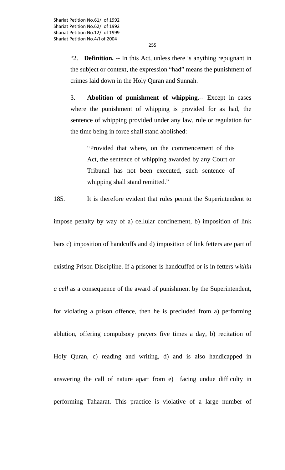"2. **Definition.** -- In this Act, unless there is anything repugnant in the subject or context, the expression "had" means the punishment of crimes laid down in the Holy Quran and Sunnah.

3. **Abolition of punishment of whipping**.-- Except in cases where the punishment of whipping is provided for as had, the sentence of whipping provided under any law, rule or regulation for the time being in force shall stand abolished:

"Provided that where, on the commencement of this Act, the sentence of whipping awarded by any Court or Tribunal has not been executed, such sentence of whipping shall stand remitted."

185. It is therefore evident that rules permit the Superintendent to

impose penalty by way of a) cellular confinement, b) imposition of link bars c) imposition of handcuffs and d) imposition of link fetters are part of existing Prison Discipline. If a prisoner is handcuffed or is in fetters *within a cell* as a consequence of the award of punishment by the Superintendent, for violating a prison offence, then he is precluded from a) performing ablution, offering compulsory prayers five times a day, b) recitation of Holy Quran, c) reading and writing, d) and is also handicapped in answering the call of nature apart from e) facing undue difficulty in performing Tahaarat. This practice is violative of a large number of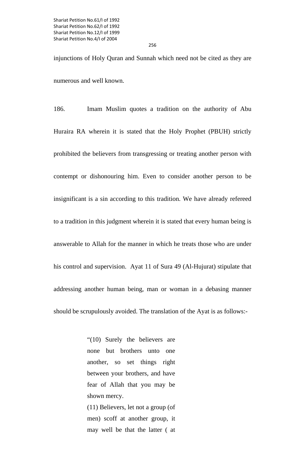256

injunctions of Holy Quran and Sunnah which need not be cited as they are numerous and well known.

186. Imam Muslim quotes a tradition on the authority of Abu Huraira RA wherein it is stated that the Holy Prophet (PBUH) strictly prohibited the believers from transgressing or treating another person with contempt or dishonouring him. Even to consider another person to be insignificant is a sin according to this tradition. We have already refereed to a tradition in this judgment wherein it is stated that every human being is answerable to Allah for the manner in which he treats those who are under his control and supervision. Ayat 11 of Sura 49 (Al-Hujurat) stipulate that addressing another human being, man or woman in a debasing manner should be scrupulously avoided. The translation of the Ayat is as follows:-

> "(10) Surely the believers are none but brothers unto one another, so set things right between your brothers, and have fear of Allah that you may be shown mercy.

> (11) Believers, let not a group (of men) scoff at another group, it may well be that the latter ( at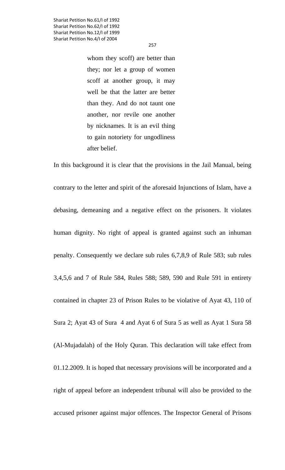257

whom they scoff) are better than they; nor let a group of women scoff at another group, it may well be that the latter are better than they. And do not taunt one another, nor revile one another by nicknames. It is an evil thing to gain notoriety for ungodliness after belief.

In this background it is clear that the provisions in the Jail Manual, being contrary to the letter and spirit of the aforesaid Injunctions of Islam, have a debasing, demeaning and a negative effect on the prisoners. It violates human dignity. No right of appeal is granted against such an inhuman penalty. Consequently we declare sub rules 6,7,8,9 of Rule 583; sub rules 3,4,5,6 and 7 of Rule 584, Rules 588; 589, 590 and Rule 591 in entirety contained in chapter 23 of Prison Rules to be violative of Ayat 43, 110 of Sura 2; Ayat 43 of Sura 4 and Ayat 6 of Sura 5 as well as Ayat 1 Sura 58 (Al-Mujadalah) of the Holy Quran. This declaration will take effect from 01.12.2009. It is hoped that necessary provisions will be incorporated and a right of appeal before an independent tribunal will also be provided to the accused prisoner against major offences. The Inspector General of Prisons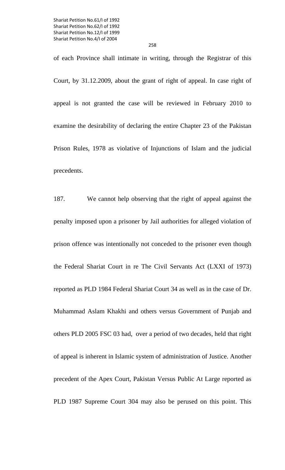of each Province shall intimate in writing, through the Registrar of this Court, by 31.12.2009, about the grant of right of appeal. In case right of appeal is not granted the case will be reviewed in February 2010 to examine the desirability of declaring the entire Chapter 23 of the Pakistan Prison Rules, 1978 as violative of Injunctions of Islam and the judicial precedents.

187. We cannot help observing that the right of appeal against the penalty imposed upon a prisoner by Jail authorities for alleged violation of prison offence was intentionally not conceded to the prisoner even though the Federal Shariat Court in re The Civil Servants Act (LXXI of 1973) reported as PLD 1984 Federal Shariat Court 34 as well as in the case of Dr. Muhammad Aslam Khakhi and others versus Government of Punjab and others PLD 2005 FSC 03 had, over a period of two decades, held that right of appeal is inherent in Islamic system of administration of Justice. Another precedent of the Apex Court, Pakistan Versus Public At Large reported as PLD 1987 Supreme Court 304 may also be perused on this point. This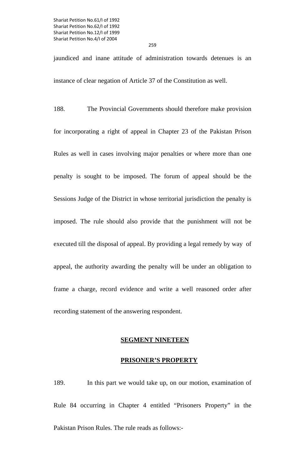jaundiced and inane attitude of administration towards detenues is an instance of clear negation of Article 37 of the Constitution as well.

188. The Provincial Governments should therefore make provision for incorporating a right of appeal in Chapter 23 of the Pakistan Prison Rules as well in cases involving major penalties or where more than one penalty is sought to be imposed. The forum of appeal should be the Sessions Judge of the District in whose territorial jurisdiction the penalty is imposed. The rule should also provide that the punishment will not be executed till the disposal of appeal. By providing a legal remedy by way of appeal, the authority awarding the penalty will be under an obligation to frame a charge, record evidence and write a well reasoned order after recording statement of the answering respondent.

#### **SEGMENT NINETEEN**

### **PRISONER'S PROPERTY**

189.In this part we would take up, on our motion, examination of Rule 84 occurring in Chapter 4 entitled "Prisoners Property" in the Pakistan Prison Rules. The rule reads as follows:-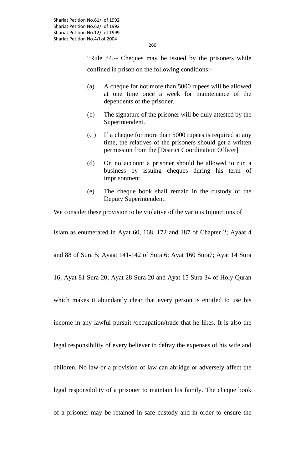260

"Rule 84.-- Cheques may be issued by the prisoners while confined in prison on the following conditions:-

- (a) A cheque for not more than 5000 rupees will be allowed at one time once a week for maintenance of the dependents of the prisoner.
- (b) The signature of the prisoner will be duly attested by the Superintendent.
- (c ) If a cheque for more than 5000 rupees is required at any time, the relatives of the prisoners should get a written permission from the [District Coordination Officer]
- (d) On no account a prisoner should be allowed to run a business by issuing cheques during his term of imprisonment.
- (e) The cheque book shall remain in the custody of the Deputy Superintendent.

We consider these provision to be violative of the various Injunctions of

Islam as enumerated in Ayat 60, 168, 172 and 187 of Chapter 2; Ayaat 4

and 88 of Sura 5; Ayaat 141-142 of Sura 6; Ayat 160 Sura7; Ayat 14 Sura

16; Ayat 81 Sura 20; Ayat 28 Sura 20 and Ayat 15 Sura 34 of Holy Quran

which makes it abundantly clear that every person is entitled to use his

income in any lawful pursuit /occupation/trade that he likes. It is also the

legal responsibility of every believer to defray the expenses of his wife and

children. No law or a provision of law can abridge or adversely affect the

legal responsibility of a prisoner to maintain his family. The cheque book

of a prisoner may be retained in safe custody and in order to ensure the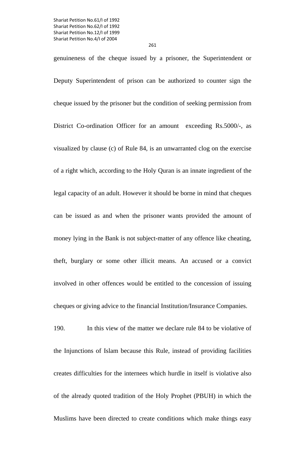261

genuineness of the cheque issued by a prisoner, the Superintendent or Deputy Superintendent of prison can be authorized to counter sign the cheque issued by the prisoner but the condition of seeking permission from District Co-ordination Officer for an amount exceeding Rs.5000/-, as visualized by clause (c) of Rule 84, is an unwarranted clog on the exercise of a right which, according to the Holy Quran is an innate ingredient of the legal capacity of an adult. However it should be borne in mind that cheques can be issued as and when the prisoner wants provided the amount of money lying in the Bank is not subject-matter of any offence like cheating, theft, burglary or some other illicit means. An accused or a convict involved in other offences would be entitled to the concession of issuing cheques or giving advice to the financial Institution/Insurance Companies.

190. In this view of the matter we declare rule 84 to be violative of the Injunctions of Islam because this Rule, instead of providing facilities creates difficulties for the internees which hurdle in itself is violative also of the already quoted tradition of the Holy Prophet (PBUH) in which the Muslims have been directed to create conditions which make things easy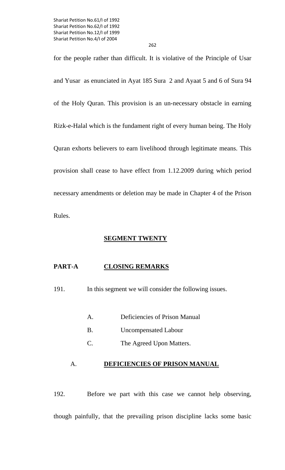262

for the people rather than difficult. It is violative of the Principle of Usar and Yusar as enunciated in Ayat 185 Sura 2 and Ayaat 5 and 6 of Sura 94 of the Holy Quran. This provision is an un-necessary obstacle in earning Rizk-e-Halal which is the fundament right of every human being. The Holy Quran exhorts believers to earn livelihood through legitimate means. This provision shall cease to have effect from 1.12.2009 during which period necessary amendments or deletion may be made in Chapter 4 of the Prison Rules.

### **SEGMENT TWENTY**

# **PART-A CLOSING REMARKS**

191. In this segment we will consider the following issues.

- A. Deficiencies of Prison Manual
- B. Uncompensated Labour
- C. The Agreed Upon Matters.

# A. **DEFICIENCIES OF PRISON MANUAL**

192. Before we part with this case we cannot help observing, though painfully, that the prevailing prison discipline lacks some basic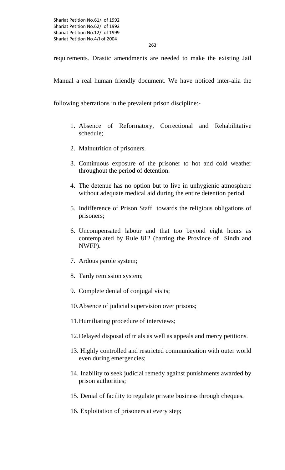263

requirements. Drastic amendments are needed to make the existing Jail

Manual a real human friendly document. We have noticed inter-alia the

following aberrations in the prevalent prison discipline:-

- 1. Absence of Reformatory, Correctional and Rehabilitative schedule;
- 2. Malnutrition of prisoners.
- 3. Continuous exposure of the prisoner to hot and cold weather throughout the period of detention.
- 4. The detenue has no option but to live in unhygienic atmosphere without adequate medical aid during the entire detention period.
- 5. Indifference of Prison Staff towards the religious obligations of prisoners;
- 6. Uncompensated labour and that too beyond eight hours as contemplated by Rule 812 (barring the Province of Sindh and NWFP).
- 7. Ardous parole system;
- 8. Tardy remission system;
- 9. Complete denial of conjugal visits;
- 10.Absence of judicial supervision over prisons;
- 11.Humiliating procedure of interviews;
- 12.Delayed disposal of trials as well as appeals and mercy petitions.
- 13. Highly controlled and restricted communication with outer world even during emergencies;
- 14. Inability to seek judicial remedy against punishments awarded by prison authorities;
- 15. Denial of facility to regulate private business through cheques.
- 16. Exploitation of prisoners at every step;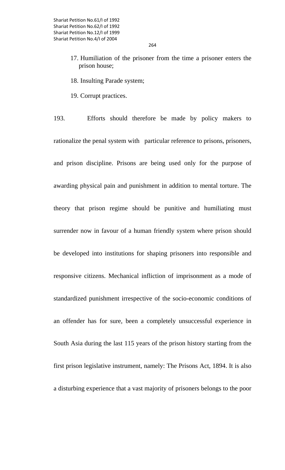264

- 17. Humiliation of the prisoner from the time a prisoner enters the prison house;
- 18. Insulting Parade system;
- 19. Corrupt practices.

193. Efforts should therefore be made by policy makers to rationalize the penal system with particular reference to prisons, prisoners, and prison discipline. Prisons are being used only for the purpose of awarding physical pain and punishment in addition to mental torture. The theory that prison regime should be punitive and humiliating must surrender now in favour of a human friendly system where prison should be developed into institutions for shaping prisoners into responsible and responsive citizens. Mechanical infliction of imprisonment as a mode of standardized punishment irrespective of the socio-economic conditions of an offender has for sure, been a completely unsuccessful experience in South Asia during the last 115 years of the prison history starting from the first prison legislative instrument, namely: The Prisons Act, 1894. It is also a disturbing experience that a vast majority of prisoners belongs to the poor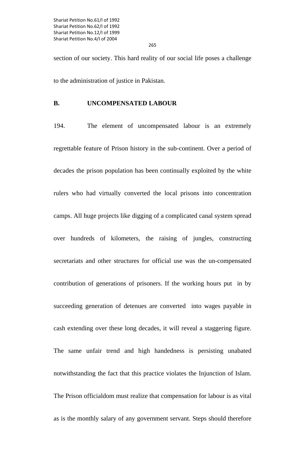section of our society. This hard reality of our social life poses a challenge to the administration of justice in Pakistan.

### **B. UNCOMPENSATED LABOUR**

194.The element of uncompensated labour is an extremely regrettable feature of Prison history in the sub-continent. Over a period of decades the prison population has been continually exploited by the white rulers who had virtually converted the local prisons into concentration camps. All huge projects like digging of a complicated canal system spread over hundreds of kilometers, the raising of jungles, constructing secretariats and other structures for official use was the un-compensated contribution of generations of prisoners. If the working hours put in by succeeding generation of detenues are converted into wages payable in cash extending over these long decades, it will reveal a staggering figure. The same unfair trend and high handedness is persisting unabated notwithstanding the fact that this practice violates the Injunction of Islam. The Prison officialdom must realize that compensation for labour is as vital as is the monthly salary of any government servant. Steps should therefore

265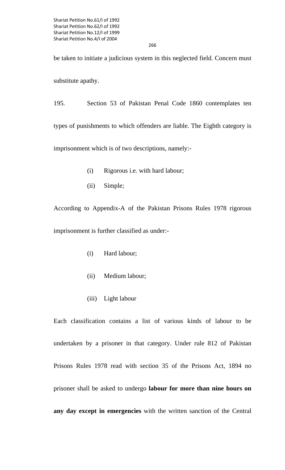#### 266

be taken to initiate a judicious system in this neglected field. Concern must substitute apathy.

195. Section 53 of Pakistan Penal Code 1860 contemplates ten types of punishments to which offenders are liable. The Eighth category is

imprisonment which is of two descriptions, namely:-

- (i) Rigorous i.e. with hard labour;
- (ii) Simple;

According to Appendix-A of the Pakistan Prisons Rules 1978 rigorous imprisonment is further classified as under:-

- (i) Hard labour;
- (ii) Medium labour;
- (iii) Light labour

Each classification contains a list of various kinds of labour to be undertaken by a prisoner in that category. Under rule 812 of Pakistan Prisons Rules 1978 read with section 35 of the Prisons Act, 1894 no prisoner shall be asked to undergo **labour for more than nine hours on any day except in emergencies** with the written sanction of the Central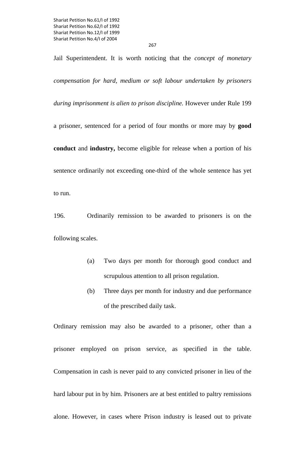267

Jail Superintendent. It is worth noticing that the *concept of monetary compensation for hard, medium or soft labour undertaken by prisoners during imprisonment is alien to prison discipline.* However under Rule 199 a prisoner, sentenced for a period of four months or more may by **good conduct** and **industry,** become eligible for release when a portion of his sentence ordinarily not exceeding one-third of the whole sentence has yet to run.

196. Ordinarily remission to be awarded to prisoners is on the following scales.

- (a) Two days per month for thorough good conduct and scrupulous attention to all prison regulation.
- (b) Three days per month for industry and due performance of the prescribed daily task.

Ordinary remission may also be awarded to a prisoner, other than a prisoner employed on prison service, as specified in the table. Compensation in cash is never paid to any convicted prisoner in lieu of the hard labour put in by him. Prisoners are at best entitled to paltry remissions alone. However, in cases where Prison industry is leased out to private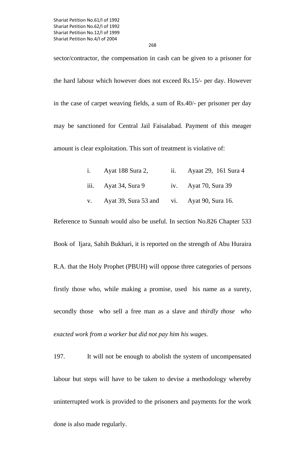268

sector/contractor, the compensation in cash can be given to a prisoner for the hard labour which however does not exceed Rs.15/- per day. However in the case of carpet weaving fields, a sum of Rs.40/- per prisoner per day may be sanctioned for Central Jail Faisalabad. Payment of this meager amount is clear exploitation. This sort of treatment is violative of:

|  | i. Ayat 188 Sura 2,                           | ii. Ayaat 29, 161 Sura 4 |
|--|-----------------------------------------------|--------------------------|
|  | iii. Ayat 34, Sura 9                          | iv. Ayat 70, Sura 39     |
|  | v. Ayat 39, Sura 53 and vi. Ayat 90, Sura 16. |                          |

Book of Ijara, Sahih Bukhari, it is reported on the strength of Abu Huraira R.A. that the Holy Prophet (PBUH) will oppose three categories of persons firstly those who, while making a promise, used his name as a surety, secondly those who sell a free man as a slave and *thirdly those who exacted work from a worker but did not pay him his wages.*

Reference to Sunnah would also be useful. In section No.826 Chapter 533

197. It will not be enough to abolish the system of uncompensated labour but steps will have to be taken to devise a methodology whereby uninterrupted work is provided to the prisoners and payments for the work done is also made regularly.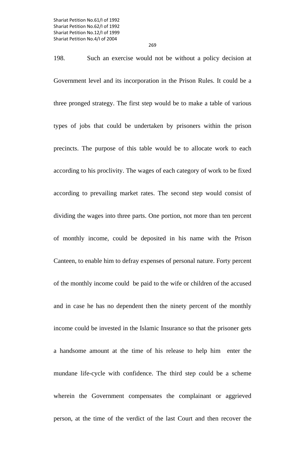198. Such an exercise would not be without a policy decision at Government level and its incorporation in the Prison Rules. It could be a three pronged strategy. The first step would be to make a table of various types of jobs that could be undertaken by prisoners within the prison precincts. The purpose of this table would be to allocate work to each according to his proclivity. The wages of each category of work to be fixed according to prevailing market rates. The second step would consist of dividing the wages into three parts. One portion, not more than ten percent of monthly income, could be deposited in his name with the Prison Canteen, to enable him to defray expenses of personal nature. Forty percent of the monthly income could be paid to the wife or children of the accused and in case he has no dependent then the ninety percent of the monthly income could be invested in the Islamic Insurance so that the prisoner gets a handsome amount at the time of his release to help him enter the mundane life-cycle with confidence. The third step could be a scheme wherein the Government compensates the complainant or aggrieved person, at the time of the verdict of the last Court and then recover the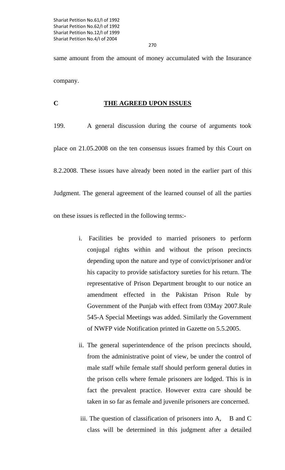270

same amount from the amount of money accumulated with the Insurance company.

### **C THE AGREED UPON ISSUES**

199. A general discussion during the course of arguments took place on 21.05.2008 on the ten consensus issues framed by this Court on 8.2.2008. These issues have already been noted in the earlier part of this Judgment. The general agreement of the learned counsel of all the parties on these issues is reflected in the following terms:-

- i. Facilities be provided to married prisoners to perform conjugal rights within and without the prison precincts depending upon the nature and type of convict/prisoner and/or his capacity to provide satisfactory sureties for his return. The representative of Prison Department brought to our notice an amendment effected in the Pakistan Prison Rule by Government of the Punjab with effect from 03May 2007.Rule 545-A Special Meetings was added. Similarly the Government of NWFP vide Notification printed in Gazette on 5.5.2005.
- ii. The general superintendence of the prison precincts should, from the administrative point of view, be under the control of male staff while female staff should perform general duties in the prison cells where female prisoners are lodged. This is in fact the prevalent practice. However extra care should be taken in so far as female and juvenile prisoners are concerned.
- iii. The question of classification of prisoners into A, B and C class will be determined in this judgment after a detailed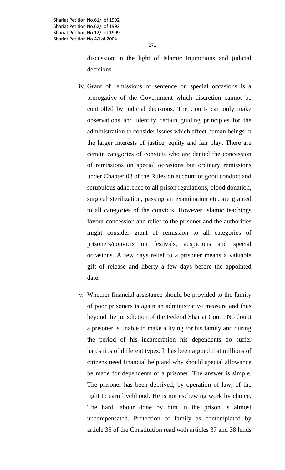discussion in the light of Islamic Injunctions and judicial decisions.

- iv. Grant of remissions of sentence on special occasions is a prerogative of the Government which discretion cannot be controlled by judicial decisions. The Courts can only make observations and identify certain guiding principles for the administration to consider issues which affect human beings in the larger interests of justice, equity and fair play. There are certain categories of convicts who are denied the concession of remissions on special occasions but ordinary remissions under Chapter 08 of the Rules on account of good conduct and scrupulous adherence to all prison regulations, blood donation, surgical sterilization, passing an examination etc. are granted to all categories of the convicts. However Islamic teachings favour concession and relief to the prisoner and the authorities might consider grant of remission to all categories of prisoners/convicts on festivals, auspicious and special occasions. A few days relief to a prisoner means a valuable gift of release and liberty a few days before the appointed date.
- v. Whether financial assistance should be provided to the family of poor prisoners is again an administrative measure and thus beyond the jurisdiction of the Federal Shariat Court. No doubt a prisoner is unable to make a living for his family and during the period of his incarceration his dependents do suffer hardships of different types. It has been argued that millions of citizens need financial help and why should special allowance be made for dependents of a prisoner. The answer is simple. The prisoner has been deprived, by operation of law, of the right to earn livelihood. He is not eschewing work by choice. The hard labour done by him in the prison is almost uncompensated. Protection of family as contemplated by article 35 of the Constitution read with articles 37 and 38 lends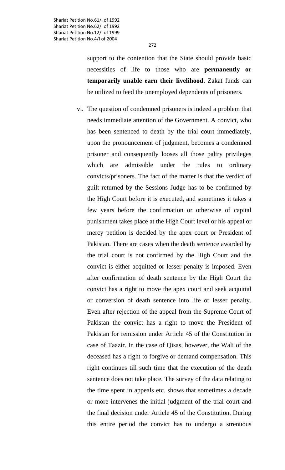support to the contention that the State should provide basic necessities of life to those who are **permanently or temporarily unable earn their livelihood.** Zakat funds can be utilized to feed the unemployed dependents of prisoners.

 vi. The question of condemned prisoners is indeed a problem that needs immediate attention of the Government. A convict, who has been sentenced to death by the trial court immediately, upon the pronouncement of judgment, becomes a condemned prisoner and consequently looses all those paltry privileges which are admissible under the rules to ordinary convicts/prisoners. The fact of the matter is that the verdict of guilt returned by the Sessions Judge has to be confirmed by the High Court before it is executed, and sometimes it takes a few years before the confirmation or otherwise of capital punishment takes place at the High Court level or his appeal or mercy petition is decided by the apex court or President of Pakistan. There are cases when the death sentence awarded by the trial court is not confirmed by the High Court and the convict is either acquitted or lesser penalty is imposed. Even after confirmation of death sentence by the High Court the convict has a right to move the apex court and seek acquittal or conversion of death sentence into life or lesser penalty. Even after rejection of the appeal from the Supreme Court of Pakistan the convict has a right to move the President of Pakistan for remission under Article 45 of the Constitution in case of Taazir. In the case of Qisas, however, the Wali of the deceased has a right to forgive or demand compensation. This right continues till such time that the execution of the death sentence does not take place. The survey of the data relating to the time spent in appeals etc. shows that sometimes a decade or more intervenes the initial judgment of the trial court and the final decision under Article 45 of the Constitution. During this entire period the convict has to undergo a strenuous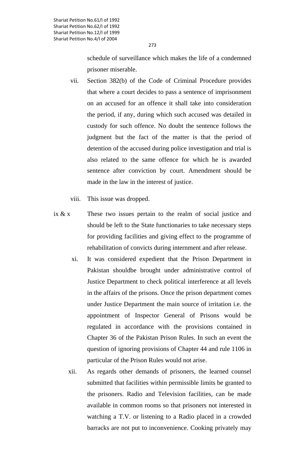273

schedule of surveillance which makes the life of a condemned prisoner miserable.

- vii. Section 382(b) of the Code of Criminal Procedure provides that where a court decides to pass a sentence of imprisonment on an accused for an offence it shall take into consideration the period, if any, during which such accused was detailed in custody for such offence. No doubt the sentence follows the judgment but the fact of the matter is that the period of detention of the accused during police investigation and trial is also related to the same offence for which he is awarded sentence after conviction by court. Amendment should be made in the law in the interest of justice.
- viii. This issue was dropped.
- ix  $& x$  These two issues pertain to the realm of social justice and should be left to the State functionaries to take necessary steps for providing facilities and giving effect to the programme of rehabilitation of convicts during internment and after release.
	- xi. It was considered expedient that the Prison Department in Pakistan shouldbe brought under administrative control of Justice Department to check political interference at all levels in the affairs of the prisons. Once the prison department comes under Justice Department the main source of irritation i.e. the appointment of Inspector General of Prisons would be regulated in accordance with the provisions contained in Chapter 36 of the Pakistan Prison Rules. In such an event the question of ignoring provisions of Chapter 44 and rule 1106 in particular of the Prison Rules would not arise.
	- xii. As regards other demands of prisoners, the learned counsel submitted that facilities within permissible limits be granted to the prisoners. Radio and Television facilities, can be made available in common rooms so that prisoners not interested in watching a T.V. or listening to a Radio placed in a crowded barracks are not put to inconvenience. Cooking privately may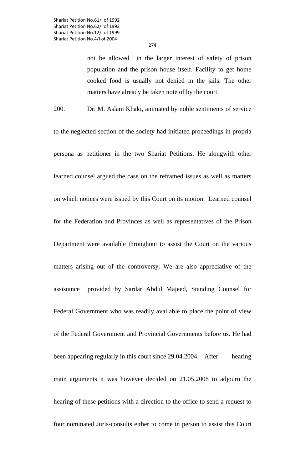not be allowed in the larger interest of safety of prison population and the prison house itself. Facility to get home cooked food is usually not denied in the jails. The other matters have already be taken note of by the court.

200. Dr. M. Aslam Khaki, animated by noble sentiments of service

to the neglected section of the society had initiated proceedings in propria persona as petitioner in the two Shariat Petitions. He alongwith other learned counsel argued the case on the reframed issues as well as matters on which notices were issued by this Court on its motion. Learned counsel for the Federation and Provinces as well as representatives of the Prison Department were available throughout to assist the Court on the various matters arising out of the controversy. We are also appreciative of the assistance provided by Sardar Abdul Majeed, Standing Counsel for Federal Government who was readily available to place the point of view of the Federal Government and Provincial Governments before us. He had been appearing regularly in this court since 29.04.2004. After hearing main arguments it was however decided on 21.05.2008 to adjourn the hearing of these petitions with a direction to the office to send a request to four nominated Juris-consults either to come in person to assist this Court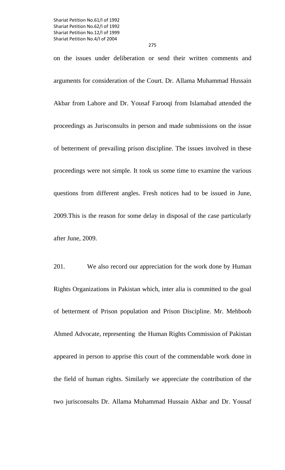on the issues under deliberation or send their written comments and arguments for consideration of the Court. Dr. Allama Muhammad Hussain Akbar from Lahore and Dr. Yousaf Farooqi from Islamabad attended the proceedings as Jurisconsults in person and made submissions on the issue of betterment of prevailing prison discipline. The issues involved in these proceedings were not simple. It took us some time to examine the various questions from different angles. Fresh notices had to be issued in June, 2009.This is the reason for some delay in disposal of the case particularly after June, 2009.

201. We also record our appreciation for the work done by Human Rights Organizations in Pakistan which, inter alia is committed to the goal of betterment of Prison population and Prison Discipline. Mr. Mehboob Ahmed Advocate, representing the Human Rights Commission of Pakistan appeared in person to apprise this court of the commendable work done in the field of human rights. Similarly we appreciate the contribution of the two jurisconsults Dr. Allama Muhammad Hussain Akbar and Dr. Yousaf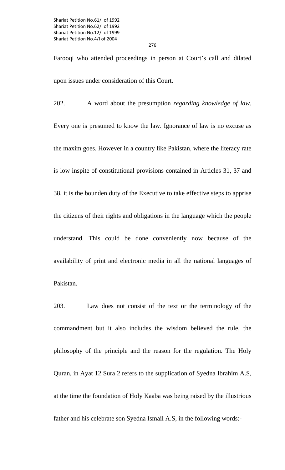Farooqi who attended proceedings in person at Court's call and dilated upon issues under consideration of this Court.

202. A word about the presumption *regarding knowledge of law.* Every one is presumed to know the law. Ignorance of law is no excuse as the maxim goes. However in a country like Pakistan, where the literacy rate is low inspite of constitutional provisions contained in Articles 31, 37 and 38, it is the bounden duty of the Executive to take effective steps to apprise the citizens of their rights and obligations in the language which the people understand. This could be done conveniently now because of the availability of print and electronic media in all the national languages of Pakistan.

203. Law does not consist of the text or the terminology of the commandment but it also includes the wisdom believed the rule, the philosophy of the principle and the reason for the regulation. The Holy Quran, in Ayat 12 Sura 2 refers to the supplication of Syedna Ibrahim A.S, at the time the foundation of Holy Kaaba was being raised by the illustrious father and his celebrate son Syedna Ismail A.S, in the following words:-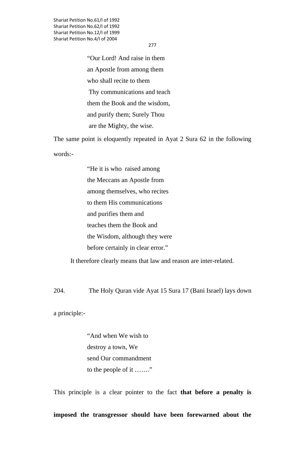277

"Our Lord! And raise in them an Apostle from among them who shall recite to them Thy communications and teach them the Book and the wisdom, and purify them; Surely Thou are the Mighty, the wise.

The same point is eloquently repeated in Ayat 2 Sura 62 in the following words:-

> "He it is who raised among the Meccans an Apostle from among themselves, who recites to them His communications and purifies them and teaches them the Book and the Wisdom, although they were before certainly in clear error."

It therefore clearly means that law and reason are inter-related.

204. The Holy Quran vide Ayat 15 Sura 17 (Bani Israel) lays down

a principle:-

 "And when We wish to destroy a town, We send Our commandment to the people of it ……."

This principle is a clear pointer to the fact **that before a penalty is** 

**imposed the transgressor should have been forewarned about the**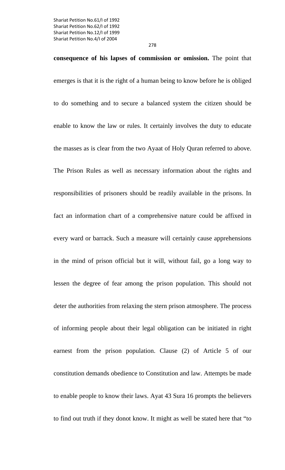**consequence of his lapses of commission or omission.** The point that emerges is that it is the right of a human being to know before he is obliged

to do something and to secure a balanced system the citizen should be enable to know the law or rules. It certainly involves the duty to educate the masses as is clear from the two Ayaat of Holy Quran referred to above. The Prison Rules as well as necessary information about the rights and responsibilities of prisoners should be readily available in the prisons. In fact an information chart of a comprehensive nature could be affixed in every ward or barrack. Such a measure will certainly cause apprehensions in the mind of prison official but it will, without fail, go a long way to lessen the degree of fear among the prison population. This should not deter the authorities from relaxing the stern prison atmosphere. The process of informing people about their legal obligation can be initiated in right earnest from the prison population. Clause (2) of Article 5 of our constitution demands obedience to Constitution and law. Attempts be made to enable people to know their laws. Ayat 43 Sura 16 prompts the believers to find out truth if they donot know. It might as well be stated here that "to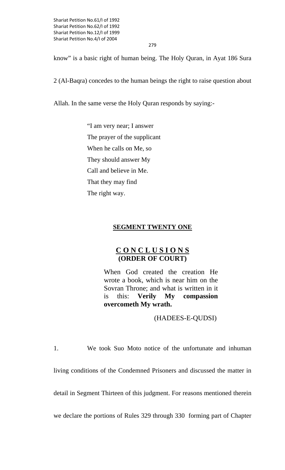279

know" is a basic right of human being. The Holy Quran, in Ayat 186 Sura

2 (Al-Baqra) concedes to the human beings the right to raise question about

Allah. In the same verse the Holy Quran responds by saying:-

 "I am very near; I answer The prayer of the supplicant When he calls on Me, so They should answer My Call and believe in Me. That they may find The right way.

#### **SEGMENT TWENTY ONE**

# **C O N C L U S I O N S (ORDER OF COURT)**

When God created the creation He wrote a book, which is near him on the Sovran Throne; and what is written in it is this: **Verily My compassion overcometh My wrath.** 

# (HADEES-E-QUDSI)

1. We took Suo Moto notice of the unfortunate and inhuman

living conditions of the Condemned Prisoners and discussed the matter in

detail in Segment Thirteen of this judgment. For reasons mentioned therein

we declare the portions of Rules 329 through 330 forming part of Chapter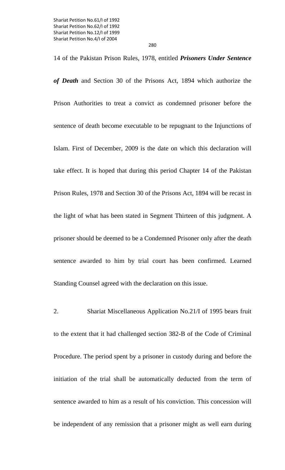14 of the Pakistan Prison Rules, 1978, entitled *Prisoners Under Sentence of Death* and Section 30 of the Prisons Act, 1894 which authorize the Prison Authorities to treat a convict as condemned prisoner before the sentence of death become executable to be repugnant to the Injunctions of Islam. First of December, 2009 is the date on which this declaration will take effect. It is hoped that during this period Chapter 14 of the Pakistan Prison Rules, 1978 and Section 30 of the Prisons Act, 1894 will be recast in the light of what has been stated in Segment Thirteen of this judgment. A prisoner should be deemed to be a Condemned Prisoner only after the death sentence awarded to him by trial court has been confirmed. Learned Standing Counsel agreed with the declaration on this issue.

2. Shariat Miscellaneous Application No.21/I of 1995 bears fruit to the extent that it had challenged section 382-B of the Code of Criminal Procedure. The period spent by a prisoner in custody during and before the initiation of the trial shall be automatically deducted from the term of sentence awarded to him as a result of his conviction. This concession will be independent of any remission that a prisoner might as well earn during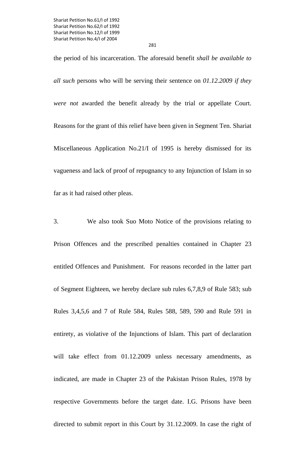the period of his incarceration. The aforesaid benefit *shall be available to all such* persons who will be serving their sentence on *01.12.2009 if they were not* awarded the benefit already by the trial or appellate Court. Reasons for the grant of this relief have been given in Segment Ten. Shariat Miscellaneous Application No.21/I of 1995 is hereby dismissed for its vagueness and lack of proof of repugnancy to any Injunction of Islam in so far as it had raised other pleas.

3. We also took Suo Moto Notice of the provisions relating to Prison Offences and the prescribed penalties contained in Chapter 23 entitled Offences and Punishment. For reasons recorded in the latter part of Segment Eighteen, we hereby declare sub rules 6,7,8,9 of Rule 583; sub Rules 3,4,5,6 and 7 of Rule 584, Rules 588, 589, 590 and Rule 591 in entirety, as violative of the Injunctions of Islam. This part of declaration will take effect from 01.12.2009 unless necessary amendments, as indicated, are made in Chapter 23 of the Pakistan Prison Rules, 1978 by respective Governments before the target date. I.G. Prisons have been directed to submit report in this Court by 31.12.2009. In case the right of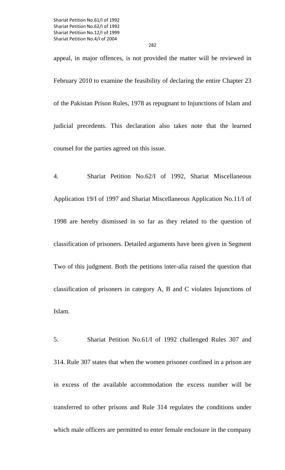appeal, in major offences, is not provided the matter will be reviewed in February 2010 to examine the feasibility of declaring the entire Chapter 23 of the Pakistan Prison Rules, 1978 as repugnant to Injunctions of Islam and judicial precedents. This declaration also takes note that the learned counsel for the parties agreed on this issue.

4. Shariat Petition No.62/I of 1992, Shariat Miscellaneous Application 19/I of 1997 and Shariat Miscellaneous Application No.11/I of 1998 are hereby dismissed in so far as they related to the question of classification of prisoners. Detailed arguments have been given in Segment Two of this judgment. Both the petitions inter-alia raised the question that classification of prisoners in category A, B and C violates Injunctions of Islam.

5. Shariat Petition No.61/I of 1992 challenged Rules 307 and 314. Rule 307 states that when the women prisoner confined in a prison are in excess of the available accommodation the excess number will be transferred to other prisons and Rule 314 regulates the conditions under which male officers are permitted to enter female enclosure in the company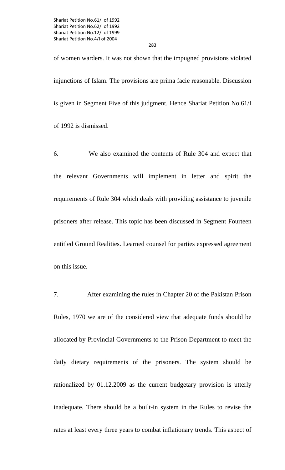of women warders. It was not shown that the impugned provisions violated injunctions of Islam. The provisions are prima facie reasonable. Discussion is given in Segment Five of this judgment. Hence Shariat Petition No.61/I of 1992 is dismissed.

6. We also examined the contents of Rule 304 and expect that the relevant Governments will implement in letter and spirit the requirements of Rule 304 which deals with providing assistance to juvenile prisoners after release. This topic has been discussed in Segment Fourteen entitled Ground Realities. Learned counsel for parties expressed agreement on this issue.

7. After examining the rules in Chapter 20 of the Pakistan Prison Rules, 1970 we are of the considered view that adequate funds should be allocated by Provincial Governments to the Prison Department to meet the daily dietary requirements of the prisoners. The system should be rationalized by 01.12.2009 as the current budgetary provision is utterly inadequate. There should be a built-in system in the Rules to revise the rates at least every three years to combat inflationary trends. This aspect of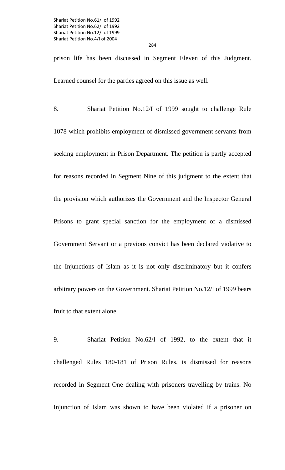284

prison life has been discussed in Segment Eleven of this Judgment. Learned counsel for the parties agreed on this issue as well.

8. Shariat Petition No.12/I of 1999 sought to challenge Rule 1078 which prohibits employment of dismissed government servants from seeking employment in Prison Department. The petition is partly accepted for reasons recorded in Segment Nine of this judgment to the extent that the provision which authorizes the Government and the Inspector General Prisons to grant special sanction for the employment of a dismissed Government Servant or a previous convict has been declared violative to the Injunctions of Islam as it is not only discriminatory but it confers arbitrary powers on the Government. Shariat Petition No.12/I of 1999 bears fruit to that extent alone.

9. Shariat Petition No.62/I of 1992, to the extent that it challenged Rules 180-181 of Prison Rules, is dismissed for reasons recorded in Segment One dealing with prisoners travelling by trains. No Injunction of Islam was shown to have been violated if a prisoner on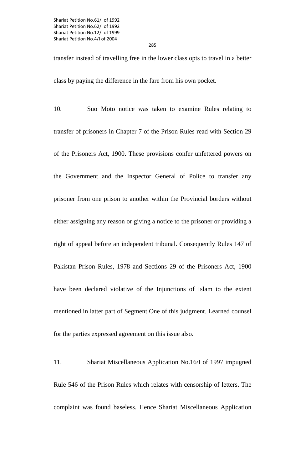transfer instead of travelling free in the lower class opts to travel in a better class by paying the difference in the fare from his own pocket.

10. Suo Moto notice was taken to examine Rules relating to transfer of prisoners in Chapter 7 of the Prison Rules read with Section 29 of the Prisoners Act, 1900. These provisions confer unfettered powers on the Government and the Inspector General of Police to transfer any prisoner from one prison to another within the Provincial borders without either assigning any reason or giving a notice to the prisoner or providing a right of appeal before an independent tribunal. Consequently Rules 147 of Pakistan Prison Rules, 1978 and Sections 29 of the Prisoners Act, 1900 have been declared violative of the Injunctions of Islam to the extent mentioned in latter part of Segment One of this judgment. Learned counsel for the parties expressed agreement on this issue also.

11. Shariat Miscellaneous Application No.16/I of 1997 impugned Rule 546 of the Prison Rules which relates with censorship of letters. The complaint was found baseless. Hence Shariat Miscellaneous Application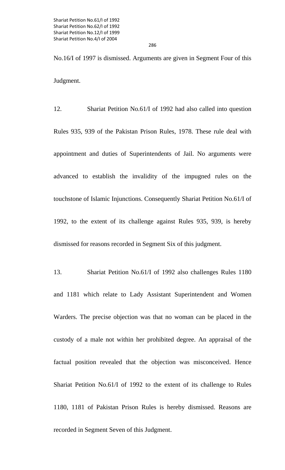No.16/I of 1997 is dismissed. Arguments are given in Segment Four of this Judgment.

12. Shariat Petition No.61/I of 1992 had also called into question Rules 935, 939 of the Pakistan Prison Rules, 1978. These rule deal with appointment and duties of Superintendents of Jail. No arguments were advanced to establish the invalidity of the impugned rules on the touchstone of Islamic Injunctions. Consequently Shariat Petition No.61/I of 1992, to the extent of its challenge against Rules 935, 939, is hereby dismissed for reasons recorded in Segment Six of this judgment.

13. Shariat Petition No.61/I of 1992 also challenges Rules 1180 and 1181 which relate to Lady Assistant Superintendent and Women Warders. The precise objection was that no woman can be placed in the custody of a male not within her prohibited degree. An appraisal of the factual position revealed that the objection was misconceived. Hence Shariat Petition No.61/I of 1992 to the extent of its challenge to Rules 1180, 1181 of Pakistan Prison Rules is hereby dismissed. Reasons are recorded in Segment Seven of this Judgment.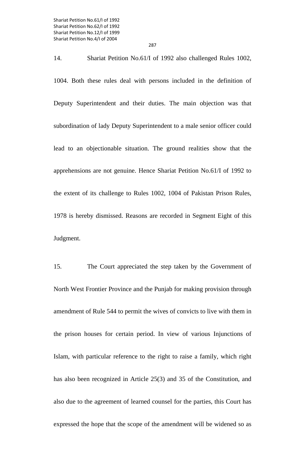14. Shariat Petition No.61/I of 1992 also challenged Rules 1002, 1004. Both these rules deal with persons included in the definition of Deputy Superintendent and their duties. The main objection was that subordination of lady Deputy Superintendent to a male senior officer could lead to an objectionable situation. The ground realities show that the apprehensions are not genuine. Hence Shariat Petition No.61/I of 1992 to the extent of its challenge to Rules 1002, 1004 of Pakistan Prison Rules, 1978 is hereby dismissed. Reasons are recorded in Segment Eight of this Judgment.

15. The Court appreciated the step taken by the Government of North West Frontier Province and the Punjab for making provision through amendment of Rule 544 to permit the wives of convicts to live with them in the prison houses for certain period. In view of various Injunctions of Islam, with particular reference to the right to raise a family, which right has also been recognized in Article 25(3) and 35 of the Constitution, and also due to the agreement of learned counsel for the parties, this Court has expressed the hope that the scope of the amendment will be widened so as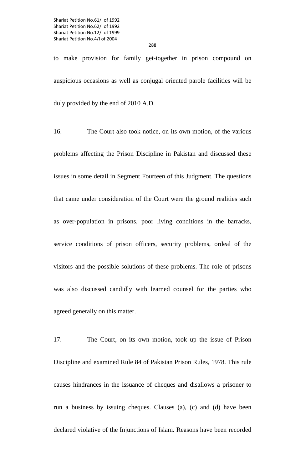to make provision for family get-together in prison compound on auspicious occasions as well as conjugal oriented parole facilities will be duly provided by the end of 2010 A.D.

16. The Court also took notice, on its own motion, of the various problems affecting the Prison Discipline in Pakistan and discussed these issues in some detail in Segment Fourteen of this Judgment. The questions that came under consideration of the Court were the ground realities such as over-population in prisons, poor living conditions in the barracks, service conditions of prison officers, security problems, ordeal of the visitors and the possible solutions of these problems. The role of prisons was also discussed candidly with learned counsel for the parties who agreed generally on this matter.

17. The Court, on its own motion, took up the issue of Prison Discipline and examined Rule 84 of Pakistan Prison Rules, 1978. This rule causes hindrances in the issuance of cheques and disallows a prisoner to run a business by issuing cheques. Clauses (a), (c) and (d) have been declared violative of the Injunctions of Islam. Reasons have been recorded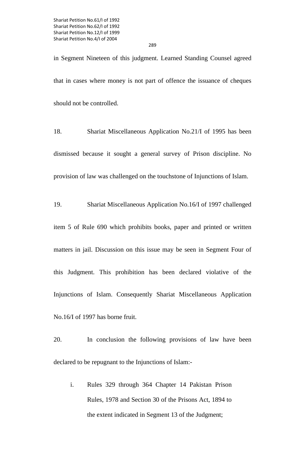in Segment Nineteen of this judgment. Learned Standing Counsel agreed that in cases where money is not part of offence the issuance of cheques should not be controlled.

18. Shariat Miscellaneous Application No.21/I of 1995 has been dismissed because it sought a general survey of Prison discipline. No provision of law was challenged on the touchstone of Injunctions of Islam.

19. Shariat Miscellaneous Application No.16/I of 1997 challenged item 5 of Rule 690 which prohibits books, paper and printed or written matters in jail. Discussion on this issue may be seen in Segment Four of this Judgment. This prohibition has been declared violative of the Injunctions of Islam. Consequently Shariat Miscellaneous Application No.16/I of 1997 has borne fruit.

20. In conclusion the following provisions of law have been declared to be repugnant to the Injunctions of Islam:-

i. Rules 329 through 364 Chapter 14 Pakistan Prison Rules, 1978 and Section 30 of the Prisons Act, 1894 to the extent indicated in Segment 13 of the Judgment;

289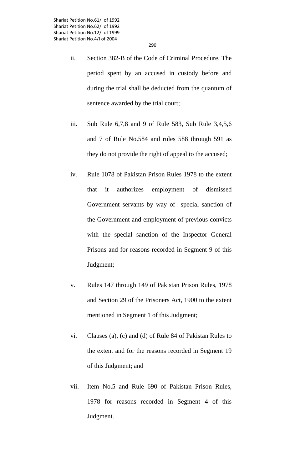ii. Section 382-B of the Code of Criminal Procedure. The period spent by an accused in custody before and during the trial shall be deducted from the quantum of sentence awarded by the trial court;

- iii. Sub Rule 6,7,8 and 9 of Rule 583, Sub Rule 3,4,5,6 and 7 of Rule No.584 and rules 588 through 591 as they do not provide the right of appeal to the accused;
- iv. Rule 1078 of Pakistan Prison Rules 1978 to the extent that it authorizes employment of dismissed Government servants by way of special sanction of the Government and employment of previous convicts with the special sanction of the Inspector General Prisons and for reasons recorded in Segment 9 of this Judgment;
- v. Rules 147 through 149 of Pakistan Prison Rules, 1978 and Section 29 of the Prisoners Act, 1900 to the extent mentioned in Segment 1 of this Judgment;
- vi. Clauses (a), (c) and (d) of Rule 84 of Pakistan Rules to the extent and for the reasons recorded in Segment 19 of this Judgment; and
- vii. Item No.5 and Rule 690 of Pakistan Prison Rules, 1978 for reasons recorded in Segment 4 of this Judgment.

290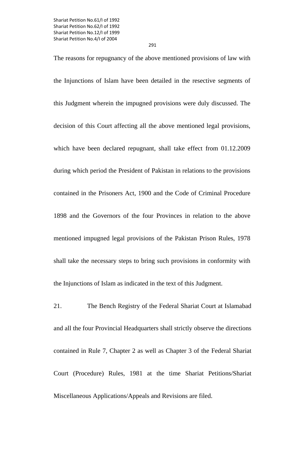291

The reasons for repugnancy of the above mentioned provisions of law with the Injunctions of Islam have been detailed in the resective segments of this Judgment wherein the impugned provisions were duly discussed. The decision of this Court affecting all the above mentioned legal provisions, which have been declared repugnant, shall take effect from 01.12.2009 during which period the President of Pakistan in relations to the provisions contained in the Prisoners Act, 1900 and the Code of Criminal Procedure 1898 and the Governors of the four Provinces in relation to the above mentioned impugned legal provisions of the Pakistan Prison Rules, 1978 shall take the necessary steps to bring such provisions in conformity with the Injunctions of Islam as indicated in the text of this Judgment.

21. The Bench Registry of the Federal Shariat Court at Islamabad and all the four Provincial Headquarters shall strictly observe the directions contained in Rule 7, Chapter 2 as well as Chapter 3 of the Federal Shariat Court (Procedure) Rules, 1981 at the time Shariat Petitions/Shariat Miscellaneous Applications/Appeals and Revisions are filed.